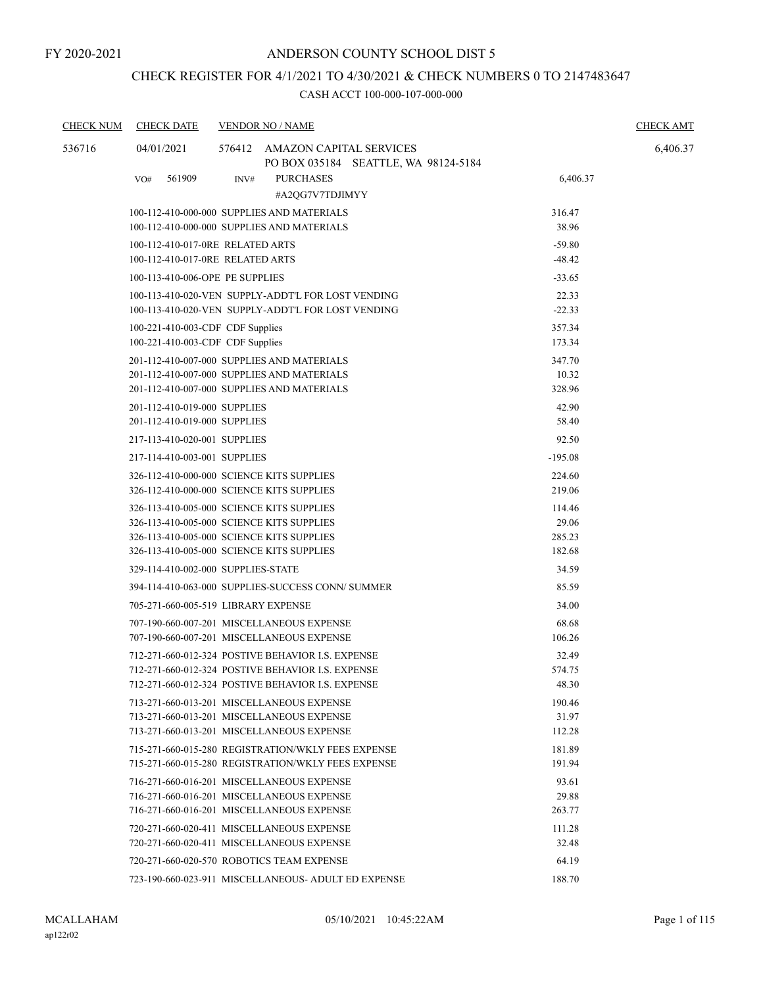# CHECK REGISTER FOR 4/1/2021 TO 4/30/2021 & CHECK NUMBERS 0 TO 2147483647

| <b>CHECK NUM</b> | <b>CHECK DATE</b>                         |      | <b>VENDOR NO / NAME</b>                                                                                |                 | <b>CHECK AMT</b> |
|------------------|-------------------------------------------|------|--------------------------------------------------------------------------------------------------------|-----------------|------------------|
| 536716           | 04/01/2021                                |      | 576412 AMAZON CAPITAL SERVICES<br>PO BOX 035184 SEATTLE, WA 98124-5184                                 |                 | 6,406.37         |
|                  | 561909<br>VO#                             | INV# | <b>PURCHASES</b><br>#A2QG7V7TDJIMYY                                                                    | 6,406.37        |                  |
|                  |                                           |      | 100-112-410-000-000 SUPPLIES AND MATERIALS                                                             | 316.47          |                  |
|                  |                                           |      | 100-112-410-000-000 SUPPLIES AND MATERIALS                                                             | 38.96           |                  |
|                  | 100-112-410-017-0RE RELATED ARTS          |      |                                                                                                        | $-59.80$        |                  |
|                  | 100-112-410-017-0RE RELATED ARTS          |      |                                                                                                        | $-48.42$        |                  |
|                  | 100-113-410-006-OPE PE SUPPLIES           |      |                                                                                                        | $-33.65$        |                  |
|                  |                                           |      | 100-113-410-020-VEN SUPPLY-ADDT'L FOR LOST VENDING                                                     | 22.33           |                  |
|                  |                                           |      | 100-113-410-020-VEN SUPPLY-ADDT'L FOR LOST VENDING                                                     | $-22.33$        |                  |
|                  | 100-221-410-003-CDF CDF Supplies          |      |                                                                                                        | 357.34          |                  |
|                  | 100-221-410-003-CDF CDF Supplies          |      |                                                                                                        | 173.34          |                  |
|                  |                                           |      | 201-112-410-007-000 SUPPLIES AND MATERIALS<br>201-112-410-007-000 SUPPLIES AND MATERIALS               | 347.70<br>10.32 |                  |
|                  |                                           |      | 201-112-410-007-000 SUPPLIES AND MATERIALS                                                             | 328.96          |                  |
|                  | 201-112-410-019-000 SUPPLIES              |      |                                                                                                        | 42.90           |                  |
|                  | 201-112-410-019-000 SUPPLIES              |      |                                                                                                        | 58.40           |                  |
|                  | 217-113-410-020-001 SUPPLIES              |      |                                                                                                        | 92.50           |                  |
|                  | 217-114-410-003-001 SUPPLIES              |      |                                                                                                        | $-195.08$       |                  |
|                  | 326-112-410-000-000 SCIENCE KITS SUPPLIES |      |                                                                                                        | 224.60          |                  |
|                  | 326-112-410-000-000 SCIENCE KITS SUPPLIES |      |                                                                                                        | 219.06          |                  |
|                  | 326-113-410-005-000 SCIENCE KITS SUPPLIES |      |                                                                                                        | 114.46          |                  |
|                  | 326-113-410-005-000 SCIENCE KITS SUPPLIES |      |                                                                                                        | 29.06           |                  |
|                  | 326-113-410-005-000 SCIENCE KITS SUPPLIES |      |                                                                                                        | 285.23          |                  |
|                  | 326-113-410-005-000 SCIENCE KITS SUPPLIES |      |                                                                                                        | 182.68          |                  |
|                  | 329-114-410-002-000 SUPPLIES-STATE        |      |                                                                                                        | 34.59           |                  |
|                  |                                           |      | 394-114-410-063-000 SUPPLIES-SUCCESS CONN/ SUMMER                                                      | 85.59           |                  |
|                  | 705-271-660-005-519 LIBRARY EXPENSE       |      |                                                                                                        | 34.00           |                  |
|                  |                                           |      | 707-190-660-007-201 MISCELLANEOUS EXPENSE                                                              | 68.68           |                  |
|                  |                                           |      | 707-190-660-007-201 MISCELLANEOUS EXPENSE                                                              | 106.26          |                  |
|                  |                                           |      | 712-271-660-012-324 POSTIVE BEHAVIOR I.S. EXPENSE                                                      | 32.49           |                  |
|                  |                                           |      | 712-271-660-012-324 POSTIVE BEHAVIOR I.S. EXPENSE<br>712-271-660-012-324 POSTIVE BEHAVIOR I.S. EXPENSE | 574.75<br>48.30 |                  |
|                  |                                           |      | 713-271-660-013-201 MISCELLANEOUS EXPENSE                                                              | 190.46          |                  |
|                  |                                           |      | 713-271-660-013-201 MISCELLANEOUS EXPENSE                                                              | 31.97           |                  |
|                  |                                           |      | 713-271-660-013-201 MISCELLANEOUS EXPENSE                                                              | 112.28          |                  |
|                  |                                           |      | 715-271-660-015-280 REGISTRATION/WKLY FEES EXPENSE                                                     | 181.89          |                  |
|                  |                                           |      | 715-271-660-015-280 REGISTRATION/WKLY FEES EXPENSE                                                     | 191.94          |                  |
|                  |                                           |      | 716-271-660-016-201 MISCELLANEOUS EXPENSE                                                              | 93.61           |                  |
|                  |                                           |      | 716-271-660-016-201 MISCELLANEOUS EXPENSE                                                              | 29.88           |                  |
|                  |                                           |      | 716-271-660-016-201 MISCELLANEOUS EXPENSE                                                              | 263.77          |                  |
|                  |                                           |      | 720-271-660-020-411 MISCELLANEOUS EXPENSE                                                              | 111.28          |                  |
|                  |                                           |      | 720-271-660-020-411 MISCELLANEOUS EXPENSE                                                              | 32.48           |                  |
|                  |                                           |      | 720-271-660-020-570 ROBOTICS TEAM EXPENSE                                                              | 64.19           |                  |
|                  |                                           |      | 723-190-660-023-911 MISCELLANEOUS- ADULT ED EXPENSE                                                    | 188.70          |                  |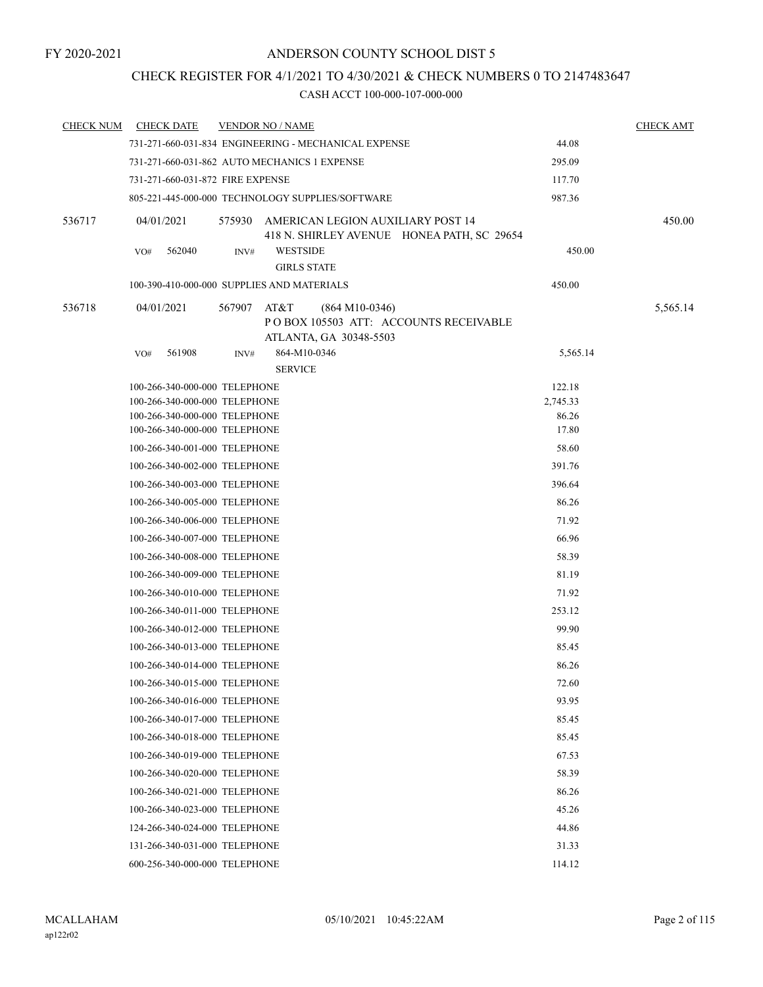# CHECK REGISTER FOR 4/1/2021 TO 4/30/2021 & CHECK NUMBERS 0 TO 2147483647

| <b>CHECK NUM</b> | <b>CHECK DATE</b>                |             | <b>VENDOR NO / NAME</b>                                                                |          | <b>CHECK AMT</b> |
|------------------|----------------------------------|-------------|----------------------------------------------------------------------------------------|----------|------------------|
|                  |                                  |             | 731-271-660-031-834 ENGINEERING - MECHANICAL EXPENSE                                   | 44.08    |                  |
|                  |                                  |             | 731-271-660-031-862 AUTO MECHANICS 1 EXPENSE                                           | 295.09   |                  |
|                  | 731-271-660-031-872 FIRE EXPENSE |             |                                                                                        | 117.70   |                  |
|                  |                                  |             | 805-221-445-000-000 TECHNOLOGY SUPPLIES/SOFTWARE                                       | 987.36   |                  |
| 536717           | 04/01/2021                       |             | 575930 AMERICAN LEGION AUXILIARY POST 14<br>418 N. SHIRLEY AVENUE HONEA PATH, SC 29654 |          | 450.00           |
|                  | 562040<br>VO#                    | INV#        | <b>WESTSIDE</b><br><b>GIRLS STATE</b>                                                  | 450.00   |                  |
|                  |                                  |             | 100-390-410-000-000 SUPPLIES AND MATERIALS                                             | 450.00   |                  |
| 536718           | 04/01/2021                       | 567907 AT&T | $(864 M10-0346)$<br>POBOX 105503 ATT: ACCOUNTS RECEIVABLE<br>ATLANTA, GA 30348-5503    |          | 5,565.14         |
|                  | 561908<br>VO#                    | INV#        | 864-M10-0346                                                                           | 5,565.14 |                  |
|                  |                                  |             | <b>SERVICE</b>                                                                         |          |                  |
|                  | 100-266-340-000-000 TELEPHONE    |             |                                                                                        | 122.18   |                  |
|                  | 100-266-340-000-000 TELEPHONE    |             |                                                                                        | 2,745.33 |                  |
|                  | 100-266-340-000-000 TELEPHONE    |             |                                                                                        | 86.26    |                  |
|                  | 100-266-340-000-000 TELEPHONE    |             |                                                                                        | 17.80    |                  |
|                  | 100-266-340-001-000 TELEPHONE    |             |                                                                                        | 58.60    |                  |
|                  | 100-266-340-002-000 TELEPHONE    |             |                                                                                        | 391.76   |                  |
|                  | 100-266-340-003-000 TELEPHONE    |             |                                                                                        | 396.64   |                  |
|                  | 100-266-340-005-000 TELEPHONE    |             |                                                                                        | 86.26    |                  |
|                  | 100-266-340-006-000 TELEPHONE    |             |                                                                                        | 71.92    |                  |
|                  | 100-266-340-007-000 TELEPHONE    |             |                                                                                        | 66.96    |                  |
|                  | 100-266-340-008-000 TELEPHONE    |             |                                                                                        | 58.39    |                  |
|                  | 100-266-340-009-000 TELEPHONE    |             |                                                                                        | 81.19    |                  |
|                  | 100-266-340-010-000 TELEPHONE    |             |                                                                                        | 71.92    |                  |
|                  | 100-266-340-011-000 TELEPHONE    |             |                                                                                        | 253.12   |                  |
|                  | 100-266-340-012-000 TELEPHONE    |             |                                                                                        | 99.90    |                  |
|                  | 100-266-340-013-000 TELEPHONE    |             |                                                                                        | 85.45    |                  |
|                  | 100-266-340-014-000 TELEPHONE    |             |                                                                                        | 86.26    |                  |
|                  | 100-266-340-015-000 TELEPHONE    |             |                                                                                        | 72.60    |                  |
|                  | 100-266-340-016-000 TELEPHONE    |             |                                                                                        | 93.95    |                  |
|                  | 100-266-340-017-000 TELEPHONE    |             |                                                                                        | 85.45    |                  |
|                  | 100-266-340-018-000 TELEPHONE    |             |                                                                                        | 85.45    |                  |
|                  | 100-266-340-019-000 TELEPHONE    |             |                                                                                        | 67.53    |                  |
|                  | 100-266-340-020-000 TELEPHONE    |             |                                                                                        | 58.39    |                  |
|                  | 100-266-340-021-000 TELEPHONE    |             |                                                                                        | 86.26    |                  |
|                  | 100-266-340-023-000 TELEPHONE    |             |                                                                                        | 45.26    |                  |
|                  | 124-266-340-024-000 TELEPHONE    |             |                                                                                        | 44.86    |                  |
|                  | 131-266-340-031-000 TELEPHONE    |             |                                                                                        | 31.33    |                  |
|                  |                                  |             |                                                                                        |          |                  |
|                  | 600-256-340-000-000 TELEPHONE    |             |                                                                                        | 114.12   |                  |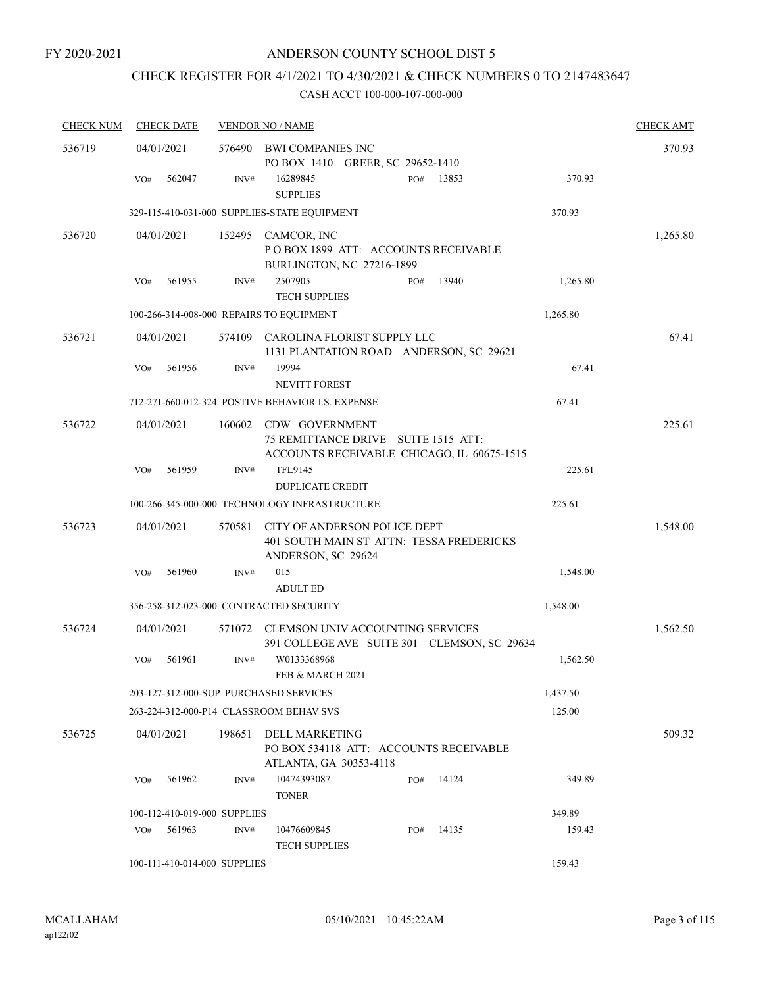# CHECK REGISTER FOR 4/1/2021 TO 4/30/2021 & CHECK NUMBERS 0 TO 2147483647

| <b>CHECK NUM</b> | <b>CHECK DATE</b>                        |        | <b>VENDOR NO / NAME</b>                                                                             |     |       |          | <b>CHECK AMT</b> |
|------------------|------------------------------------------|--------|-----------------------------------------------------------------------------------------------------|-----|-------|----------|------------------|
| 536719           | 04/01/2021                               | 576490 | BWI COMPANIES INC<br>PO BOX 1410 GREER, SC 29652-1410                                               |     |       |          | 370.93           |
|                  | 562047<br>VO#                            | INV#   | 16289845<br><b>SUPPLIES</b>                                                                         | PO# | 13853 | 370.93   |                  |
|                  |                                          |        | 329-115-410-031-000 SUPPLIES-STATE EQUIPMENT                                                        |     |       | 370.93   |                  |
| 536720           | 04/01/2021                               | 152495 | CAMCOR, INC<br>POBOX 1899 ATT: ACCOUNTS RECEIVABLE<br>BURLINGTON, NC 27216-1899                     |     |       |          | 1,265.80         |
|                  | 561955<br>VO#                            | INV#   | 2507905<br><b>TECH SUPPLIES</b>                                                                     | PO# | 13940 | 1,265.80 |                  |
|                  | 100-266-314-008-000 REPAIRS TO EQUIPMENT |        |                                                                                                     |     |       | 1,265.80 |                  |
| 536721           | 04/01/2021                               | 574109 | CAROLINA FLORIST SUPPLY LLC<br>1131 PLANTATION ROAD ANDERSON, SC 29621                              |     |       |          | 67.41            |
|                  | 561956<br>VO#                            | INV#   | 19994<br><b>NEVITT FOREST</b>                                                                       |     |       | 67.41    |                  |
|                  |                                          |        | 712-271-660-012-324 POSTIVE BEHAVIOR I.S. EXPENSE                                                   |     |       | 67.41    |                  |
| 536722           | 04/01/2021                               | 160602 | CDW GOVERNMENT<br>75 REMITTANCE DRIVE SUITE 1515 ATT:<br>ACCOUNTS RECEIVABLE CHICAGO, IL 60675-1515 |     |       |          | 225.61           |
|                  | 561959<br>VO#                            | INV#   | <b>TFL9145</b><br><b>DUPLICATE CREDIT</b>                                                           |     |       | 225.61   |                  |
|                  |                                          |        | 100-266-345-000-000 TECHNOLOGY INFRASTRUCTURE                                                       |     |       | 225.61   |                  |
| 536723           | 04/01/2021                               | 570581 | CITY OF ANDERSON POLICE DEPT<br>401 SOUTH MAIN ST ATTN: TESSA FREDERICKS<br>ANDERSON, SC 29624      |     |       |          | 1,548.00         |
|                  | 561960<br>VO#                            | INV#   | 015                                                                                                 |     |       | 1,548.00 |                  |
|                  |                                          |        | <b>ADULT ED</b>                                                                                     |     |       |          |                  |
|                  |                                          |        | 356-258-312-023-000 CONTRACTED SECURITY                                                             |     |       | 1,548.00 |                  |
| 536724           | 04/01/2021                               | 571072 | CLEMSON UNIV ACCOUNTING SERVICES<br>391 COLLEGE AVE SUITE 301 CLEMSON, SC 29634                     |     |       |          | 1,562.50         |
|                  | 561961<br>VO#                            | INV#   | W0133368968<br>FEB & MARCH 2021                                                                     |     |       | 1,562.50 |                  |
|                  | 203-127-312-000-SUP PURCHASED SERVICES   |        |                                                                                                     |     |       | 1,437.50 |                  |
|                  |                                          |        | 263-224-312-000-P14 CLASSROOM BEHAV SVS                                                             |     |       | 125.00   |                  |
| 536725           | 04/01/2021                               | 198651 | DELL MARKETING<br>PO BOX 534118 ATT: ACCOUNTS RECEIVABLE<br>ATLANTA, GA 30353-4118                  |     |       |          | 509.32           |
|                  | 561962<br>VO#                            | INV#   | 10474393087<br><b>TONER</b>                                                                         | PO# | 14124 | 349.89   |                  |
|                  | 100-112-410-019-000 SUPPLIES             |        |                                                                                                     |     |       | 349.89   |                  |
|                  | VO#<br>561963                            | INV#   | 10476609845<br><b>TECH SUPPLIES</b>                                                                 | PO# | 14135 | 159.43   |                  |
|                  | 100-111-410-014-000 SUPPLIES             |        |                                                                                                     |     |       | 159.43   |                  |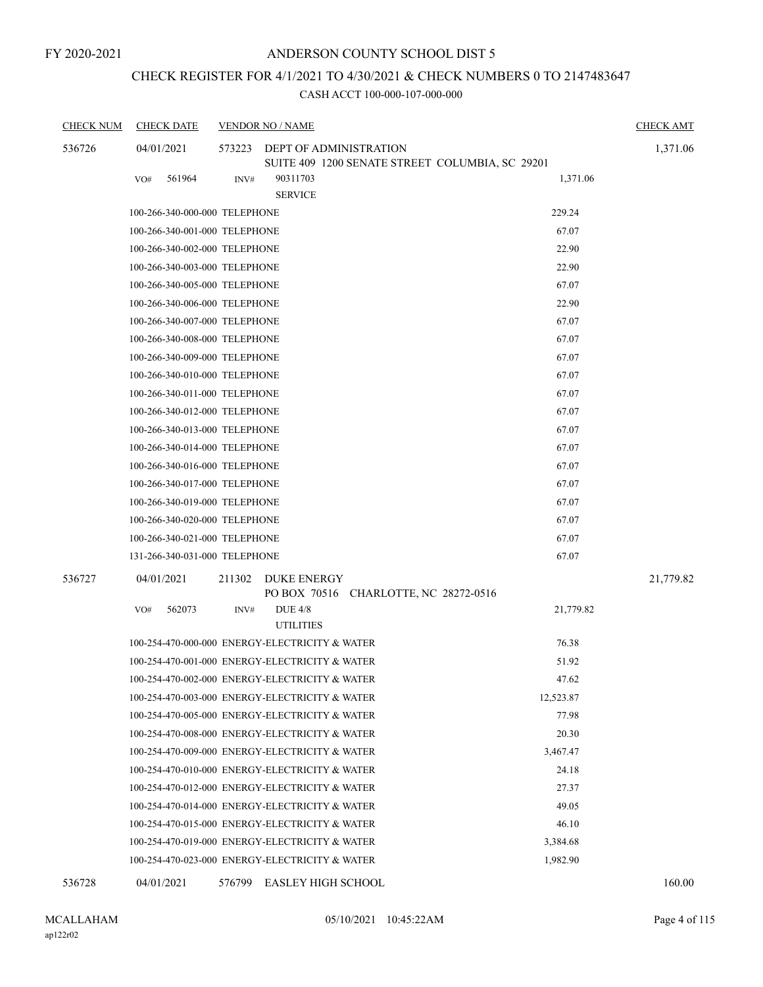# CHECK REGISTER FOR 4/1/2021 TO 4/30/2021 & CHECK NUMBERS 0 TO 2147483647

| <b>CHECK NUM</b> | <b>CHECK DATE</b>             |        | <b>VENDOR NO / NAME</b>                                     | <b>CHECK AMT</b> |
|------------------|-------------------------------|--------|-------------------------------------------------------------|------------------|
| 536726           | 04/01/2021                    | 573223 | DEPT OF ADMINISTRATION                                      | 1,371.06         |
|                  | 561964                        |        | SUITE 409 1200 SENATE STREET COLUMBIA, SC 29201<br>90311703 | 1,371.06         |
|                  | VO#                           | INV#   | <b>SERVICE</b>                                              |                  |
|                  | 100-266-340-000-000 TELEPHONE |        | 229.24                                                      |                  |
|                  | 100-266-340-001-000 TELEPHONE |        |                                                             | 67.07            |
|                  | 100-266-340-002-000 TELEPHONE |        |                                                             | 22.90            |
|                  | 100-266-340-003-000 TELEPHONE |        |                                                             | 22.90            |
|                  | 100-266-340-005-000 TELEPHONE |        |                                                             | 67.07            |
|                  | 100-266-340-006-000 TELEPHONE |        |                                                             | 22.90            |
|                  | 100-266-340-007-000 TELEPHONE |        |                                                             | 67.07            |
|                  | 100-266-340-008-000 TELEPHONE |        |                                                             | 67.07            |
|                  | 100-266-340-009-000 TELEPHONE |        |                                                             | 67.07            |
|                  | 100-266-340-010-000 TELEPHONE |        |                                                             | 67.07            |
|                  | 100-266-340-011-000 TELEPHONE |        |                                                             | 67.07            |
|                  | 100-266-340-012-000 TELEPHONE |        |                                                             | 67.07            |
|                  | 100-266-340-013-000 TELEPHONE |        |                                                             | 67.07            |
|                  | 100-266-340-014-000 TELEPHONE |        |                                                             | 67.07            |
|                  | 100-266-340-016-000 TELEPHONE |        |                                                             | 67.07            |
|                  | 100-266-340-017-000 TELEPHONE |        |                                                             | 67.07            |
|                  | 100-266-340-019-000 TELEPHONE |        |                                                             | 67.07            |
|                  | 100-266-340-020-000 TELEPHONE |        |                                                             | 67.07            |
|                  | 100-266-340-021-000 TELEPHONE |        |                                                             | 67.07            |
|                  | 131-266-340-031-000 TELEPHONE |        |                                                             | 67.07            |
| 536727           | 04/01/2021                    | 211302 | DUKE ENERGY<br>PO BOX 70516 CHARLOTTE, NC 28272-0516        | 21,779.82        |
|                  | 562073<br>VO#                 | INV#   | <b>DUE 4/8</b><br><b>UTILITIES</b>                          | 21,779.82        |
|                  |                               |        | 100-254-470-000-000 ENERGY-ELECTRICITY & WATER              | 76.38            |
|                  |                               |        | 100-254-470-001-000 ENERGY-ELECTRICITY & WATER              | 51.92            |
|                  |                               |        | 100-254-470-002-000 ENERGY-ELECTRICITY & WATER              | 47.62            |
|                  |                               |        | 100-254-470-003-000 ENERGY-ELECTRICITY & WATER<br>12,523.87 |                  |
|                  |                               |        | 100-254-470-005-000 ENERGY-ELECTRICITY & WATER              | 77.98            |
|                  |                               |        | 100-254-470-008-000 ENERGY-ELECTRICITY & WATER              | 20.30            |
|                  |                               |        | 100-254-470-009-000 ENERGY-ELECTRICITY & WATER<br>3,467.47  |                  |
|                  |                               |        | 100-254-470-010-000 ENERGY-ELECTRICITY & WATER              | 24.18            |
|                  |                               |        | 100-254-470-012-000 ENERGY-ELECTRICITY & WATER              | 27.37            |
|                  |                               |        | 100-254-470-014-000 ENERGY-ELECTRICITY & WATER              | 49.05            |
|                  |                               |        | 100-254-470-015-000 ENERGY-ELECTRICITY & WATER              | 46.10            |
|                  |                               |        | 100-254-470-019-000 ENERGY-ELECTRICITY & WATER<br>3,384.68  |                  |
|                  |                               |        | 100-254-470-023-000 ENERGY-ELECTRICITY & WATER<br>1,982.90  |                  |
| 536728           | 04/01/2021                    |        | 576799 EASLEY HIGH SCHOOL                                   | 160.00           |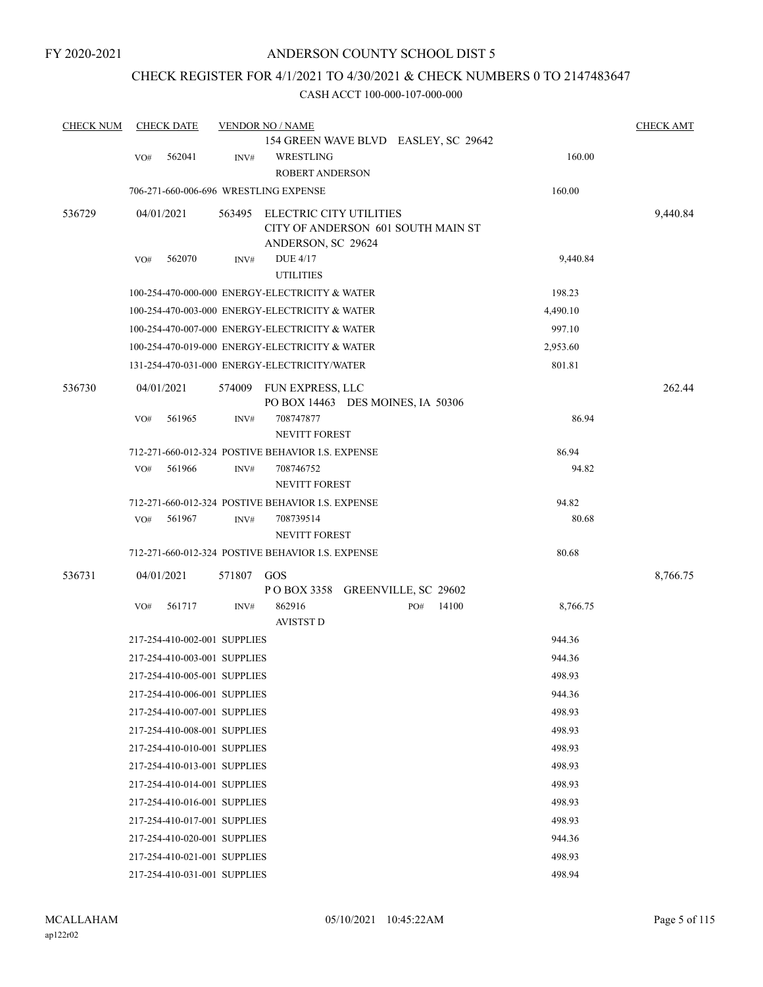### CHECK REGISTER FOR 4/1/2021 TO 4/30/2021 & CHECK NUMBERS 0 TO 2147483647

| <b>CHECK NUM</b> |     | <b>CHECK DATE</b>            |        | <b>VENDOR NO / NAME</b>                                                                    |     |       |          | <b>CHECK AMT</b> |
|------------------|-----|------------------------------|--------|--------------------------------------------------------------------------------------------|-----|-------|----------|------------------|
|                  | VO# | 562041                       | INV#   | 154 GREEN WAVE BLVD EASLEY, SC 29642<br>WRESTLING<br><b>ROBERT ANDERSON</b>                |     |       | 160.00   |                  |
|                  |     |                              |        | 706-271-660-006-696 WRESTLING EXPENSE                                                      |     |       | 160.00   |                  |
| 536729           |     | 04/01/2021                   | 563495 | <b>ELECTRIC CITY UTILITIES</b><br>CITY OF ANDERSON 601 SOUTH MAIN ST<br>ANDERSON, SC 29624 |     |       |          | 9,440.84         |
|                  | VO# | 562070                       | INV#   | <b>DUE 4/17</b><br><b>UTILITIES</b>                                                        |     |       | 9,440.84 |                  |
|                  |     |                              |        | 100-254-470-000-000 ENERGY-ELECTRICITY & WATER                                             |     |       | 198.23   |                  |
|                  |     |                              |        | 100-254-470-003-000 ENERGY-ELECTRICITY & WATER                                             |     |       | 4,490.10 |                  |
|                  |     |                              |        | 100-254-470-007-000 ENERGY-ELECTRICITY & WATER                                             |     |       | 997.10   |                  |
|                  |     |                              |        | 100-254-470-019-000 ENERGY-ELECTRICITY & WATER                                             |     |       | 2,953.60 |                  |
|                  |     |                              |        | 131-254-470-031-000 ENERGY-ELECTRICITY/WATER                                               |     |       | 801.81   |                  |
| 536730           |     | 04/01/2021                   | 574009 | FUN EXPRESS, LLC<br>PO BOX 14463 DES MOINES, IA 50306                                      |     |       |          | 262.44           |
|                  | VO# | 561965                       | INV#   | 708747877<br><b>NEVITT FOREST</b>                                                          |     |       | 86.94    |                  |
|                  |     |                              |        | 712-271-660-012-324 POSTIVE BEHAVIOR I.S. EXPENSE                                          |     |       | 86.94    |                  |
|                  | VO# | 561966                       | INV#   | 708746752<br><b>NEVITT FOREST</b>                                                          |     |       | 94.82    |                  |
|                  |     |                              |        | 712-271-660-012-324 POSTIVE BEHAVIOR I.S. EXPENSE                                          |     |       | 94.82    |                  |
|                  | VO# | 561967                       | INV#   | 708739514<br><b>NEVITT FOREST</b>                                                          |     |       | 80.68    |                  |
|                  |     |                              |        | 712-271-660-012-324 POSTIVE BEHAVIOR I.S. EXPENSE                                          |     |       | 80.68    |                  |
| 536731           |     | 04/01/2021                   | 571807 | GOS<br>POBOX 3358 GREENVILLE, SC 29602                                                     |     |       |          | 8,766.75         |
|                  | VO# | 561717                       | INV#   | 862916<br><b>AVISTST D</b>                                                                 | PO# | 14100 | 8,766.75 |                  |
|                  |     | 217-254-410-002-001 SUPPLIES |        |                                                                                            |     |       | 944.36   |                  |
|                  |     | 217-254-410-003-001 SUPPLIES |        |                                                                                            |     |       | 944.36   |                  |
|                  |     | 217-254-410-005-001 SUPPLIES |        |                                                                                            |     |       | 498.93   |                  |
|                  |     | 217-254-410-006-001 SUPPLIES |        |                                                                                            |     |       | 944.36   |                  |
|                  |     | 217-254-410-007-001 SUPPLIES |        |                                                                                            |     |       | 498.93   |                  |
|                  |     | 217-254-410-008-001 SUPPLIES |        |                                                                                            |     |       | 498.93   |                  |
|                  |     | 217-254-410-010-001 SUPPLIES |        |                                                                                            |     |       | 498.93   |                  |
|                  |     | 217-254-410-013-001 SUPPLIES |        |                                                                                            |     |       | 498.93   |                  |
|                  |     | 217-254-410-014-001 SUPPLIES |        |                                                                                            |     |       | 498.93   |                  |
|                  |     | 217-254-410-016-001 SUPPLIES |        |                                                                                            |     |       | 498.93   |                  |
|                  |     | 217-254-410-017-001 SUPPLIES |        |                                                                                            |     |       | 498.93   |                  |
|                  |     | 217-254-410-020-001 SUPPLIES |        |                                                                                            |     |       | 944.36   |                  |
|                  |     | 217-254-410-021-001 SUPPLIES |        |                                                                                            |     |       | 498.93   |                  |
|                  |     | 217-254-410-031-001 SUPPLIES |        |                                                                                            |     |       | 498.94   |                  |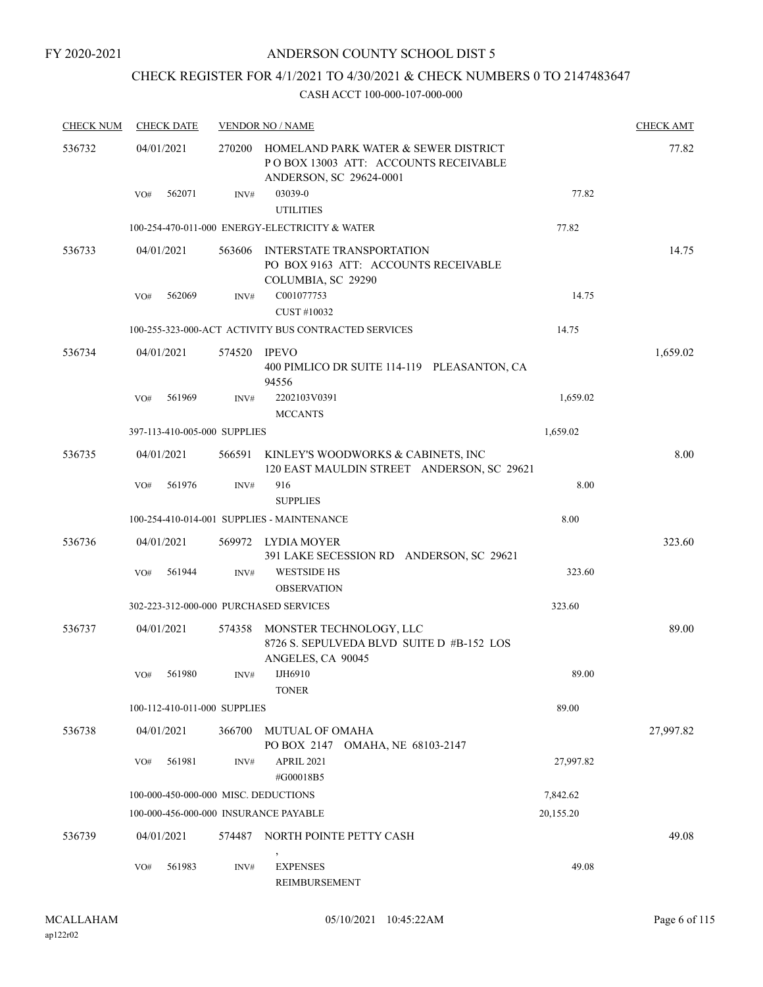# CHECK REGISTER FOR 4/1/2021 TO 4/30/2021 & CHECK NUMBERS 0 TO 2147483647

| <b>CHECK NUM</b> |     | <b>CHECK DATE</b>            |                | <b>VENDOR NO / NAME</b>                                                                                 |           | <b>CHECK AMT</b> |
|------------------|-----|------------------------------|----------------|---------------------------------------------------------------------------------------------------------|-----------|------------------|
| 536732           |     | 04/01/2021                   | 270200         | HOMELAND PARK WATER & SEWER DISTRICT<br>POBOX 13003 ATT: ACCOUNTS RECEIVABLE<br>ANDERSON, SC 29624-0001 |           | 77.82            |
|                  | VO# | 562071                       | INV#           | 03039-0<br><b>UTILITIES</b>                                                                             | 77.82     |                  |
|                  |     |                              |                | 100-254-470-011-000 ENERGY-ELECTRICITY & WATER                                                          | 77.82     |                  |
| 536733           |     | 04/01/2021                   | 563606         | INTERSTATE TRANSPORTATION<br>PO BOX 9163 ATT: ACCOUNTS RECEIVABLE<br>COLUMBIA, SC 29290                 |           | 14.75            |
|                  | VO# | 562069                       | INV#           | C001077753                                                                                              | 14.75     |                  |
|                  |     |                              |                | CUST #10032                                                                                             |           |                  |
|                  |     |                              |                | 100-255-323-000-ACT ACTIVITY BUS CONTRACTED SERVICES                                                    | 14.75     |                  |
| 536734           |     | 04/01/2021                   | 574520         | IPEVO<br>400 PIMLICO DR SUITE 114-119 PLEASANTON, CA<br>94556                                           |           | 1,659.02         |
|                  | VO# | 561969                       | INV#           | 2202103V0391<br><b>MCCANTS</b>                                                                          | 1,659.02  |                  |
|                  |     | 397-113-410-005-000 SUPPLIES |                |                                                                                                         | 1,659.02  |                  |
| 536735           |     | 04/01/2021                   | 566591         | KINLEY'S WOODWORKS & CABINETS, INC<br>120 EAST MAULDIN STREET ANDERSON, SC 29621                        |           | 8.00             |
|                  | VO# | 561976                       | INV#           | 916<br><b>SUPPLIES</b>                                                                                  | 8.00      |                  |
|                  |     |                              |                | 100-254-410-014-001 SUPPLIES - MAINTENANCE                                                              | 8.00      |                  |
| 536736           |     | 04/01/2021                   |                | 569972 LYDIA MOYER<br>391 LAKE SECESSION RD ANDERSON, SC 29621                                          |           | 323.60           |
|                  | VO# | 561944                       | INV#           | <b>WESTSIDE HS</b><br><b>OBSERVATION</b>                                                                | 323.60    |                  |
|                  |     |                              |                | 302-223-312-000-000 PURCHASED SERVICES                                                                  | 323.60    |                  |
| 536737           |     | 04/01/2021                   | 574358         | MONSTER TECHNOLOGY, LLC<br>8726 S. SEPULVEDA BLVD SUITE D #B-152 LOS<br>ANGELES, CA 90045               |           | 89.00            |
|                  | VO# | 561980                       | $\text{INV}\#$ | IJH6910<br><b>TONER</b>                                                                                 | 89.00     |                  |
|                  |     | 100-112-410-011-000 SUPPLIES |                |                                                                                                         | 89.00     |                  |
| 536738           |     | 04/01/2021                   | 366700         | MUTUAL OF OMAHA<br>PO BOX 2147 OMAHA, NE 68103-2147                                                     |           | 27,997.82        |
|                  | VO# | 561981                       | INV#           | APRIL 2021<br>#G00018B5                                                                                 | 27,997.82 |                  |
|                  |     |                              |                | 100-000-450-000-000 MISC. DEDUCTIONS                                                                    | 7,842.62  |                  |
|                  |     |                              |                | 100-000-456-000-000 INSURANCE PAYABLE                                                                   | 20,155.20 |                  |
| 536739           |     | 04/01/2021                   | 574487         | NORTH POINTE PETTY CASH                                                                                 |           | 49.08            |
|                  | VO# | 561983                       | INV#           | <b>EXPENSES</b><br>REIMBURSEMENT                                                                        | 49.08     |                  |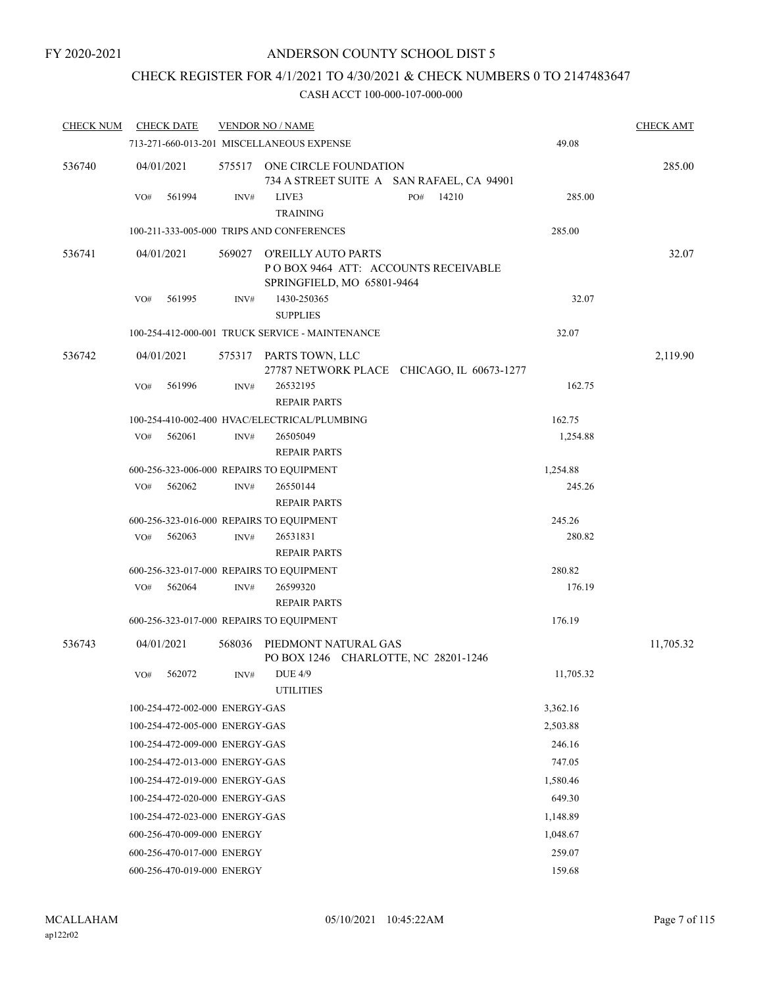## CHECK REGISTER FOR 4/1/2021 TO 4/30/2021 & CHECK NUMBERS 0 TO 2147483647

| <b>CHECK NUM</b> | <b>CHECK DATE</b>                        |          | <b>VENDOR NO / NAME</b>                                                                  |                                            |           | <b>CHECK AMT</b> |
|------------------|------------------------------------------|----------|------------------------------------------------------------------------------------------|--------------------------------------------|-----------|------------------|
|                  |                                          |          | 713-271-660-013-201 MISCELLANEOUS EXPENSE                                                | 49.08                                      |           |                  |
| 536740           | 04/01/2021                               |          | 575517 ONE CIRCLE FOUNDATION<br>734 A STREET SUITE A SAN RAFAEL, CA 94901                |                                            |           | 285.00           |
|                  | 561994<br>VO#                            | INV#     | LIVE3<br><b>TRAINING</b>                                                                 | 14210<br>PO#                               | 285.00    |                  |
|                  |                                          |          | 100-211-333-005-000 TRIPS AND CONFERENCES                                                |                                            | 285.00    |                  |
| 536741           | 04/01/2021                               | 569027   | O'REILLY AUTO PARTS<br>POBOX 9464 ATT: ACCOUNTS RECEIVABLE<br>SPRINGFIELD, MO 65801-9464 |                                            |           | 32.07            |
|                  | 561995<br>VO#                            | INV#     | 1430-250365<br><b>SUPPLIES</b>                                                           |                                            | 32.07     |                  |
|                  |                                          |          | 100-254-412-000-001 TRUCK SERVICE - MAINTENANCE                                          |                                            | 32.07     |                  |
| 536742           | 04/01/2021                               | 575317   | PARTS TOWN, LLC                                                                          | 27787 NETWORK PLACE CHICAGO, IL 60673-1277 |           | 2,119.90         |
|                  | 561996<br>VO#                            | INV#     | 26532195<br><b>REPAIR PARTS</b>                                                          |                                            | 162.75    |                  |
|                  |                                          |          | 100-254-410-002-400 HVAC/ELECTRICAL/PLUMBING                                             |                                            | 162.75    |                  |
|                  | 562061<br>VO#                            | INV#     | 26505049                                                                                 |                                            | 1,254.88  |                  |
|                  |                                          |          | <b>REPAIR PARTS</b>                                                                      |                                            |           |                  |
|                  | 600-256-323-006-000 REPAIRS TO EQUIPMENT |          |                                                                                          |                                            | 1,254.88  |                  |
|                  | 562062<br>VO#                            | INV#     | 26550144<br><b>REPAIR PARTS</b>                                                          |                                            | 245.26    |                  |
|                  | 600-256-323-016-000 REPAIRS TO EQUIPMENT |          |                                                                                          |                                            | 245.26    |                  |
|                  | 562063<br>VO#                            | INV#     | 26531831<br><b>REPAIR PARTS</b>                                                          |                                            | 280.82    |                  |
|                  | 600-256-323-017-000 REPAIRS TO EQUIPMENT |          |                                                                                          |                                            | 280.82    |                  |
|                  | 562064<br>VO#                            | INV#     | 26599320<br><b>REPAIR PARTS</b>                                                          |                                            | 176.19    |                  |
|                  | 600-256-323-017-000 REPAIRS TO EQUIPMENT |          |                                                                                          |                                            | 176.19    |                  |
| 536743           | 04/01/2021                               | 568036   | PIEDMONT NATURAL GAS<br>PO BOX 1246 CHARLOTTE, NC 28201-1246                             |                                            |           | 11,705.32        |
|                  | 562072<br>VO#                            | INV#     | <b>DUE 4/9</b><br><b>UTILITIES</b>                                                       |                                            | 11,705.32 |                  |
|                  | 100-254-472-002-000 ENERGY-GAS           |          |                                                                                          |                                            | 3,362.16  |                  |
|                  | 100-254-472-005-000 ENERGY-GAS           |          |                                                                                          |                                            | 2,503.88  |                  |
|                  | 100-254-472-009-000 ENERGY-GAS           |          |                                                                                          |                                            | 246.16    |                  |
|                  | 100-254-472-013-000 ENERGY-GAS           |          |                                                                                          |                                            | 747.05    |                  |
|                  | 100-254-472-019-000 ENERGY-GAS           |          |                                                                                          |                                            | 1,580.46  |                  |
|                  | 100-254-472-020-000 ENERGY-GAS           |          |                                                                                          |                                            | 649.30    |                  |
|                  | 100-254-472-023-000 ENERGY-GAS           |          |                                                                                          |                                            | 1,148.89  |                  |
|                  | 600-256-470-009-000 ENERGY               | 1,048.67 |                                                                                          |                                            |           |                  |
|                  | 600-256-470-017-000 ENERGY               |          |                                                                                          |                                            | 259.07    |                  |
|                  | 600-256-470-019-000 ENERGY               |          | 159.68                                                                                   |                                            |           |                  |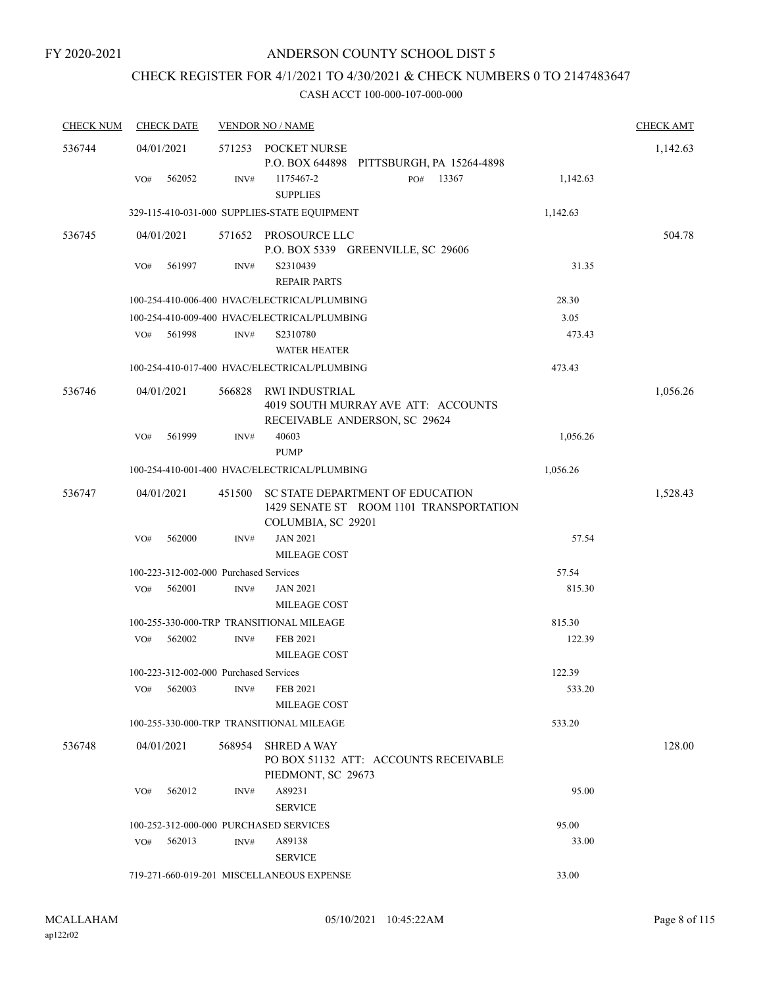# CHECK REGISTER FOR 4/1/2021 TO 4/30/2021 & CHECK NUMBERS 0 TO 2147483647

| <b>CHECK NUM</b> | <b>CHECK DATE</b>                      |                | <b>VENDOR NO / NAME</b>                                                                           |          | <b>CHECK AMT</b> |
|------------------|----------------------------------------|----------------|---------------------------------------------------------------------------------------------------|----------|------------------|
| 536744           | 04/01/2021                             |                | 571253 POCKET NURSE                                                                               |          | 1,142.63         |
|                  |                                        |                | P.O. BOX 644898 PITTSBURGH, PA 15264-4898                                                         |          |                  |
|                  | 562052<br>VO#                          | INV#           | 13367<br>1175467-2<br>PO#<br><b>SUPPLIES</b>                                                      | 1,142.63 |                  |
|                  |                                        |                | 329-115-410-031-000 SUPPLIES-STATE EQUIPMENT                                                      | 1,142.63 |                  |
| 536745           | 04/01/2021                             |                | 571652 PROSOURCE LLC<br>P.O. BOX 5339 GREENVILLE, SC 29606                                        |          | 504.78           |
|                  | 561997<br>VO#                          | $\text{INV}\#$ | S2310439<br>REPAIR PARTS                                                                          | 31.35    |                  |
|                  |                                        |                | 100-254-410-006-400 HVAC/ELECTRICAL/PLUMBING                                                      | 28.30    |                  |
|                  |                                        |                | 100-254-410-009-400 HVAC/ELECTRICAL/PLUMBING                                                      | 3.05     |                  |
|                  | 561998<br>VO#                          | INV#           | S2310780<br><b>WATER HEATER</b>                                                                   | 473.43   |                  |
|                  |                                        |                | 100-254-410-017-400 HVAC/ELECTRICAL/PLUMBING                                                      | 473.43   |                  |
| 536746           | 04/01/2021                             | 566828         | RWI INDUSTRIAL<br>4019 SOUTH MURRAY AVE ATT: ACCOUNTS<br>RECEIVABLE ANDERSON, SC 29624            |          | 1,056.26         |
|                  | 561999<br>VO#                          | INV#           | 40603<br><b>PUMP</b>                                                                              | 1,056.26 |                  |
|                  |                                        |                | 100-254-410-001-400 HVAC/ELECTRICAL/PLUMBING                                                      | 1,056.26 |                  |
| 536747           | 04/01/2021                             | 451500         | SC STATE DEPARTMENT OF EDUCATION<br>1429 SENATE ST ROOM 1101 TRANSPORTATION<br>COLUMBIA, SC 29201 |          | 1,528.43         |
|                  | 562000<br>VO#                          | INV#           | <b>JAN 2021</b><br>MILEAGE COST                                                                   | 57.54    |                  |
|                  | 100-223-312-002-000 Purchased Services |                |                                                                                                   | 57.54    |                  |
|                  | 562001<br>VO#                          | INV#           | <b>JAN 2021</b><br>MILEAGE COST                                                                   | 815.30   |                  |
|                  |                                        |                | 100-255-330-000-TRP TRANSITIONAL MILEAGE                                                          | 815.30   |                  |
|                  | 562002<br>VO#                          | INV#           | FEB 2021<br><b>MILEAGE COST</b>                                                                   | 122.39   |                  |
|                  | 100-223-312-002-000 Purchased Services |                |                                                                                                   | 122.39   |                  |
|                  | 562003<br>VO#                          | INV#           | <b>FEB 2021</b><br>MILEAGE COST                                                                   | 533.20   |                  |
|                  |                                        |                | 100-255-330-000-TRP TRANSITIONAL MILEAGE                                                          | 533.20   |                  |
| 536748           | 04/01/2021                             | 568954         | <b>SHRED A WAY</b><br>PO BOX 51132 ATT: ACCOUNTS RECEIVABLE<br>PIEDMONT, SC 29673                 |          | 128.00           |
|                  | 562012<br>VO#                          | INV#           | A89231<br><b>SERVICE</b>                                                                          | 95.00    |                  |
|                  | 100-252-312-000-000 PURCHASED SERVICES |                |                                                                                                   | 95.00    |                  |
|                  | VO#<br>562013                          | INV#           | A89138<br><b>SERVICE</b>                                                                          | 33.00    |                  |
|                  |                                        |                | 719-271-660-019-201 MISCELLANEOUS EXPENSE                                                         | 33.00    |                  |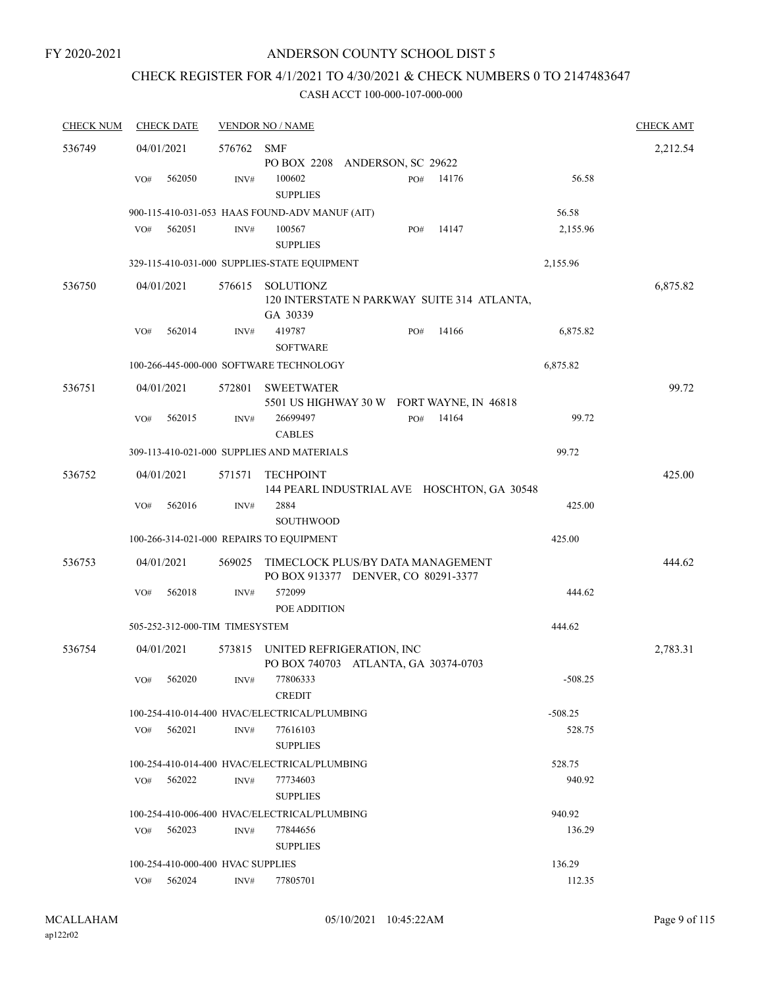#### FY 2020-2021

### ANDERSON COUNTY SCHOOL DIST 5

# CHECK REGISTER FOR 4/1/2021 TO 4/30/2021 & CHECK NUMBERS 0 TO 2147483647

| <b>CHECK NUM</b> | <b>CHECK DATE</b>                        |            | <b>VENDOR NO / NAME</b>                                                  | <b>CHECK AMT</b> |
|------------------|------------------------------------------|------------|--------------------------------------------------------------------------|------------------|
| 536749           | 04/01/2021                               | 576762 SMF |                                                                          | 2,212.54         |
|                  |                                          |            | PO BOX 2208 ANDERSON, SC 29622                                           |                  |
|                  | 562050<br>VO#                            | INV#       | 100602<br>14176<br>56.58<br>PO#<br><b>SUPPLIES</b>                       |                  |
|                  |                                          |            | 900-115-410-031-053 HAAS FOUND-ADV MANUF (AIT)<br>56.58                  |                  |
|                  | 562051<br>VO#                            | INV#       | 100567<br>14147<br>2,155.96<br>PO#<br><b>SUPPLIES</b>                    |                  |
|                  |                                          |            | 329-115-410-031-000 SUPPLIES-STATE EQUIPMENT<br>2,155.96                 |                  |
| 536750           | 04/01/2021                               | 576615     | SOLUTIONZ<br>120 INTERSTATE N PARKWAY SUITE 314 ATLANTA,<br>GA 30339     | 6,875.82         |
|                  | 562014<br>VO#                            | INV#       | 419787<br>14166<br>6,875.82<br>PO#<br><b>SOFTWARE</b>                    |                  |
|                  |                                          |            | 6,875.82<br>100-266-445-000-000 SOFTWARE TECHNOLOGY                      |                  |
| 536751           | 04/01/2021                               |            |                                                                          | 99.72            |
|                  |                                          | 572801     | <b>SWEETWATER</b><br>5501 US HIGHWAY 30 W FORT WAYNE, IN 46818           |                  |
|                  | 562015<br>VO#                            | INV#       | 26699497<br>14164<br>99.72<br>PO#<br><b>CABLES</b>                       |                  |
|                  |                                          |            | 309-113-410-021-000 SUPPLIES AND MATERIALS<br>99.72                      |                  |
| 536752           | 04/01/2021                               | 571571     | <b>TECHPOINT</b>                                                         | 425.00           |
|                  |                                          |            | 144 PEARL INDUSTRIAL AVE HOSCHTON, GA 30548                              |                  |
|                  | VO#<br>562016                            | INV#       | 2884<br>425.00<br><b>SOUTHWOOD</b>                                       |                  |
|                  | 100-266-314-021-000 REPAIRS TO EQUIPMENT |            | 425.00                                                                   |                  |
|                  |                                          |            |                                                                          |                  |
| 536753           | 04/01/2021                               | 569025     | TIMECLOCK PLUS/BY DATA MANAGEMENT<br>PO BOX 913377 DENVER, CO 80291-3377 | 444.62           |
|                  | 562018<br>VO#                            | INV#       | 572099<br>444.62<br>POE ADDITION                                         |                  |
|                  | 505-252-312-000-TIM TIMESYSTEM           |            | 444.62                                                                   |                  |
| 536754           | 04/01/2021                               | 573815     | UNITED REFRIGERATION, INC<br>PO BOX 740703 ATLANTA, GA 30374-0703        | 2,783.31         |
|                  | 562020<br>VO#                            | INV#       | 77806333<br>$-508.25$<br><b>CREDIT</b>                                   |                  |
|                  |                                          |            | 100-254-410-014-400 HVAC/ELECTRICAL/PLUMBING<br>$-508.25$                |                  |
|                  | 562021<br>VO#                            | INV#       | 77616103<br>528.75<br><b>SUPPLIES</b>                                    |                  |
|                  |                                          |            | 528.75<br>100-254-410-014-400 HVAC/ELECTRICAL/PLUMBING                   |                  |
|                  | VO#<br>562022                            | INV#       | 77734603<br>940.92                                                       |                  |
|                  |                                          |            | <b>SUPPLIES</b>                                                          |                  |
|                  |                                          |            | 100-254-410-006-400 HVAC/ELECTRICAL/PLUMBING<br>940.92                   |                  |
|                  | 562023<br>VO#                            | INV#       | 77844656<br>136.29                                                       |                  |
|                  |                                          |            | <b>SUPPLIES</b>                                                          |                  |
|                  | 100-254-410-000-400 HVAC SUPPLIES        |            | 136.29                                                                   |                  |
|                  | VO# 562024                               | INV#       | 77805701<br>112.35                                                       |                  |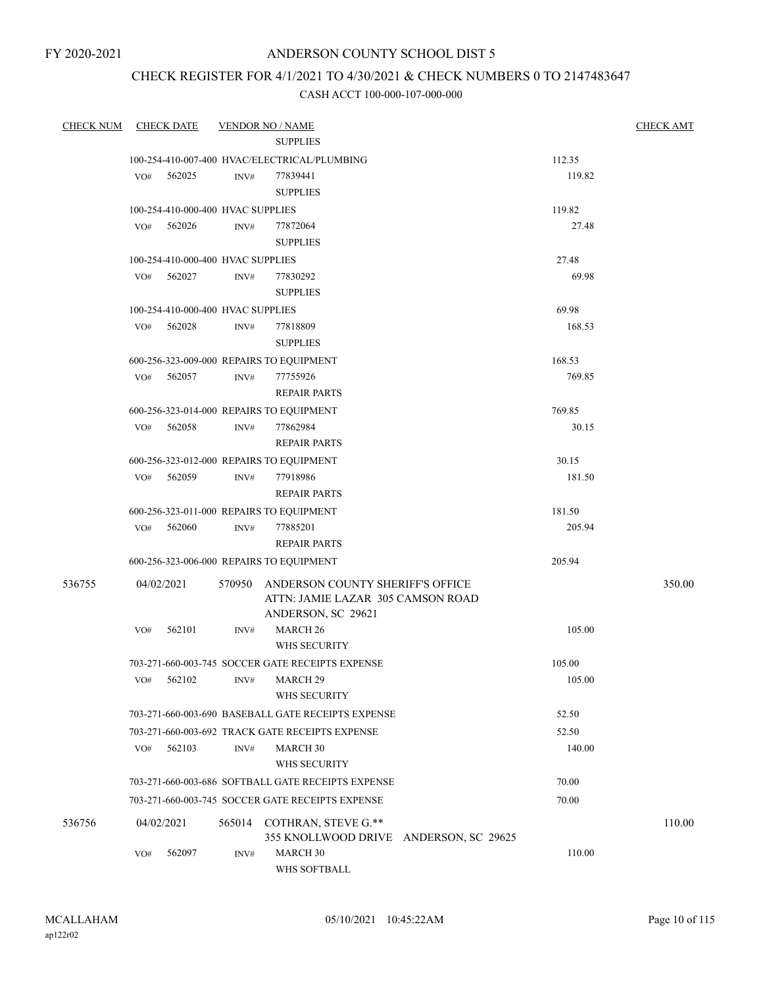FY 2020-2021

### ANDERSON COUNTY SCHOOL DIST 5

# CHECK REGISTER FOR 4/1/2021 TO 4/30/2021 & CHECK NUMBERS 0 TO 2147483647

| <b>CHECK NUM</b> |     | <b>CHECK DATE</b>                 |        | <b>VENDOR NO / NAME</b>                                                      |        | <b>CHECK AMT</b> |
|------------------|-----|-----------------------------------|--------|------------------------------------------------------------------------------|--------|------------------|
|                  |     |                                   |        |                                                                              |        |                  |
|                  |     |                                   |        | 100-254-410-007-400 HVAC/ELECTRICAL/PLUMBING                                 | 112.35 |                  |
|                  |     | VO# 562025                        | INV#   | 77839441                                                                     | 119.82 |                  |
|                  |     |                                   |        | <b>SUPPLIES</b>                                                              |        |                  |
|                  |     | 100-254-410-000-400 HVAC SUPPLIES | 119.82 |                                                                              |        |                  |
|                  | VO# | 562026                            | INV#   | 77872064                                                                     | 27.48  |                  |
|                  |     |                                   |        | <b>SUPPLIES</b>                                                              |        |                  |
|                  |     | 100-254-410-000-400 HVAC SUPPLIES |        |                                                                              | 27.48  |                  |
|                  |     | VO# 562027                        | INV#   | 77830292                                                                     | 69.98  |                  |
|                  |     |                                   |        | <b>SUPPLIES</b>                                                              |        |                  |
|                  |     | 100-254-410-000-400 HVAC SUPPLIES |        |                                                                              | 69.98  |                  |
|                  | VO# | 562028                            | INV#   | 77818809                                                                     | 168.53 |                  |
|                  |     |                                   |        | <b>SUPPLIES</b>                                                              |        |                  |
|                  |     |                                   |        | 600-256-323-009-000 REPAIRS TO EQUIPMENT                                     | 168.53 |                  |
|                  | VO# | 562057                            | INV#   | 77755926                                                                     | 769.85 |                  |
|                  |     |                                   |        | <b>REPAIR PARTS</b>                                                          |        |                  |
|                  |     |                                   |        | 600-256-323-014-000 REPAIRS TO EQUIPMENT                                     | 769.85 |                  |
|                  | VO# | 562058                            | INV#   | 77862984                                                                     | 30.15  |                  |
|                  |     |                                   |        | <b>REPAIR PARTS</b>                                                          |        |                  |
|                  |     |                                   |        | 600-256-323-012-000 REPAIRS TO EQUIPMENT                                     | 30.15  |                  |
|                  | VO# | 562059                            | INV#   | 77918986                                                                     | 181.50 |                  |
|                  |     |                                   |        | <b>REPAIR PARTS</b>                                                          |        |                  |
|                  |     |                                   |        | 600-256-323-011-000 REPAIRS TO EQUIPMENT                                     | 181.50 |                  |
|                  |     | VO# 562060                        | INV#   | 77885201                                                                     | 205.94 |                  |
|                  |     |                                   |        | <b>REPAIR PARTS</b>                                                          |        |                  |
|                  |     |                                   |        | 600-256-323-006-000 REPAIRS TO EQUIPMENT                                     | 205.94 |                  |
| 536755           |     | 04/02/2021                        |        | 570950 ANDERSON COUNTY SHERIFF'S OFFICE<br>ATTN: JAMIE LAZAR 305 CAMSON ROAD |        | 350.00           |
|                  |     |                                   |        | ANDERSON, SC 29621                                                           |        |                  |
|                  | VO# | 562101                            | INV#   | MARCH <sub>26</sub>                                                          | 105.00 |                  |
|                  |     |                                   |        | WHS SECURITY                                                                 |        |                  |
|                  |     |                                   |        | 703-271-660-003-745 SOCCER GATE RECEIPTS EXPENSE                             | 105.00 |                  |
|                  | VO# | 562102                            |        | INV# MARCH 29                                                                | 105.00 |                  |
|                  |     |                                   |        | WHS SECURITY                                                                 |        |                  |
|                  |     |                                   |        | 703-271-660-003-690 BASEBALL GATE RECEIPTS EXPENSE                           | 52.50  |                  |
|                  |     |                                   |        | 703-271-660-003-692 TRACK GATE RECEIPTS EXPENSE                              | 52.50  |                  |
|                  | VO# | 562103                            | INV#   | MARCH 30                                                                     | 140.00 |                  |
|                  |     |                                   |        | WHS SECURITY                                                                 |        |                  |
|                  |     |                                   |        | 703-271-660-003-686 SOFTBALL GATE RECEIPTS EXPENSE                           | 70.00  |                  |
|                  |     |                                   |        | 703-271-660-003-745 SOCCER GATE RECEIPTS EXPENSE                             | 70.00  |                  |
| 536756           |     | 04/02/2021                        | 565014 | COTHRAN, STEVE G.**                                                          |        | 110.00           |
|                  |     |                                   |        | 355 KNOLLWOOD DRIVE ANDERSON, SC 29625                                       |        |                  |
|                  | VO# | 562097                            | INV#   | MARCH 30<br>WHS SOFTBALL                                                     | 110.00 |                  |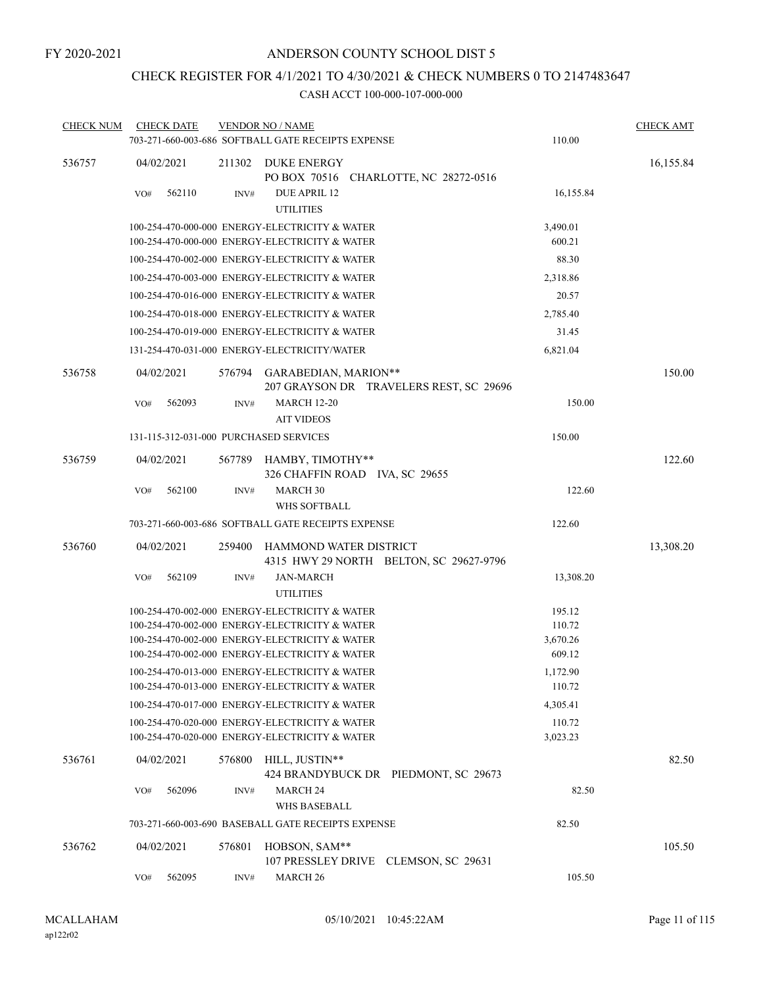# CHECK REGISTER FOR 4/1/2021 TO 4/30/2021 & CHECK NUMBERS 0 TO 2147483647

| <b>CHECK NUM</b> | <b>CHECK DATE</b>                      |        | <b>VENDOR NO / NAME</b>                                                                          |                                         |                    | <b>CHECK AMT</b> |
|------------------|----------------------------------------|--------|--------------------------------------------------------------------------------------------------|-----------------------------------------|--------------------|------------------|
|                  |                                        |        | 703-271-660-003-686 SOFTBALL GATE RECEIPTS EXPENSE                                               |                                         | 110.00             |                  |
| 536757           | 04/02/2021                             |        | 211302 DUKE ENERGY<br>PO BOX 70516 CHARLOTTE, NC 28272-0516                                      |                                         |                    | 16,155.84        |
|                  | VO#<br>562110                          | INV#   | DUE APRIL 12<br><b>UTILITIES</b>                                                                 |                                         | 16,155.84          |                  |
|                  |                                        |        | 100-254-470-000-000 ENERGY-ELECTRICITY & WATER<br>100-254-470-000-000 ENERGY-ELECTRICITY & WATER |                                         | 3,490.01<br>600.21 |                  |
|                  |                                        |        | 100-254-470-002-000 ENERGY-ELECTRICITY & WATER                                                   |                                         | 88.30              |                  |
|                  |                                        |        | 100-254-470-003-000 ENERGY-ELECTRICITY & WATER                                                   |                                         | 2,318.86           |                  |
|                  |                                        |        | 100-254-470-016-000 ENERGY-ELECTRICITY & WATER                                                   |                                         | 20.57              |                  |
|                  |                                        |        | 100-254-470-018-000 ENERGY-ELECTRICITY & WATER                                                   |                                         | 2,785.40           |                  |
|                  |                                        |        | 100-254-470-019-000 ENERGY-ELECTRICITY & WATER                                                   |                                         | 31.45              |                  |
|                  |                                        |        | 131-254-470-031-000 ENERGY-ELECTRICITY/WATER                                                     |                                         | 6,821.04           |                  |
| 536758           | 04/02/2021                             |        | 576794 GARABEDIAN, MARION**                                                                      | 207 GRAYSON DR TRAVELERS REST, SC 29696 |                    | 150.00           |
|                  | 562093<br>VO#                          | INV#   | <b>MARCH 12-20</b><br><b>AIT VIDEOS</b>                                                          |                                         | 150.00             |                  |
|                  | 131-115-312-031-000 PURCHASED SERVICES |        |                                                                                                  |                                         | 150.00             |                  |
| 536759           | 04/02/2021                             |        | 567789 HAMBY, TIMOTHY**<br>326 CHAFFIN ROAD IVA, SC 29655                                        |                                         |                    | 122.60           |
|                  | 562100<br>VO#                          | INV#   | <b>MARCH 30</b><br><b>WHS SOFTBALL</b>                                                           |                                         | 122.60             |                  |
|                  |                                        |        | 703-271-660-003-686 SOFTBALL GATE RECEIPTS EXPENSE                                               |                                         | 122.60             |                  |
| 536760           | 04/02/2021                             | 259400 | HAMMOND WATER DISTRICT                                                                           | 4315 HWY 29 NORTH BELTON, SC 29627-9796 |                    | 13,308.20        |
|                  | 562109<br>VO#                          | INV#   | <b>JAN-MARCH</b><br><b>UTILITIES</b>                                                             |                                         | 13,308.20          |                  |
|                  |                                        |        | 100-254-470-002-000 ENERGY-ELECTRICITY & WATER                                                   |                                         | 195.12             |                  |
|                  |                                        |        | 100-254-470-002-000 ENERGY-ELECTRICITY & WATER                                                   |                                         | 110.72             |                  |
|                  |                                        |        | 100-254-470-002-000 ENERGY-ELECTRICITY & WATER<br>100-254-470-002-000 ENERGY-ELECTRICITY & WATER |                                         | 3,670.26<br>609.12 |                  |
|                  |                                        |        | 100-254-470-013-000 ENERGY-ELECTRICITY & WATER                                                   |                                         | 1,172.90           |                  |
|                  |                                        |        | 100-254-470-013-000 ENERGY-ELECTRICITY & WATER                                                   |                                         | 110.72             |                  |
|                  |                                        |        | 100-254-470-017-000 ENERGY-ELECTRICITY & WATER                                                   |                                         | 4,305.41           |                  |
|                  |                                        |        | 100-254-470-020-000 ENERGY-ELECTRICITY & WATER                                                   |                                         | 110.72             |                  |
|                  |                                        |        | 100-254-470-020-000 ENERGY-ELECTRICITY & WATER                                                   |                                         | 3,023.23           |                  |
| 536761           | 04/02/2021                             | 576800 | HILL, JUSTIN**                                                                                   | 424 BRANDYBUCK DR PIEDMONT, SC 29673    |                    | 82.50            |
|                  | 562096<br>VO#                          | INV#   | <b>MARCH 24</b><br><b>WHS BASEBALL</b>                                                           |                                         | 82.50              |                  |
|                  |                                        |        | 703-271-660-003-690 BASEBALL GATE RECEIPTS EXPENSE                                               |                                         | 82.50              |                  |
| 536762           | 04/02/2021                             | 576801 | HOBSON, SAM**<br>107 PRESSLEY DRIVE CLEMSON, SC 29631                                            |                                         |                    | 105.50           |
|                  | 562095<br>VO#                          | INV#   | MARCH <sub>26</sub>                                                                              |                                         | 105.50             |                  |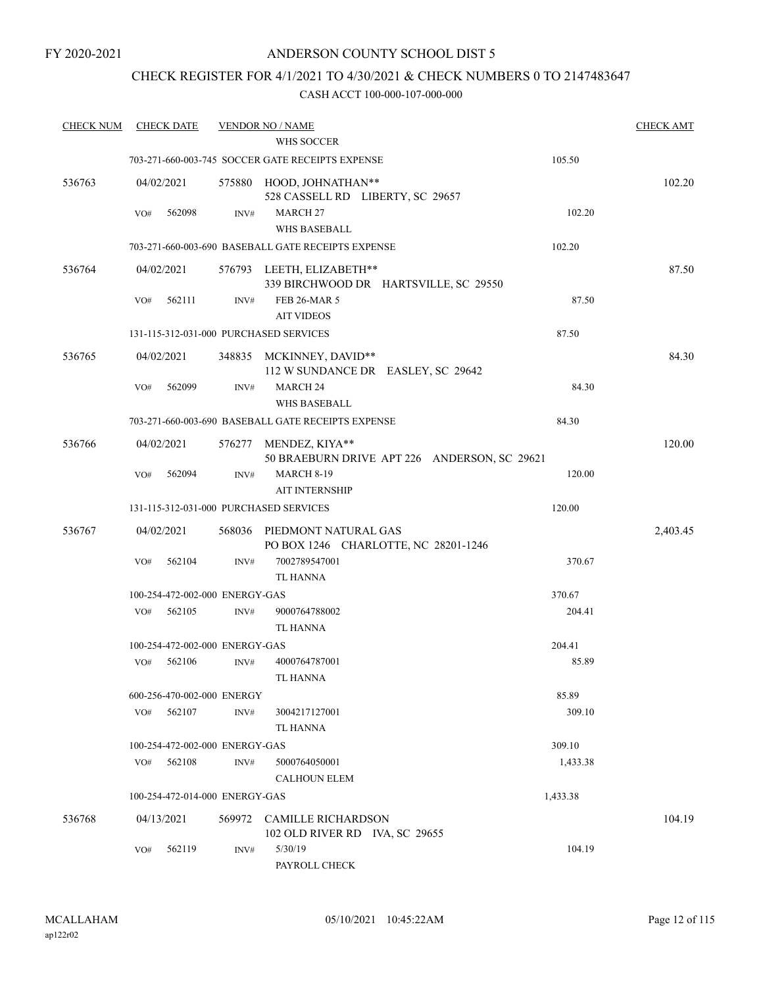### CHECK REGISTER FOR 4/1/2021 TO 4/30/2021 & CHECK NUMBERS 0 TO 2147483647

| <b>CHECK NUM</b> |     | <b>CHECK DATE</b> |                                | <b>VENDOR NO / NAME</b><br><b>WHS SOCCER</b>                        |                                              |          | <b>CHECK AMT</b> |
|------------------|-----|-------------------|--------------------------------|---------------------------------------------------------------------|----------------------------------------------|----------|------------------|
|                  |     |                   |                                | 703-271-660-003-745 SOCCER GATE RECEIPTS EXPENSE                    |                                              | 105.50   |                  |
| 536763           |     | 04/02/2021        |                                | 575880 HOOD, JOHNATHAN**<br>528 CASSELL RD LIBERTY, SC 29657        |                                              |          | 102.20           |
|                  | VO# | 562098            | INV#                           | <b>MARCH 27</b><br>WHS BASEBALL                                     |                                              | 102.20   |                  |
|                  |     |                   |                                | 703-271-660-003-690 BASEBALL GATE RECEIPTS EXPENSE                  |                                              | 102.20   |                  |
| 536764           |     | 04/02/2021        |                                | 576793 LEETH, ELIZABETH**                                           | 339 BIRCHWOOD DR HARTSVILLE, SC 29550        |          | 87.50            |
|                  | VO# | 562111            | INV#                           | <b>FEB 26-MAR 5</b><br><b>AIT VIDEOS</b>                            |                                              | 87.50    |                  |
|                  |     |                   |                                | 131-115-312-031-000 PURCHASED SERVICES                              |                                              | 87.50    |                  |
| 536765           |     | 04/02/2021        |                                | 348835 MCKINNEY, DAVID**<br>112 W SUNDANCE DR EASLEY, SC 29642      |                                              |          | 84.30            |
|                  | VO# | 562099            | INV#                           | <b>MARCH 24</b><br><b>WHS BASEBALL</b>                              |                                              | 84.30    |                  |
|                  |     |                   |                                | 703-271-660-003-690 BASEBALL GATE RECEIPTS EXPENSE                  |                                              | 84.30    |                  |
| 536766           |     | 04/02/2021        |                                | 576277 MENDEZ, KIYA**                                               | 50 BRAEBURN DRIVE APT 226 ANDERSON, SC 29621 |          | 120.00           |
|                  | VO# | 562094            | INV#                           | <b>MARCH 8-19</b><br><b>AIT INTERNSHIP</b>                          |                                              | 120.00   |                  |
|                  |     |                   |                                | 131-115-312-031-000 PURCHASED SERVICES                              |                                              | 120.00   |                  |
| 536767           |     | 04/02/2021        |                                | 568036 PIEDMONT NATURAL GAS<br>PO BOX 1246 CHARLOTTE, NC 28201-1246 |                                              |          | 2,403.45         |
|                  | VO# | 562104            | INV#                           | 7002789547001<br>TL HANNA                                           |                                              | 370.67   |                  |
|                  |     |                   | 100-254-472-002-000 ENERGY-GAS |                                                                     |                                              | 370.67   |                  |
|                  | VO# | 562105            | INV#                           | 9000764788002<br><b>TL HANNA</b>                                    |                                              | 204.41   |                  |
|                  |     |                   | 100-254-472-002-000 ENERGY-GAS |                                                                     |                                              | 204.41   |                  |
|                  | VO# | 562106            | INV#                           | 4000764787001<br><b>TL HANNA</b>                                    |                                              | 85.89    |                  |
|                  |     |                   | 600-256-470-002-000 ENERGY     |                                                                     |                                              | 85.89    |                  |
|                  | VO# | 562107            | INV#                           | 3004217127001<br><b>TL HANNA</b>                                    |                                              | 309.10   |                  |
|                  |     |                   | 100-254-472-002-000 ENERGY-GAS |                                                                     |                                              | 309.10   |                  |
|                  |     | VO# 562108        | INV#                           | 5000764050001<br><b>CALHOUN ELEM</b>                                |                                              | 1,433.38 |                  |
|                  |     |                   | 100-254-472-014-000 ENERGY-GAS |                                                                     |                                              | 1,433.38 |                  |
| 536768           |     | 04/13/2021        |                                | 569972 CAMILLE RICHARDSON<br>102 OLD RIVER RD IVA, SC 29655         |                                              |          | 104.19           |
|                  | VO# | 562119            | INV#                           | 5/30/19<br>PAYROLL CHECK                                            |                                              | 104.19   |                  |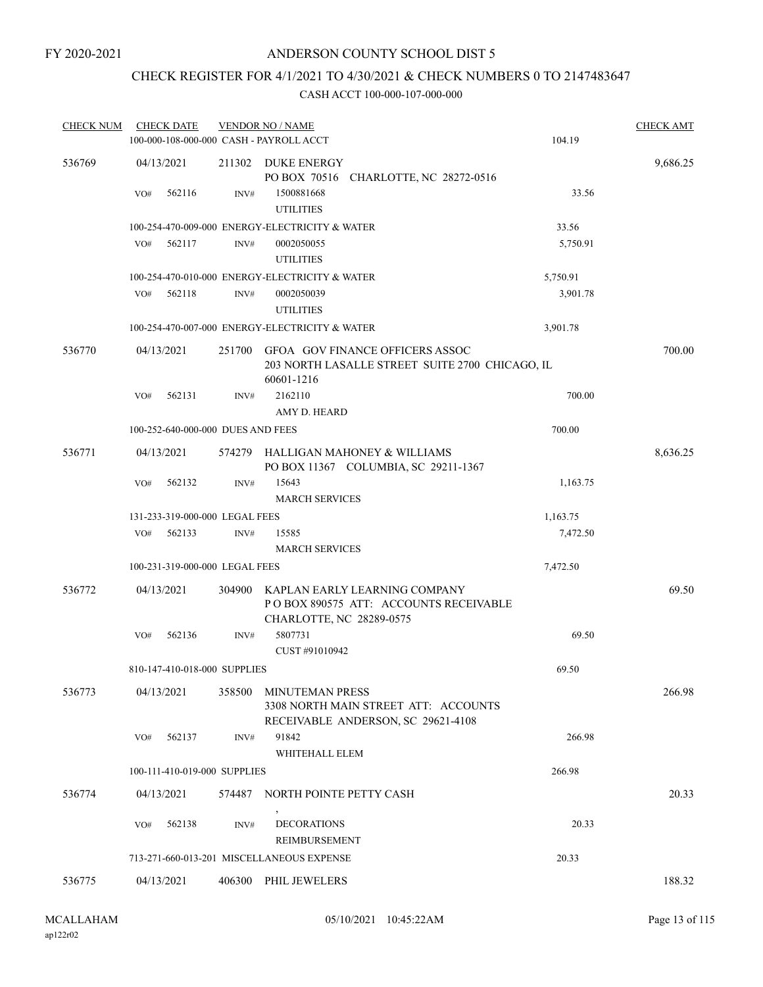# CHECK REGISTER FOR 4/1/2021 TO 4/30/2021 & CHECK NUMBERS 0 TO 2147483647

| <b>CHECK NUM</b> | <b>CHECK DATE</b><br>100-000-108-000-000 CASH - PAYROLL ACCT |                | <b>VENDOR NO / NAME</b>                                                                                 | 104.19   | <b>CHECK AMT</b> |
|------------------|--------------------------------------------------------------|----------------|---------------------------------------------------------------------------------------------------------|----------|------------------|
| 536769           | 04/13/2021                                                   | 211302         | DUKE ENERGY<br>PO BOX 70516 CHARLOTTE, NC 28272-0516                                                    |          | 9,686.25         |
|                  | VO#<br>562116                                                | INV#           | 1500881668<br><b>UTILITIES</b>                                                                          | 33.56    |                  |
|                  |                                                              |                | 100-254-470-009-000 ENERGY-ELECTRICITY & WATER                                                          | 33.56    |                  |
|                  | 562117<br>VO#                                                | INV#           | 0002050055<br><b>UTILITIES</b>                                                                          | 5,750.91 |                  |
|                  |                                                              |                | 100-254-470-010-000 ENERGY-ELECTRICITY & WATER                                                          | 5,750.91 |                  |
|                  | VO#<br>562118                                                | INV#           | 0002050039<br><b>UTILITIES</b>                                                                          | 3,901.78 |                  |
|                  |                                                              |                | 100-254-470-007-000 ENERGY-ELECTRICITY & WATER                                                          | 3,901.78 |                  |
| 536770           | 04/13/2021                                                   |                | 251700 GFOA GOV FINANCE OFFICERS ASSOC<br>203 NORTH LASALLE STREET SUITE 2700 CHICAGO, IL<br>60601-1216 |          | 700.00           |
|                  | 562131<br>VO#                                                | INV#           | 2162110<br>AMY D. HEARD                                                                                 | 700.00   |                  |
|                  | 100-252-640-000-000 DUES AND FEES                            |                |                                                                                                         | 700.00   |                  |
| 536771           | 04/13/2021                                                   | 574279         | HALLIGAN MAHONEY & WILLIAMS<br>PO BOX 11367 COLUMBIA, SC 29211-1367                                     |          | 8,636.25         |
|                  | 562132<br>VO#                                                | $\text{INV}\#$ | 15643<br><b>MARCH SERVICES</b>                                                                          | 1,163.75 |                  |
|                  | 131-233-319-000-000 LEGAL FEES                               |                |                                                                                                         | 1,163.75 |                  |
|                  | VO#<br>562133                                                | INV#           | 15585<br><b>MARCH SERVICES</b>                                                                          | 7,472.50 |                  |
|                  | 100-231-319-000-000 LEGAL FEES                               |                |                                                                                                         | 7,472.50 |                  |
| 536772           | 04/13/2021                                                   | 304900         | KAPLAN EARLY LEARNING COMPANY<br>PO BOX 890575 ATT: ACCOUNTS RECEIVABLE<br>CHARLOTTE, NC 28289-0575     |          | 69.50            |
|                  | 562136<br>VO#                                                | INV#           | 5807731<br>CUST #91010942                                                                               | 69.50    |                  |
|                  | 810-147-410-018-000 SUPPLIES                                 |                |                                                                                                         | 69.50    |                  |
| 536773           | 04/13/2021                                                   | 358500         | MINUTEMAN PRESS<br>3308 NORTH MAIN STREET ATT: ACCOUNTS<br>RECEIVABLE ANDERSON, SC 29621-4108           |          | 266.98           |
|                  | 562137<br>VO#                                                | INV#           | 91842<br>WHITEHALL ELEM                                                                                 | 266.98   |                  |
|                  | 100-111-410-019-000 SUPPLIES                                 |                |                                                                                                         | 266.98   |                  |
| 536774           | 04/13/2021                                                   |                | 574487 NORTH POINTE PETTY CASH                                                                          |          | 20.33            |
|                  | 562138<br>VO#                                                | INV#           | <b>DECORATIONS</b><br>REIMBURSEMENT                                                                     | 20.33    |                  |
|                  |                                                              |                | 713-271-660-013-201 MISCELLANEOUS EXPENSE                                                               | 20.33    |                  |
| 536775           | 04/13/2021                                                   |                | 406300 PHIL JEWELERS                                                                                    |          | 188.32           |
|                  |                                                              |                |                                                                                                         |          |                  |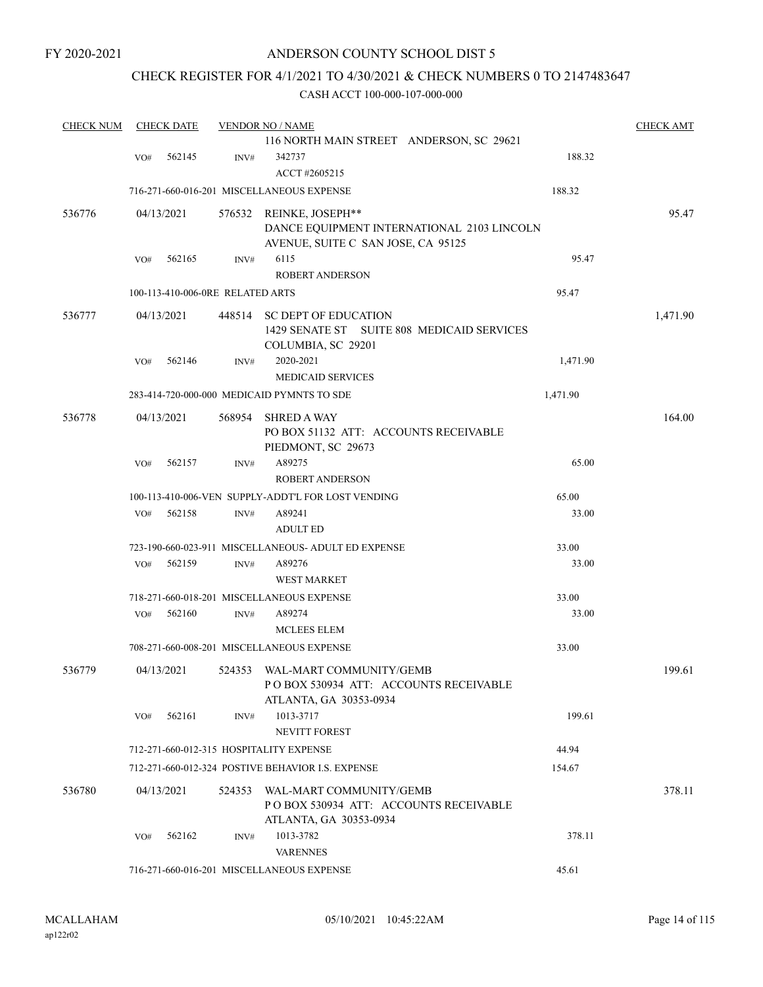### CHECK REGISTER FOR 4/1/2021 TO 4/30/2021 & CHECK NUMBERS 0 TO 2147483647

| <b>CHECK NUM</b> | <b>CHECK DATE</b> |                                  |        | <b>VENDOR NO / NAME</b>                             | <b>CHECK AMT</b> |          |
|------------------|-------------------|----------------------------------|--------|-----------------------------------------------------|------------------|----------|
|                  |                   |                                  |        | 116 NORTH MAIN STREET ANDERSON, SC 29621            |                  |          |
|                  | VO#               | 562145                           | INV#   | 342737                                              | 188.32           |          |
|                  |                   |                                  |        | ACCT #2605215                                       |                  |          |
|                  |                   |                                  |        | 716-271-660-016-201 MISCELLANEOUS EXPENSE           | 188.32           |          |
| 536776           |                   | 04/13/2021                       |        | 576532 REINKE, JOSEPH**                             |                  | 95.47    |
|                  |                   |                                  |        | DANCE EQUIPMENT INTERNATIONAL 2103 LINCOLN          |                  |          |
|                  |                   |                                  |        | AVENUE, SUITE C SAN JOSE, CA 95125                  |                  |          |
|                  | VO#               | 562165                           | INV#   | 6115                                                | 95.47            |          |
|                  |                   |                                  |        | <b>ROBERT ANDERSON</b>                              |                  |          |
|                  |                   | 100-113-410-006-0RE RELATED ARTS |        |                                                     | 95.47            |          |
| 536777           |                   | 04/13/2021                       | 448514 | <b>SC DEPT OF EDUCATION</b>                         |                  | 1,471.90 |
|                  |                   |                                  |        | 1429 SENATE ST SUITE 808 MEDICAID SERVICES          |                  |          |
|                  |                   |                                  |        | COLUMBIA, SC 29201                                  |                  |          |
|                  | VO#               | 562146                           | INV#   | 2020-2021                                           | 1,471.90         |          |
|                  |                   |                                  |        | <b>MEDICAID SERVICES</b>                            |                  |          |
|                  |                   |                                  |        | 283-414-720-000-000 MEDICAID PYMNTS TO SDE          | 1,471.90         |          |
|                  |                   |                                  |        |                                                     |                  |          |
| 536778           |                   | 04/13/2021                       | 568954 | <b>SHRED A WAY</b>                                  |                  | 164.00   |
|                  |                   |                                  |        | PO BOX 51132 ATT: ACCOUNTS RECEIVABLE               |                  |          |
|                  |                   |                                  |        | PIEDMONT, SC 29673                                  |                  |          |
|                  | VO#               | 562157                           | INV#   | A89275                                              | 65.00            |          |
|                  |                   |                                  |        | <b>ROBERT ANDERSON</b>                              |                  |          |
|                  |                   |                                  |        | 100-113-410-006-VEN SUPPLY-ADDT'L FOR LOST VENDING  | 65.00            |          |
|                  | VO#               | 562158                           | INV#   | A89241                                              | 33.00            |          |
|                  |                   |                                  |        | <b>ADULT ED</b>                                     |                  |          |
|                  |                   |                                  |        | 723-190-660-023-911 MISCELLANEOUS- ADULT ED EXPENSE | 33.00            |          |
|                  | VO#               | 562159                           | INV#   | A89276                                              | 33.00            |          |
|                  |                   |                                  |        | <b>WEST MARKET</b>                                  |                  |          |
|                  |                   |                                  |        | 718-271-660-018-201 MISCELLANEOUS EXPENSE           | 33.00            |          |
|                  | VO#               | 562160                           | INV#   | A89274                                              | 33.00            |          |
|                  |                   |                                  |        | <b>MCLEES ELEM</b>                                  |                  |          |
|                  |                   |                                  |        | 708-271-660-008-201 MISCELLANEOUS EXPENSE           | 33.00            |          |
| 536779           |                   | 04/13/2021                       |        | 524353 WAL-MART COMMUNITY/GEMB                      |                  | 199.61   |
|                  |                   |                                  |        | POBOX 530934 ATT: ACCOUNTS RECEIVABLE               |                  |          |
|                  |                   |                                  |        | ATLANTA, GA 30353-0934                              |                  |          |
|                  | VO#               | 562161                           | INV#   | 1013-3717                                           | 199.61           |          |
|                  |                   |                                  |        | <b>NEVITT FOREST</b>                                |                  |          |
|                  |                   |                                  |        | 712-271-660-012-315 HOSPITALITY EXPENSE             | 44.94            |          |
|                  |                   |                                  |        | 712-271-660-012-324 POSTIVE BEHAVIOR I.S. EXPENSE   | 154.67           |          |
| 536780           |                   | 04/13/2021                       | 524353 | WAL-MART COMMUNITY/GEMB                             |                  | 378.11   |
|                  |                   |                                  |        | POBOX 530934 ATT: ACCOUNTS RECEIVABLE               |                  |          |
|                  |                   |                                  |        | ATLANTA, GA 30353-0934                              |                  |          |
|                  | VO#               | 562162                           | INV#   | 1013-3782                                           | 378.11           |          |
|                  |                   |                                  |        | <b>VARENNES</b>                                     |                  |          |
|                  |                   |                                  |        | 716-271-660-016-201 MISCELLANEOUS EXPENSE           | 45.61            |          |
|                  |                   |                                  |        |                                                     |                  |          |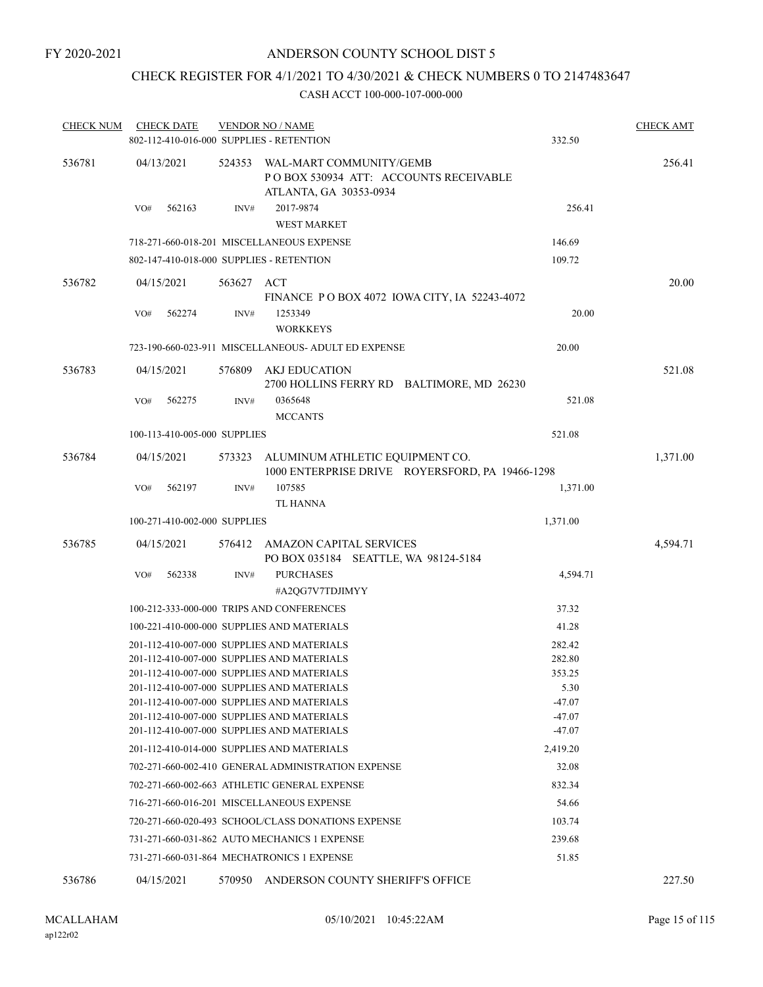# CHECK REGISTER FOR 4/1/2021 TO 4/30/2021 & CHECK NUMBERS 0 TO 2147483647

| <b>CHECK NUM</b> |     | <b>CHECK DATE</b>            |            | <b>VENDOR NO / NAME</b><br>802-112-410-016-000 SUPPLIES - RETENTION                                                                                                                                                                                                              | 332.50                                                     | <b>CHECK AMT</b> |
|------------------|-----|------------------------------|------------|----------------------------------------------------------------------------------------------------------------------------------------------------------------------------------------------------------------------------------------------------------------------------------|------------------------------------------------------------|------------------|
| 536781           |     | 04/13/2021                   | 524353     | WAL-MART COMMUNITY/GEMB<br>PO BOX 530934 ATT: ACCOUNTS RECEIVABLE<br>ATLANTA, GA 30353-0934                                                                                                                                                                                      |                                                            | 256.41           |
|                  | VO# | 562163                       | INV#       | 2017-9874<br><b>WEST MARKET</b>                                                                                                                                                                                                                                                  | 256.41                                                     |                  |
|                  |     |                              |            | 718-271-660-018-201 MISCELLANEOUS EXPENSE                                                                                                                                                                                                                                        | 146.69                                                     |                  |
|                  |     |                              |            | 802-147-410-018-000 SUPPLIES - RETENTION                                                                                                                                                                                                                                         | 109.72                                                     |                  |
| 536782           |     | 04/15/2021                   | 563627 ACT |                                                                                                                                                                                                                                                                                  | FINANCE PO BOX 4072 IOWA CITY, IA 52243-4072               | 20.00            |
|                  | VO# | 562274                       | INV#       | 1253349<br><b>WORKKEYS</b>                                                                                                                                                                                                                                                       | 20.00                                                      |                  |
|                  |     |                              |            | 723-190-660-023-911 MISCELLANEOUS- ADULT ED EXPENSE                                                                                                                                                                                                                              | 20.00                                                      |                  |
| 536783           |     | 04/15/2021                   | 576809     | AKJ EDUCATION                                                                                                                                                                                                                                                                    | 2700 HOLLINS FERRY RD BALTIMORE, MD 26230                  | 521.08           |
|                  | VO# | 562275                       | INV#       | 0365648<br><b>MCCANTS</b>                                                                                                                                                                                                                                                        | 521.08                                                     |                  |
|                  |     | 100-113-410-005-000 SUPPLIES |            |                                                                                                                                                                                                                                                                                  | 521.08                                                     |                  |
| 536784           |     | 04/15/2021                   | 573323     | ALUMINUM ATHLETIC EQUIPMENT CO.                                                                                                                                                                                                                                                  | 1000 ENTERPRISE DRIVE ROYERSFORD, PA 19466-1298            | 1,371.00         |
|                  | VO# | 562197                       | INV#       | 107585<br><b>TL HANNA</b>                                                                                                                                                                                                                                                        | 1,371.00                                                   |                  |
|                  |     | 100-271-410-002-000 SUPPLIES |            |                                                                                                                                                                                                                                                                                  | 1,371.00                                                   |                  |
| 536785           |     | 04/15/2021                   |            | 576412 AMAZON CAPITAL SERVICES<br>PO BOX 035184 SEATTLE, WA 98124-5184                                                                                                                                                                                                           |                                                            | 4,594.71         |
|                  | VO# | 562338                       | INV#       | <b>PURCHASES</b><br>#A2QG7V7TDJIMYY                                                                                                                                                                                                                                              | 4,594.71                                                   |                  |
|                  |     |                              |            | 100-212-333-000-000 TRIPS AND CONFERENCES                                                                                                                                                                                                                                        | 37.32                                                      |                  |
|                  |     |                              |            | 100-221-410-000-000 SUPPLIES AND MATERIALS                                                                                                                                                                                                                                       | 41.28                                                      |                  |
|                  |     |                              |            | 201-112-410-007-000 SUPPLIES AND MATERIALS<br>201-112-410-007-000 SUPPLIES AND MATERIALS<br>201-112-410-007-000 SUPPLIES AND MATERIALS<br>201-112-410-007-000 SUPPLIES AND MATERIALS<br>201-112-410-007-000 SUPPLIES AND MATERIALS<br>201-112-410-007-000 SUPPLIES AND MATERIALS | 282.42<br>282.80<br>353.25<br>5.30<br>$-47.07$<br>$-47.07$ |                  |
|                  |     |                              |            | 201-112-410-007-000 SUPPLIES AND MATERIALS                                                                                                                                                                                                                                       | $-47.07$                                                   |                  |
|                  |     |                              |            | 201-112-410-014-000 SUPPLIES AND MATERIALS                                                                                                                                                                                                                                       | 2,419.20                                                   |                  |
|                  |     |                              |            | 702-271-660-002-410 GENERAL ADMINISTRATION EXPENSE                                                                                                                                                                                                                               | 32.08                                                      |                  |
|                  |     |                              |            | 702-271-660-002-663 ATHLETIC GENERAL EXPENSE                                                                                                                                                                                                                                     | 832.34                                                     |                  |
|                  |     |                              |            | 716-271-660-016-201 MISCELLANEOUS EXPENSE                                                                                                                                                                                                                                        | 54.66                                                      |                  |
|                  |     |                              |            | 720-271-660-020-493 SCHOOL/CLASS DONATIONS EXPENSE                                                                                                                                                                                                                               | 103.74                                                     |                  |
|                  |     |                              |            | 731-271-660-031-862 AUTO MECHANICS 1 EXPENSE                                                                                                                                                                                                                                     | 239.68                                                     |                  |
|                  |     |                              |            | 731-271-660-031-864 MECHATRONICS 1 EXPENSE                                                                                                                                                                                                                                       | 51.85                                                      |                  |
| 536786           |     | 04/15/2021                   | 570950     | ANDERSON COUNTY SHERIFF'S OFFICE                                                                                                                                                                                                                                                 |                                                            | 227.50           |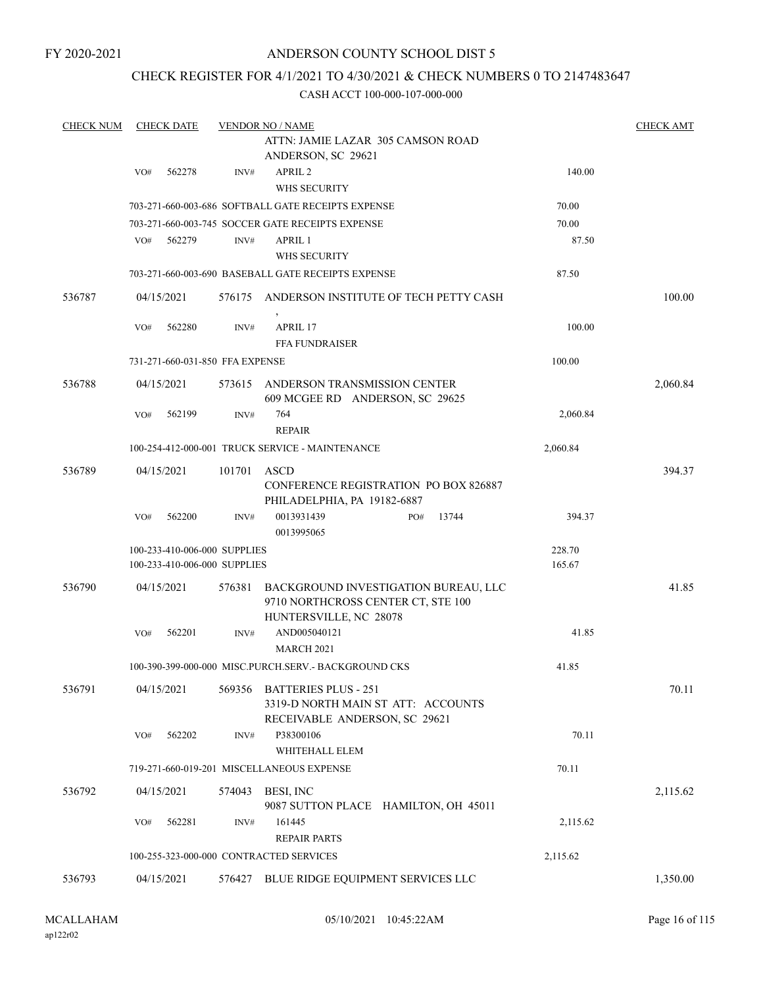FY 2020-2021

### ANDERSON COUNTY SCHOOL DIST 5

### CHECK REGISTER FOR 4/1/2021 TO 4/30/2021 & CHECK NUMBERS 0 TO 2147483647

| <b>CHECK NUM</b> |            | <b>CHECK DATE</b> |                                 | <b>VENDOR NO / NAME</b><br>ATTN: JAMIE LAZAR 305 CAMSON ROAD                                         |     |       |  |          | <b>CHECK AMT</b> |
|------------------|------------|-------------------|---------------------------------|------------------------------------------------------------------------------------------------------|-----|-------|--|----------|------------------|
|                  |            |                   |                                 | ANDERSON, SC 29621                                                                                   |     |       |  |          |                  |
|                  | VO#        | 562278            | INV#                            | APRIL <sub>2</sub>                                                                                   |     |       |  | 140.00   |                  |
|                  |            |                   |                                 | WHS SECURITY                                                                                         |     |       |  |          |                  |
|                  |            |                   |                                 | 703-271-660-003-686 SOFTBALL GATE RECEIPTS EXPENSE                                                   |     |       |  | 70.00    |                  |
|                  |            |                   |                                 | 703-271-660-003-745 SOCCER GATE RECEIPTS EXPENSE                                                     |     |       |  | 70.00    |                  |
|                  | VO#        | 562279            | INV#                            | APRIL 1                                                                                              |     |       |  | 87.50    |                  |
|                  |            |                   |                                 | WHS SECURITY                                                                                         |     |       |  |          |                  |
|                  |            |                   |                                 | 703-271-660-003-690 BASEBALL GATE RECEIPTS EXPENSE                                                   |     |       |  | 87.50    |                  |
| 536787           | 04/15/2021 |                   |                                 | 576175 ANDERSON INSTITUTE OF TECH PETTY CASH                                                         |     |       |  |          | 100.00           |
|                  | VO#        | 562280            | INV#                            | APRIL 17<br><b>FFA FUNDRAISER</b>                                                                    |     |       |  | 100.00   |                  |
|                  |            |                   | 731-271-660-031-850 FFA EXPENSE |                                                                                                      |     |       |  | 100.00   |                  |
| 536788           | 04/15/2021 |                   | 573615                          | ANDERSON TRANSMISSION CENTER<br>609 MCGEE RD ANDERSON, SC 29625                                      |     |       |  |          | 2,060.84         |
|                  | VO#        | 562199            | $\text{INV}\#$                  | 764                                                                                                  |     |       |  | 2,060.84 |                  |
|                  |            |                   |                                 | <b>REPAIR</b>                                                                                        |     |       |  |          |                  |
|                  |            |                   |                                 | 100-254-412-000-001 TRUCK SERVICE - MAINTENANCE                                                      |     |       |  | 2,060.84 |                  |
| 536789           | 04/15/2021 |                   | 101701                          | ASCD<br><b>CONFERENCE REGISTRATION PO BOX 826887</b>                                                 |     |       |  |          | 394.37           |
|                  | VO#        | 562200            | INV#                            | PHILADELPHIA, PA 19182-6887<br>0013931439                                                            | PO# | 13744 |  | 394.37   |                  |
|                  |            |                   |                                 | 0013995065                                                                                           |     |       |  |          |                  |
|                  |            |                   | 100-233-410-006-000 SUPPLIES    |                                                                                                      |     |       |  | 228.70   |                  |
|                  |            |                   | 100-233-410-006-000 SUPPLIES    |                                                                                                      |     |       |  | 165.67   |                  |
| 536790           | 04/15/2021 |                   | 576381                          | BACKGROUND INVESTIGATION BUREAU, LLC<br>9710 NORTHCROSS CENTER CT, STE 100<br>HUNTERSVILLE, NC 28078 |     |       |  |          | 41.85            |
|                  | VO#        | 562201            | INV#                            | AND005040121                                                                                         |     |       |  | 41.85    |                  |
|                  |            |                   |                                 | <b>MARCH 2021</b>                                                                                    |     |       |  |          |                  |
|                  |            |                   |                                 | 100-390-399-000-000 MISC.PURCH.SERV.- BACKGROUND CKS                                                 |     |       |  | 41.85    |                  |
| 536791           | 04/15/2021 |                   | 569356                          | <b>BATTERIES PLUS - 251</b><br>3319-D NORTH MAIN ST ATT: ACCOUNTS<br>RECEIVABLE ANDERSON, SC 29621   |     |       |  |          | 70.11            |
|                  | VO#        | 562202            | INV#                            | P38300106<br>WHITEHALL ELEM                                                                          |     |       |  | 70.11    |                  |
|                  |            |                   |                                 | 719-271-660-019-201 MISCELLANEOUS EXPENSE                                                            |     |       |  | 70.11    |                  |
| 536792           | 04/15/2021 |                   |                                 | 574043 BESI, INC                                                                                     |     |       |  |          | 2,115.62         |
|                  | VO#        | 562281            | INV#                            | 9087 SUTTON PLACE HAMILTON, OH 45011<br>161445                                                       |     |       |  | 2,115.62 |                  |
|                  |            |                   |                                 | <b>REPAIR PARTS</b>                                                                                  |     |       |  |          |                  |
|                  |            |                   |                                 | 100-255-323-000-000 CONTRACTED SERVICES                                                              |     |       |  | 2,115.62 |                  |
| 536793           | 04/15/2021 |                   |                                 | 576427 BLUE RIDGE EQUIPMENT SERVICES LLC                                                             |     |       |  |          | 1,350.00         |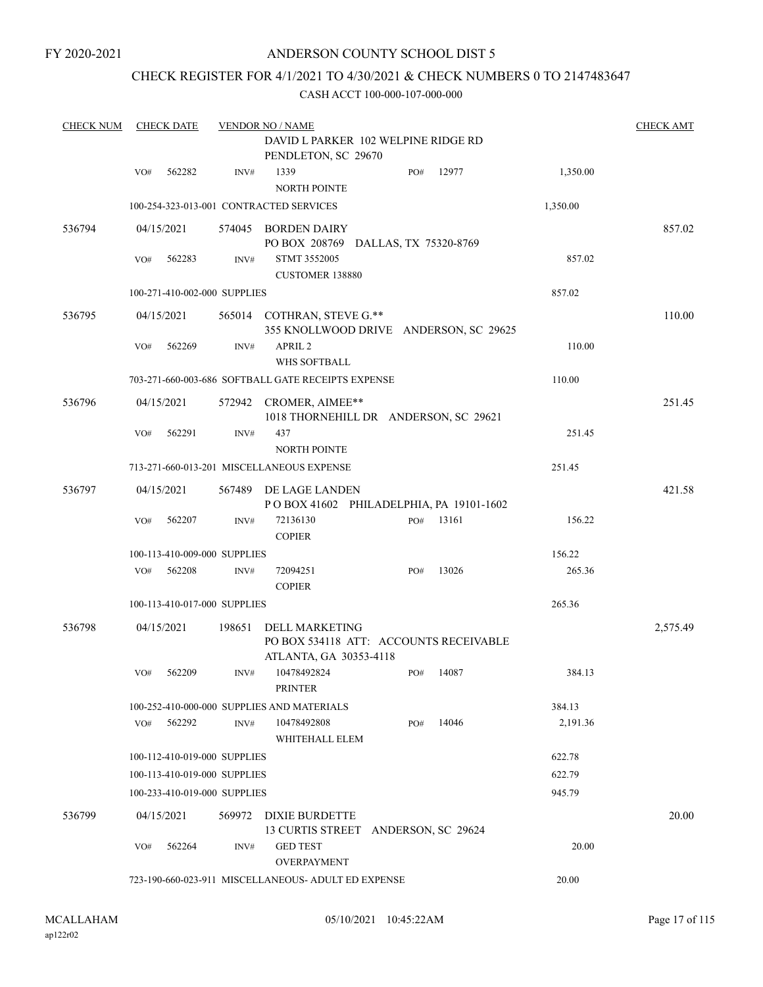FY 2020-2021

### ANDERSON COUNTY SCHOOL DIST 5

### CHECK REGISTER FOR 4/1/2021 TO 4/30/2021 & CHECK NUMBERS 0 TO 2147483647

| <b>CHECK NUM</b> |                                                              | <b>CHECK DATE</b>            |                | <b>VENDOR NO / NAME</b>                                                                   |  |     |       |          | <b>CHECK AMT</b> |
|------------------|--------------------------------------------------------------|------------------------------|----------------|-------------------------------------------------------------------------------------------|--|-----|-------|----------|------------------|
|                  |                                                              |                              |                | DAVID L PARKER 102 WELPINE RIDGE RD<br>PENDLETON, SC 29670                                |  |     |       |          |                  |
|                  | VO#                                                          | 562282                       | INV#           | 1339<br><b>NORTH POINTE</b>                                                               |  | PO# | 12977 | 1,350.00 |                  |
|                  |                                                              |                              |                | 100-254-323-013-001 CONTRACTED SERVICES                                                   |  |     |       | 1,350.00 |                  |
| 536794           |                                                              | 04/15/2021                   |                | 574045 BORDEN DAIRY<br>PO BOX 208769 DALLAS, TX 75320-8769                                |  |     |       |          | 857.02           |
|                  | VO#                                                          | 562283                       | INV#           | STMT 3552005<br>CUSTOMER 138880                                                           |  |     |       | 857.02   |                  |
|                  |                                                              | 100-271-410-002-000 SUPPLIES |                |                                                                                           |  |     |       | 857.02   |                  |
| 536795           |                                                              | 04/15/2021                   |                | 565014 COTHRAN, STEVE G.**<br>355 KNOLLWOOD DRIVE ANDERSON, SC 29625                      |  |     |       |          | 110.00           |
|                  | VO#                                                          | 562269                       | $\text{INV}\#$ | APRIL <sub>2</sub><br><b>WHS SOFTBALL</b>                                                 |  |     |       | 110.00   |                  |
|                  |                                                              |                              |                | 703-271-660-003-686 SOFTBALL GATE RECEIPTS EXPENSE                                        |  |     |       | 110.00   |                  |
| 536796           |                                                              | 04/15/2021                   |                | 572942 CROMER, AIMEE**<br>1018 THORNEHILL DR ANDERSON, SC 29621                           |  |     |       |          | 251.45           |
|                  | VO#                                                          | 562291                       | INV#           | 437<br><b>NORTH POINTE</b>                                                                |  |     |       | 251.45   |                  |
|                  |                                                              |                              |                | 713-271-660-013-201 MISCELLANEOUS EXPENSE                                                 |  |     |       | 251.45   |                  |
| 536797           |                                                              | 04/15/2021                   | 567489         | DE LAGE LANDEN<br>POBOX 41602 PHILADELPHIA, PA 19101-1602                                 |  |     |       |          | 421.58           |
|                  | VO#                                                          | 562207                       | INV#           | 72136130<br><b>COPIER</b>                                                                 |  | PO# | 13161 | 156.22   |                  |
|                  |                                                              | 100-113-410-009-000 SUPPLIES |                |                                                                                           |  |     |       | 156.22   |                  |
|                  | VO#                                                          | 562208                       | INV#           | 72094251<br><b>COPIER</b>                                                                 |  | PO# | 13026 | 265.36   |                  |
|                  |                                                              | 100-113-410-017-000 SUPPLIES |                |                                                                                           |  |     |       | 265.36   |                  |
| 536798           |                                                              | 04/15/2021                   | 198651         | <b>DELL MARKETING</b><br>PO BOX 534118 ATT: ACCOUNTS RECEIVABLE<br>ATLANTA, GA 30353-4118 |  |     |       |          | 2,575.49         |
|                  | VO#                                                          | 562209                       | INV#           | 10478492824<br><b>PRINTER</b>                                                             |  | PO# | 14087 | 384.13   |                  |
|                  |                                                              |                              |                | 100-252-410-000-000 SUPPLIES AND MATERIALS                                                |  |     |       | 384.13   |                  |
|                  | VO#                                                          | 562292                       | INV#           | 10478492808<br>WHITEHALL ELEM                                                             |  | PO# | 14046 | 2,191.36 |                  |
|                  |                                                              | 100-112-410-019-000 SUPPLIES |                |                                                                                           |  |     |       | 622.78   |                  |
|                  |                                                              | 100-113-410-019-000 SUPPLIES |                |                                                                                           |  |     |       | 622.79   |                  |
|                  |                                                              | 100-233-410-019-000 SUPPLIES |                |                                                                                           |  |     |       | 945.79   |                  |
| 536799           |                                                              | 04/15/2021                   | 569972         | DIXIE BURDETTE<br>13 CURTIS STREET ANDERSON, SC 29624                                     |  |     |       |          | 20.00            |
|                  | VO#                                                          | 562264                       | INV#           | <b>GED TEST</b><br><b>OVERPAYMENT</b>                                                     |  |     |       | 20.00    |                  |
|                  | 723-190-660-023-911 MISCELLANEOUS- ADULT ED EXPENSE<br>20.00 |                              |                |                                                                                           |  |     |       |          |                  |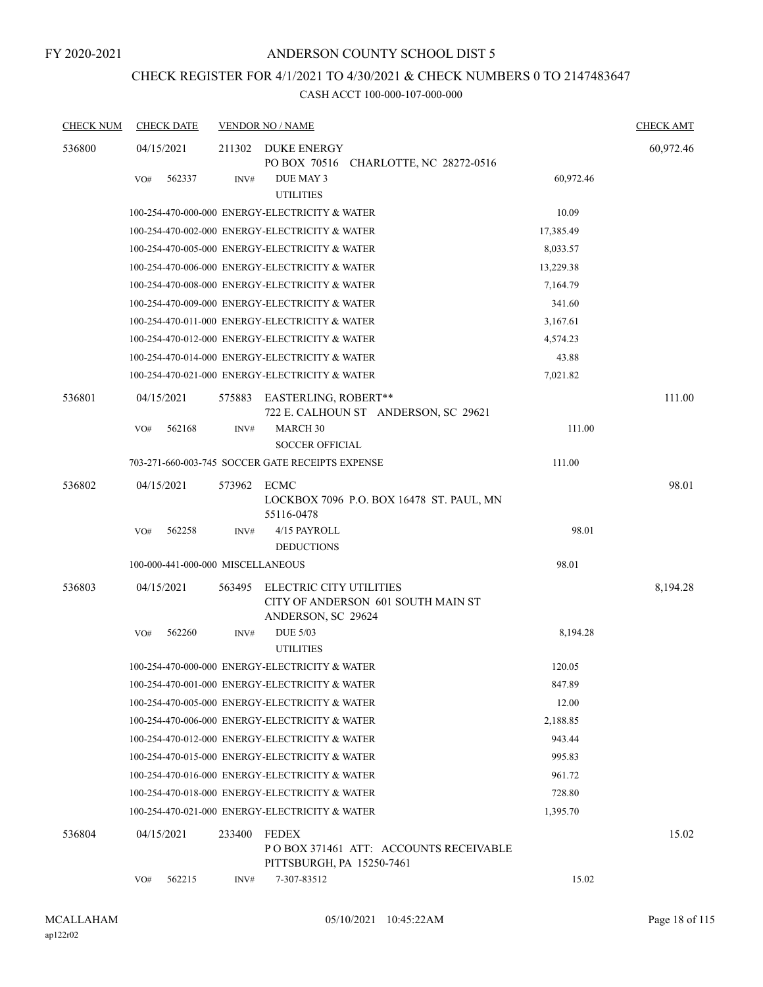# CHECK REGISTER FOR 4/1/2021 TO 4/30/2021 & CHECK NUMBERS 0 TO 2147483647

| <b>CHECK NUM</b> | <b>CHECK DATE</b>                 |        | <b>VENDOR NO / NAME</b>                                      |           | <b>CHECK AMT</b> |
|------------------|-----------------------------------|--------|--------------------------------------------------------------|-----------|------------------|
| 536800           | 04/15/2021                        | 211302 | <b>DUKE ENERGY</b><br>PO BOX 70516 CHARLOTTE, NC 28272-0516  |           | 60,972.46        |
|                  | 562337<br>VO#                     | INV#   | DUE MAY 3<br><b>UTILITIES</b>                                | 60,972.46 |                  |
|                  |                                   |        | 100-254-470-000-000 ENERGY-ELECTRICITY & WATER               | 10.09     |                  |
|                  |                                   |        | 100-254-470-002-000 ENERGY-ELECTRICITY & WATER               | 17,385.49 |                  |
|                  |                                   |        | 100-254-470-005-000 ENERGY-ELECTRICITY & WATER               | 8,033.57  |                  |
|                  |                                   |        | 100-254-470-006-000 ENERGY-ELECTRICITY & WATER               | 13,229.38 |                  |
|                  |                                   |        | 100-254-470-008-000 ENERGY-ELECTRICITY & WATER               | 7,164.79  |                  |
|                  |                                   |        | 100-254-470-009-000 ENERGY-ELECTRICITY & WATER               | 341.60    |                  |
|                  |                                   |        | 100-254-470-011-000 ENERGY-ELECTRICITY & WATER               | 3,167.61  |                  |
|                  |                                   |        | 100-254-470-012-000 ENERGY-ELECTRICITY & WATER               | 4,574.23  |                  |
|                  |                                   |        | 100-254-470-014-000 ENERGY-ELECTRICITY & WATER               | 43.88     |                  |
|                  |                                   |        | 100-254-470-021-000 ENERGY-ELECTRICITY & WATER               | 7,021.82  |                  |
| 536801           | 04/15/2021                        | 575883 | EASTERLING, ROBERT**<br>722 E. CALHOUN ST ANDERSON, SC 29621 |           | 111.00           |
|                  | 562168<br>VO#                     | INV#   | MARCH 30<br><b>SOCCER OFFICIAL</b>                           | 111.00    |                  |
|                  |                                   |        | 703-271-660-003-745 SOCCER GATE RECEIPTS EXPENSE             | 111.00    |                  |
| 536802           | 04/15/2021                        | 573962 | ECMC<br>LOCKBOX 7096 P.O. BOX 16478 ST. PAUL, MN             |           | 98.01            |
|                  | 562258<br>VO#                     | INV#   | 55116-0478<br>4/15 PAYROLL<br><b>DEDUCTIONS</b>              | 98.01     |                  |
|                  | 100-000-441-000-000 MISCELLANEOUS |        |                                                              | 98.01     |                  |
| 536803           | 04/15/2021                        | 563495 | ELECTRIC CITY UTILITIES                                      |           | 8,194.28         |
|                  |                                   |        | CITY OF ANDERSON 601 SOUTH MAIN ST<br>ANDERSON, SC 29624     |           |                  |
|                  | 562260<br>VO#                     | INV#   | <b>DUE 5/03</b><br><b>UTILITIES</b>                          | 8,194.28  |                  |
|                  |                                   |        | 100-254-470-000-000 ENERGY-ELECTRICITY & WATER               | 120.05    |                  |
|                  |                                   |        | 100-254-470-001-000 ENERGY-ELECTRICITY & WATER               | 847.89    |                  |
|                  |                                   |        | 100-254-470-005-000 ENERGY-ELECTRICITY & WATER               | 12.00     |                  |
|                  |                                   |        | 100-254-470-006-000 ENERGY-ELECTRICITY & WATER               | 2,188.85  |                  |
|                  |                                   |        | 100-254-470-012-000 ENERGY-ELECTRICITY & WATER               | 943.44    |                  |
|                  |                                   |        | 100-254-470-015-000 ENERGY-ELECTRICITY & WATER               | 995.83    |                  |
|                  |                                   |        | 100-254-470-016-000 ENERGY-ELECTRICITY & WATER               | 961.72    |                  |
|                  |                                   |        | 100-254-470-018-000 ENERGY-ELECTRICITY & WATER               | 728.80    |                  |
|                  |                                   |        | 100-254-470-021-000 ENERGY-ELECTRICITY & WATER               | 1,395.70  |                  |
| 536804           | 04/15/2021                        | 233400 | <b>FEDEX</b><br>PO BOX 371461 ATT: ACCOUNTS RECEIVABLE       |           | 15.02            |
|                  | 562215<br>VO#                     | INV#   | PITTSBURGH, PA 15250-7461<br>7-307-83512                     | 15.02     |                  |
|                  |                                   |        |                                                              |           |                  |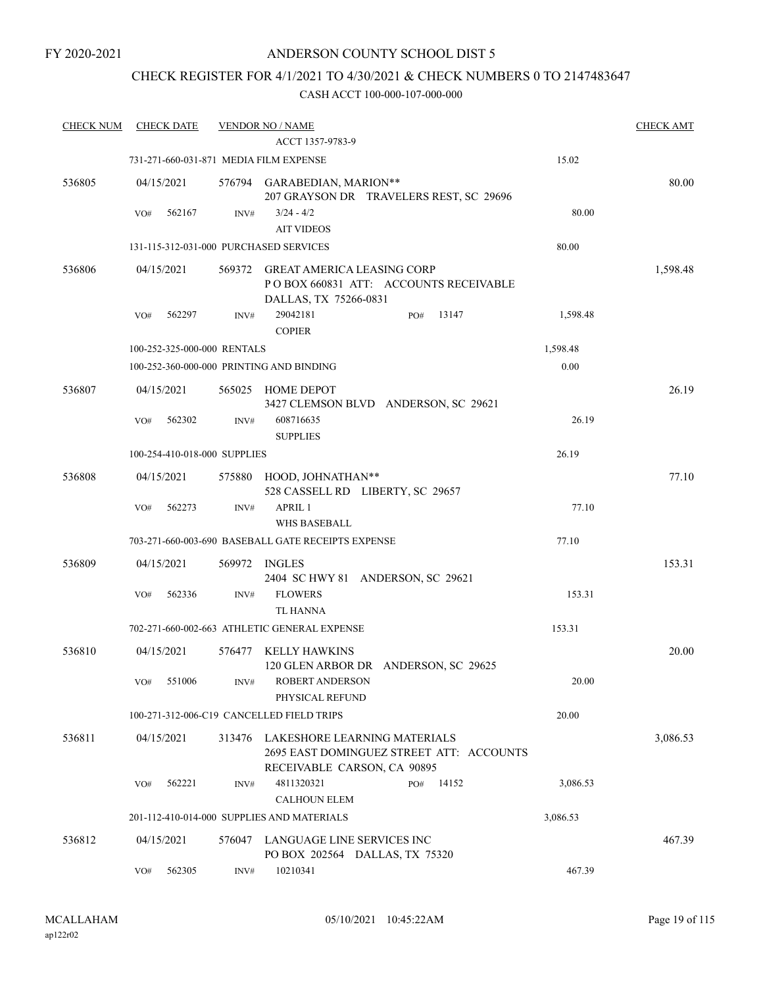### CHECK REGISTER FOR 4/1/2021 TO 4/30/2021 & CHECK NUMBERS 0 TO 2147483647

| <b>CHECK NUM</b> | <b>CHECK DATE</b>                      |        | <b>VENDOR NO / NAME</b>                                                                                 |          | <b>CHECK AMT</b> |
|------------------|----------------------------------------|--------|---------------------------------------------------------------------------------------------------------|----------|------------------|
|                  |                                        |        | ACCT 1357-9783-9                                                                                        |          |                  |
|                  | 731-271-660-031-871 MEDIA FILM EXPENSE |        |                                                                                                         | 15.02    |                  |
| 536805           | 04/15/2021                             |        | 576794 GARABEDIAN, MARION**<br>207 GRAYSON DR TRAVELERS REST, SC 29696                                  |          | 80.00            |
|                  | 562167<br>VO#                          | INV#   | $3/24 - 4/2$<br><b>AIT VIDEOS</b>                                                                       | 80.00    |                  |
|                  | 131-115-312-031-000 PURCHASED SERVICES |        |                                                                                                         | 80.00    |                  |
|                  |                                        |        | <b>GREAT AMERICA LEASING CORP</b>                                                                       |          |                  |
| 536806           | 04/15/2021                             | 569372 | PO BOX 660831 ATT: ACCOUNTS RECEIVABLE<br>DALLAS, TX 75266-0831                                         |          | 1,598.48         |
|                  | 562297<br>VO#                          | INV#   | 29042181<br>13147<br>PO#<br><b>COPIER</b>                                                               | 1,598.48 |                  |
|                  | 100-252-325-000-000 RENTALS            |        |                                                                                                         | 1,598.48 |                  |
|                  |                                        |        | 100-252-360-000-000 PRINTING AND BINDING                                                                | 0.00     |                  |
| 536807           | 04/15/2021                             | 565025 | HOME DEPOT<br>3427 CLEMSON BLVD ANDERSON, SC 29621                                                      |          | 26.19            |
|                  | 562302<br>VO#                          | INV#   | 608716635<br><b>SUPPLIES</b>                                                                            | 26.19    |                  |
|                  | 100-254-410-018-000 SUPPLIES           |        |                                                                                                         | 26.19    |                  |
| 536808           | 04/15/2021                             |        | 575880 HOOD, JOHNATHAN**<br>528 CASSELL RD LIBERTY, SC 29657                                            |          | 77.10            |
|                  | VO#<br>562273                          | INV#   | <b>APRIL 1</b><br>WHS BASEBALL                                                                          | 77.10    |                  |
|                  |                                        |        | 703-271-660-003-690 BASEBALL GATE RECEIPTS EXPENSE                                                      | 77.10    |                  |
| 536809           | 04/15/2021                             |        | 569972 INGLES<br>2404 SC HWY 81 ANDERSON, SC 29621                                                      |          | 153.31           |
|                  | 562336<br>VO#                          | INV#   | <b>FLOWERS</b><br><b>TL HANNA</b>                                                                       | 153.31   |                  |
|                  |                                        |        | 702-271-660-002-663 ATHLETIC GENERAL EXPENSE                                                            | 153.31   |                  |
| 536810           | 04/15/2021                             | 576477 | <b>KELLY HAWKINS</b><br>120 GLEN ARBOR DR ANDERSON, SC 29625                                            |          | 20.00            |
|                  | VO#<br>551006                          | INV#   | ROBERT ANDERSON<br>PHYSICAL REFUND                                                                      | 20.00    |                  |
|                  |                                        |        | 100-271-312-006-C19 CANCELLED FIELD TRIPS                                                               | 20.00    |                  |
| 536811           | 04/15/2021                             | 313476 | LAKESHORE LEARNING MATERIALS<br>2695 EAST DOMINGUEZ STREET ATT: ACCOUNTS<br>RECEIVABLE CARSON, CA 90895 |          | 3,086.53         |
|                  | VO#<br>562221                          | INV#   | 4811320321<br>14152<br>PO#                                                                              | 3,086.53 |                  |
|                  |                                        |        | <b>CALHOUN ELEM</b>                                                                                     |          |                  |
|                  |                                        |        | 201-112-410-014-000 SUPPLIES AND MATERIALS                                                              | 3,086.53 |                  |
| 536812           | 04/15/2021                             | 576047 | LANGUAGE LINE SERVICES INC<br>PO BOX 202564 DALLAS, TX 75320                                            |          | 467.39           |
|                  | 562305<br>VO#                          | INV#   | 10210341                                                                                                | 467.39   |                  |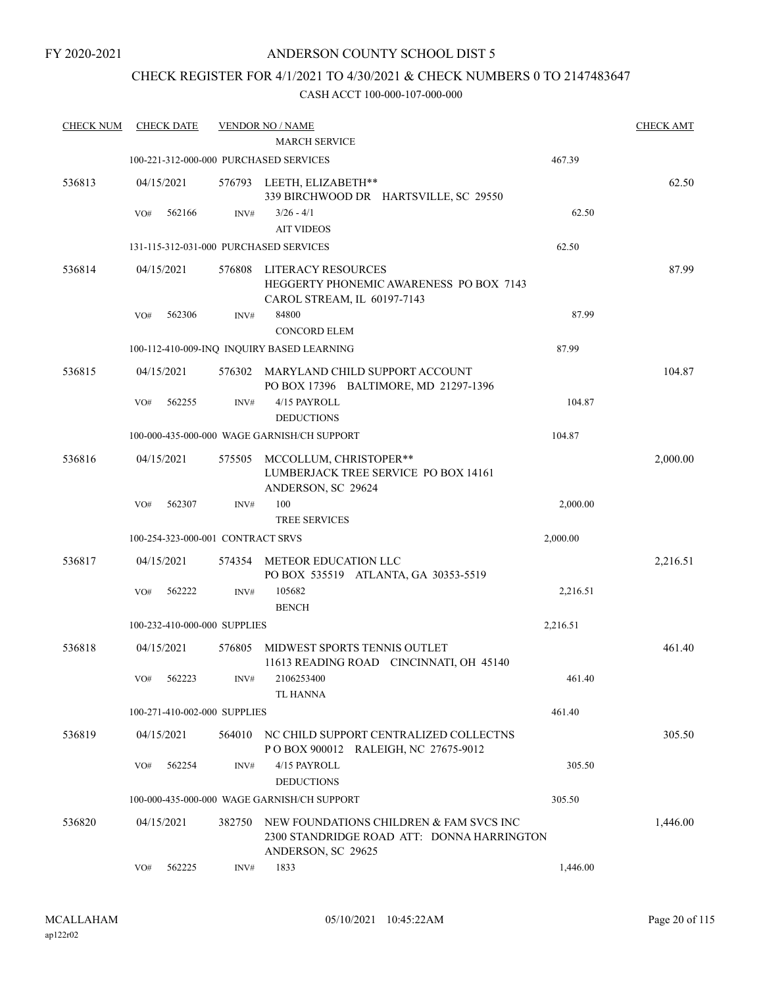### CHECK REGISTER FOR 4/1/2021 TO 4/30/2021 & CHECK NUMBERS 0 TO 2147483647

| <b>CHECK NUM</b> | <b>CHECK DATE</b> |                                   |        | <b>VENDOR NO / NAME</b>                                                                                     |          | <b>CHECK AMT</b> |
|------------------|-------------------|-----------------------------------|--------|-------------------------------------------------------------------------------------------------------------|----------|------------------|
|                  |                   |                                   |        | <b>MARCH SERVICE</b>                                                                                        |          |                  |
|                  |                   |                                   |        | 100-221-312-000-000 PURCHASED SERVICES                                                                      | 467.39   |                  |
| 536813           | 04/15/2021        |                                   |        | 576793 LEETH, ELIZABETH**<br>339 BIRCHWOOD DR HARTSVILLE, SC 29550                                          |          | 62.50            |
|                  | VO#               | 562166                            | INV#   | $3/26 - 4/1$                                                                                                | 62.50    |                  |
|                  |                   |                                   |        | <b>AIT VIDEOS</b>                                                                                           |          |                  |
|                  |                   |                                   |        | 131-115-312-031-000 PURCHASED SERVICES                                                                      | 62.50    |                  |
| 536814           | 04/15/2021        |                                   | 576808 | <b>LITERACY RESOURCES</b><br>HEGGERTY PHONEMIC AWARENESS PO BOX 7143<br>CAROL STREAM, IL 60197-7143         |          | 87.99            |
|                  | VO#               | 562306                            | INV#   | 84800<br><b>CONCORD ELEM</b>                                                                                | 87.99    |                  |
|                  |                   |                                   |        | 100-112-410-009-INQ INQUIRY BASED LEARNING                                                                  | 87.99    |                  |
| 536815           | 04/15/2021        |                                   | 576302 | MARYLAND CHILD SUPPORT ACCOUNT<br>PO BOX 17396 BALTIMORE, MD 21297-1396                                     |          | 104.87           |
|                  | VO#               | 562255                            | INV#   | 4/15 PAYROLL<br><b>DEDUCTIONS</b>                                                                           | 104.87   |                  |
|                  |                   |                                   |        | 100-000-435-000-000 WAGE GARNISH/CH SUPPORT                                                                 | 104.87   |                  |
| 536816           | 04/15/2021        |                                   | 575505 | MCCOLLUM, CHRISTOPER**<br>LUMBERJACK TREE SERVICE PO BOX 14161<br>ANDERSON, SC 29624                        |          | 2,000.00         |
|                  | VO#               | 562307                            | INV#   | 100<br><b>TREE SERVICES</b>                                                                                 | 2,000.00 |                  |
|                  |                   | 100-254-323-000-001 CONTRACT SRVS |        |                                                                                                             | 2,000.00 |                  |
| 536817           | 04/15/2021        |                                   | 574354 | METEOR EDUCATION LLC<br>PO BOX 535519 ATLANTA, GA 30353-5519                                                |          | 2,216.51         |
|                  | VO#               | 562222                            | INV#   | 105682<br><b>BENCH</b>                                                                                      | 2,216.51 |                  |
|                  |                   | 100-232-410-000-000 SUPPLIES      |        |                                                                                                             | 2,216.51 |                  |
| 536818           | 04/15/2021        |                                   | 576805 | MIDWEST SPORTS TENNIS OUTLET<br>11613 READING ROAD CINCINNATI, OH 45140                                     |          | 461.40           |
|                  | VO# 562223        |                                   | INV#   | 2106253400<br>TL HANNA                                                                                      | 461.40   |                  |
|                  |                   | 100-271-410-002-000 SUPPLIES      |        |                                                                                                             | 461.40   |                  |
| 536819           | 04/15/2021        |                                   |        | 564010 NC CHILD SUPPORT CENTRALIZED COLLECTNS<br>POBOX 900012 RALEIGH, NC 27675-9012                        |          | 305.50           |
|                  | VO#               | 562254                            | INV#   | 4/15 PAYROLL<br><b>DEDUCTIONS</b>                                                                           | 305.50   |                  |
|                  |                   |                                   |        | 100-000-435-000-000 WAGE GARNISH/CH SUPPORT                                                                 | 305.50   |                  |
| 536820           | 04/15/2021        |                                   | 382750 | NEW FOUNDATIONS CHILDREN & FAM SVCS INC<br>2300 STANDRIDGE ROAD ATT: DONNA HARRINGTON<br>ANDERSON, SC 29625 |          | 1,446.00         |
|                  | VO#               | 562225                            | INV#   | 1833                                                                                                        | 1,446.00 |                  |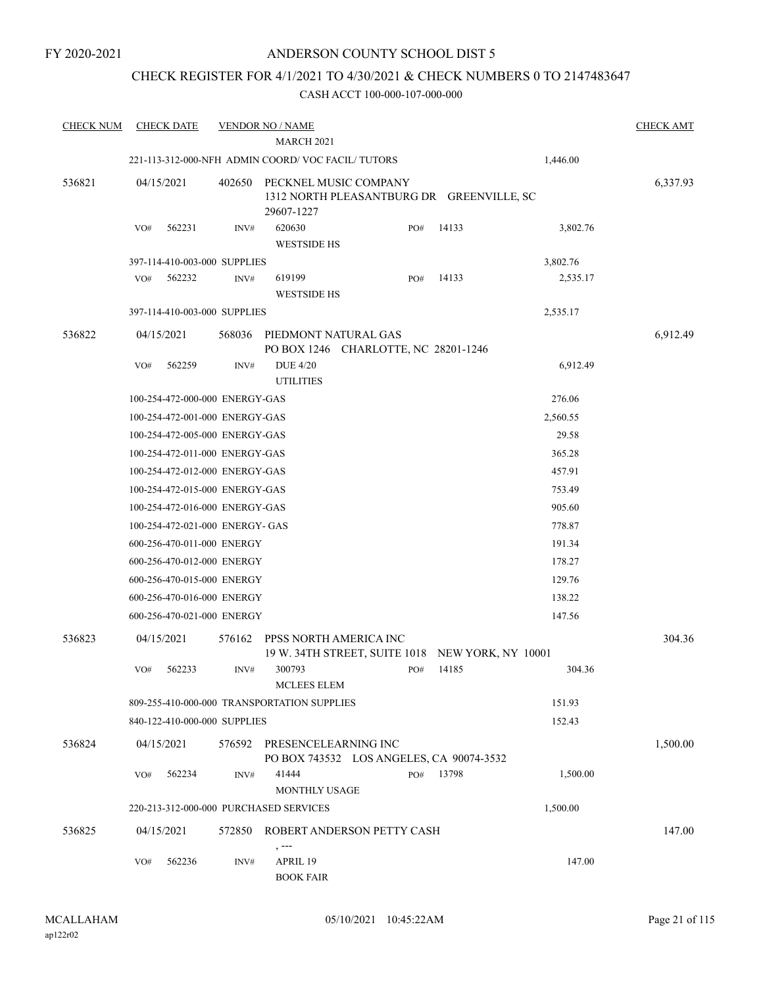### CHECK REGISTER FOR 4/1/2021 TO 4/30/2021 & CHECK NUMBERS 0 TO 2147483647

| <b>CHECK NUM</b> | <b>CHECK DATE</b>                      |        | <b>VENDOR NO / NAME</b>                                                          |     |                    |          | <b>CHECK AMT</b> |
|------------------|----------------------------------------|--------|----------------------------------------------------------------------------------|-----|--------------------|----------|------------------|
|                  |                                        |        | <b>MARCH 2021</b>                                                                |     |                    |          |                  |
|                  |                                        |        | 221-113-312-000-NFH ADMIN COORD/VOC FACIL/TUTORS                                 |     |                    | 1,446.00 |                  |
| 536821           | 04/15/2021                             | 402650 | PECKNEL MUSIC COMPANY<br>1312 NORTH PLEASANTBURG DR GREENVILLE, SC<br>29607-1227 |     |                    |          | 6,337.93         |
|                  | VO#<br>562231                          | INV#   | 620630<br><b>WESTSIDE HS</b>                                                     | PO# | 14133              | 3,802.76 |                  |
|                  | 397-114-410-003-000 SUPPLIES           |        |                                                                                  |     |                    | 3,802.76 |                  |
|                  | 562232<br>VO#                          | INV#   | 619199<br><b>WESTSIDE HS</b>                                                     | PO# | 14133              | 2,535.17 |                  |
|                  | 397-114-410-003-000 SUPPLIES           |        |                                                                                  |     |                    | 2,535.17 |                  |
| 536822           | 04/15/2021                             | 568036 | PIEDMONT NATURAL GAS<br>PO BOX 1246 CHARLOTTE, NC 28201-1246                     |     |                    |          | 6,912.49         |
|                  | VO#<br>562259                          | INV#   | <b>DUE 4/20</b><br><b>UTILITIES</b>                                              |     |                    | 6,912.49 |                  |
|                  | 100-254-472-000-000 ENERGY-GAS         |        |                                                                                  |     |                    | 276.06   |                  |
|                  | 100-254-472-001-000 ENERGY-GAS         |        |                                                                                  |     |                    | 2,560.55 |                  |
|                  | 100-254-472-005-000 ENERGY-GAS         |        |                                                                                  |     |                    | 29.58    |                  |
|                  | 100-254-472-011-000 ENERGY-GAS         |        |                                                                                  |     |                    | 365.28   |                  |
|                  | 100-254-472-012-000 ENERGY-GAS         |        |                                                                                  |     |                    | 457.91   |                  |
|                  | 100-254-472-015-000 ENERGY-GAS         |        |                                                                                  |     |                    | 753.49   |                  |
|                  | 100-254-472-016-000 ENERGY-GAS         |        |                                                                                  |     |                    | 905.60   |                  |
|                  | 100-254-472-021-000 ENERGY- GAS        |        |                                                                                  |     |                    | 778.87   |                  |
|                  | 600-256-470-011-000 ENERGY             |        |                                                                                  |     |                    | 191.34   |                  |
|                  | 600-256-470-012-000 ENERGY             |        |                                                                                  |     |                    | 178.27   |                  |
|                  | 600-256-470-015-000 ENERGY             |        |                                                                                  |     |                    | 129.76   |                  |
|                  | 600-256-470-016-000 ENERGY             |        |                                                                                  |     |                    | 138.22   |                  |
|                  | 600-256-470-021-000 ENERGY             |        |                                                                                  |     |                    | 147.56   |                  |
| 536823           | 04/15/2021                             | 576162 | PPSS NORTH AMERICA INC<br>19 W. 34TH STREET, SUITE 1018                          |     | NEW YORK, NY 10001 |          | 304.36           |
|                  | 562233<br>VO#                          | INV#   | 300793<br><b>MCLEES ELEM</b>                                                     | PO# | 14185              | 304.36   |                  |
|                  |                                        |        | 809-255-410-000-000 TRANSPORTATION SUPPLIES                                      |     |                    | 151.93   |                  |
|                  | 840-122-410-000-000 SUPPLIES           |        |                                                                                  |     |                    | 152.43   |                  |
| 536824           | 04/15/2021                             |        | 576592 PRESENCELEARNING INC<br>PO BOX 743532 LOS ANGELES, CA 90074-3532          |     |                    |          | 1,500.00         |
|                  | 562234<br>VO#                          | INV#   | 41444<br>MONTHLY USAGE                                                           | PO# | 13798              | 1,500.00 |                  |
|                  | 220-213-312-000-000 PURCHASED SERVICES |        |                                                                                  |     |                    | 1,500.00 |                  |
| 536825           | 04/15/2021                             | 572850 | ROBERT ANDERSON PETTY CASH                                                       |     |                    |          | 147.00           |
|                  | 562236<br>VO#                          | INV#   | , ---<br>APRIL 19<br><b>BOOK FAIR</b>                                            |     |                    | 147.00   |                  |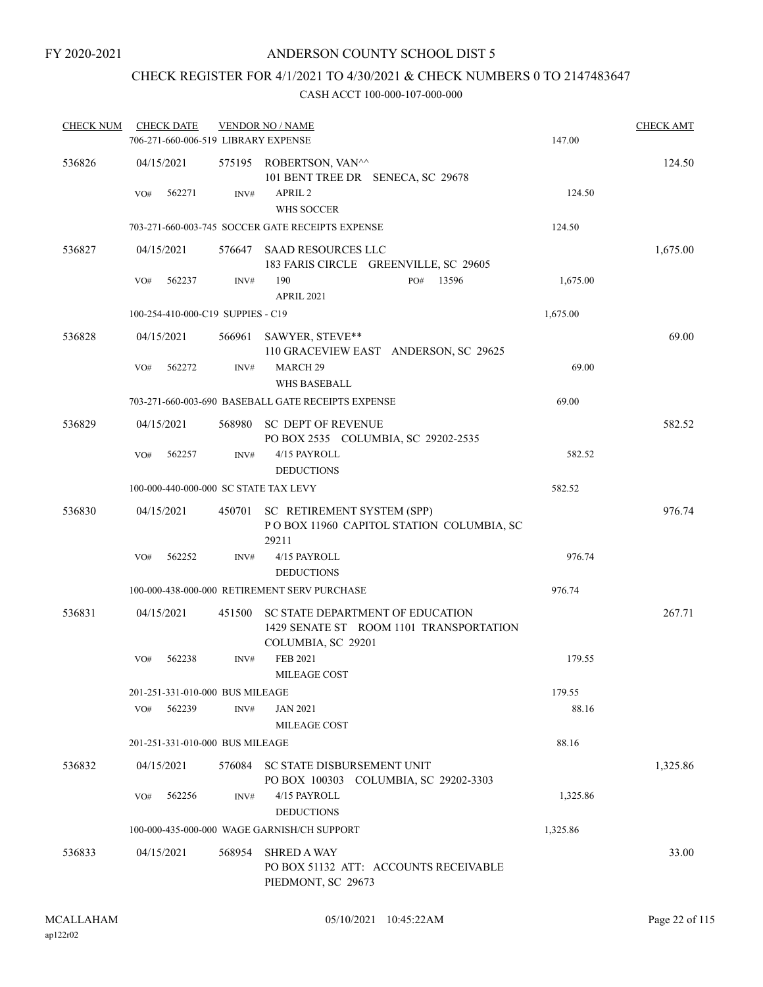# CHECK REGISTER FOR 4/1/2021 TO 4/30/2021 & CHECK NUMBERS 0 TO 2147483647

| <b>CHECK NUM</b> | <b>CHECK DATE</b><br>706-271-660-006-519 LIBRARY EXPENSE |        | <b>VENDOR NO / NAME</b>                                                                           | 147.00   | <b>CHECK AMT</b> |
|------------------|----------------------------------------------------------|--------|---------------------------------------------------------------------------------------------------|----------|------------------|
| 536826           | 04/15/2021                                               |        | 575195 ROBERTSON, VAN <sup>^^</sup><br>101 BENT TREE DR SENECA, SC 29678                          |          | 124.50           |
|                  | VO#<br>562271                                            | INV#   | APRIL <sub>2</sub><br>WHS SOCCER                                                                  | 124.50   |                  |
|                  |                                                          |        | 703-271-660-003-745 SOCCER GATE RECEIPTS EXPENSE                                                  | 124.50   |                  |
| 536827           | 04/15/2021                                               |        | 576647 SAAD RESOURCES LLC<br>183 FARIS CIRCLE GREENVILLE, SC 29605                                |          | 1,675.00         |
|                  | 562237<br>VO#                                            | INV#   | 190<br>13596<br>PO#<br><b>APRIL 2021</b>                                                          | 1,675.00 |                  |
|                  | 100-254-410-000-C19 SUPPIES - C19                        |        |                                                                                                   | 1,675.00 |                  |
| 536828           | 04/15/2021                                               | 566961 | SAWYER, STEVE**<br>110 GRACEVIEW EAST ANDERSON, SC 29625                                          |          | 69.00            |
|                  | 562272<br>VO#                                            | INV#   | MARCH <sub>29</sub><br>WHS BASEBALL                                                               | 69.00    |                  |
|                  |                                                          |        | 703-271-660-003-690 BASEBALL GATE RECEIPTS EXPENSE                                                | 69.00    |                  |
| 536829           | 04/15/2021                                               | 568980 | SC DEPT OF REVENUE<br>PO BOX 2535 COLUMBIA, SC 29202-2535                                         |          | 582.52           |
|                  | VO#<br>562257                                            | INV#   | 4/15 PAYROLL<br><b>DEDUCTIONS</b>                                                                 | 582.52   |                  |
|                  | 100-000-440-000-000 SC STATE TAX LEVY                    |        |                                                                                                   | 582.52   |                  |
| 536830           | 04/15/2021                                               |        | 450701 SC RETIREMENT SYSTEM (SPP)<br>POBOX 11960 CAPITOL STATION COLUMBIA, SC<br>29211            |          | 976.74           |
|                  | 562252<br>VO#                                            | INV#   | 4/15 PAYROLL                                                                                      | 976.74   |                  |
|                  |                                                          |        | <b>DEDUCTIONS</b>                                                                                 |          |                  |
|                  |                                                          |        | 100-000-438-000-000 RETIREMENT SERV PURCHASE                                                      | 976.74   |                  |
| 536831           | 04/15/2021                                               | 451500 | SC STATE DEPARTMENT OF EDUCATION<br>1429 SENATE ST ROOM 1101 TRANSPORTATION<br>COLUMBIA, SC 29201 |          | 267.71           |
|                  | VO#<br>562238                                            | INV#   | FEB 2021<br>MILEAGE COST                                                                          | 179.55   |                  |
|                  | 201-251-331-010-000 BUS MILEAGE                          |        |                                                                                                   | 179.55   |                  |
|                  | 562239<br>VO#                                            | INV#   | JAN 2021<br>MILEAGE COST                                                                          | 88.16    |                  |
|                  | 201-251-331-010-000 BUS MILEAGE                          |        |                                                                                                   | 88.16    |                  |
| 536832           | 04/15/2021                                               |        | 576084 SC STATE DISBURSEMENT UNIT<br>PO BOX 100303 COLUMBIA, SC 29202-3303                        |          | 1,325.86         |
|                  | 562256<br>VO#                                            | INV#   | 4/15 PAYROLL<br><b>DEDUCTIONS</b>                                                                 | 1,325.86 |                  |
|                  |                                                          |        | 100-000-435-000-000 WAGE GARNISH/CH SUPPORT                                                       | 1,325.86 |                  |
| 536833           | 04/15/2021                                               | 568954 | <b>SHRED A WAY</b><br>PO BOX 51132 ATT: ACCOUNTS RECEIVABLE<br>PIEDMONT, SC 29673                 |          | 33.00            |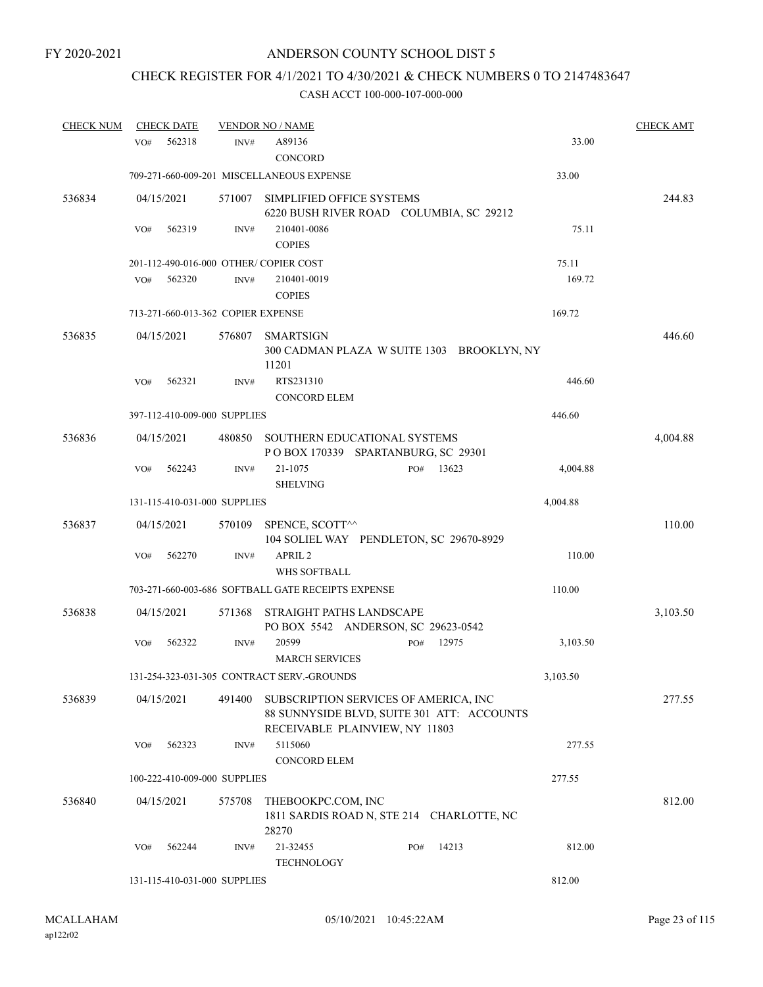# CHECK REGISTER FOR 4/1/2021 TO 4/30/2021 & CHECK NUMBERS 0 TO 2147483647

| <b>CHECK NUM</b> | <b>CHECK DATE</b>                     |        | <b>VENDOR NO / NAME</b>                                                                                               |              |          | <b>CHECK AMT</b> |
|------------------|---------------------------------------|--------|-----------------------------------------------------------------------------------------------------------------------|--------------|----------|------------------|
|                  | 562318<br>VO#                         | INV#   | A89136<br>CONCORD                                                                                                     |              | 33.00    |                  |
|                  |                                       |        | 709-271-660-009-201 MISCELLANEOUS EXPENSE                                                                             |              | 33.00    |                  |
| 536834           | 04/15/2021                            | 571007 | SIMPLIFIED OFFICE SYSTEMS<br>6220 BUSH RIVER ROAD COLUMBIA, SC 29212                                                  |              |          | 244.83           |
|                  | 562319<br>VO#                         | INV#   | 210401-0086<br><b>COPIES</b>                                                                                          |              | 75.11    |                  |
|                  | 201-112-490-016-000 OTHER/COPIER COST |        |                                                                                                                       |              | 75.11    |                  |
|                  | 562320<br>VO#                         | INV#   | 210401-0019<br><b>COPIES</b>                                                                                          |              | 169.72   |                  |
|                  | 713-271-660-013-362 COPIER EXPENSE    |        |                                                                                                                       |              | 169.72   |                  |
| 536835           | 04/15/2021                            | 576807 | SMARTSIGN<br>300 CADMAN PLAZA W SUITE 1303 BROOKLYN, NY<br>11201                                                      |              |          | 446.60           |
|                  | 562321<br>VO#                         | INV#   | RTS231310<br><b>CONCORD ELEM</b>                                                                                      |              | 446.60   |                  |
|                  | 397-112-410-009-000 SUPPLIES          |        |                                                                                                                       |              | 446.60   |                  |
| 536836           | 04/15/2021                            | 480850 | SOUTHERN EDUCATIONAL SYSTEMS<br>POBOX 170339 SPARTANBURG, SC 29301                                                    |              |          | 4,004.88         |
|                  | 562243<br>VO#                         | INV#   | 21-1075<br><b>SHELVING</b>                                                                                            | 13623<br>PO# | 4,004.88 |                  |
|                  | 131-115-410-031-000 SUPPLIES          |        |                                                                                                                       |              | 4,004.88 |                  |
| 536837           | 04/15/2021                            | 570109 | SPENCE, SCOTT^^<br>104 SOLIEL WAY PENDLETON, SC 29670-8929                                                            |              |          | 110.00           |
|                  | 562270<br>VO#                         | INV#   | APRIL <sub>2</sub><br>WHS SOFTBALL                                                                                    |              | 110.00   |                  |
|                  |                                       |        | 703-271-660-003-686 SOFTBALL GATE RECEIPTS EXPENSE                                                                    |              | 110.00   |                  |
| 536838           | 04/15/2021                            | 571368 | STRAIGHT PATHS LANDSCAPE<br>PO BOX 5542 ANDERSON, SC 29623-0542                                                       |              |          | 3,103.50         |
|                  | VO#<br>562322                         | INV#   | 20599<br><b>MARCH SERVICES</b>                                                                                        | 12975<br>PO# | 3,103.50 |                  |
|                  |                                       |        | 131-254-323-031-305 CONTRACT SERV.-GROUNDS                                                                            |              | 3,103.50 |                  |
| 536839           | 04/15/2021                            | 491400 | SUBSCRIPTION SERVICES OF AMERICA, INC<br>88 SUNNYSIDE BLVD, SUITE 301 ATT: ACCOUNTS<br>RECEIVABLE PLAINVIEW, NY 11803 |              |          | 277.55           |
|                  | 562323<br>VO#                         | INV#   | 5115060<br><b>CONCORD ELEM</b>                                                                                        |              | 277.55   |                  |
|                  | 100-222-410-009-000 SUPPLIES          |        |                                                                                                                       |              | 277.55   |                  |
| 536840           | 04/15/2021                            | 575708 | THEBOOKPC.COM, INC<br>1811 SARDIS ROAD N, STE 214 CHARLOTTE, NC<br>28270                                              |              |          | 812.00           |
|                  | 562244<br>VO#                         | INV#   | 21-32455<br><b>TECHNOLOGY</b>                                                                                         | 14213<br>PO# | 812.00   |                  |
|                  | 131-115-410-031-000 SUPPLIES          |        |                                                                                                                       |              | 812.00   |                  |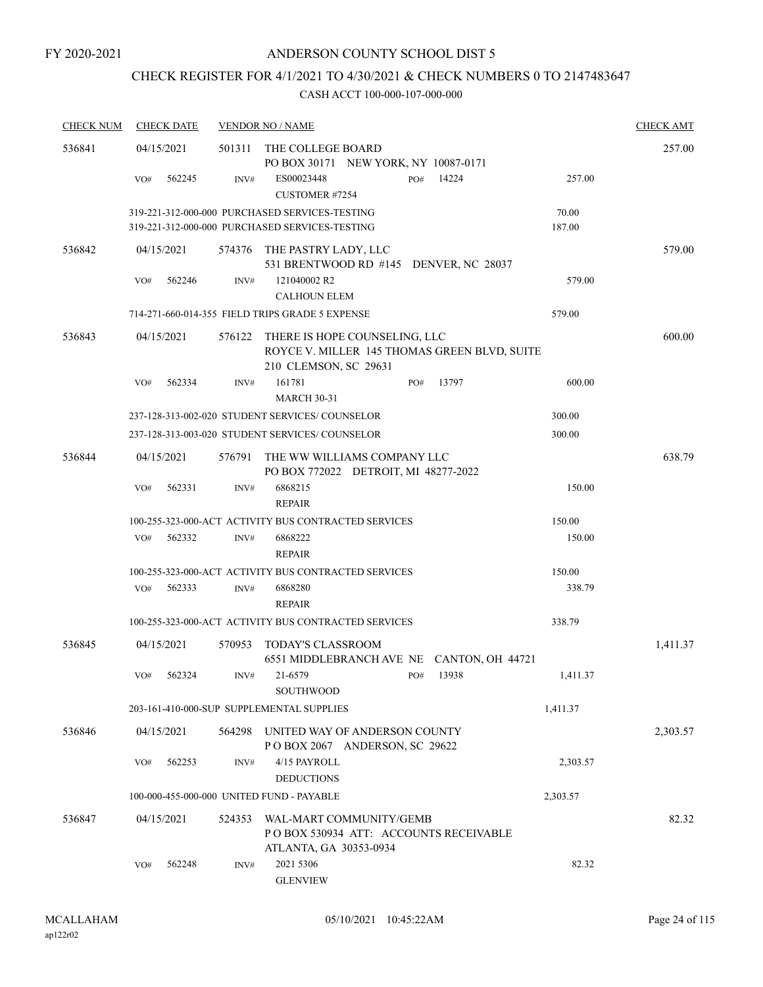# CHECK REGISTER FOR 4/1/2021 TO 4/30/2021 & CHECK NUMBERS 0 TO 2147483647

| <b>CHECK NUM</b> | <b>CHECK DATE</b> |        | <b>VENDOR NO / NAME</b>                                                                                |              |                 | <b>CHECK AMT</b> |
|------------------|-------------------|--------|--------------------------------------------------------------------------------------------------------|--------------|-----------------|------------------|
| 536841           | 04/15/2021        | 501311 | THE COLLEGE BOARD<br>PO BOX 30171 NEW YORK, NY 10087-0171                                              |              |                 | 257.00           |
|                  | 562245<br>VO#     | INV#   | ES00023448<br><b>CUSTOMER #7254</b>                                                                    | 14224<br>PO# | 257.00          |                  |
|                  |                   |        | 319-221-312-000-000 PURCHASED SERVICES-TESTING<br>319-221-312-000-000 PURCHASED SERVICES-TESTING       |              | 70.00<br>187.00 |                  |
| 536842           | 04/15/2021        |        | 574376 THE PASTRY LADY, LLC<br>531 BRENTWOOD RD #145 DENVER, NC 28037                                  |              |                 | 579.00           |
|                  | 562246<br>VO#     | INV#   | 121040002 R2<br><b>CALHOUN ELEM</b>                                                                    |              | 579.00          |                  |
|                  |                   |        | 714-271-660-014-355 FIELD TRIPS GRADE 5 EXPENSE                                                        |              | 579.00          |                  |
| 536843           | 04/15/2021        | 576122 | THERE IS HOPE COUNSELING, LLC<br>ROYCE V. MILLER 145 THOMAS GREEN BLVD, SUITE<br>210 CLEMSON, SC 29631 |              |                 | 600.00           |
|                  | 562334<br>VO#     | INV#   | 161781<br><b>MARCH 30-31</b>                                                                           | 13797<br>PO# | 600.00          |                  |
|                  |                   |        | 237-128-313-002-020 STUDENT SERVICES/COUNSELOR                                                         |              | 300.00          |                  |
|                  |                   |        | 237-128-313-003-020 STUDENT SERVICES/COUNSELOR                                                         |              | 300.00          |                  |
| 536844           | 04/15/2021        | 576791 | THE WW WILLIAMS COMPANY LLC<br>PO BOX 772022 DETROIT, MI 48277-2022                                    |              |                 | 638.79           |
|                  | 562331<br>VO#     | INV#   | 6868215<br><b>REPAIR</b>                                                                               |              | 150.00          |                  |
|                  |                   |        | 100-255-323-000-ACT ACTIVITY BUS CONTRACTED SERVICES                                                   |              | 150.00          |                  |
|                  | 562332<br>VO#     | INV#   | 6868222<br><b>REPAIR</b>                                                                               |              | 150.00          |                  |
|                  |                   |        | 100-255-323-000-ACT ACTIVITY BUS CONTRACTED SERVICES                                                   |              | 150.00          |                  |
|                  | 562333<br>VO#     | INV#   | 6868280<br><b>REPAIR</b>                                                                               |              | 338.79          |                  |
|                  |                   |        | 100-255-323-000-ACT ACTIVITY BUS CONTRACTED SERVICES                                                   |              | 338.79          |                  |
| 536845           | 04/15/2021        | 570953 | TODAY'S CLASSROOM<br>6551 MIDDLEBRANCH AVE NE CANTON, OH 44721                                         |              |                 | 1,411.37         |
|                  | VO#<br>562324     | INV#   | 21-6579<br>SOUTHWOOD                                                                                   | 13938<br>PO# | 1,411.37        |                  |
|                  |                   |        | 203-161-410-000-SUP SUPPLEMENTAL SUPPLIES                                                              |              | 1,411.37        |                  |
| 536846           | 04/15/2021        | 564298 | UNITED WAY OF ANDERSON COUNTY<br>POBOX 2067 ANDERSON, SC 29622                                         |              |                 | 2,303.57         |
|                  | 562253<br>VO#     | INV#   | 4/15 PAYROLL<br><b>DEDUCTIONS</b>                                                                      |              | 2,303.57        |                  |
|                  |                   |        | 100-000-455-000-000 UNITED FUND - PAYABLE                                                              |              | 2,303.57        |                  |
| 536847           | 04/15/2021        | 524353 | WAL-MART COMMUNITY/GEMB<br>PO BOX 530934 ATT: ACCOUNTS RECEIVABLE<br>ATLANTA, GA 30353-0934            |              |                 | 82.32            |
|                  | 562248<br>VO#     | INV#   | 2021 5306<br><b>GLENVIEW</b>                                                                           |              | 82.32           |                  |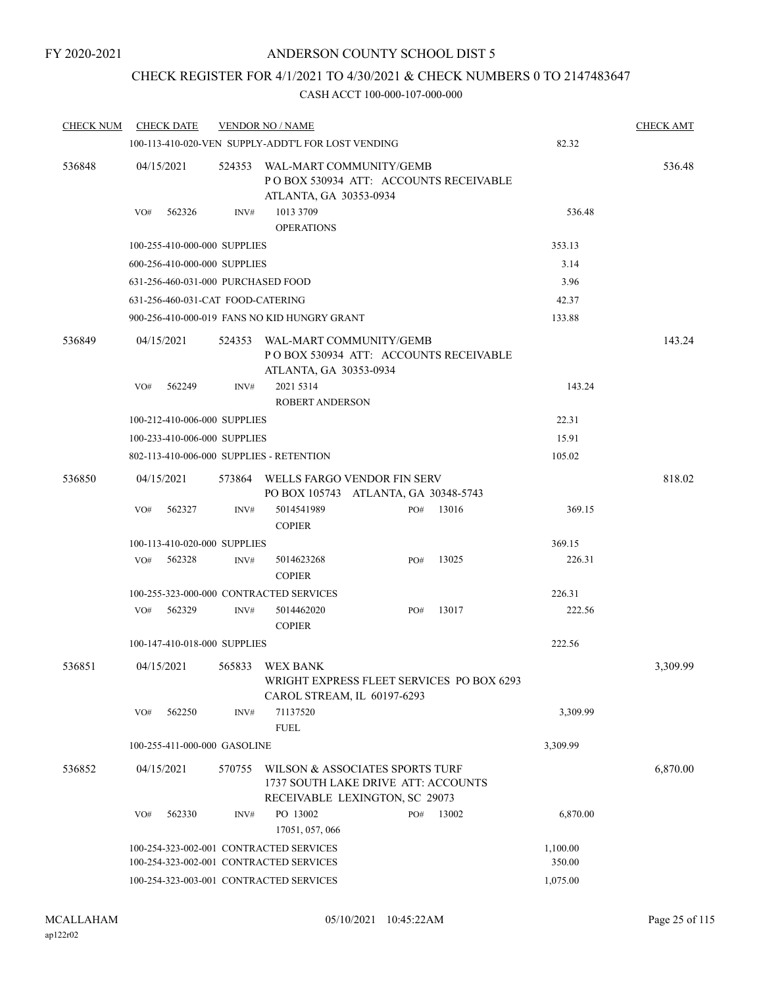## CHECK REGISTER FOR 4/1/2021 TO 4/30/2021 & CHECK NUMBERS 0 TO 2147483647

| <b>CHECK NUM</b> | <b>CHECK DATE</b>                        |        | <b>VENDOR NO / NAME</b>                                                                                  |                                                                          |       |          | <b>CHECK AMT</b> |
|------------------|------------------------------------------|--------|----------------------------------------------------------------------------------------------------------|--------------------------------------------------------------------------|-------|----------|------------------|
|                  |                                          |        | 100-113-410-020-VEN SUPPLY-ADDT'L FOR LOST VENDING                                                       |                                                                          |       | 82.32    |                  |
| 536848           | 04/15/2021                               | 524353 | ATLANTA, GA 30353-0934                                                                                   | WAL-MART COMMUNITY/GEMB<br>PO BOX 530934 ATT: ACCOUNTS RECEIVABLE        |       |          | 536.48           |
|                  | VO#<br>562326                            | INV#   | 1013 3709<br><b>OPERATIONS</b>                                                                           |                                                                          |       | 536.48   |                  |
|                  | 100-255-410-000-000 SUPPLIES             |        |                                                                                                          |                                                                          |       | 353.13   |                  |
|                  | 600-256-410-000-000 SUPPLIES             |        |                                                                                                          |                                                                          |       | 3.14     |                  |
|                  | 631-256-460-031-000 PURCHASED FOOD       |        |                                                                                                          |                                                                          |       | 3.96     |                  |
|                  | 631-256-460-031-CAT FOOD-CATERING        |        |                                                                                                          |                                                                          |       | 42.37    |                  |
|                  |                                          |        | 900-256-410-000-019 FANS NO KID HUNGRY GRANT                                                             |                                                                          |       | 133.88   |                  |
| 536849           | 04/15/2021                               | 524353 | ATLANTA, GA 30353-0934                                                                                   | WAL-MART COMMUNITY/GEMB<br>PO BOX 530934 ATT: ACCOUNTS RECEIVABLE        |       |          | 143.24           |
|                  | 562249<br>VO#                            | INV#   | 2021 5314<br><b>ROBERT ANDERSON</b>                                                                      |                                                                          |       | 143.24   |                  |
|                  | 100-212-410-006-000 SUPPLIES             |        |                                                                                                          |                                                                          |       | 22.31    |                  |
|                  | 100-233-410-006-000 SUPPLIES             |        |                                                                                                          |                                                                          |       | 15.91    |                  |
|                  | 802-113-410-006-000 SUPPLIES - RETENTION |        |                                                                                                          |                                                                          |       | 105.02   |                  |
| 536850           | 04/15/2021                               | 573864 |                                                                                                          | WELLS FARGO VENDOR FIN SERV<br>PO BOX 105743 ATLANTA, GA 30348-5743      |       |          | 818.02           |
|                  | 562327<br>VO#                            | INV#   | 5014541989<br><b>COPIER</b>                                                                              | PO#                                                                      | 13016 | 369.15   |                  |
|                  | 100-113-410-020-000 SUPPLIES             |        |                                                                                                          |                                                                          |       | 369.15   |                  |
|                  | VO#<br>562328                            | INV#   | 5014623268<br><b>COPIER</b>                                                                              | PO#                                                                      | 13025 | 226.31   |                  |
|                  |                                          |        | 100-255-323-000-000 CONTRACTED SERVICES                                                                  |                                                                          |       | 226.31   |                  |
|                  | 562329<br>VO#                            | INV#   | 5014462020<br><b>COPIER</b>                                                                              | PO#                                                                      | 13017 | 222.56   |                  |
|                  | 100-147-410-018-000 SUPPLIES             |        |                                                                                                          |                                                                          |       | 222.56   |                  |
| 536851           | 04/15/2021                               |        | 565833 WEX BANK                                                                                          | WRIGHT EXPRESS FLEET SERVICES PO BOX 6293<br>CAROL STREAM, IL 60197-6293 |       |          | 3,309.99         |
|                  | 562250<br>VO#                            | INV#   | 71137520<br><b>FUEL</b>                                                                                  |                                                                          |       | 3,309.99 |                  |
|                  | 100-255-411-000-000 GASOLINE             |        |                                                                                                          |                                                                          |       | 3,309.99 |                  |
| 536852           | 04/15/2021<br>570755                     |        | WILSON & ASSOCIATES SPORTS TURF<br>1737 SOUTH LAKE DRIVE ATT: ACCOUNTS<br>RECEIVABLE LEXINGTON, SC 29073 |                                                                          |       |          | 6,870.00         |
|                  | 562330<br>VO#                            | INV#   | PO 13002<br>17051, 057, 066                                                                              | PO#                                                                      | 13002 | 6,870.00 |                  |
|                  |                                          |        | 100-254-323-002-001 CONTRACTED SERVICES                                                                  |                                                                          |       | 1,100.00 |                  |
|                  |                                          |        | 100-254-323-002-001 CONTRACTED SERVICES                                                                  |                                                                          |       | 350.00   |                  |
|                  | 100-254-323-003-001 CONTRACTED SERVICES  |        | 1,075.00                                                                                                 |                                                                          |       |          |                  |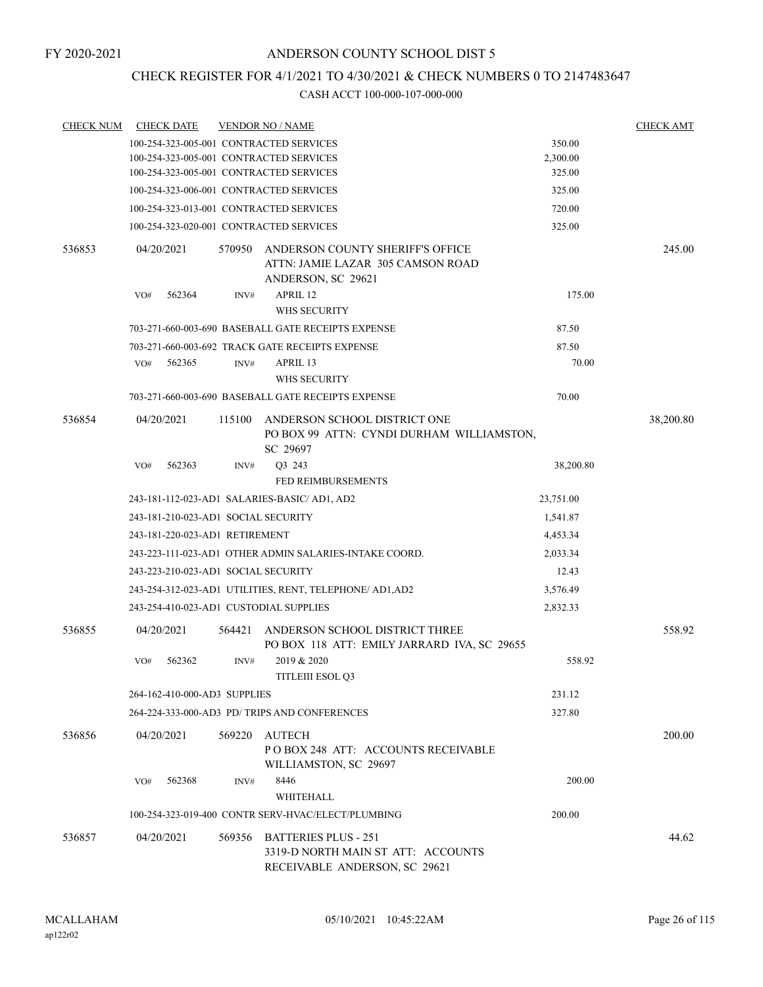# CHECK REGISTER FOR 4/1/2021 TO 4/30/2021 & CHECK NUMBERS 0 TO 2147483647

| <b>CHECK NUM</b> | <b>CHECK DATE</b>                      |        | <b>VENDOR NO / NAME</b>                                                                            |           | <b>CHECK AMT</b> |
|------------------|----------------------------------------|--------|----------------------------------------------------------------------------------------------------|-----------|------------------|
|                  |                                        |        | 100-254-323-005-001 CONTRACTED SERVICES                                                            | 350.00    |                  |
|                  |                                        |        | 100-254-323-005-001 CONTRACTED SERVICES                                                            | 2,300.00  |                  |
|                  |                                        |        | 100-254-323-005-001 CONTRACTED SERVICES                                                            | 325.00    |                  |
|                  |                                        |        | 100-254-323-006-001 CONTRACTED SERVICES                                                            | 325.00    |                  |
|                  |                                        |        | 100-254-323-013-001 CONTRACTED SERVICES                                                            | 720.00    |                  |
|                  |                                        |        | 100-254-323-020-001 CONTRACTED SERVICES                                                            | 325.00    |                  |
| 536853           | 04/20/2021                             | 570950 | ANDERSON COUNTY SHERIFF'S OFFICE<br>ATTN: JAMIE LAZAR 305 CAMSON ROAD<br>ANDERSON, SC 29621        |           | 245.00           |
|                  | 562364<br>VO#                          | INV#   | APRIL 12                                                                                           | 175.00    |                  |
|                  |                                        |        | WHS SECURITY                                                                                       |           |                  |
|                  |                                        |        | 703-271-660-003-690 BASEBALL GATE RECEIPTS EXPENSE                                                 | 87.50     |                  |
|                  |                                        |        | 703-271-660-003-692 TRACK GATE RECEIPTS EXPENSE                                                    | 87.50     |                  |
|                  | 562365<br>VO#                          | INV#   | APRIL 13                                                                                           | 70.00     |                  |
|                  |                                        |        | <b>WHS SECURITY</b>                                                                                |           |                  |
|                  |                                        |        | 703-271-660-003-690 BASEBALL GATE RECEIPTS EXPENSE                                                 | 70.00     |                  |
| 536854           | 04/20/2021                             | 115100 | ANDERSON SCHOOL DISTRICT ONE<br>PO BOX 99 ATTN: CYNDI DURHAM WILLIAMSTON,<br>SC 29697              |           | 38,200.80        |
|                  | 562363<br>VO#                          | INV#   | O3 243                                                                                             | 38,200.80 |                  |
|                  |                                        |        | <b>FED REIMBURSEMENTS</b>                                                                          |           |                  |
|                  |                                        |        | 243-181-112-023-AD1 SALARIES-BASIC/ AD1, AD2                                                       | 23,751.00 |                  |
|                  | 243-181-210-023-AD1 SOCIAL SECURITY    |        |                                                                                                    | 1,541.87  |                  |
|                  | 243-181-220-023-AD1 RETIREMENT         |        |                                                                                                    | 4,453.34  |                  |
|                  |                                        |        | 243-223-111-023-AD1 OTHER ADMIN SALARIES-INTAKE COORD.                                             | 2,033.34  |                  |
|                  | 243-223-210-023-AD1 SOCIAL SECURITY    |        |                                                                                                    | 12.43     |                  |
|                  |                                        |        | 243-254-312-023-AD1 UTILITIES, RENT, TELEPHONE/ AD1, AD2                                           | 3,576.49  |                  |
|                  | 243-254-410-023-AD1 CUSTODIAL SUPPLIES |        |                                                                                                    | 2,832.33  |                  |
| 536855           | 04/20/2021                             | 564421 | ANDERSON SCHOOL DISTRICT THREE<br>PO BOX 118 ATT: EMILY JARRARD IVA, SC 29655                      |           | 558.92           |
|                  | 562362<br>VO#                          | INV#   | 2019 & 2020<br><b>TITLEIII ESOL Q3</b>                                                             | 558.92    |                  |
|                  | 264-162-410-000-AD3 SUPPLIES           |        |                                                                                                    | 231.12    |                  |
|                  |                                        |        | 264-224-333-000-AD3 PD/TRIPS AND CONFERENCES                                                       | 327.80    |                  |
| 536856           | 04/20/2021                             | 569220 | AUTECH<br>POBOX 248 ATT: ACCOUNTS RECEIVABLE<br>WILLIAMSTON, SC 29697                              |           | 200.00           |
|                  | 562368<br>VO#                          | INV#   | 8446<br><b>WHITEHALL</b>                                                                           | 200.00    |                  |
|                  |                                        |        | 100-254-323-019-400 CONTR SERV-HVAC/ELECT/PLUMBING                                                 | 200.00    |                  |
| 536857           | 04/20/2021                             |        | 569356 BATTERIES PLUS - 251<br>3319-D NORTH MAIN ST ATT: ACCOUNTS<br>RECEIVABLE ANDERSON, SC 29621 |           | 44.62            |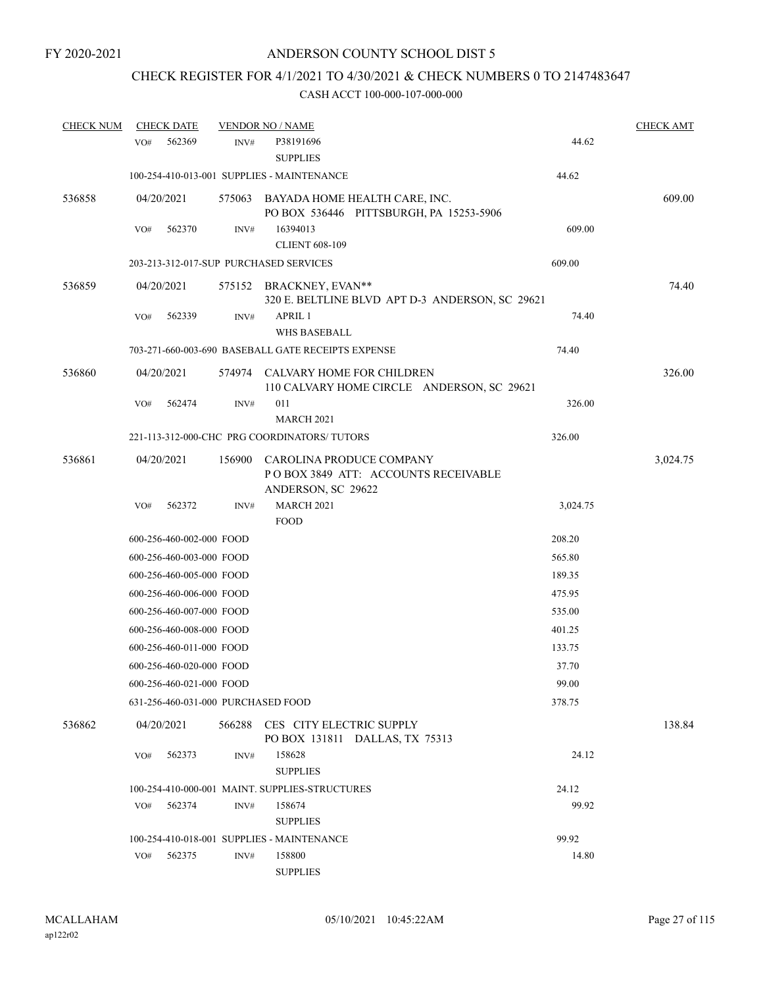# CHECK REGISTER FOR 4/1/2021 TO 4/30/2021 & CHECK NUMBERS 0 TO 2147483647

| <b>CHECK NUM</b> |     | <b>CHECK DATE</b>        |        | <b>VENDOR NO / NAME</b>                                                               |          | <b>CHECK AMT</b> |
|------------------|-----|--------------------------|--------|---------------------------------------------------------------------------------------|----------|------------------|
|                  | VO# | 562369                   | INV#   | P38191696<br><b>SUPPLIES</b>                                                          | 44.62    |                  |
|                  |     |                          |        | 100-254-410-013-001 SUPPLIES - MAINTENANCE                                            | 44.62    |                  |
| 536858           |     | 04/20/2021               | 575063 | BAYADA HOME HEALTH CARE, INC.<br>PO BOX 536446 PITTSBURGH, PA 15253-5906              |          | 609.00           |
|                  | VO# | 562370                   | INV#   | 16394013<br><b>CLIENT 608-109</b>                                                     | 609.00   |                  |
|                  |     |                          |        | 203-213-312-017-SUP PURCHASED SERVICES                                                | 609.00   |                  |
| 536859           |     | 04/20/2021               | 575152 | BRACKNEY, EVAN**<br>320 E. BELTLINE BLVD APT D-3 ANDERSON, SC 29621                   |          | 74.40            |
|                  | VO# | 562339                   | INV#   | APRIL 1<br><b>WHS BASEBALL</b>                                                        | 74.40    |                  |
|                  |     |                          |        | 703-271-660-003-690 BASEBALL GATE RECEIPTS EXPENSE                                    | 74.40    |                  |
| 536860           |     | 04/20/2021               |        | 574974 CALVARY HOME FOR CHILDREN<br>110 CALVARY HOME CIRCLE ANDERSON, SC 29621        |          | 326.00           |
|                  | VO# | 562474                   | INV#   | 011<br><b>MARCH 2021</b>                                                              | 326.00   |                  |
|                  |     |                          |        | 221-113-312-000-CHC PRG COORDINATORS/ TUTORS                                          | 326.00   |                  |
| 536861           |     | 04/20/2021               | 156900 | CAROLINA PRODUCE COMPANY<br>POBOX 3849 ATT: ACCOUNTS RECEIVABLE<br>ANDERSON, SC 29622 |          | 3,024.75         |
|                  | VO# | 562372                   | INV#   | <b>MARCH 2021</b><br><b>FOOD</b>                                                      | 3,024.75 |                  |
|                  |     | 600-256-460-002-000 FOOD |        |                                                                                       | 208.20   |                  |
|                  |     | 600-256-460-003-000 FOOD |        |                                                                                       | 565.80   |                  |
|                  |     | 600-256-460-005-000 FOOD |        |                                                                                       | 189.35   |                  |
|                  |     | 600-256-460-006-000 FOOD |        |                                                                                       | 475.95   |                  |
|                  |     | 600-256-460-007-000 FOOD |        |                                                                                       | 535.00   |                  |
|                  |     | 600-256-460-008-000 FOOD |        |                                                                                       | 401.25   |                  |
|                  |     | 600-256-460-011-000 FOOD |        |                                                                                       | 133.75   |                  |
|                  |     | 600-256-460-020-000 FOOD |        |                                                                                       | 37.70    |                  |
|                  |     | 600-256-460-021-000 FOOD |        |                                                                                       | 99.00    |                  |
|                  |     |                          |        | 631-256-460-031-000 PURCHASED FOOD                                                    | 378.75   |                  |
| 536862           |     | 04/20/2021               |        | 566288 CES CITY ELECTRIC SUPPLY<br>PO BOX 131811 DALLAS, TX 75313                     |          | 138.84           |
|                  | VO# | 562373                   | INV#   | 158628<br><b>SUPPLIES</b>                                                             | 24.12    |                  |
|                  |     |                          |        | 100-254-410-000-001 MAINT. SUPPLIES-STRUCTURES                                        | 24.12    |                  |
|                  | VO# | 562374                   | INV#   | 158674<br><b>SUPPLIES</b>                                                             | 99.92    |                  |
|                  |     |                          |        | 100-254-410-018-001 SUPPLIES - MAINTENANCE                                            | 99.92    |                  |
|                  | VO# | 562375                   | INV#   | 158800<br><b>SUPPLIES</b>                                                             | 14.80    |                  |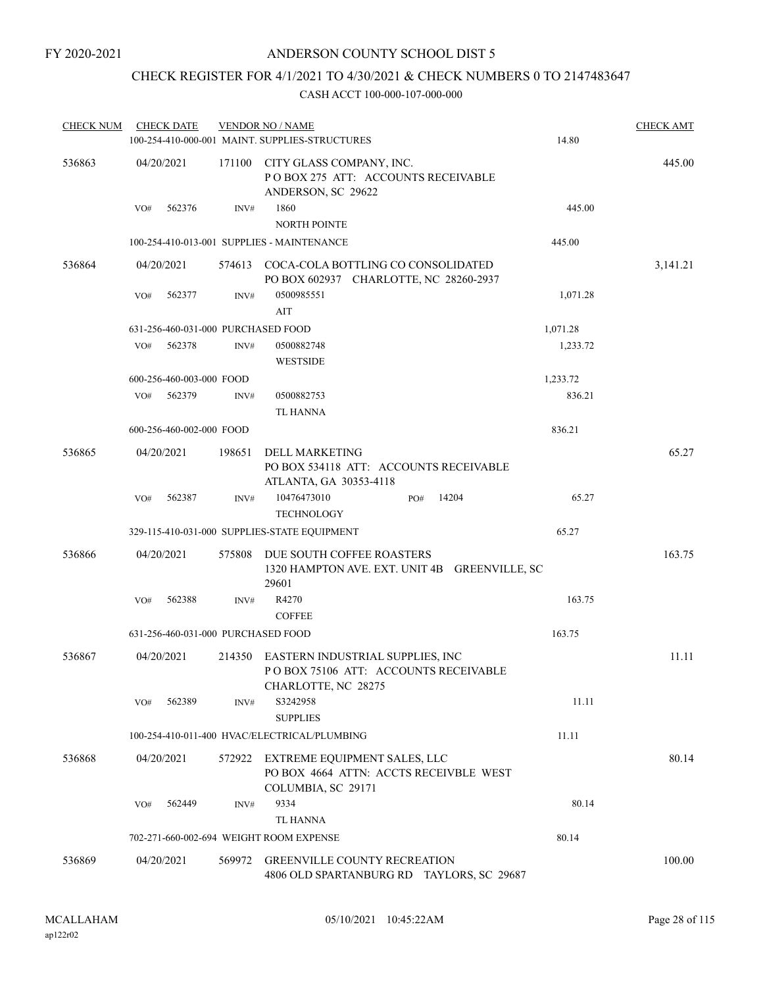# CHECK REGISTER FOR 4/1/2021 TO 4/30/2021 & CHECK NUMBERS 0 TO 2147483647

| <b>CHECK NUM</b> | <b>CHECK DATE</b>                  |        | <b>VENDOR NO / NAME</b>                                                                         |          | <b>CHECK AMT</b> |
|------------------|------------------------------------|--------|-------------------------------------------------------------------------------------------------|----------|------------------|
|                  |                                    |        | 100-254-410-000-001 MAINT. SUPPLIES-STRUCTURES                                                  | 14.80    |                  |
| 536863           | 04/20/2021                         | 171100 | CITY GLASS COMPANY, INC.<br>POBOX 275 ATT: ACCOUNTS RECEIVABLE<br>ANDERSON, SC 29622            |          | 445.00           |
|                  | 562376<br>VO#                      | INV#   | 1860<br><b>NORTH POINTE</b>                                                                     | 445.00   |                  |
|                  |                                    |        | 100-254-410-013-001 SUPPLIES - MAINTENANCE                                                      | 445.00   |                  |
| 536864           | 04/20/2021                         |        | 574613 COCA-COLA BOTTLING CO CONSOLIDATED<br>PO BOX 602937 CHARLOTTE, NC 28260-2937             |          | 3,141.21         |
|                  | 562377<br>VO#                      | INV#   | 0500985551<br>AIT                                                                               | 1,071.28 |                  |
|                  | 631-256-460-031-000 PURCHASED FOOD |        |                                                                                                 | 1,071.28 |                  |
|                  | 562378<br>VO#                      | INV#   | 0500882748<br><b>WESTSIDE</b>                                                                   | 1,233.72 |                  |
|                  | 600-256-460-003-000 FOOD           |        |                                                                                                 | 1,233.72 |                  |
|                  | 562379<br>VO#                      | INV#   | 0500882753<br><b>TL HANNA</b>                                                                   | 836.21   |                  |
|                  | 600-256-460-002-000 FOOD           |        |                                                                                                 | 836.21   |                  |
| 536865           | 04/20/2021                         | 198651 | <b>DELL MARKETING</b><br>PO BOX 534118 ATT: ACCOUNTS RECEIVABLE                                 |          | 65.27            |
|                  | 562387<br>VO#                      | INV#   | ATLANTA, GA 30353-4118<br>10476473010<br>14204<br>PO#<br><b>TECHNOLOGY</b>                      | 65.27    |                  |
|                  |                                    |        | 329-115-410-031-000 SUPPLIES-STATE EQUIPMENT                                                    | 65.27    |                  |
| 536866           | 04/20/2021                         | 575808 | DUE SOUTH COFFEE ROASTERS<br>1320 HAMPTON AVE. EXT. UNIT 4B GREENVILLE, SC<br>29601             |          | 163.75           |
|                  | 562388<br>VO#                      | INV#   | R4270<br><b>COFFEE</b>                                                                          | 163.75   |                  |
|                  | 631-256-460-031-000 PURCHASED FOOD |        |                                                                                                 | 163.75   |                  |
| 536867           | 04/20/2021                         | 214350 | EASTERN INDUSTRIAL SUPPLIES, INC<br>POBOX 75106 ATT: ACCOUNTS RECEIVABLE<br>CHARLOTTE, NC 28275 |          | 11.11            |
|                  | 562389<br>VO#                      | INV#   | S3242958<br><b>SUPPLIES</b>                                                                     | 11.11    |                  |
|                  |                                    |        | 100-254-410-011-400 HVAC/ELECTRICAL/PLUMBING                                                    | 11.11    |                  |
| 536868           | 04/20/2021                         | 572922 | EXTREME EQUIPMENT SALES, LLC<br>PO BOX 4664 ATTN: ACCTS RECEIVBLE WEST<br>COLUMBIA, SC 29171    |          | 80.14            |
|                  | 562449<br>VO#                      | INV#   | 9334<br>TL HANNA                                                                                | 80.14    |                  |
|                  |                                    |        | 702-271-660-002-694 WEIGHT ROOM EXPENSE                                                         | 80.14    |                  |
| 536869           | 04/20/2021                         | 569972 | <b>GREENVILLE COUNTY RECREATION</b><br>4806 OLD SPARTANBURG RD TAYLORS, SC 29687                |          | 100.00           |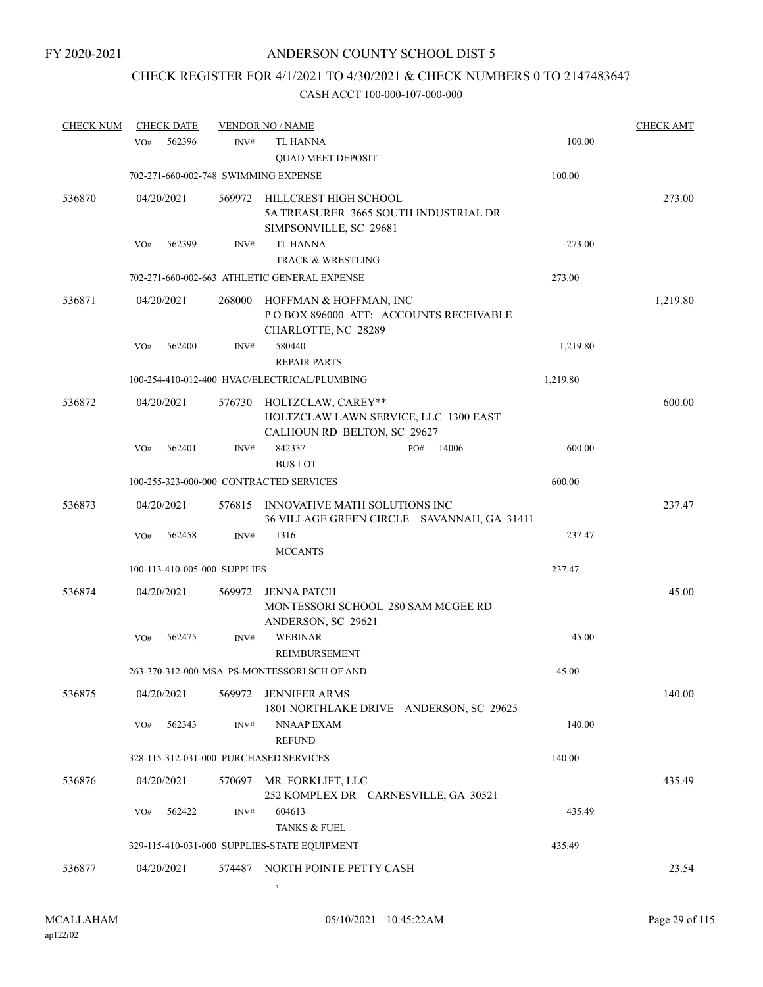# CHECK REGISTER FOR 4/1/2021 TO 4/30/2021 & CHECK NUMBERS 0 TO 2147483647

| <b>CHECK NUM</b> |     | <b>CHECK DATE</b> |                              | <b>VENDOR NO / NAME</b>                                                                    |     |       |          | <b>CHECK AMT</b> |
|------------------|-----|-------------------|------------------------------|--------------------------------------------------------------------------------------------|-----|-------|----------|------------------|
|                  | VO# | 562396            | INV#                         | <b>TL HANNA</b><br><b>QUAD MEET DEPOSIT</b>                                                |     |       | 100.00   |                  |
|                  |     |                   |                              | 702-271-660-002-748 SWIMMING EXPENSE                                                       |     |       | 100.00   |                  |
| 536870           |     | 04/20/2021        | 569972                       | HILLCREST HIGH SCHOOL<br>5A TREASURER 3665 SOUTH INDUSTRIAL DR<br>SIMPSONVILLE, SC 29681   |     |       |          | 273.00           |
|                  | VO# | 562399            | INV#                         | <b>TL HANNA</b>                                                                            |     |       | 273.00   |                  |
|                  |     |                   |                              | <b>TRACK &amp; WRESTLING</b>                                                               |     |       |          |                  |
|                  |     |                   |                              | 702-271-660-002-663 ATHLETIC GENERAL EXPENSE                                               |     |       | 273.00   |                  |
| 536871           |     | 04/20/2021        | 268000                       | HOFFMAN & HOFFMAN, INC<br>PO BOX 896000 ATT: ACCOUNTS RECEIVABLE<br>CHARLOTTE, NC 28289    |     |       |          | 1,219.80         |
|                  | VO# | 562400            | INV#                         | 580440                                                                                     |     |       | 1,219.80 |                  |
|                  |     |                   |                              | <b>REPAIR PARTS</b>                                                                        |     |       |          |                  |
|                  |     |                   |                              | 100-254-410-012-400 HVAC/ELECTRICAL/PLUMBING                                               |     |       | 1,219.80 |                  |
| 536872           |     | 04/20/2021        | 576730                       | HOLTZCLAW, CAREY**<br>HOLTZCLAW LAWN SERVICE, LLC 1300 EAST<br>CALHOUN RD BELTON, SC 29627 |     |       |          | 600.00           |
|                  | VO# | 562401            | INV#                         | 842337<br><b>BUS LOT</b>                                                                   | PO# | 14006 | 600.00   |                  |
|                  |     |                   |                              | 100-255-323-000-000 CONTRACTED SERVICES                                                    |     |       | 600.00   |                  |
| 536873           |     | 04/20/2021        | 576815                       | INNOVATIVE MATH SOLUTIONS INC<br>36 VILLAGE GREEN CIRCLE SAVANNAH, GA 31411                |     |       |          | 237.47           |
|                  | VO# | 562458            | INV#                         | 1316                                                                                       |     |       | 237.47   |                  |
|                  |     |                   |                              | <b>MCCANTS</b>                                                                             |     |       |          |                  |
|                  |     |                   | 100-113-410-005-000 SUPPLIES |                                                                                            |     |       | 237.47   |                  |
| 536874           |     | 04/20/2021        | 569972                       | <b>JENNA PATCH</b><br>MONTESSORI SCHOOL 280 SAM MCGEE RD<br>ANDERSON, SC 29621             |     |       |          | 45.00            |
|                  | VO# | 562475            | INV#                         | <b>WEBINAR</b><br>REIMBURSEMENT                                                            |     |       | 45.00    |                  |
|                  |     |                   |                              | 263-370-312-000-MSA PS-MONTESSORI SCH OF AND                                               |     |       | 45.00    |                  |
| 536875           |     | 04/20/2021        | 569972                       | <b>JENNIFER ARMS</b><br>1801 NORTHLAKE DRIVE ANDERSON, SC 29625                            |     |       |          | 140.00           |
|                  | VO# | 562343            | INV#                         | NNAAP EXAM<br><b>REFUND</b>                                                                |     |       | 140.00   |                  |
|                  |     |                   |                              | 328-115-312-031-000 PURCHASED SERVICES                                                     |     |       | 140.00   |                  |
| 536876           |     | 04/20/2021        | 570697                       | MR. FORKLIFT, LLC                                                                          |     |       |          | 435.49           |
|                  |     |                   |                              | 252 KOMPLEX DR CARNESVILLE, GA 30521                                                       |     |       |          |                  |
|                  | VO# | 562422            | INV#                         | 604613                                                                                     |     |       | 435.49   |                  |
|                  |     |                   |                              | TANKS & FUEL                                                                               |     |       |          |                  |
|                  |     |                   |                              | 329-115-410-031-000 SUPPLIES-STATE EQUIPMENT                                               |     |       | 435.49   |                  |
| 536877           |     | 04/20/2021        |                              | 574487 NORTH POINTE PETTY CASH                                                             |     |       |          | 23.54            |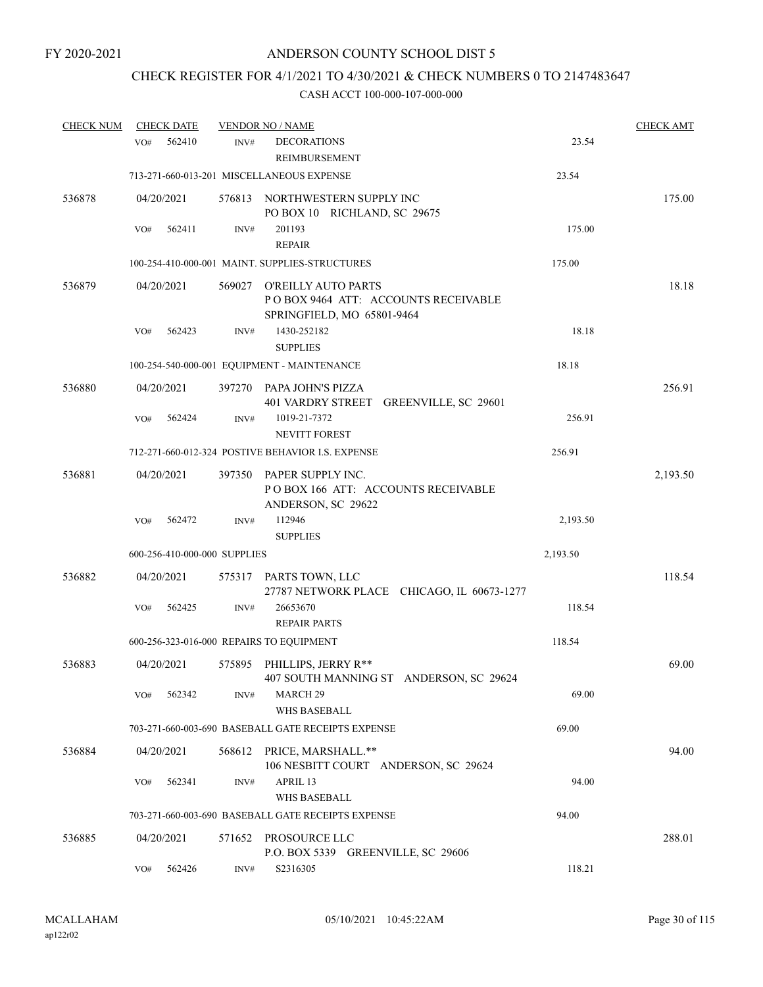# CHECK REGISTER FOR 4/1/2021 TO 4/30/2021 & CHECK NUMBERS 0 TO 2147483647

| <b>CHECK NUM</b> |     | <b>CHECK DATE</b> |                              | <b>VENDOR NO / NAME</b>                                                                  |          | <b>CHECK AMT</b> |
|------------------|-----|-------------------|------------------------------|------------------------------------------------------------------------------------------|----------|------------------|
|                  | VO# | 562410            | INV#                         | <b>DECORATIONS</b><br>REIMBURSEMENT                                                      | 23.54    |                  |
|                  |     |                   |                              | 713-271-660-013-201 MISCELLANEOUS EXPENSE                                                | 23.54    |                  |
| 536878           |     | 04/20/2021        |                              | 576813 NORTHWESTERN SUPPLY INC<br>PO BOX 10 RICHLAND, SC 29675                           |          | 175.00           |
|                  | VO# | 562411            | INV#                         | 201193<br><b>REPAIR</b>                                                                  | 175.00   |                  |
|                  |     |                   |                              | 100-254-410-000-001 MAINT. SUPPLIES-STRUCTURES                                           | 175.00   |                  |
| 536879           |     | 04/20/2021        | 569027                       | O'REILLY AUTO PARTS<br>POBOX 9464 ATT: ACCOUNTS RECEIVABLE<br>SPRINGFIELD, MO 65801-9464 |          | 18.18            |
|                  | VO# | 562423            | INV#                         | 1430-252182<br><b>SUPPLIES</b>                                                           | 18.18    |                  |
|                  |     |                   |                              | 100-254-540-000-001 EQUIPMENT - MAINTENANCE                                              | 18.18    |                  |
| 536880           |     | 04/20/2021        | 397270                       | PAPA JOHN'S PIZZA<br>401 VARDRY STREET GREENVILLE, SC 29601                              |          | 256.91           |
|                  | VO# | 562424            | INV#                         | 1019-21-7372<br><b>NEVITT FOREST</b>                                                     | 256.91   |                  |
|                  |     |                   |                              | 712-271-660-012-324 POSTIVE BEHAVIOR I.S. EXPENSE                                        | 256.91   |                  |
| 536881           |     | 04/20/2021        | 397350                       | PAPER SUPPLY INC.<br>POBOX 166 ATT: ACCOUNTS RECEIVABLE<br>ANDERSON, SC 29622            |          | 2,193.50         |
|                  | VO# | 562472            | INV#                         | 112946<br><b>SUPPLIES</b>                                                                | 2,193.50 |                  |
|                  |     |                   | 600-256-410-000-000 SUPPLIES |                                                                                          | 2,193.50 |                  |
| 536882           |     | 04/20/2021        |                              | 575317 PARTS TOWN, LLC<br>27787 NETWORK PLACE CHICAGO, IL 60673-1277                     |          | 118.54           |
|                  | VO# | 562425            | INV#                         | 26653670<br><b>REPAIR PARTS</b>                                                          | 118.54   |                  |
|                  |     |                   |                              | 600-256-323-016-000 REPAIRS TO EQUIPMENT                                                 | 118.54   |                  |
| 536883           |     | 04/20/2021        |                              | 575895 PHILLIPS, JERRY R**<br>407 SOUTH MANNING ST ANDERSON, SC 29624                    |          | 69.00            |
|                  | VO# | 562342            | INV#                         | MARCH <sub>29</sub><br><b>WHS BASEBALL</b>                                               | 69.00    |                  |
|                  |     |                   |                              | 703-271-660-003-690 BASEBALL GATE RECEIPTS EXPENSE                                       | 69.00    |                  |
| 536884           |     | 04/20/2021        |                              | 568612 PRICE, MARSHALL.**<br>106 NESBITT COURT ANDERSON, SC 29624                        |          | 94.00            |
|                  | VO# | 562341            | INV#                         | APRIL 13<br>WHS BASEBALL                                                                 | 94.00    |                  |
|                  |     |                   |                              | 703-271-660-003-690 BASEBALL GATE RECEIPTS EXPENSE                                       | 94.00    |                  |
| 536885           |     | 04/20/2021        | 571652                       | PROSOURCE LLC<br>P.O. BOX 5339 GREENVILLE, SC 29606                                      |          | 288.01           |
|                  | VO# | 562426            | INV#                         | S2316305                                                                                 | 118.21   |                  |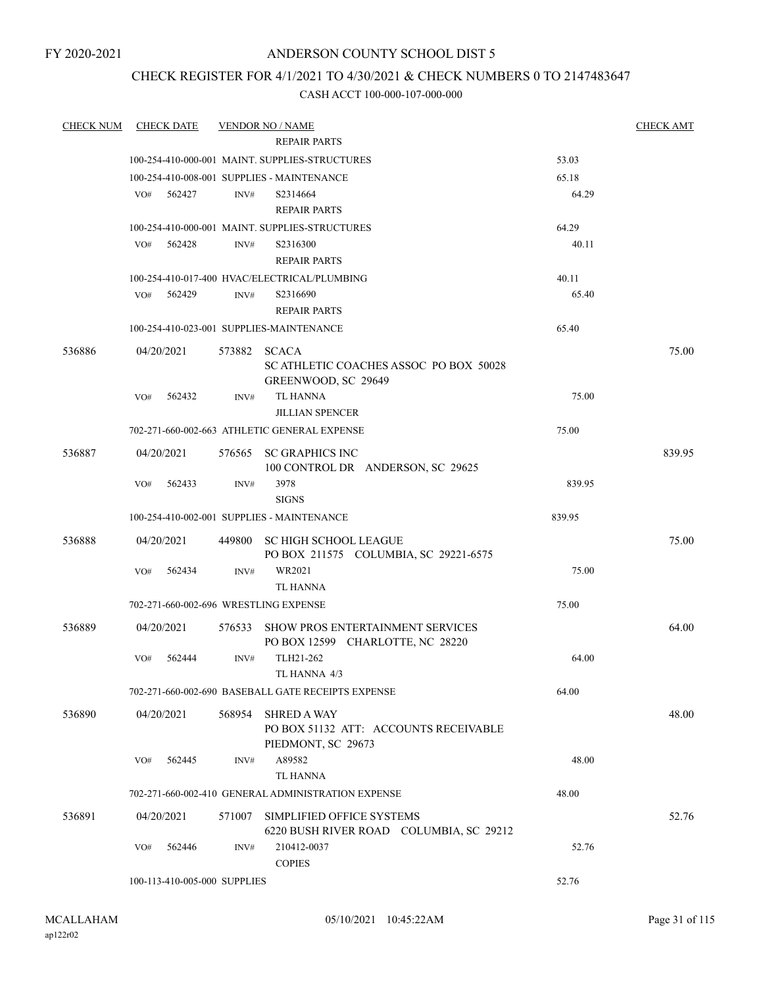FY 2020-2021

### ANDERSON COUNTY SCHOOL DIST 5

### CHECK REGISTER FOR 4/1/2021 TO 4/30/2021 & CHECK NUMBERS 0 TO 2147483647

| <b>REPAIR PARTS</b><br>100-254-410-000-001 MAINT, SUPPLIES-STRUCTURES<br>53.03<br>100-254-410-008-001 SUPPLIES - MAINTENANCE<br>65.18<br>64.29<br>VO#<br>562427<br>INV#<br>S2314664<br><b>REPAIR PARTS</b><br>64.29<br>100-254-410-000-001 MAINT. SUPPLIES-STRUCTURES<br>40.11<br>562428<br>S2316300<br>VO#<br>INV#<br><b>REPAIR PARTS</b><br>100-254-410-017-400 HVAC/ELECTRICAL/PLUMBING<br>40.11<br>65.40<br>562429<br>S2316690<br>VO#<br>INV#<br><b>REPAIR PARTS</b><br>100-254-410-023-001 SUPPLIES-MAINTENANCE<br>65.40<br>75.00<br>536886<br>04/20/2021<br>573882 SCACA<br>SC ATHLETIC COACHES ASSOC PO BOX 50028<br>GREENWOOD, SC 29649<br><b>TL HANNA</b><br>75.00<br>VO#<br>562432<br>INV#<br><b>JILLIAN SPENCER</b><br>702-271-660-002-663 ATHLETIC GENERAL EXPENSE<br>75.00<br>576565 SC GRAPHICS INC<br>839.95<br>536887<br>04/20/2021<br>100 CONTROL DR ANDERSON, SC 29625<br>3978<br>839.95<br>562433<br>VO#<br>INV#<br><b>SIGNS</b><br>100-254-410-002-001 SUPPLIES - MAINTENANCE<br>839.95<br>536888<br>04/20/2021<br>75.00<br>449800 SC HIGH SCHOOL LEAGUE<br>PO BOX 211575 COLUMBIA, SC 29221-6575<br>WR2021<br>75.00<br>VO#<br>562434<br>INV#<br>TL HANNA<br>702-271-660-002-696 WRESTLING EXPENSE<br>75.00<br>04/20/2021<br>576533 SHOW PROS ENTERTAINMENT SERVICES<br>64.00<br>536889<br>PO BOX 12599 CHARLOTTE, NC 28220<br>TLH21-262<br>562444<br>64.00<br>VO#<br>INV#<br>TL HANNA 4/3<br>64.00<br>702-271-660-002-690 BASEBALL GATE RECEIPTS EXPENSE<br>536890<br>04/20/2021<br>568954<br><b>SHRED A WAY</b><br>48.00<br>PO BOX 51132 ATT: ACCOUNTS RECEIVABLE<br>PIEDMONT, SC 29673<br>A89582<br>48.00<br>562445<br>VO#<br>INV#<br><b>TL HANNA</b><br>702-271-660-002-410 GENERAL ADMINISTRATION EXPENSE<br>48.00<br>536891<br>SIMPLIFIED OFFICE SYSTEMS<br>52.76<br>04/20/2021<br>571007<br>6220 BUSH RIVER ROAD COLUMBIA, SC 29212<br>VO#<br>562446<br>INV#<br>210412-0037<br>52.76<br><b>COPIES</b><br>52.76<br>100-113-410-005-000 SUPPLIES | <b>CHECK NUM</b> | CHECK DATE | <b>VENDOR NO / NAME</b> | <b>CHECK AMT</b> |
|---------------------------------------------------------------------------------------------------------------------------------------------------------------------------------------------------------------------------------------------------------------------------------------------------------------------------------------------------------------------------------------------------------------------------------------------------------------------------------------------------------------------------------------------------------------------------------------------------------------------------------------------------------------------------------------------------------------------------------------------------------------------------------------------------------------------------------------------------------------------------------------------------------------------------------------------------------------------------------------------------------------------------------------------------------------------------------------------------------------------------------------------------------------------------------------------------------------------------------------------------------------------------------------------------------------------------------------------------------------------------------------------------------------------------------------------------------------------------------------------------------------------------------------------------------------------------------------------------------------------------------------------------------------------------------------------------------------------------------------------------------------------------------------------------------------------------------------------------------------------------------------------------------------------------------------------------------------------------|------------------|------------|-------------------------|------------------|
|                                                                                                                                                                                                                                                                                                                                                                                                                                                                                                                                                                                                                                                                                                                                                                                                                                                                                                                                                                                                                                                                                                                                                                                                                                                                                                                                                                                                                                                                                                                                                                                                                                                                                                                                                                                                                                                                                                                                                                           |                  |            |                         |                  |
|                                                                                                                                                                                                                                                                                                                                                                                                                                                                                                                                                                                                                                                                                                                                                                                                                                                                                                                                                                                                                                                                                                                                                                                                                                                                                                                                                                                                                                                                                                                                                                                                                                                                                                                                                                                                                                                                                                                                                                           |                  |            |                         |                  |
|                                                                                                                                                                                                                                                                                                                                                                                                                                                                                                                                                                                                                                                                                                                                                                                                                                                                                                                                                                                                                                                                                                                                                                                                                                                                                                                                                                                                                                                                                                                                                                                                                                                                                                                                                                                                                                                                                                                                                                           |                  |            |                         |                  |
|                                                                                                                                                                                                                                                                                                                                                                                                                                                                                                                                                                                                                                                                                                                                                                                                                                                                                                                                                                                                                                                                                                                                                                                                                                                                                                                                                                                                                                                                                                                                                                                                                                                                                                                                                                                                                                                                                                                                                                           |                  |            |                         |                  |
|                                                                                                                                                                                                                                                                                                                                                                                                                                                                                                                                                                                                                                                                                                                                                                                                                                                                                                                                                                                                                                                                                                                                                                                                                                                                                                                                                                                                                                                                                                                                                                                                                                                                                                                                                                                                                                                                                                                                                                           |                  |            |                         |                  |
|                                                                                                                                                                                                                                                                                                                                                                                                                                                                                                                                                                                                                                                                                                                                                                                                                                                                                                                                                                                                                                                                                                                                                                                                                                                                                                                                                                                                                                                                                                                                                                                                                                                                                                                                                                                                                                                                                                                                                                           |                  |            |                         |                  |
|                                                                                                                                                                                                                                                                                                                                                                                                                                                                                                                                                                                                                                                                                                                                                                                                                                                                                                                                                                                                                                                                                                                                                                                                                                                                                                                                                                                                                                                                                                                                                                                                                                                                                                                                                                                                                                                                                                                                                                           |                  |            |                         |                  |
|                                                                                                                                                                                                                                                                                                                                                                                                                                                                                                                                                                                                                                                                                                                                                                                                                                                                                                                                                                                                                                                                                                                                                                                                                                                                                                                                                                                                                                                                                                                                                                                                                                                                                                                                                                                                                                                                                                                                                                           |                  |            |                         |                  |
|                                                                                                                                                                                                                                                                                                                                                                                                                                                                                                                                                                                                                                                                                                                                                                                                                                                                                                                                                                                                                                                                                                                                                                                                                                                                                                                                                                                                                                                                                                                                                                                                                                                                                                                                                                                                                                                                                                                                                                           |                  |            |                         |                  |
|                                                                                                                                                                                                                                                                                                                                                                                                                                                                                                                                                                                                                                                                                                                                                                                                                                                                                                                                                                                                                                                                                                                                                                                                                                                                                                                                                                                                                                                                                                                                                                                                                                                                                                                                                                                                                                                                                                                                                                           |                  |            |                         |                  |
|                                                                                                                                                                                                                                                                                                                                                                                                                                                                                                                                                                                                                                                                                                                                                                                                                                                                                                                                                                                                                                                                                                                                                                                                                                                                                                                                                                                                                                                                                                                                                                                                                                                                                                                                                                                                                                                                                                                                                                           |                  |            |                         |                  |
|                                                                                                                                                                                                                                                                                                                                                                                                                                                                                                                                                                                                                                                                                                                                                                                                                                                                                                                                                                                                                                                                                                                                                                                                                                                                                                                                                                                                                                                                                                                                                                                                                                                                                                                                                                                                                                                                                                                                                                           |                  |            |                         |                  |
|                                                                                                                                                                                                                                                                                                                                                                                                                                                                                                                                                                                                                                                                                                                                                                                                                                                                                                                                                                                                                                                                                                                                                                                                                                                                                                                                                                                                                                                                                                                                                                                                                                                                                                                                                                                                                                                                                                                                                                           |                  |            |                         |                  |
|                                                                                                                                                                                                                                                                                                                                                                                                                                                                                                                                                                                                                                                                                                                                                                                                                                                                                                                                                                                                                                                                                                                                                                                                                                                                                                                                                                                                                                                                                                                                                                                                                                                                                                                                                                                                                                                                                                                                                                           |                  |            |                         |                  |
|                                                                                                                                                                                                                                                                                                                                                                                                                                                                                                                                                                                                                                                                                                                                                                                                                                                                                                                                                                                                                                                                                                                                                                                                                                                                                                                                                                                                                                                                                                                                                                                                                                                                                                                                                                                                                                                                                                                                                                           |                  |            |                         |                  |
|                                                                                                                                                                                                                                                                                                                                                                                                                                                                                                                                                                                                                                                                                                                                                                                                                                                                                                                                                                                                                                                                                                                                                                                                                                                                                                                                                                                                                                                                                                                                                                                                                                                                                                                                                                                                                                                                                                                                                                           |                  |            |                         |                  |
|                                                                                                                                                                                                                                                                                                                                                                                                                                                                                                                                                                                                                                                                                                                                                                                                                                                                                                                                                                                                                                                                                                                                                                                                                                                                                                                                                                                                                                                                                                                                                                                                                                                                                                                                                                                                                                                                                                                                                                           |                  |            |                         |                  |
|                                                                                                                                                                                                                                                                                                                                                                                                                                                                                                                                                                                                                                                                                                                                                                                                                                                                                                                                                                                                                                                                                                                                                                                                                                                                                                                                                                                                                                                                                                                                                                                                                                                                                                                                                                                                                                                                                                                                                                           |                  |            |                         |                  |
|                                                                                                                                                                                                                                                                                                                                                                                                                                                                                                                                                                                                                                                                                                                                                                                                                                                                                                                                                                                                                                                                                                                                                                                                                                                                                                                                                                                                                                                                                                                                                                                                                                                                                                                                                                                                                                                                                                                                                                           |                  |            |                         |                  |
|                                                                                                                                                                                                                                                                                                                                                                                                                                                                                                                                                                                                                                                                                                                                                                                                                                                                                                                                                                                                                                                                                                                                                                                                                                                                                                                                                                                                                                                                                                                                                                                                                                                                                                                                                                                                                                                                                                                                                                           |                  |            |                         |                  |
|                                                                                                                                                                                                                                                                                                                                                                                                                                                                                                                                                                                                                                                                                                                                                                                                                                                                                                                                                                                                                                                                                                                                                                                                                                                                                                                                                                                                                                                                                                                                                                                                                                                                                                                                                                                                                                                                                                                                                                           |                  |            |                         |                  |
|                                                                                                                                                                                                                                                                                                                                                                                                                                                                                                                                                                                                                                                                                                                                                                                                                                                                                                                                                                                                                                                                                                                                                                                                                                                                                                                                                                                                                                                                                                                                                                                                                                                                                                                                                                                                                                                                                                                                                                           |                  |            |                         |                  |
|                                                                                                                                                                                                                                                                                                                                                                                                                                                                                                                                                                                                                                                                                                                                                                                                                                                                                                                                                                                                                                                                                                                                                                                                                                                                                                                                                                                                                                                                                                                                                                                                                                                                                                                                                                                                                                                                                                                                                                           |                  |            |                         |                  |
|                                                                                                                                                                                                                                                                                                                                                                                                                                                                                                                                                                                                                                                                                                                                                                                                                                                                                                                                                                                                                                                                                                                                                                                                                                                                                                                                                                                                                                                                                                                                                                                                                                                                                                                                                                                                                                                                                                                                                                           |                  |            |                         |                  |
|                                                                                                                                                                                                                                                                                                                                                                                                                                                                                                                                                                                                                                                                                                                                                                                                                                                                                                                                                                                                                                                                                                                                                                                                                                                                                                                                                                                                                                                                                                                                                                                                                                                                                                                                                                                                                                                                                                                                                                           |                  |            |                         |                  |
|                                                                                                                                                                                                                                                                                                                                                                                                                                                                                                                                                                                                                                                                                                                                                                                                                                                                                                                                                                                                                                                                                                                                                                                                                                                                                                                                                                                                                                                                                                                                                                                                                                                                                                                                                                                                                                                                                                                                                                           |                  |            |                         |                  |
|                                                                                                                                                                                                                                                                                                                                                                                                                                                                                                                                                                                                                                                                                                                                                                                                                                                                                                                                                                                                                                                                                                                                                                                                                                                                                                                                                                                                                                                                                                                                                                                                                                                                                                                                                                                                                                                                                                                                                                           |                  |            |                         |                  |
|                                                                                                                                                                                                                                                                                                                                                                                                                                                                                                                                                                                                                                                                                                                                                                                                                                                                                                                                                                                                                                                                                                                                                                                                                                                                                                                                                                                                                                                                                                                                                                                                                                                                                                                                                                                                                                                                                                                                                                           |                  |            |                         |                  |
|                                                                                                                                                                                                                                                                                                                                                                                                                                                                                                                                                                                                                                                                                                                                                                                                                                                                                                                                                                                                                                                                                                                                                                                                                                                                                                                                                                                                                                                                                                                                                                                                                                                                                                                                                                                                                                                                                                                                                                           |                  |            |                         |                  |
|                                                                                                                                                                                                                                                                                                                                                                                                                                                                                                                                                                                                                                                                                                                                                                                                                                                                                                                                                                                                                                                                                                                                                                                                                                                                                                                                                                                                                                                                                                                                                                                                                                                                                                                                                                                                                                                                                                                                                                           |                  |            |                         |                  |
|                                                                                                                                                                                                                                                                                                                                                                                                                                                                                                                                                                                                                                                                                                                                                                                                                                                                                                                                                                                                                                                                                                                                                                                                                                                                                                                                                                                                                                                                                                                                                                                                                                                                                                                                                                                                                                                                                                                                                                           |                  |            |                         |                  |
|                                                                                                                                                                                                                                                                                                                                                                                                                                                                                                                                                                                                                                                                                                                                                                                                                                                                                                                                                                                                                                                                                                                                                                                                                                                                                                                                                                                                                                                                                                                                                                                                                                                                                                                                                                                                                                                                                                                                                                           |                  |            |                         |                  |
|                                                                                                                                                                                                                                                                                                                                                                                                                                                                                                                                                                                                                                                                                                                                                                                                                                                                                                                                                                                                                                                                                                                                                                                                                                                                                                                                                                                                                                                                                                                                                                                                                                                                                                                                                                                                                                                                                                                                                                           |                  |            |                         |                  |
|                                                                                                                                                                                                                                                                                                                                                                                                                                                                                                                                                                                                                                                                                                                                                                                                                                                                                                                                                                                                                                                                                                                                                                                                                                                                                                                                                                                                                                                                                                                                                                                                                                                                                                                                                                                                                                                                                                                                                                           |                  |            |                         |                  |
|                                                                                                                                                                                                                                                                                                                                                                                                                                                                                                                                                                                                                                                                                                                                                                                                                                                                                                                                                                                                                                                                                                                                                                                                                                                                                                                                                                                                                                                                                                                                                                                                                                                                                                                                                                                                                                                                                                                                                                           |                  |            |                         |                  |
|                                                                                                                                                                                                                                                                                                                                                                                                                                                                                                                                                                                                                                                                                                                                                                                                                                                                                                                                                                                                                                                                                                                                                                                                                                                                                                                                                                                                                                                                                                                                                                                                                                                                                                                                                                                                                                                                                                                                                                           |                  |            |                         |                  |
|                                                                                                                                                                                                                                                                                                                                                                                                                                                                                                                                                                                                                                                                                                                                                                                                                                                                                                                                                                                                                                                                                                                                                                                                                                                                                                                                                                                                                                                                                                                                                                                                                                                                                                                                                                                                                                                                                                                                                                           |                  |            |                         |                  |
|                                                                                                                                                                                                                                                                                                                                                                                                                                                                                                                                                                                                                                                                                                                                                                                                                                                                                                                                                                                                                                                                                                                                                                                                                                                                                                                                                                                                                                                                                                                                                                                                                                                                                                                                                                                                                                                                                                                                                                           |                  |            |                         |                  |
|                                                                                                                                                                                                                                                                                                                                                                                                                                                                                                                                                                                                                                                                                                                                                                                                                                                                                                                                                                                                                                                                                                                                                                                                                                                                                                                                                                                                                                                                                                                                                                                                                                                                                                                                                                                                                                                                                                                                                                           |                  |            |                         |                  |
|                                                                                                                                                                                                                                                                                                                                                                                                                                                                                                                                                                                                                                                                                                                                                                                                                                                                                                                                                                                                                                                                                                                                                                                                                                                                                                                                                                                                                                                                                                                                                                                                                                                                                                                                                                                                                                                                                                                                                                           |                  |            |                         |                  |
|                                                                                                                                                                                                                                                                                                                                                                                                                                                                                                                                                                                                                                                                                                                                                                                                                                                                                                                                                                                                                                                                                                                                                                                                                                                                                                                                                                                                                                                                                                                                                                                                                                                                                                                                                                                                                                                                                                                                                                           |                  |            |                         |                  |
|                                                                                                                                                                                                                                                                                                                                                                                                                                                                                                                                                                                                                                                                                                                                                                                                                                                                                                                                                                                                                                                                                                                                                                                                                                                                                                                                                                                                                                                                                                                                                                                                                                                                                                                                                                                                                                                                                                                                                                           |                  |            |                         |                  |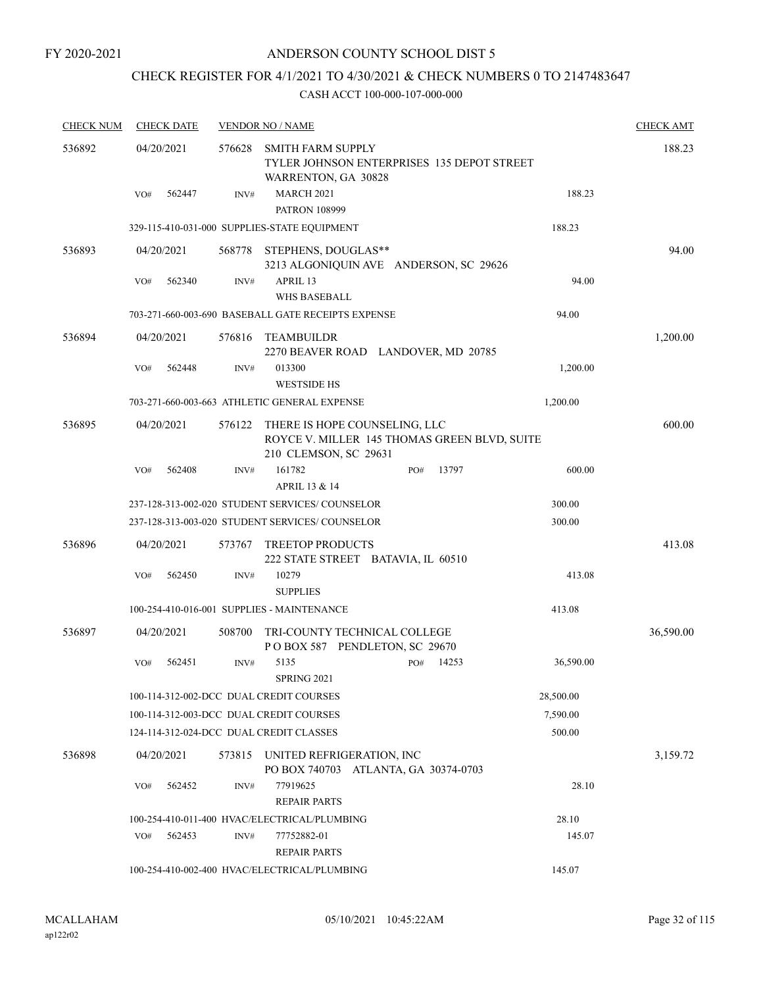# CHECK REGISTER FOR 4/1/2021 TO 4/30/2021 & CHECK NUMBERS 0 TO 2147483647

| <b>CHECK NUM</b> | <b>CHECK DATE</b>                       |        | <b>VENDOR NO / NAME</b>                                                                                |              |           | <b>CHECK AMT</b> |
|------------------|-----------------------------------------|--------|--------------------------------------------------------------------------------------------------------|--------------|-----------|------------------|
| 536892           | 04/20/2021                              | 576628 | <b>SMITH FARM SUPPLY</b><br>TYLER JOHNSON ENTERPRISES 135 DEPOT STREET<br>WARRENTON, GA 30828          |              |           | 188.23           |
|                  | 562447<br>VO#                           | INV#   | <b>MARCH 2021</b><br><b>PATRON 108999</b>                                                              |              | 188.23    |                  |
|                  |                                         |        | 329-115-410-031-000 SUPPLIES-STATE EQUIPMENT                                                           |              | 188.23    |                  |
| 536893           | 04/20/2021                              |        | 568778 STEPHENS, DOUGLAS**<br>3213 ALGONIQUIN AVE ANDERSON, SC 29626                                   |              |           | 94.00            |
|                  | 562340<br>VO#                           | INV#   | APRIL 13<br><b>WHS BASEBALL</b>                                                                        |              | 94.00     |                  |
|                  |                                         |        | 703-271-660-003-690 BASEBALL GATE RECEIPTS EXPENSE                                                     |              | 94.00     |                  |
| 536894           | 04/20/2021                              | 576816 | TEAMBUILDR<br>2270 BEAVER ROAD LANDOVER, MD 20785                                                      |              |           | 1,200.00         |
|                  | VO#<br>562448                           | INV#   | 013300<br><b>WESTSIDE HS</b>                                                                           |              | 1,200.00  |                  |
|                  |                                         |        | 703-271-660-003-663 ATHLETIC GENERAL EXPENSE                                                           |              | 1,200.00  |                  |
| 536895           | 04/20/2021                              | 576122 | THERE IS HOPE COUNSELING, LLC<br>ROYCE V. MILLER 145 THOMAS GREEN BLVD, SUITE<br>210 CLEMSON, SC 29631 |              |           | 600.00           |
|                  | 562408<br>VO#                           | INV#   | 161782<br>APRIL 13 & 14                                                                                | 13797<br>PO# | 600.00    |                  |
|                  |                                         |        | 237-128-313-002-020 STUDENT SERVICES/ COUNSELOR                                                        |              | 300.00    |                  |
|                  |                                         |        | 237-128-313-003-020 STUDENT SERVICES/ COUNSELOR                                                        |              | 300.00    |                  |
| 536896           | 04/20/2021                              | 573767 | <b>TREETOP PRODUCTS</b><br>222 STATE STREET BATAVIA, IL 60510                                          |              |           | 413.08           |
|                  | 562450<br>VO#                           | INV#   | 10279<br><b>SUPPLIES</b>                                                                               |              | 413.08    |                  |
|                  |                                         |        | 100-254-410-016-001 SUPPLIES - MAINTENANCE                                                             |              | 413.08    |                  |
| 536897           | 04/20/2021                              | 508700 | TRI-COUNTY TECHNICAL COLLEGE<br>POBOX 587 PENDLETON, SC 29670                                          |              |           | 36,590.00        |
|                  | 562451<br>VO#                           | INV#   | 5135<br><b>SPRING 2021</b>                                                                             | 14253<br>PO# | 36,590.00 |                  |
|                  |                                         |        | 100-114-312-002-DCC DUAL CREDIT COURSES                                                                |              | 28,500.00 |                  |
|                  |                                         |        | 100-114-312-003-DCC DUAL CREDIT COURSES                                                                |              | 7,590.00  |                  |
|                  | 124-114-312-024-DCC DUAL CREDIT CLASSES |        |                                                                                                        |              | 500.00    |                  |
| 536898           | 04/20/2021                              | 573815 | UNITED REFRIGERATION, INC<br>PO BOX 740703 ATLANTA, GA 30374-0703                                      |              |           | 3,159.72         |
|                  | 562452<br>VO#                           | INV#   | 77919625<br><b>REPAIR PARTS</b>                                                                        |              | 28.10     |                  |
|                  |                                         |        | 100-254-410-011-400 HVAC/ELECTRICAL/PLUMBING                                                           |              | 28.10     |                  |
|                  | 562453<br>VO#                           | INV#   | 77752882-01<br><b>REPAIR PARTS</b>                                                                     |              | 145.07    |                  |
|                  |                                         |        | 100-254-410-002-400 HVAC/ELECTRICAL/PLUMBING                                                           |              | 145.07    |                  |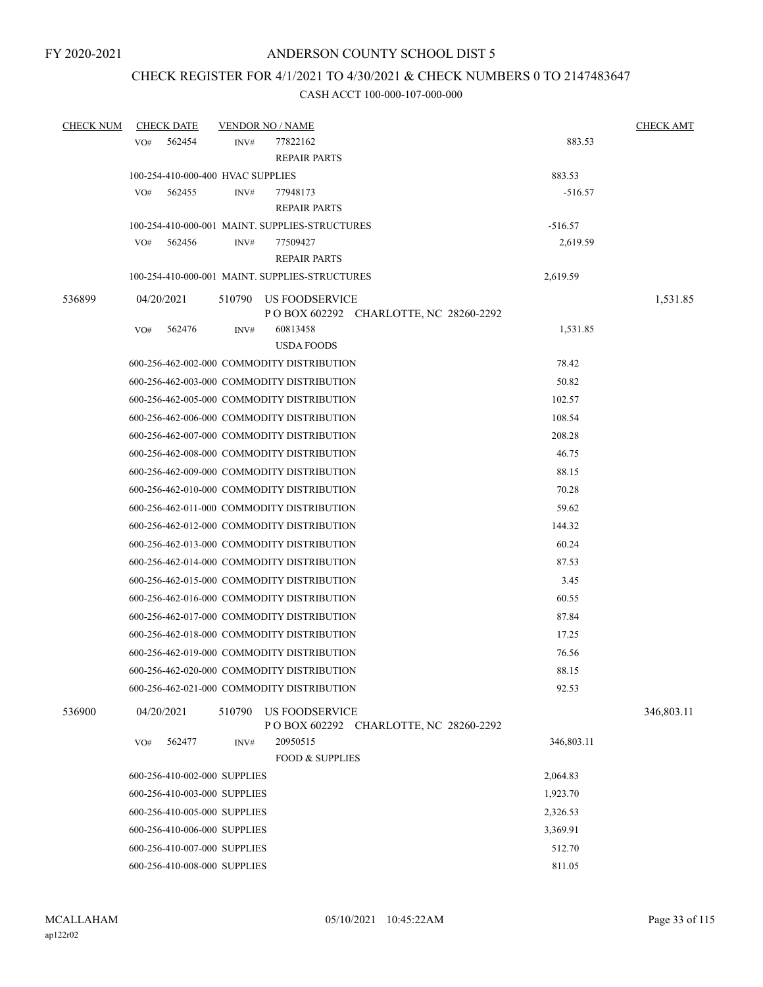### CHECK REGISTER FOR 4/1/2021 TO 4/30/2021 & CHECK NUMBERS 0 TO 2147483647

| <b>CHECK NUM</b> | <b>CHECK DATE</b>                 |        | <b>VENDOR NO / NAME</b>                                          |            | <b>CHECK AMT</b> |
|------------------|-----------------------------------|--------|------------------------------------------------------------------|------------|------------------|
|                  | VO#<br>562454                     | INV#   | 77822162                                                         | 883.53     |                  |
|                  |                                   |        | <b>REPAIR PARTS</b>                                              |            |                  |
|                  | 100-254-410-000-400 HVAC SUPPLIES |        |                                                                  | 883.53     |                  |
|                  | VO#<br>562455                     | INV#   | 77948173                                                         | $-516.57$  |                  |
|                  |                                   |        | <b>REPAIR PARTS</b>                                              |            |                  |
|                  |                                   |        | 100-254-410-000-001 MAINT. SUPPLIES-STRUCTURES                   | $-516.57$  |                  |
|                  | 562456<br>VO#                     | INV#   | 77509427                                                         | 2,619.59   |                  |
|                  |                                   |        | <b>REPAIR PARTS</b>                                              |            |                  |
|                  |                                   |        | 100-254-410-000-001 MAINT. SUPPLIES-STRUCTURES                   | 2,619.59   |                  |
| 536899           | 04/20/2021                        | 510790 | US FOODSERVICE                                                   |            | 1,531.85         |
|                  |                                   |        | P O BOX 602292 CHARLOTTE, NC 28260-2292                          |            |                  |
|                  | 562476<br>VO#                     | INV#   | 60813458                                                         | 1,531.85   |                  |
|                  |                                   |        | <b>USDA FOODS</b>                                                |            |                  |
|                  |                                   |        | 600-256-462-002-000 COMMODITY DISTRIBUTION                       | 78.42      |                  |
|                  |                                   |        | 600-256-462-003-000 COMMODITY DISTRIBUTION                       | 50.82      |                  |
|                  |                                   |        | 600-256-462-005-000 COMMODITY DISTRIBUTION                       | 102.57     |                  |
|                  |                                   |        | 600-256-462-006-000 COMMODITY DISTRIBUTION                       | 108.54     |                  |
|                  |                                   |        | 600-256-462-007-000 COMMODITY DISTRIBUTION                       | 208.28     |                  |
|                  |                                   |        | 600-256-462-008-000 COMMODITY DISTRIBUTION                       | 46.75      |                  |
|                  |                                   |        | 600-256-462-009-000 COMMODITY DISTRIBUTION                       | 88.15      |                  |
|                  |                                   |        | 600-256-462-010-000 COMMODITY DISTRIBUTION                       | 70.28      |                  |
|                  |                                   |        | 600-256-462-011-000 COMMODITY DISTRIBUTION                       | 59.62      |                  |
|                  |                                   |        | 600-256-462-012-000 COMMODITY DISTRIBUTION                       | 144.32     |                  |
|                  |                                   |        | 600-256-462-013-000 COMMODITY DISTRIBUTION                       | 60.24      |                  |
|                  |                                   |        | 600-256-462-014-000 COMMODITY DISTRIBUTION                       | 87.53      |                  |
|                  |                                   |        | 600-256-462-015-000 COMMODITY DISTRIBUTION                       | 3.45       |                  |
|                  |                                   |        | 600-256-462-016-000 COMMODITY DISTRIBUTION                       | 60.55      |                  |
|                  |                                   |        | 600-256-462-017-000 COMMODITY DISTRIBUTION                       | 87.84      |                  |
|                  |                                   |        | 600-256-462-018-000 COMMODITY DISTRIBUTION                       | 17.25      |                  |
|                  |                                   |        | 600-256-462-019-000 COMMODITY DISTRIBUTION                       | 76.56      |                  |
|                  |                                   |        | 600-256-462-020-000 COMMODITY DISTRIBUTION                       | 88.15      |                  |
|                  |                                   |        | 600-256-462-021-000 COMMODITY DISTRIBUTION                       | 92.53      |                  |
|                  |                                   |        |                                                                  |            |                  |
| 536900           | 04/20/2021                        | 510790 | <b>US FOODSERVICE</b><br>P O BOX 602292 CHARLOTTE, NC 28260-2292 |            | 346,803.11       |
|                  | 562477<br>VO#                     | INV#   | 20950515                                                         | 346,803.11 |                  |
|                  |                                   |        | <b>FOOD &amp; SUPPLIES</b>                                       |            |                  |
|                  | 600-256-410-002-000 SUPPLIES      |        |                                                                  | 2,064.83   |                  |
|                  | 600-256-410-003-000 SUPPLIES      |        |                                                                  | 1,923.70   |                  |
|                  | 600-256-410-005-000 SUPPLIES      |        |                                                                  | 2,326.53   |                  |
|                  | 600-256-410-006-000 SUPPLIES      |        |                                                                  | 3,369.91   |                  |
|                  | 600-256-410-007-000 SUPPLIES      |        |                                                                  | 512.70     |                  |
|                  | 600-256-410-008-000 SUPPLIES      |        |                                                                  | 811.05     |                  |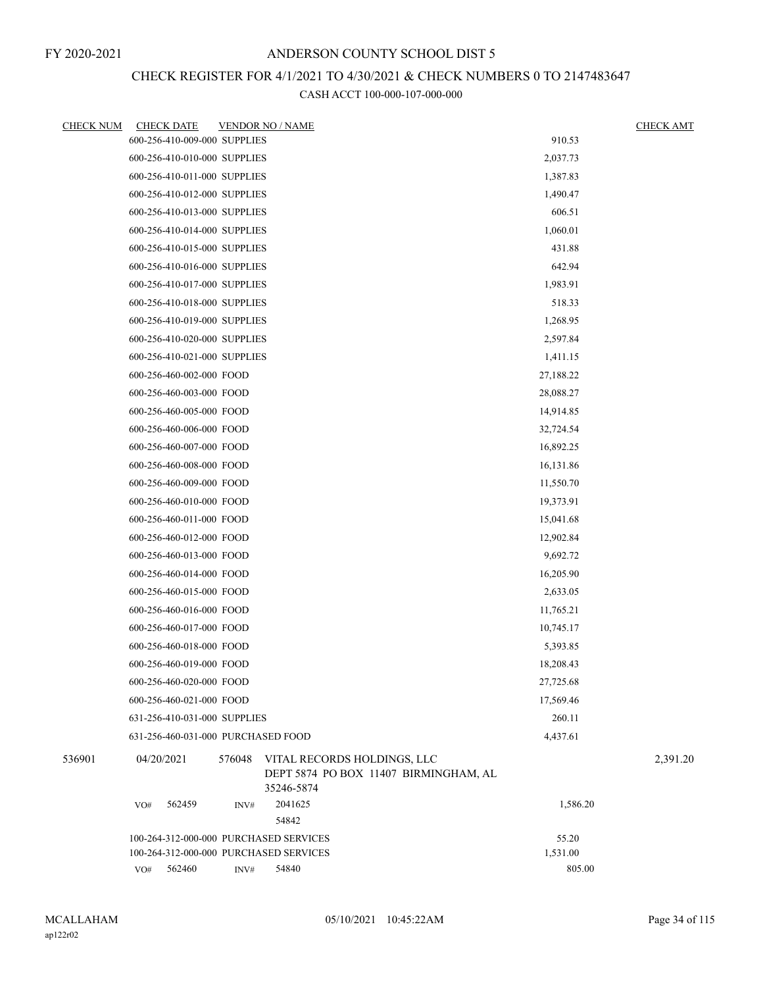# CHECK REGISTER FOR 4/1/2021 TO 4/30/2021 & CHECK NUMBERS 0 TO 2147483647

| <b>CHECK NUM</b> | <b>CHECK DATE</b>                      |        | <b>VENDOR NO / NAME</b>                                                            |           | <b>CHECK AMT</b> |
|------------------|----------------------------------------|--------|------------------------------------------------------------------------------------|-----------|------------------|
|                  | 600-256-410-009-000 SUPPLIES           |        |                                                                                    | 910.53    |                  |
|                  | 600-256-410-010-000 SUPPLIES           |        |                                                                                    | 2,037.73  |                  |
|                  | 600-256-410-011-000 SUPPLIES           |        |                                                                                    | 1,387.83  |                  |
|                  | 600-256-410-012-000 SUPPLIES           |        |                                                                                    | 1,490.47  |                  |
|                  | 600-256-410-013-000 SUPPLIES           |        |                                                                                    | 606.51    |                  |
|                  | 600-256-410-014-000 SUPPLIES           |        |                                                                                    | 1,060.01  |                  |
|                  | 600-256-410-015-000 SUPPLIES           |        |                                                                                    | 431.88    |                  |
|                  | 600-256-410-016-000 SUPPLIES           |        |                                                                                    | 642.94    |                  |
|                  | 600-256-410-017-000 SUPPLIES           |        |                                                                                    | 1,983.91  |                  |
|                  | 600-256-410-018-000 SUPPLIES           |        | 518.33                                                                             |           |                  |
|                  | 600-256-410-019-000 SUPPLIES           |        |                                                                                    | 1,268.95  |                  |
|                  | 600-256-410-020-000 SUPPLIES           |        |                                                                                    | 2,597.84  |                  |
|                  | 600-256-410-021-000 SUPPLIES           |        |                                                                                    | 1,411.15  |                  |
|                  | 600-256-460-002-000 FOOD               |        |                                                                                    | 27,188.22 |                  |
|                  | 600-256-460-003-000 FOOD               |        |                                                                                    | 28,088.27 |                  |
|                  | 600-256-460-005-000 FOOD               |        | 14,914.85                                                                          |           |                  |
|                  | 600-256-460-006-000 FOOD               |        |                                                                                    | 32,724.54 |                  |
|                  | 600-256-460-007-000 FOOD               |        |                                                                                    | 16,892.25 |                  |
|                  | 600-256-460-008-000 FOOD               |        |                                                                                    | 16,131.86 |                  |
|                  | 600-256-460-009-000 FOOD               |        |                                                                                    | 11,550.70 |                  |
|                  | 600-256-460-010-000 FOOD               |        |                                                                                    | 19,373.91 |                  |
|                  | 600-256-460-011-000 FOOD               |        |                                                                                    | 15,041.68 |                  |
|                  | 600-256-460-012-000 FOOD               |        |                                                                                    | 12,902.84 |                  |
|                  | 600-256-460-013-000 FOOD               |        |                                                                                    | 9,692.72  |                  |
|                  | 600-256-460-014-000 FOOD               |        |                                                                                    | 16,205.90 |                  |
|                  | 600-256-460-015-000 FOOD               |        |                                                                                    | 2,633.05  |                  |
|                  | 600-256-460-016-000 FOOD               |        |                                                                                    | 11,765.21 |                  |
|                  | 600-256-460-017-000 FOOD               |        |                                                                                    | 10,745.17 |                  |
|                  | 600-256-460-018-000 FOOD               |        |                                                                                    | 5,393.85  |                  |
|                  | 600-256-460-019-000 FOOD               |        |                                                                                    | 18,208.43 |                  |
|                  | 600-256-460-020-000 FOOD               |        |                                                                                    | 27,725.68 |                  |
|                  | 600-256-460-021-000 FOOD               |        |                                                                                    | 17,569.46 |                  |
|                  | 631-256-410-031-000 SUPPLIES           |        |                                                                                    | 260.11    |                  |
|                  | 631-256-460-031-000 PURCHASED FOOD     |        |                                                                                    | 4,437.61  |                  |
| 536901           | 04/20/2021                             | 576048 | VITAL RECORDS HOLDINGS, LLC<br>DEPT 5874 PO BOX 11407 BIRMINGHAM, AL<br>35246-5874 |           | 2,391.20         |
|                  | VO#<br>562459                          | INV#   | 2041625<br>54842                                                                   | 1,586.20  |                  |
|                  | 100-264-312-000-000 PURCHASED SERVICES |        |                                                                                    | 55.20     |                  |
|                  | 100-264-312-000-000 PURCHASED SERVICES |        |                                                                                    | 1,531.00  |                  |
|                  | VO# 562460                             | INV#   | 54840                                                                              | 805.00    |                  |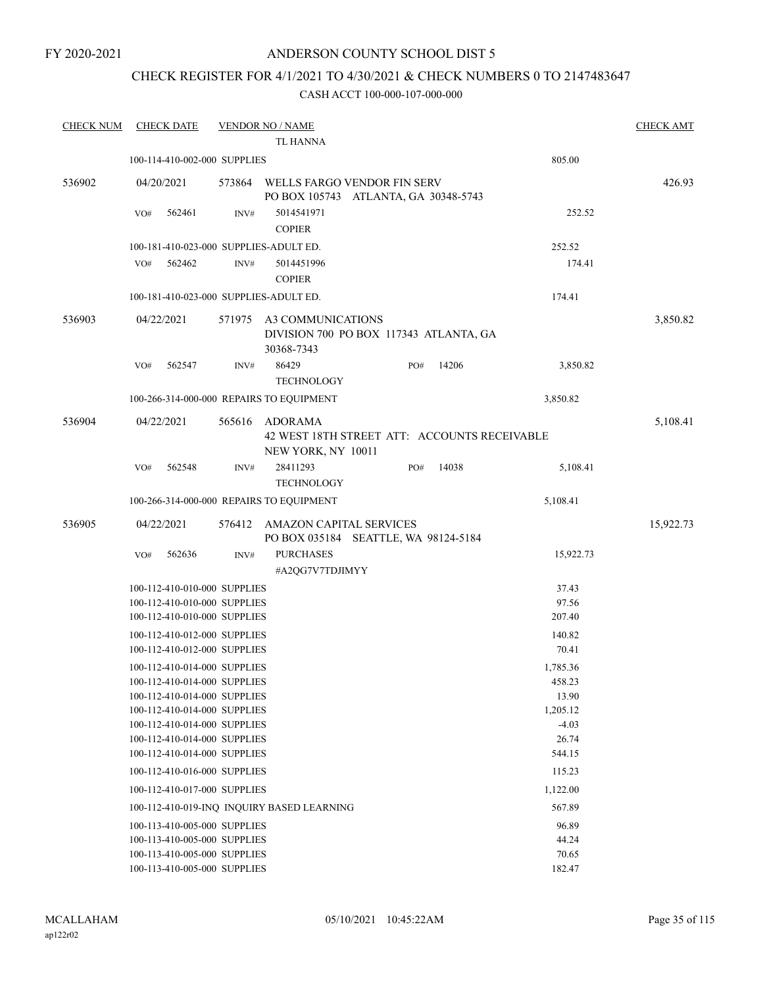FY 2020-2021

### ANDERSON COUNTY SCHOOL DIST 5

## CHECK REGISTER FOR 4/1/2021 TO 4/30/2021 & CHECK NUMBERS 0 TO 2147483647

| <b>CHECK NUM</b> |            | <b>CHECK DATE</b> |                              | <b>VENDOR NO / NAME</b>                                                   |        |       |           | <b>CHECK AMT</b> |
|------------------|------------|-------------------|------------------------------|---------------------------------------------------------------------------|--------|-------|-----------|------------------|
|                  |            |                   |                              | <b>TL HANNA</b>                                                           |        |       |           |                  |
|                  |            |                   | 100-114-410-002-000 SUPPLIES |                                                                           |        |       | 805.00    |                  |
| 536902           | 04/20/2021 |                   | 573864                       | WELLS FARGO VENDOR FIN SERV<br>PO BOX 105743 ATLANTA, GA 30348-5743       |        |       |           | 426.93           |
|                  | VO#        | 562461            | INV#                         | 5014541971<br><b>COPIER</b>                                               |        |       | 252.52    |                  |
|                  |            |                   |                              | 100-181-410-023-000 SUPPLIES-ADULT ED.                                    |        |       | 252.52    |                  |
|                  | VO#        | 562462            | INV#                         | 5014451996                                                                |        |       | 174.41    |                  |
|                  |            |                   |                              | <b>COPIER</b>                                                             |        |       |           |                  |
|                  |            |                   |                              | 100-181-410-023-000 SUPPLIES-ADULT ED.                                    | 174.41 |       |           |                  |
| 536903           | 04/22/2021 |                   | 571975                       | A3 COMMUNICATIONS<br>DIVISION 700 PO BOX 117343 ATLANTA, GA<br>30368-7343 |        |       |           | 3,850.82         |
|                  | VO#        | 562547            | INV#                         | 86429<br><b>TECHNOLOGY</b>                                                | PO#    | 14206 | 3,850.82  |                  |
|                  |            |                   |                              | 100-266-314-000-000 REPAIRS TO EQUIPMENT                                  |        |       | 3,850.82  |                  |
| 536904           | 04/22/2021 |                   | 565616                       | <b>ADORAMA</b>                                                            |        |       |           | 5,108.41         |
|                  |            |                   |                              | 42 WEST 18TH STREET ATT: ACCOUNTS RECEIVABLE                              |        |       |           |                  |
|                  |            |                   |                              | NEW YORK, NY 10011                                                        |        |       |           |                  |
|                  | VO#        | 562548            | INV#                         | 28411293<br><b>TECHNOLOGY</b>                                             | PO#    | 14038 | 5,108.41  |                  |
|                  |            |                   |                              | 100-266-314-000-000 REPAIRS TO EQUIPMENT                                  |        |       | 5,108.41  |                  |
| 536905           | 04/22/2021 |                   | 576412                       | <b>AMAZON CAPITAL SERVICES</b>                                            |        |       |           | 15,922.73        |
|                  |            |                   |                              | PO BOX 035184 SEATTLE, WA 98124-5184                                      |        |       |           |                  |
|                  | VO#        | 562636            | INV#                         | <b>PURCHASES</b>                                                          |        |       | 15,922.73 |                  |
|                  |            |                   |                              | #A2QG7V7TDJIMYY                                                           |        |       |           |                  |
|                  |            |                   | 100-112-410-010-000 SUPPLIES |                                                                           |        |       | 37.43     |                  |
|                  |            |                   | 100-112-410-010-000 SUPPLIES |                                                                           |        |       | 97.56     |                  |
|                  |            |                   | 100-112-410-010-000 SUPPLIES |                                                                           |        |       | 207.40    |                  |
|                  |            |                   | 100-112-410-012-000 SUPPLIES |                                                                           |        |       | 140.82    |                  |
|                  |            |                   | 100-112-410-012-000 SUPPLIES |                                                                           |        |       | 70.41     |                  |
|                  |            |                   | 100-112-410-014-000 SUPPLIES |                                                                           |        |       | 1,785.36  |                  |
|                  |            |                   | 100-112-410-014-000 SUPPLIES |                                                                           |        |       | 458.23    |                  |
|                  |            |                   | 100-112-410-014-000 SUPPLIES |                                                                           |        |       | 13.90     |                  |
|                  |            |                   | 100-112-410-014-000 SUPPLIES |                                                                           |        |       | 1,205.12  |                  |
|                  |            |                   | 100-112-410-014-000 SUPPLIES |                                                                           |        |       | $-4.03$   |                  |
|                  |            |                   | 100-112-410-014-000 SUPPLIES |                                                                           |        |       | 26.74     |                  |
|                  |            |                   | 100-112-410-014-000 SUPPLIES |                                                                           |        |       | 544.15    |                  |
|                  |            |                   | 100-112-410-016-000 SUPPLIES |                                                                           |        |       | 115.23    |                  |
|                  |            |                   | 100-112-410-017-000 SUPPLIES |                                                                           |        |       | 1,122.00  |                  |
|                  |            |                   |                              | 100-112-410-019-INQ INQUIRY BASED LEARNING                                |        |       | 567.89    |                  |
|                  |            |                   | 100-113-410-005-000 SUPPLIES |                                                                           |        |       | 96.89     |                  |
|                  |            |                   | 100-113-410-005-000 SUPPLIES |                                                                           |        |       | 44.24     |                  |
|                  |            |                   | 100-113-410-005-000 SUPPLIES |                                                                           |        |       | 70.65     |                  |
|                  |            |                   | 100-113-410-005-000 SUPPLIES |                                                                           |        |       | 182.47    |                  |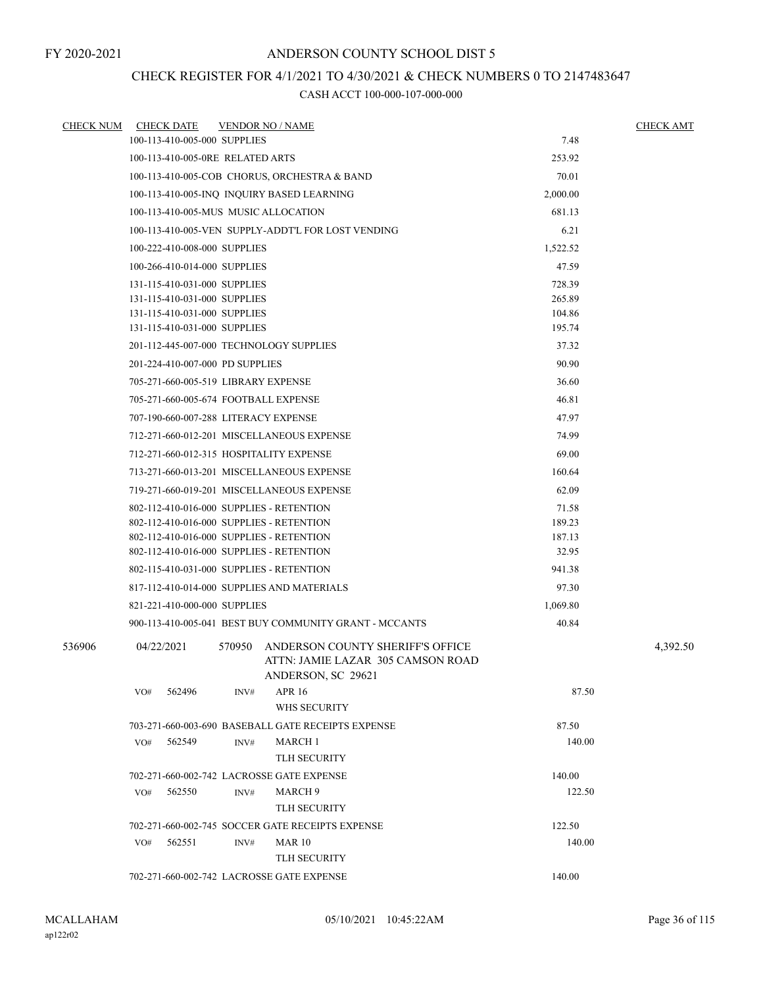# CHECK REGISTER FOR 4/1/2021 TO 4/30/2021 & CHECK NUMBERS 0 TO 2147483647

| <b>CHECK NUM</b> | <b>CHECK DATE</b>                | <b>VENDOR NO / NAME</b>                                                                               |          | <b>CHECK AMT</b> |
|------------------|----------------------------------|-------------------------------------------------------------------------------------------------------|----------|------------------|
|                  | 100-113-410-005-000 SUPPLIES     |                                                                                                       | 7.48     |                  |
|                  | 100-113-410-005-0RE RELATED ARTS |                                                                                                       | 253.92   |                  |
|                  |                                  | 100-113-410-005-COB CHORUS, ORCHESTRA & BAND                                                          | 70.01    |                  |
|                  |                                  | 100-113-410-005-INQ INQUIRY BASED LEARNING                                                            | 2,000.00 |                  |
|                  |                                  | 100-113-410-005-MUS MUSIC ALLOCATION                                                                  | 681.13   |                  |
|                  |                                  | 100-113-410-005-VEN SUPPLY-ADDT'L FOR LOST VENDING                                                    | 6.21     |                  |
|                  | 100-222-410-008-000 SUPPLIES     |                                                                                                       | 1,522.52 |                  |
|                  | 100-266-410-014-000 SUPPLIES     |                                                                                                       | 47.59    |                  |
|                  | 131-115-410-031-000 SUPPLIES     |                                                                                                       | 728.39   |                  |
|                  | 131-115-410-031-000 SUPPLIES     |                                                                                                       | 265.89   |                  |
|                  | 131-115-410-031-000 SUPPLIES     |                                                                                                       | 104.86   |                  |
|                  | 131-115-410-031-000 SUPPLIES     |                                                                                                       | 195.74   |                  |
|                  |                                  | 201-112-445-007-000 TECHNOLOGY SUPPLIES                                                               | 37.32    |                  |
|                  | 201-224-410-007-000 PD SUPPLIES  |                                                                                                       | 90.90    |                  |
|                  |                                  | 705-271-660-005-519 LIBRARY EXPENSE                                                                   | 36.60    |                  |
|                  |                                  | 705-271-660-005-674 FOOTBALL EXPENSE                                                                  | 46.81    |                  |
|                  |                                  | 707-190-660-007-288 LITERACY EXPENSE                                                                  | 47.97    |                  |
|                  |                                  | 712-271-660-012-201 MISCELLANEOUS EXPENSE                                                             | 74.99    |                  |
|                  |                                  | 712-271-660-012-315 HOSPITALITY EXPENSE                                                               | 69.00    |                  |
|                  |                                  | 713-271-660-013-201 MISCELLANEOUS EXPENSE                                                             | 160.64   |                  |
|                  |                                  | 719-271-660-019-201 MISCELLANEOUS EXPENSE                                                             | 62.09    |                  |
|                  |                                  | 802-112-410-016-000 SUPPLIES - RETENTION                                                              | 71.58    |                  |
|                  |                                  | 802-112-410-016-000 SUPPLIES - RETENTION                                                              | 189.23   |                  |
|                  |                                  | 802-112-410-016-000 SUPPLIES - RETENTION                                                              | 187.13   |                  |
|                  |                                  | 802-112-410-016-000 SUPPLIES - RETENTION                                                              | 32.95    |                  |
|                  |                                  | 802-115-410-031-000 SUPPLIES - RETENTION                                                              | 941.38   |                  |
|                  |                                  | 817-112-410-014-000 SUPPLIES AND MATERIALS                                                            | 97.30    |                  |
|                  | 821-221-410-000-000 SUPPLIES     |                                                                                                       | 1,069.80 |                  |
|                  |                                  | 900-113-410-005-041 BEST BUY COMMUNITY GRANT - MCCANTS                                                | 40.84    |                  |
| 536906           | 04/22/2021                       | 570950<br>ANDERSON COUNTY SHERIFF'S OFFICE<br>ATTN: JAMIE LAZAR 305 CAMSON ROAD<br>ANDERSON, SC 29621 |          | 4,392.50         |
|                  | 562496<br>VO#                    | <b>APR 16</b><br>INV#<br>WHS SECURITY                                                                 | 87.50    |                  |
|                  |                                  | 703-271-660-003-690 BASEBALL GATE RECEIPTS EXPENSE                                                    | 87.50    |                  |
|                  | VO#<br>562549                    | INV#<br>MARCH 1                                                                                       | 140.00   |                  |
|                  |                                  | <b>TLH SECURITY</b>                                                                                   |          |                  |
|                  |                                  | 702-271-660-002-742 LACROSSE GATE EXPENSE                                                             | 140.00   |                  |
|                  | 562550<br>VO#                    | MARCH 9<br>INV#<br>TLH SECURITY                                                                       | 122.50   |                  |
|                  |                                  | 702-271-660-002-745 SOCCER GATE RECEIPTS EXPENSE                                                      | 122.50   |                  |
|                  | VO#<br>562551                    | INV#<br><b>MAR 10</b>                                                                                 | 140.00   |                  |
|                  |                                  | <b>TLH SECURITY</b>                                                                                   |          |                  |
|                  |                                  | 702-271-660-002-742 LACROSSE GATE EXPENSE                                                             | 140.00   |                  |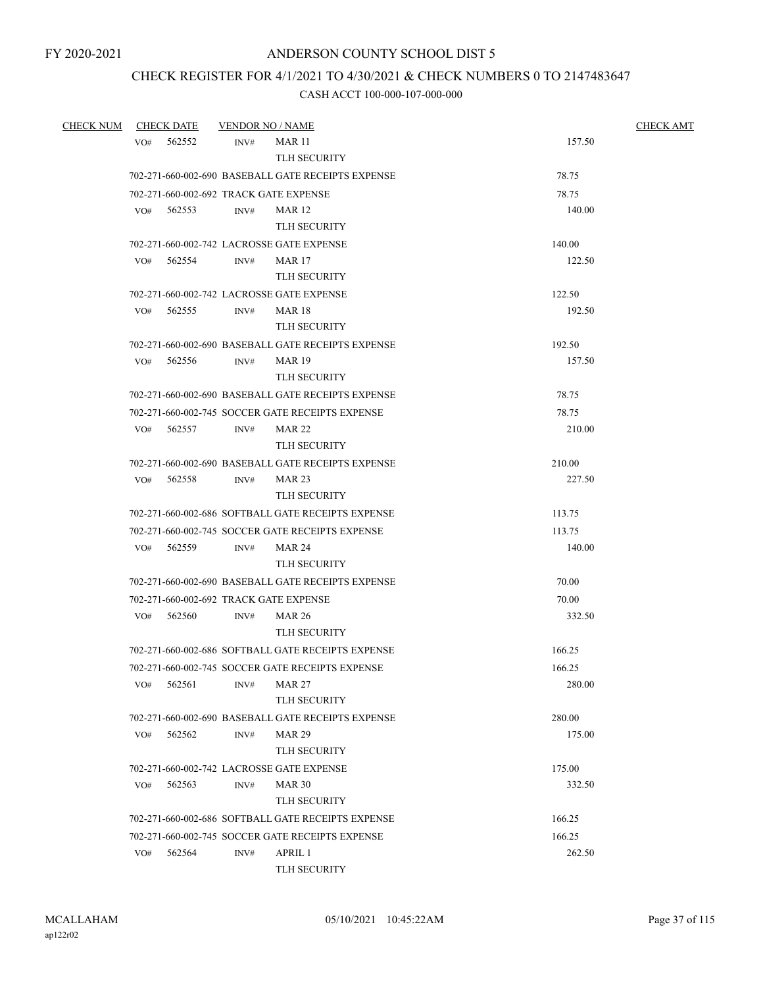## CHECK REGISTER FOR 4/1/2021 TO 4/30/2021 & CHECK NUMBERS 0 TO 2147483647

| <b>CHECK NUM</b> |     | <b>CHECK DATE</b> | <b>VENDOR NO / NAME</b> |                                                    |        | <b>CHECK AMT</b> |
|------------------|-----|-------------------|-------------------------|----------------------------------------------------|--------|------------------|
|                  | VO# | 562552            | INV#                    | <b>MAR 11</b>                                      | 157.50 |                  |
|                  |     |                   |                         | <b>TLH SECURITY</b>                                |        |                  |
|                  |     |                   |                         | 702-271-660-002-690 BASEBALL GATE RECEIPTS EXPENSE | 78.75  |                  |
|                  |     |                   |                         | 702-271-660-002-692 TRACK GATE EXPENSE             | 78.75  |                  |
|                  | VO# | 562553            | INV#                    | <b>MAR 12</b>                                      | 140.00 |                  |
|                  |     |                   |                         | <b>TLH SECURITY</b>                                |        |                  |
|                  |     |                   |                         | 702-271-660-002-742 LACROSSE GATE EXPENSE          | 140.00 |                  |
|                  |     | VO# 562554        | INV#                    | MAR 17                                             | 122.50 |                  |
|                  |     |                   |                         | <b>TLH SECURITY</b>                                |        |                  |
|                  |     |                   |                         | 702-271-660-002-742 LACROSSE GATE EXPENSE          | 122.50 |                  |
|                  | VO# | 562555            | INV#                    | MAR 18                                             | 192.50 |                  |
|                  |     |                   |                         | <b>TLH SECURITY</b>                                |        |                  |
|                  |     |                   |                         | 702-271-660-002-690 BASEBALL GATE RECEIPTS EXPENSE | 192.50 |                  |
|                  | VO# | 562556            | INV#                    | <b>MAR 19</b>                                      | 157.50 |                  |
|                  |     |                   |                         | <b>TLH SECURITY</b>                                |        |                  |
|                  |     |                   |                         | 702-271-660-002-690 BASEBALL GATE RECEIPTS EXPENSE | 78.75  |                  |
|                  |     |                   |                         | 702-271-660-002-745 SOCCER GATE RECEIPTS EXPENSE   | 78.75  |                  |
|                  | VO# | 562557            | INV#                    | MAR 22                                             | 210.00 |                  |
|                  |     |                   |                         | TLH SECURITY                                       |        |                  |
|                  |     |                   |                         | 702-271-660-002-690 BASEBALL GATE RECEIPTS EXPENSE | 210.00 |                  |
|                  | VO# | 562558            | INV#                    | <b>MAR 23</b>                                      | 227.50 |                  |
|                  |     |                   |                         | <b>TLH SECURITY</b>                                |        |                  |
|                  |     |                   |                         | 702-271-660-002-686 SOFTBALL GATE RECEIPTS EXPENSE | 113.75 |                  |
|                  |     |                   |                         | 702-271-660-002-745 SOCCER GATE RECEIPTS EXPENSE   | 113.75 |                  |
|                  | VO# | 562559            | INV#                    | <b>MAR 24</b>                                      | 140.00 |                  |
|                  |     |                   |                         | <b>TLH SECURITY</b>                                |        |                  |
|                  |     |                   |                         | 702-271-660-002-690 BASEBALL GATE RECEIPTS EXPENSE | 70.00  |                  |
|                  |     |                   |                         | 702-271-660-002-692 TRACK GATE EXPENSE             | 70.00  |                  |
|                  | VO# | 562560            | INV#                    | <b>MAR 26</b>                                      | 332.50 |                  |
|                  |     |                   |                         | TLH SECURITY                                       |        |                  |
|                  |     |                   |                         | 702-271-660-002-686 SOFTBALL GATE RECEIPTS EXPENSE | 166.25 |                  |
|                  |     |                   |                         | 702-271-660-002-745 SOCCER GATE RECEIPTS EXPENSE   | 166.25 |                  |
|                  | VO# | 562561            | INV#                    | <b>MAR 27</b>                                      | 280.00 |                  |
|                  |     |                   |                         | <b>TLH SECURITY</b>                                |        |                  |
|                  |     |                   |                         | 702-271-660-002-690 BASEBALL GATE RECEIPTS EXPENSE | 280.00 |                  |
|                  | VO# | 562562            | INV#                    | <b>MAR 29</b>                                      | 175.00 |                  |
|                  |     |                   |                         | <b>TLH SECURITY</b>                                |        |                  |
|                  |     |                   |                         | 702-271-660-002-742 LACROSSE GATE EXPENSE          | 175.00 |                  |
|                  | VO# | 562563            | INV#                    | <b>MAR 30</b>                                      | 332.50 |                  |
|                  |     |                   |                         | TLH SECURITY                                       |        |                  |
|                  |     |                   |                         | 702-271-660-002-686 SOFTBALL GATE RECEIPTS EXPENSE | 166.25 |                  |
|                  |     |                   |                         | 702-271-660-002-745 SOCCER GATE RECEIPTS EXPENSE   | 166.25 |                  |
|                  | VO# | 562564            | INV#                    | APRIL 1                                            | 262.50 |                  |
|                  |     |                   |                         | TLH SECURITY                                       |        |                  |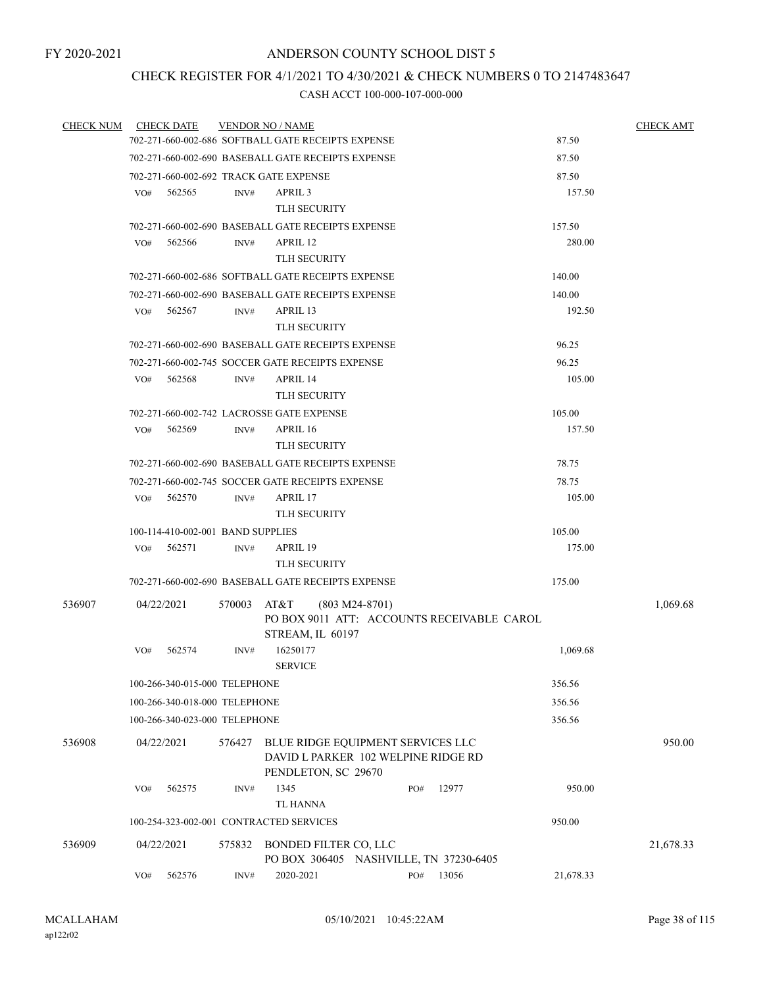## CHECK REGISTER FOR 4/1/2021 TO 4/30/2021 & CHECK NUMBERS 0 TO 2147483647

| <b>CHECK NUM</b> | <b>CHECK DATE</b>                                  | <b>VENDOR NO / NAME</b>                                                     |           | <b>CHECK AMT</b> |
|------------------|----------------------------------------------------|-----------------------------------------------------------------------------|-----------|------------------|
|                  |                                                    | 702-271-660-002-686 SOFTBALL GATE RECEIPTS EXPENSE                          | 87.50     |                  |
|                  |                                                    | 702-271-660-002-690 BASEBALL GATE RECEIPTS EXPENSE                          | 87.50     |                  |
|                  |                                                    | 702-271-660-002-692 TRACK GATE EXPENSE                                      | 87.50     |                  |
|                  | 562565<br>VO#                                      | APRIL 3<br>INV#                                                             | 157.50    |                  |
|                  |                                                    | TLH SECURITY                                                                |           |                  |
|                  |                                                    | 702-271-660-002-690 BASEBALL GATE RECEIPTS EXPENSE                          | 157.50    |                  |
|                  | VO#<br>562566                                      | APRIL 12<br>INV#                                                            | 280.00    |                  |
|                  |                                                    | <b>TLH SECURITY</b>                                                         |           |                  |
|                  |                                                    | 702-271-660-002-686 SOFTBALL GATE RECEIPTS EXPENSE                          | 140.00    |                  |
|                  |                                                    | 702-271-660-002-690 BASEBALL GATE RECEIPTS EXPENSE                          | 140.00    |                  |
|                  | VO#<br>562567                                      | $\text{INV}\#$<br>APRIL 13                                                  | 192.50    |                  |
|                  |                                                    | <b>TLH SECURITY</b>                                                         |           |                  |
|                  |                                                    | 702-271-660-002-690 BASEBALL GATE RECEIPTS EXPENSE                          | 96.25     |                  |
|                  |                                                    | 702-271-660-002-745 SOCCER GATE RECEIPTS EXPENSE                            | 96.25     |                  |
|                  | VO#<br>562568                                      | APRIL 14<br>INV#                                                            | 105.00    |                  |
|                  |                                                    | <b>TLH SECURITY</b>                                                         |           |                  |
|                  |                                                    | 702-271-660-002-742 LACROSSE GATE EXPENSE                                   | 105.00    |                  |
|                  | 562569<br>VO#                                      | APRIL 16<br>INV#                                                            | 157.50    |                  |
|                  |                                                    | <b>TLH SECURITY</b>                                                         |           |                  |
|                  | 702-271-660-002-690 BASEBALL GATE RECEIPTS EXPENSE | 78.75                                                                       |           |                  |
|                  |                                                    | 702-271-660-002-745 SOCCER GATE RECEIPTS EXPENSE                            | 78.75     |                  |
|                  | VO#<br>562570                                      | APRIL 17<br>INV#                                                            | 105.00    |                  |
|                  |                                                    | <b>TLH SECURITY</b>                                                         |           |                  |
|                  | 100-114-410-002-001 BAND SUPPLIES                  |                                                                             | 105.00    |                  |
|                  | VO#<br>562571                                      | INV#<br>APRIL 19                                                            | 175.00    |                  |
|                  |                                                    | <b>TLH SECURITY</b>                                                         |           |                  |
|                  |                                                    | 702-271-660-002-690 BASEBALL GATE RECEIPTS EXPENSE                          | 175.00    |                  |
| 536907           | 04/22/2021                                         | 570003<br>AT&T<br>$(803 M24-8701)$                                          |           | 1,069.68         |
|                  |                                                    | PO BOX 9011 ATT: ACCOUNTS RECEIVABLE CAROL                                  |           |                  |
|                  | 562574<br>VO#                                      | STREAM, IL 60197<br>16250177<br>INV#                                        | 1,069.68  |                  |
|                  |                                                    | <b>SERVICE</b>                                                              |           |                  |
|                  | 100-266-340-015-000 TELEPHONE                      |                                                                             | 356.56    |                  |
|                  | 100-266-340-018-000 TELEPHONE                      |                                                                             | 356.56    |                  |
|                  | 100-266-340-023-000 TELEPHONE                      |                                                                             | 356.56    |                  |
|                  |                                                    |                                                                             |           |                  |
| 536908           | 04/22/2021                                         | BLUE RIDGE EQUIPMENT SERVICES LLC<br>576427                                 |           | 950.00           |
|                  |                                                    | DAVID L PARKER 102 WELPINE RIDGE RD<br>PENDLETON, SC 29670                  |           |                  |
|                  | 562575<br>VO#                                      | 1345<br>12977<br>INV#<br>PO#                                                | 950.00    |                  |
|                  |                                                    | <b>TL HANNA</b>                                                             |           |                  |
|                  |                                                    | 100-254-323-002-001 CONTRACTED SERVICES                                     | 950.00    |                  |
|                  |                                                    |                                                                             |           |                  |
| 536909           | 04/22/2021                                         | 575832<br>BONDED FILTER CO, LLC                                             |           | 21,678.33        |
|                  | 562576<br>VO#                                      | PO BOX 306405 NASHVILLE, TN 37230-6405<br>2020-2021<br>13056<br>INV#<br>PO# | 21,678.33 |                  |
|                  |                                                    |                                                                             |           |                  |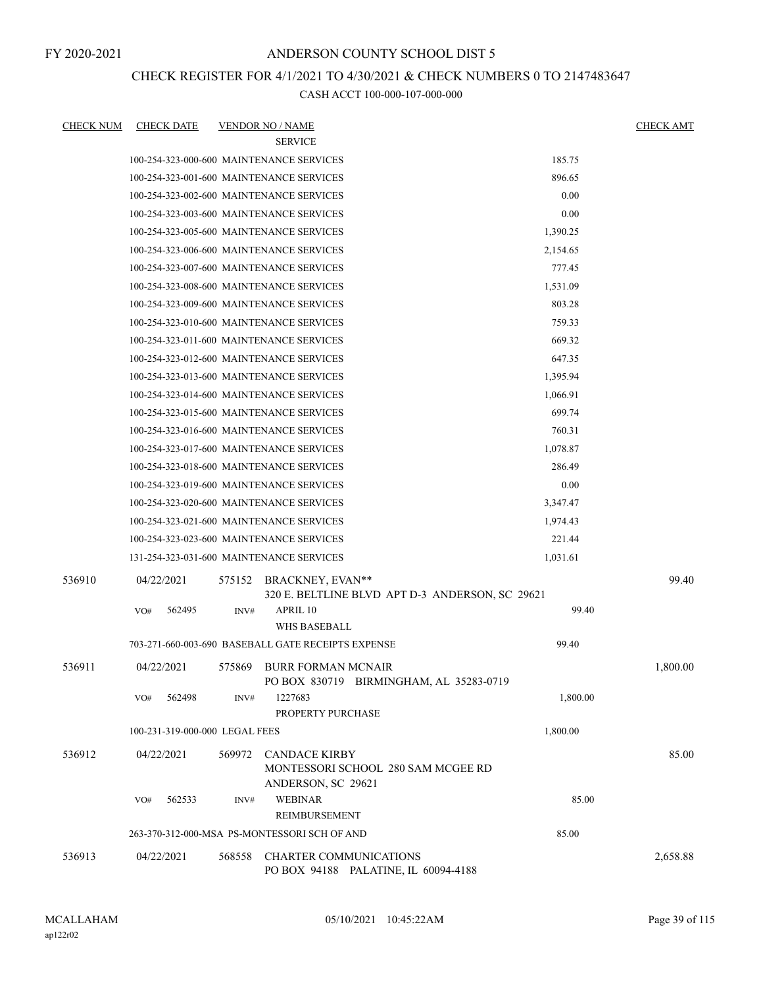FY 2020-2021

## ANDERSON COUNTY SCHOOL DIST 5

## CHECK REGISTER FOR 4/1/2021 TO 4/30/2021 & CHECK NUMBERS 0 TO 2147483647

| <b>CHECK NUM</b> | <b>CHECK DATE</b>                        |        | <b>VENDOR NO / NAME</b>                                                          |          | <u>CHECK AMT</u> |
|------------------|------------------------------------------|--------|----------------------------------------------------------------------------------|----------|------------------|
|                  |                                          |        | <b>SERVICE</b>                                                                   |          |                  |
|                  | 100-254-323-000-600 MAINTENANCE SERVICES |        |                                                                                  | 185.75   |                  |
|                  | 100-254-323-001-600 MAINTENANCE SERVICES |        |                                                                                  | 896.65   |                  |
|                  | 100-254-323-002-600 MAINTENANCE SERVICES |        |                                                                                  | 0.00     |                  |
|                  | 100-254-323-003-600 MAINTENANCE SERVICES |        |                                                                                  | 0.00     |                  |
|                  | 100-254-323-005-600 MAINTENANCE SERVICES |        |                                                                                  | 1,390.25 |                  |
|                  | 100-254-323-006-600 MAINTENANCE SERVICES |        |                                                                                  | 2,154.65 |                  |
|                  | 100-254-323-007-600 MAINTENANCE SERVICES |        |                                                                                  | 777.45   |                  |
|                  | 100-254-323-008-600 MAINTENANCE SERVICES |        |                                                                                  | 1,531.09 |                  |
|                  | 100-254-323-009-600 MAINTENANCE SERVICES |        |                                                                                  | 803.28   |                  |
|                  | 100-254-323-010-600 MAINTENANCE SERVICES |        |                                                                                  | 759.33   |                  |
|                  | 100-254-323-011-600 MAINTENANCE SERVICES |        |                                                                                  | 669.32   |                  |
|                  | 100-254-323-012-600 MAINTENANCE SERVICES |        |                                                                                  | 647.35   |                  |
|                  | 100-254-323-013-600 MAINTENANCE SERVICES |        |                                                                                  | 1,395.94 |                  |
|                  | 100-254-323-014-600 MAINTENANCE SERVICES |        |                                                                                  | 1,066.91 |                  |
|                  | 100-254-323-015-600 MAINTENANCE SERVICES |        |                                                                                  | 699.74   |                  |
|                  | 100-254-323-016-600 MAINTENANCE SERVICES |        |                                                                                  | 760.31   |                  |
|                  | 100-254-323-017-600 MAINTENANCE SERVICES |        |                                                                                  | 1,078.87 |                  |
|                  | 100-254-323-018-600 MAINTENANCE SERVICES |        |                                                                                  | 286.49   |                  |
|                  | 100-254-323-019-600 MAINTENANCE SERVICES |        |                                                                                  | 0.00     |                  |
|                  | 100-254-323-020-600 MAINTENANCE SERVICES |        |                                                                                  | 3,347.47 |                  |
|                  | 100-254-323-021-600 MAINTENANCE SERVICES |        |                                                                                  | 1,974.43 |                  |
|                  | 100-254-323-023-600 MAINTENANCE SERVICES |        |                                                                                  | 221.44   |                  |
|                  | 131-254-323-031-600 MAINTENANCE SERVICES |        |                                                                                  | 1,031.61 |                  |
| 536910           | 04/22/2021                               | 575152 | BRACKNEY, EVAN**<br>320 E. BELTLINE BLVD APT D-3 ANDERSON, SC 29621              |          | 99.40            |
|                  | 562495<br>VO#                            | INV#   | APRIL 10                                                                         | 99.40    |                  |
|                  |                                          |        | <b>WHS BASEBALL</b>                                                              |          |                  |
|                  |                                          |        | 703-271-660-003-690 BASEBALL GATE RECEIPTS EXPENSE                               | 99.40    |                  |
| 536911           | 04/22/2021                               | 575869 | <b>BURR FORMAN MCNAIR</b><br>PO BOX 830719 BIRMINGHAM, AL 35283-0719             |          | 1.800.00         |
|                  | 562498<br>VO#                            | INV#   | 1227683<br>PROPERTY PURCHASE                                                     | 1,800.00 |                  |
|                  | 100-231-319-000-000 LEGAL FEES           |        |                                                                                  | 1,800.00 |                  |
| 536912           | 04/22/2021                               | 569972 | <b>CANDACE KIRBY</b><br>MONTESSORI SCHOOL 280 SAM MCGEE RD<br>ANDERSON, SC 29621 |          | 85.00            |
|                  | 562533<br>VO#                            | INV#   | <b>WEBINAR</b>                                                                   | 85.00    |                  |
|                  |                                          |        | REIMBURSEMENT                                                                    |          |                  |
|                  |                                          |        | 263-370-312-000-MSA PS-MONTESSORI SCH OF AND                                     | 85.00    |                  |
| 536913           | 04/22/2021                               | 568558 | <b>CHARTER COMMUNICATIONS</b><br>PO BOX 94188 PALATINE, IL 60094-4188            |          | 2,658.88         |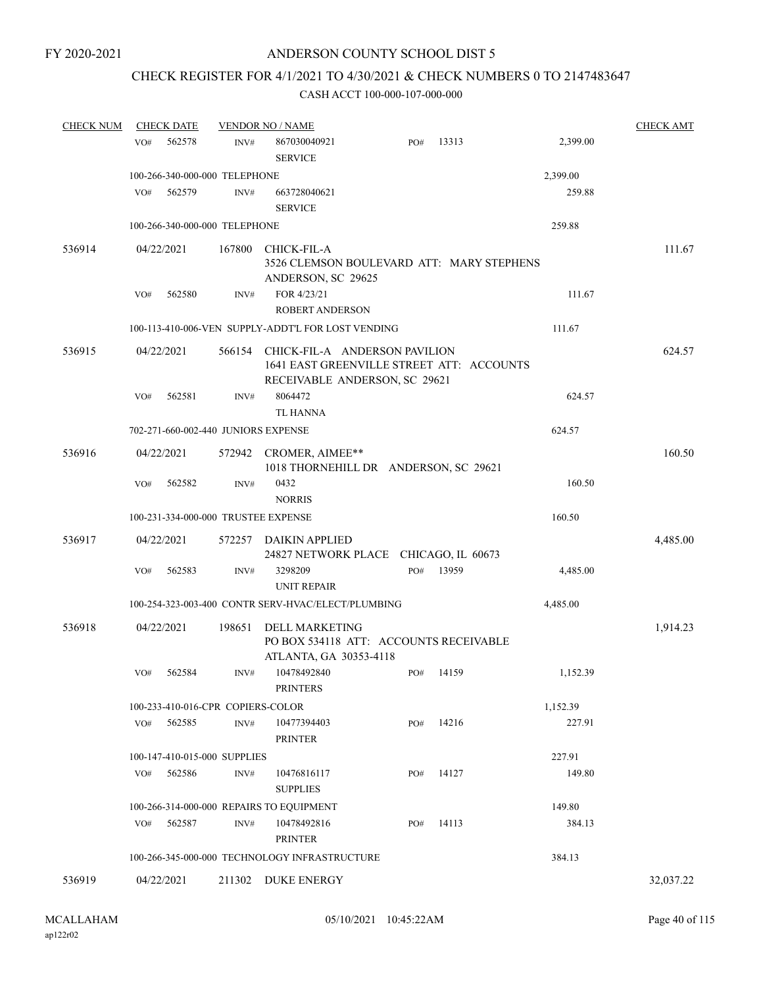## CHECK REGISTER FOR 4/1/2021 TO 4/30/2021 & CHECK NUMBERS 0 TO 2147483647

| <b>CHECK NUM</b> | <b>CHECK DATE</b> |                                     | <b>VENDOR NO / NAME</b>                                                                                     |     |       |          | <b>CHECK AMT</b> |
|------------------|-------------------|-------------------------------------|-------------------------------------------------------------------------------------------------------------|-----|-------|----------|------------------|
|                  | 562578<br>VO#     | INV#                                | 867030040921<br><b>SERVICE</b>                                                                              | PO# | 13313 | 2,399.00 |                  |
|                  |                   | 100-266-340-000-000 TELEPHONE       |                                                                                                             |     |       | 2,399.00 |                  |
|                  | VO#<br>562579     | INV#                                | 663728040621<br><b>SERVICE</b>                                                                              |     |       | 259.88   |                  |
|                  |                   | 100-266-340-000-000 TELEPHONE       |                                                                                                             |     |       | 259.88   |                  |
| 536914           | 04/22/2021        | 167800                              | CHICK-FIL-A<br>3526 CLEMSON BOULEVARD ATT: MARY STEPHENS<br>ANDERSON, SC 29625                              |     |       |          | 111.67           |
|                  | 562580<br>VO#     | INV#                                | FOR 4/23/21                                                                                                 |     |       | 111.67   |                  |
|                  |                   |                                     | ROBERT ANDERSON                                                                                             |     |       |          |                  |
|                  |                   |                                     | 100-113-410-006-VEN SUPPLY-ADDT'L FOR LOST VENDING                                                          |     |       | 111.67   |                  |
| 536915           | 04/22/2021        | 566154                              | CHICK-FIL-A ANDERSON PAVILION<br>1641 EAST GREENVILLE STREET ATT: ACCOUNTS<br>RECEIVABLE ANDERSON, SC 29621 |     |       |          | 624.57           |
|                  | 562581<br>VO#     | INV#                                | 8064472<br><b>TL HANNA</b>                                                                                  |     |       | 624.57   |                  |
|                  |                   | 702-271-660-002-440 JUNIORS EXPENSE |                                                                                                             |     |       | 624.57   |                  |
| 536916           | 04/22/2021        | 572942                              | CROMER, AIMEE**<br>1018 THORNEHILL DR ANDERSON, SC 29621                                                    |     |       |          | 160.50           |
|                  | VO#<br>562582     | INV#                                | 0432<br><b>NORRIS</b>                                                                                       |     |       | 160.50   |                  |
|                  |                   | 100-231-334-000-000 TRUSTEE EXPENSE |                                                                                                             |     |       | 160.50   |                  |
|                  |                   |                                     |                                                                                                             |     |       |          |                  |
| 536917           | 04/22/2021        | 572257                              | DAIKIN APPLIED<br>24827 NETWORK PLACE CHICAGO, IL 60673                                                     |     |       |          | 4,485.00         |
|                  | 562583<br>VO#     | INV#                                | 3298209<br><b>UNIT REPAIR</b>                                                                               | PO# | 13959 | 4,485.00 |                  |
|                  |                   |                                     | 100-254-323-003-400 CONTR SERV-HVAC/ELECT/PLUMBING                                                          |     |       | 4,485.00 |                  |
| 536918           | 04/22/2021        | 198651                              | <b>DELL MARKETING</b><br>PO BOX 534118 ATT: ACCOUNTS RECEIVABLE<br>ATLANTA, GA 30353-4118                   |     |       |          | 1,914.23         |
|                  | 562584<br>VO#     | INV#                                | 10478492840<br><b>PRINTERS</b>                                                                              | PO# | 14159 | 1,152.39 |                  |
|                  |                   | 100-233-410-016-CPR COPIERS-COLOR   |                                                                                                             |     |       | 1,152.39 |                  |
|                  | 562585<br>VO#     | INV#                                | 10477394403<br><b>PRINTER</b>                                                                               | PO# | 14216 | 227.91   |                  |
|                  |                   | 100-147-410-015-000 SUPPLIES        |                                                                                                             |     |       | 227.91   |                  |
|                  | 562586<br>VO#     | INV#                                | 10476816117                                                                                                 | PO# | 14127 | 149.80   |                  |
|                  |                   |                                     | <b>SUPPLIES</b>                                                                                             |     |       |          |                  |
|                  |                   |                                     | 100-266-314-000-000 REPAIRS TO EQUIPMENT                                                                    |     |       | 149.80   |                  |
|                  | VO#<br>562587     | INV#                                | 10478492816<br><b>PRINTER</b>                                                                               | PO# | 14113 | 384.13   |                  |
|                  |                   |                                     | 100-266-345-000-000 TECHNOLOGY INFRASTRUCTURE                                                               |     |       | 384.13   |                  |
| 536919           | 04/22/2021        |                                     | 211302 DUKE ENERGY                                                                                          |     |       |          | 32,037.22        |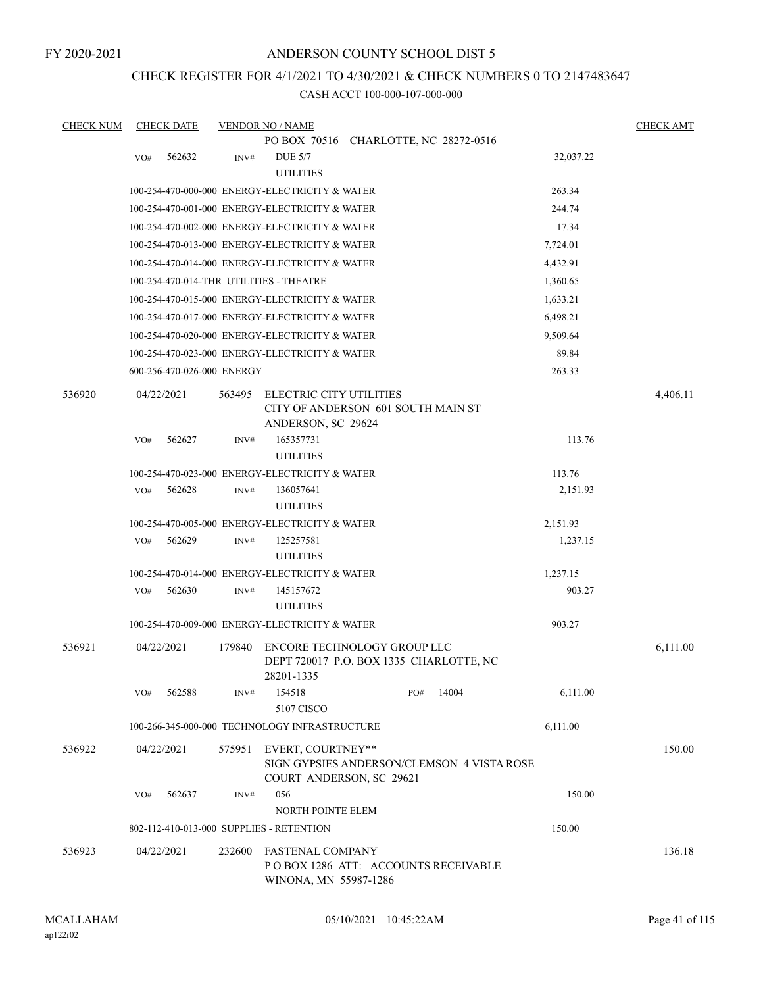FY 2020-2021

## ANDERSON COUNTY SCHOOL DIST 5

## CHECK REGISTER FOR 4/1/2021 TO 4/30/2021 & CHECK NUMBERS 0 TO 2147483647

| <b>CHECK NUM</b> |     | <b>CHECK DATE</b>          |        | <b>VENDOR NO / NAME</b>                                                |     |       |                      | <b>CHECK AMT</b> |
|------------------|-----|----------------------------|--------|------------------------------------------------------------------------|-----|-------|----------------------|------------------|
|                  |     |                            |        | PO BOX 70516 CHARLOTTE, NC 28272-0516                                  |     |       |                      |                  |
|                  | VO# | 562632                     | INV#   | <b>DUE 5/7</b>                                                         |     |       | 32,037.22            |                  |
|                  |     |                            |        | <b>UTILITIES</b>                                                       |     |       |                      |                  |
|                  |     |                            |        | 100-254-470-000-000 ENERGY-ELECTRICITY & WATER                         |     |       | 263.34               |                  |
|                  |     |                            |        | 100-254-470-001-000 ENERGY-ELECTRICITY & WATER                         |     |       | 244.74               |                  |
|                  |     |                            |        | 100-254-470-002-000 ENERGY-ELECTRICITY & WATER                         |     |       | 17.34                |                  |
|                  |     |                            |        | 100-254-470-013-000 ENERGY-ELECTRICITY & WATER                         |     |       | 7,724.01             |                  |
|                  |     |                            |        | 100-254-470-014-000 ENERGY-ELECTRICITY & WATER                         |     |       | 4,432.91             |                  |
|                  |     |                            |        | 100-254-470-014-THR UTILITIES - THEATRE                                |     |       | 1,360.65             |                  |
|                  |     |                            |        | 100-254-470-015-000 ENERGY-ELECTRICITY & WATER                         |     |       | 1,633.21             |                  |
|                  |     |                            |        | 100-254-470-017-000 ENERGY-ELECTRICITY & WATER                         |     |       | 6,498.21             |                  |
|                  |     |                            |        | 100-254-470-020-000 ENERGY-ELECTRICITY & WATER                         |     |       | 9,509.64             |                  |
|                  |     |                            |        | 100-254-470-023-000 ENERGY-ELECTRICITY & WATER                         |     |       | 89.84                |                  |
|                  |     | 600-256-470-026-000 ENERGY |        |                                                                        |     |       | 263.33               |                  |
| 536920           |     | 04/22/2021                 | 563495 | ELECTRIC CITY UTILITIES                                                |     |       |                      | 4,406.11         |
|                  |     |                            |        | CITY OF ANDERSON 601 SOUTH MAIN ST                                     |     |       |                      |                  |
|                  |     |                            |        | ANDERSON, SC 29624                                                     |     |       |                      |                  |
|                  | VO# | 562627                     | INV#   | 165357731                                                              |     |       | 113.76               |                  |
|                  |     |                            |        | <b>UTILITIES</b>                                                       |     |       |                      |                  |
|                  |     |                            |        | 100-254-470-023-000 ENERGY-ELECTRICITY & WATER                         |     |       | 113.76               |                  |
|                  | VO# | 562628                     | INV#   | 136057641                                                              |     |       | 2,151.93             |                  |
|                  |     |                            |        | <b>UTILITIES</b>                                                       |     |       |                      |                  |
|                  |     | 562629                     |        | 100-254-470-005-000 ENERGY-ELECTRICITY & WATER                         |     |       | 2,151.93<br>1,237.15 |                  |
|                  | VO# |                            | INV#   | 125257581<br><b>UTILITIES</b>                                          |     |       |                      |                  |
|                  |     |                            |        | 100-254-470-014-000 ENERGY-ELECTRICITY & WATER                         |     |       | 1,237.15             |                  |
|                  | VO# | 562630                     | INV#   | 145157672                                                              |     |       | 903.27               |                  |
|                  |     |                            |        | <b>UTILITIES</b>                                                       |     |       |                      |                  |
|                  |     |                            |        | 100-254-470-009-000 ENERGY-ELECTRICITY & WATER                         |     |       | 903.27               |                  |
| 536921           |     |                            |        |                                                                        |     |       |                      |                  |
|                  |     | 04/22/2021                 | 179840 | ENCORE TECHNOLOGY GROUP LLC<br>DEPT 720017 P.O. BOX 1335 CHARLOTTE, NC |     |       |                      | 6,111.00         |
|                  |     |                            |        | 28201-1335                                                             |     |       |                      |                  |
|                  | VO# | 562588                     | INV#   | 154518                                                                 | PO# | 14004 | 6,111.00             |                  |
|                  |     |                            |        | 5107 CISCO                                                             |     |       |                      |                  |
|                  |     |                            |        | 100-266-345-000-000 TECHNOLOGY INFRASTRUCTURE                          |     |       | 6,111.00             |                  |
| 536922           |     | 04/22/2021                 | 575951 | EVERT, COURTNEY**                                                      |     |       |                      | 150.00           |
|                  |     |                            |        | SIGN GYPSIES ANDERSON/CLEMSON 4 VISTA ROSE                             |     |       |                      |                  |
|                  |     |                            |        | COURT ANDERSON, SC 29621                                               |     |       |                      |                  |
|                  | VO# | 562637                     | INV#   | 056                                                                    |     |       | 150.00               |                  |
|                  |     |                            |        | <b>NORTH POINTE ELEM</b>                                               |     |       |                      |                  |
|                  |     |                            |        | 802-112-410-013-000 SUPPLIES - RETENTION                               |     |       | 150.00               |                  |
| 536923           |     | 04/22/2021                 | 232600 | <b>FASTENAL COMPANY</b>                                                |     |       |                      | 136.18           |
|                  |     |                            |        | POBOX 1286 ATT: ACCOUNTS RECEIVABLE                                    |     |       |                      |                  |
|                  |     |                            |        | WINONA, MN 55987-1286                                                  |     |       |                      |                  |
|                  |     |                            |        |                                                                        |     |       |                      |                  |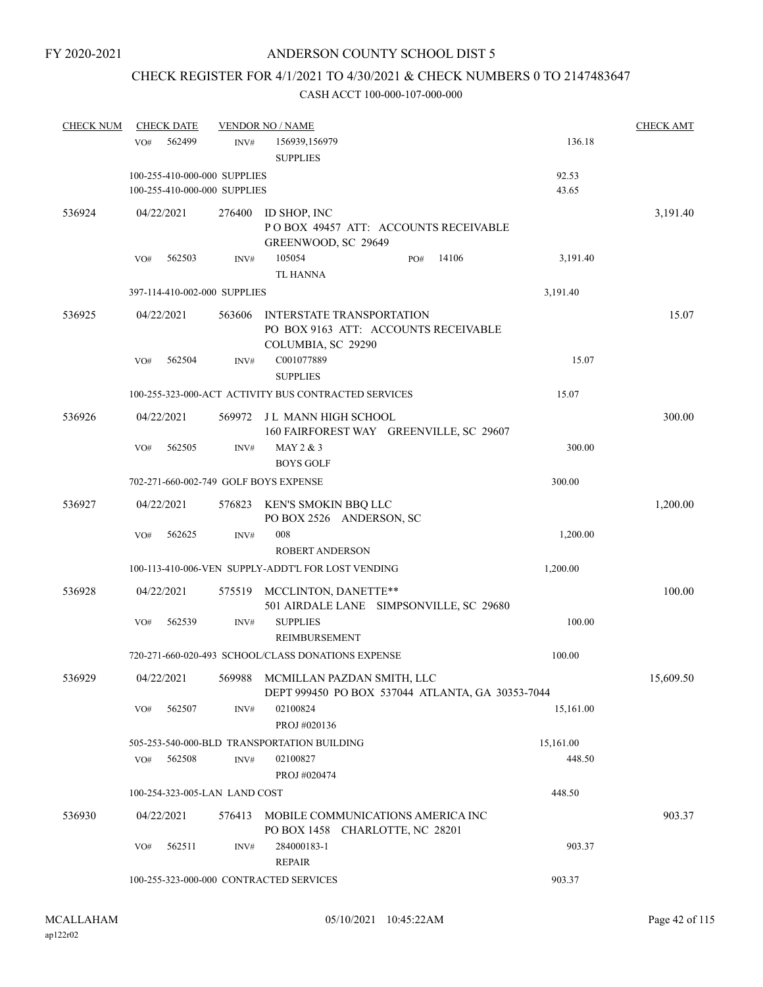# CHECK REGISTER FOR 4/1/2021 TO 4/30/2021 & CHECK NUMBERS 0 TO 2147483647

| <b>CHECK NUM</b> | <b>CHECK DATE</b>                     |                | <b>VENDOR NO / NAME</b>                                                                          |     |        |           | <b>CHECK AMT</b> |
|------------------|---------------------------------------|----------------|--------------------------------------------------------------------------------------------------|-----|--------|-----------|------------------|
|                  | 562499<br>VO#                         | INV#           | 156939,156979<br><b>SUPPLIES</b>                                                                 |     |        | 136.18    |                  |
|                  | 100-255-410-000-000 SUPPLIES          |                |                                                                                                  |     |        | 92.53     |                  |
|                  | 100-255-410-000-000 SUPPLIES          |                |                                                                                                  |     |        | 43.65     |                  |
| 536924           | 04/22/2021                            | 276400         | ID SHOP, INC<br>POBOX 49457 ATT: ACCOUNTS RECEIVABLE<br>GREENWOOD, SC 29649                      |     |        |           | 3,191.40         |
|                  | 562503<br>VO#                         | INV#           | 105054<br><b>TL HANNA</b>                                                                        | PO# | 14106  | 3,191.40  |                  |
|                  | 397-114-410-002-000 SUPPLIES          |                |                                                                                                  |     |        | 3,191.40  |                  |
| 536925           | 04/22/2021                            | 563606         | INTERSTATE TRANSPORTATION<br>PO BOX 9163 ATT: ACCOUNTS RECEIVABLE<br>COLUMBIA, SC 29290          |     |        |           | 15.07            |
|                  | VO#<br>562504                         | INV#           | C001077889<br><b>SUPPLIES</b>                                                                    |     |        | 15.07     |                  |
|                  |                                       |                | 100-255-323-000-ACT ACTIVITY BUS CONTRACTED SERVICES                                             |     |        | 15.07     |                  |
| 536926           | 04/22/2021                            | 569972         | J L MANN HIGH SCHOOL<br>160 FAIRFOREST WAY GREENVILLE, SC 29607                                  |     |        |           | 300.00           |
|                  | VO#<br>562505                         | INV#           | MAY 2 & 3<br><b>BOYS GOLF</b>                                                                    |     |        | 300.00    |                  |
|                  | 702-271-660-002-749 GOLF BOYS EXPENSE |                |                                                                                                  |     |        | 300.00    |                  |
| 536927           | 04/22/2021                            |                | 576823 KEN'S SMOKIN BBQ LLC<br>PO BOX 2526 ANDERSON, SC                                          |     |        |           | 1,200.00         |
|                  | 562625<br>VO#                         | $\text{INV}\#$ | 008                                                                                              |     |        | 1,200.00  |                  |
|                  |                                       |                | <b>ROBERT ANDERSON</b>                                                                           |     |        |           |                  |
|                  |                                       |                | 100-113-410-006-VEN SUPPLY-ADDT'L FOR LOST VENDING                                               |     |        | 1,200.00  |                  |
| 536928           | 04/22/2021                            | 575519         | MCCLINTON, DANETTE**<br>501 AIRDALE LANE SIMPSONVILLE, SC 29680                                  |     |        |           | 100.00           |
|                  | VO#<br>562539                         | INV#           | <b>SUPPLIES</b><br><b>REIMBURSEMENT</b>                                                          |     |        | 100.00    |                  |
|                  |                                       |                | 720-271-660-020-493 SCHOOL/CLASS DONATIONS EXPENSE                                               |     |        | 100.00    |                  |
| 536929           |                                       |                | 04/22/2021 569988 MCMILLAN PAZDAN SMITH, LLC<br>DEPT 999450 PO BOX 537044 ATLANTA, GA 30353-7044 |     |        |           | 15,609.50        |
|                  | 562507<br>VO#                         | INV#           | 02100824<br>PROJ #020136                                                                         |     |        | 15,161.00 |                  |
|                  |                                       |                | 505-253-540-000-BLD TRANSPORTATION BUILDING                                                      |     |        | 15,161.00 |                  |
|                  | 562508<br>VO#                         | INV#           | 02100827<br>PROJ #020474                                                                         |     |        | 448.50    |                  |
|                  | 100-254-323-005-LAN LAND COST         |                |                                                                                                  |     |        | 448.50    |                  |
| 536930           | 04/22/2021                            | 576413         | MOBILE COMMUNICATIONS AMERICA INC<br>PO BOX 1458 CHARLOTTE, NC 28201                             |     |        |           | 903.37           |
|                  | 562511<br>VO#                         | INV#           | 284000183-1<br><b>REPAIR</b>                                                                     |     |        | 903.37    |                  |
|                  |                                       |                | 100-255-323-000-000 CONTRACTED SERVICES                                                          |     | 903.37 |           |                  |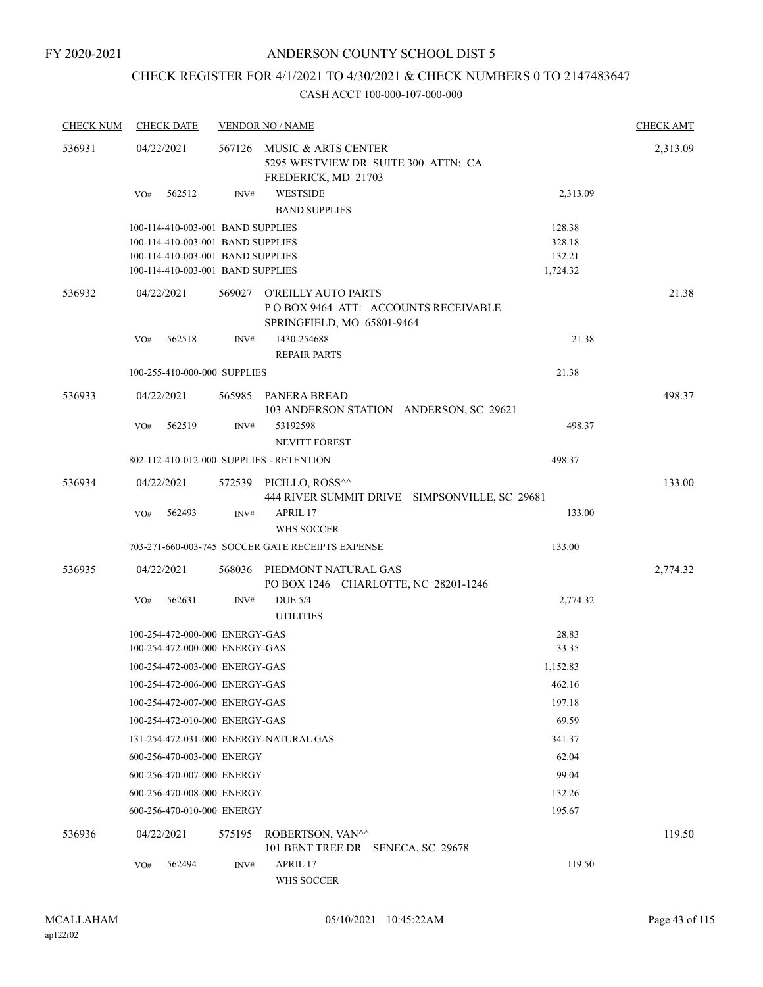## CHECK REGISTER FOR 4/1/2021 TO 4/30/2021 & CHECK NUMBERS 0 TO 2147483647

| <b>CHECK NUM</b> | <b>CHECK DATE</b> |                                   | <b>VENDOR NO / NAME</b>                                  |                                               |          | <b>CHECK AMT</b> |
|------------------|-------------------|-----------------------------------|----------------------------------------------------------|-----------------------------------------------|----------|------------------|
| 536931           | 04/22/2021        | 567126                            | MUSIC & ARTS CENTER<br>FREDERICK, MD 21703               | 5295 WESTVIEW DR SUITE 300 ATTN: CA           |          | 2,313.09         |
|                  | 562512<br>VO#     | INV#                              | <b>WESTSIDE</b><br><b>BAND SUPPLIES</b>                  |                                               | 2,313.09 |                  |
|                  |                   | 100-114-410-003-001 BAND SUPPLIES |                                                          |                                               | 128.38   |                  |
|                  |                   | 100-114-410-003-001 BAND SUPPLIES |                                                          |                                               | 328.18   |                  |
|                  |                   | 100-114-410-003-001 BAND SUPPLIES |                                                          |                                               | 132.21   |                  |
|                  |                   | 100-114-410-003-001 BAND SUPPLIES |                                                          |                                               | 1,724.32 |                  |
| 536932           | 04/22/2021        |                                   | 569027 O'REILLY AUTO PARTS<br>SPRINGFIELD, MO 65801-9464 | POBOX 9464 ATT: ACCOUNTS RECEIVABLE           |          | 21.38            |
|                  | 562518<br>VO#     | INV#                              | 1430-254688                                              |                                               | 21.38    |                  |
|                  |                   |                                   | <b>REPAIR PARTS</b>                                      |                                               |          |                  |
|                  |                   | 100-255-410-000-000 SUPPLIES      |                                                          |                                               | 21.38    |                  |
| 536933           | 04/22/2021        |                                   | 565985 PANERA BREAD                                      | 103 ANDERSON STATION ANDERSON, SC 29621       |          | 498.37           |
|                  | 562519<br>VO#     | INV#                              | 53192598<br><b>NEVITT FOREST</b>                         |                                               | 498.37   |                  |
|                  |                   |                                   | 802-112-410-012-000 SUPPLIES - RETENTION                 |                                               | 498.37   |                  |
| 536934           | 04/22/2021        |                                   | 572539 PICILLO, ROSS <sup>^^</sup>                       |                                               |          | 133.00           |
|                  | 562493<br>VO#     | INV#                              | APRIL 17<br>WHS SOCCER                                   | 444 RIVER SUMMIT DRIVE SIMPSONVILLE, SC 29681 | 133.00   |                  |
|                  |                   |                                   | 703-271-660-003-745 SOCCER GATE RECEIPTS EXPENSE         |                                               | 133.00   |                  |
| 536935           | 04/22/2021        |                                   |                                                          |                                               |          |                  |
|                  |                   | 568036                            | PIEDMONT NATURAL GAS                                     | PO BOX 1246 CHARLOTTE, NC 28201-1246          |          | 2,774.32         |
|                  | VO#<br>562631     | INV#                              | <b>DUE 5/4</b><br><b>UTILITIES</b>                       |                                               | 2,774.32 |                  |
|                  |                   | 100-254-472-000-000 ENERGY-GAS    |                                                          |                                               | 28.83    |                  |
|                  |                   | 100-254-472-000-000 ENERGY-GAS    |                                                          |                                               | 33.35    |                  |
|                  |                   | 100-254-472-003-000 ENERGY-GAS    |                                                          |                                               | 1,152.83 |                  |
|                  |                   | 100-254-472-006-000 ENERGY-GAS    |                                                          |                                               | 462.16   |                  |
|                  |                   | 100-254-472-007-000 ENERGY-GAS    |                                                          |                                               | 197.18   |                  |
|                  |                   | 100-254-472-010-000 ENERGY-GAS    |                                                          |                                               | 69.59    |                  |
|                  |                   |                                   | 131-254-472-031-000 ENERGY-NATURAL GAS                   |                                               | 341.37   |                  |
|                  |                   | 600-256-470-003-000 ENERGY        |                                                          |                                               | 62.04    |                  |
|                  |                   | 600-256-470-007-000 ENERGY        |                                                          |                                               | 99.04    |                  |
|                  |                   | 600-256-470-008-000 ENERGY        |                                                          |                                               | 132.26   |                  |
|                  |                   | 600-256-470-010-000 ENERGY        |                                                          |                                               | 195.67   |                  |
| 536936           | 04/22/2021        | 575195                            | ROBERTSON, VAN^^<br>101 BENT TREE DR SENECA, SC 29678    |                                               |          | 119.50           |
|                  | 562494<br>VO#     | INV#                              | APRIL 17<br>WHS SOCCER                                   |                                               | 119.50   |                  |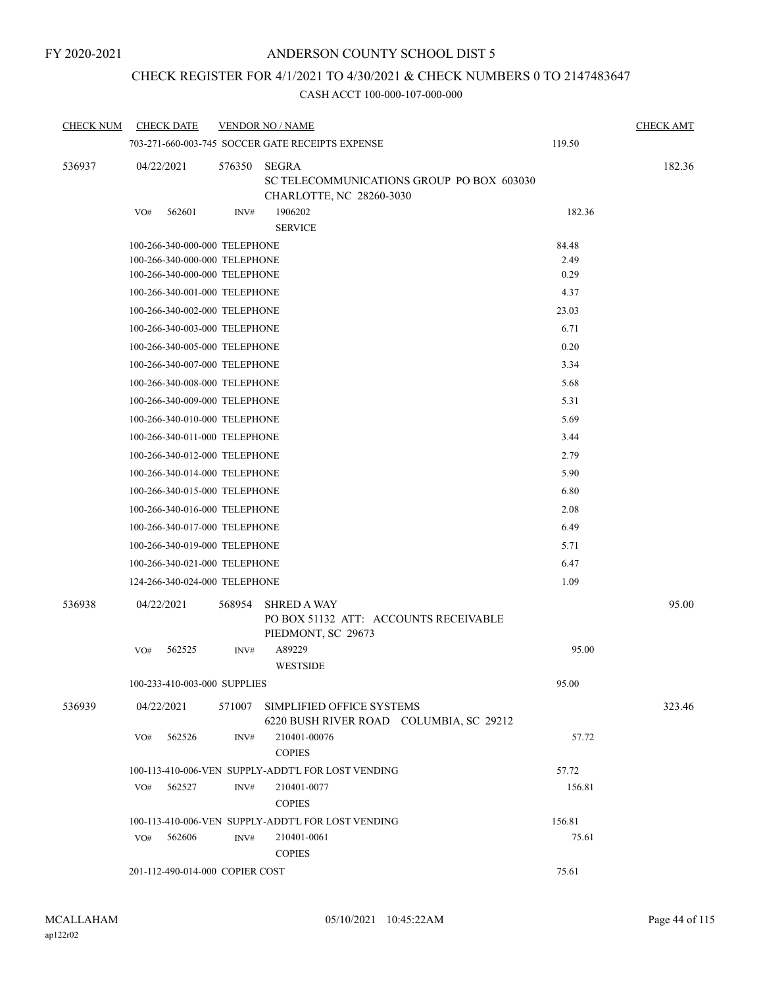## CHECK REGISTER FOR 4/1/2021 TO 4/30/2021 & CHECK NUMBERS 0 TO 2147483647

| <b>CHECK NUM</b> | <b>CHECK DATE</b>               |        | <b>VENDOR NO / NAME</b>                                                               |        | <b>CHECK AMT</b> |
|------------------|---------------------------------|--------|---------------------------------------------------------------------------------------|--------|------------------|
|                  |                                 |        | 703-271-660-003-745 SOCCER GATE RECEIPTS EXPENSE                                      | 119.50 |                  |
| 536937           | 04/22/2021                      | 576350 | <b>SEGRA</b><br>SC TELECOMMUNICATIONS GROUP PO BOX 603030<br>CHARLOTTE, NC 28260-3030 |        | 182.36           |
|                  | 562601<br>VO#                   | INV#   | 1906202<br><b>SERVICE</b>                                                             | 182.36 |                  |
|                  | 100-266-340-000-000 TELEPHONE   |        |                                                                                       | 84.48  |                  |
|                  | 100-266-340-000-000 TELEPHONE   |        |                                                                                       | 2.49   |                  |
|                  | 100-266-340-000-000 TELEPHONE   |        |                                                                                       | 0.29   |                  |
|                  | 100-266-340-001-000 TELEPHONE   |        |                                                                                       | 4.37   |                  |
|                  | 100-266-340-002-000 TELEPHONE   | 23.03  |                                                                                       |        |                  |
|                  | 100-266-340-003-000 TELEPHONE   |        |                                                                                       | 6.71   |                  |
|                  | 100-266-340-005-000 TELEPHONE   |        |                                                                                       | 0.20   |                  |
|                  | 100-266-340-007-000 TELEPHONE   |        |                                                                                       | 3.34   |                  |
|                  | 100-266-340-008-000 TELEPHONE   |        |                                                                                       | 5.68   |                  |
|                  | 100-266-340-009-000 TELEPHONE   |        |                                                                                       | 5.31   |                  |
|                  | 100-266-340-010-000 TELEPHONE   | 5.69   |                                                                                       |        |                  |
|                  | 100-266-340-011-000 TELEPHONE   | 3.44   |                                                                                       |        |                  |
|                  | 100-266-340-012-000 TELEPHONE   |        |                                                                                       | 2.79   |                  |
|                  | 100-266-340-014-000 TELEPHONE   |        |                                                                                       | 5.90   |                  |
|                  | 100-266-340-015-000 TELEPHONE   |        |                                                                                       | 6.80   |                  |
|                  | 100-266-340-016-000 TELEPHONE   |        |                                                                                       | 2.08   |                  |
|                  | 100-266-340-017-000 TELEPHONE   |        |                                                                                       | 6.49   |                  |
|                  | 100-266-340-019-000 TELEPHONE   |        |                                                                                       | 5.71   |                  |
|                  | 100-266-340-021-000 TELEPHONE   | 6.47   |                                                                                       |        |                  |
|                  | 124-266-340-024-000 TELEPHONE   |        |                                                                                       | 1.09   |                  |
| 536938           | 04/22/2021                      | 568954 | <b>SHRED A WAY</b><br>PO BOX 51132 ATT: ACCOUNTS RECEIVABLE<br>PIEDMONT, SC 29673     |        | 95.00            |
|                  | 562525<br>VO#                   | INV#   | A89229<br><b>WESTSIDE</b>                                                             | 95.00  |                  |
|                  | 100-233-410-003-000 SUPPLIES    |        |                                                                                       | 95.00  |                  |
| 536939           | 04/22/2021                      | 571007 | SIMPLIFIED OFFICE SYSTEMS<br>6220 BUSH RIVER ROAD COLUMBIA, SC 29212                  |        | 323.46           |
|                  | 562526<br>VO#                   | INV#   | 210401-00076<br><b>COPIES</b>                                                         | 57.72  |                  |
|                  |                                 |        | 100-113-410-006-VEN SUPPLY-ADDT'L FOR LOST VENDING                                    | 57.72  |                  |
|                  | 562527<br>VO#                   | INV#   | 210401-0077<br><b>COPIES</b>                                                          | 156.81 |                  |
|                  |                                 |        | 100-113-410-006-VEN SUPPLY-ADDT'L FOR LOST VENDING                                    | 156.81 |                  |
|                  | 562606<br>VO#                   | INV#   | 210401-0061<br><b>COPIES</b>                                                          | 75.61  |                  |
|                  | 201-112-490-014-000 COPIER COST |        | 75.61                                                                                 |        |                  |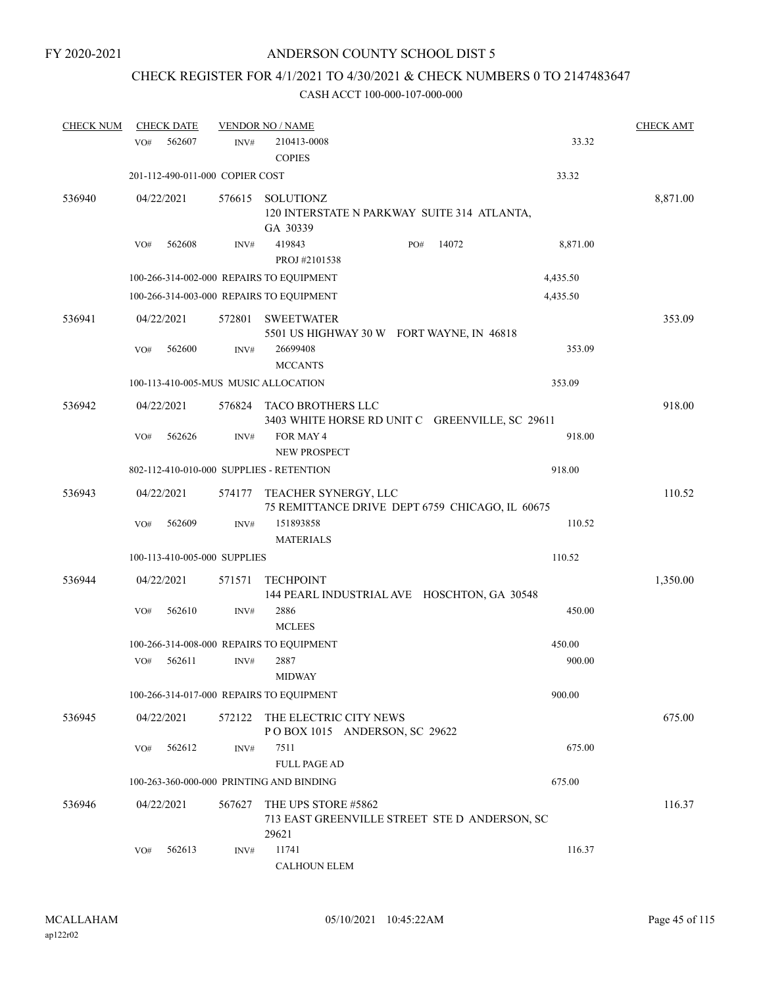# CHECK REGISTER FOR 4/1/2021 TO 4/30/2021 & CHECK NUMBERS 0 TO 2147483647

| <b>CHECK NUM</b> | <b>CHECK DATE</b>                        |                | <b>VENDOR NO / NAME</b>                                                       |              |          | <b>CHECK AMT</b> |
|------------------|------------------------------------------|----------------|-------------------------------------------------------------------------------|--------------|----------|------------------|
|                  | 562607<br>VO#                            | INV#           | 210413-0008<br><b>COPIES</b>                                                  |              | 33.32    |                  |
|                  | 201-112-490-011-000 COPIER COST          |                |                                                                               |              | 33.32    |                  |
| 536940           | 04/22/2021                               | 576615         | <b>SOLUTIONZ</b><br>120 INTERSTATE N PARKWAY SUITE 314 ATLANTA,<br>GA 30339   |              |          | 8,871.00         |
|                  | 562608<br>VO#                            | INV#           | 419843<br>PROJ #2101538                                                       | 14072<br>PO# | 8,871.00 |                  |
|                  | 100-266-314-002-000 REPAIRS TO EQUIPMENT |                |                                                                               |              | 4,435.50 |                  |
|                  | 100-266-314-003-000 REPAIRS TO EQUIPMENT |                |                                                                               |              | 4,435.50 |                  |
| 536941           | 04/22/2021                               | 572801         | <b>SWEETWATER</b>                                                             |              |          | 353.09           |
|                  | 562600<br>VO#                            | INV#           | 5501 US HIGHWAY 30 W FORT WAYNE, IN 46818<br>26699408<br><b>MCCANTS</b>       |              | 353.09   |                  |
|                  | 100-113-410-005-MUS MUSIC ALLOCATION     |                |                                                                               |              | 353.09   |                  |
| 536942           | 04/22/2021                               | 576824         | TACO BROTHERS LLC<br>3403 WHITE HORSE RD UNIT C GREENVILLE, SC 29611          |              |          | 918.00           |
|                  | 562626<br>VO#                            | INV#           | FOR MAY 4<br><b>NEW PROSPECT</b>                                              |              | 918.00   |                  |
|                  | 802-112-410-010-000 SUPPLIES - RETENTION |                |                                                                               |              | 918.00   |                  |
| 536943           | 04/22/2021                               | 574177         | TEACHER SYNERGY, LLC<br>75 REMITTANCE DRIVE DEPT 6759 CHICAGO, IL 60675       |              |          | 110.52           |
|                  | 562609<br>VO#                            | INV#           | 151893858<br><b>MATERIALS</b>                                                 |              | 110.52   |                  |
|                  | 100-113-410-005-000 SUPPLIES             |                |                                                                               |              | 110.52   |                  |
| 536944           | 04/22/2021                               | 571571         | <b>TECHPOINT</b><br>144 PEARL INDUSTRIAL AVE HOSCHTON, GA 30548               |              |          | 1,350.00         |
|                  | 562610<br>VO#                            | INV#           | 2886<br><b>MCLEES</b>                                                         |              | 450.00   |                  |
|                  |                                          |                | 100-266-314-008-000 REPAIRS TO EQUIPMENT                                      |              | 450.00   |                  |
|                  | 562611<br>VO#                            | $\text{INV}\#$ | 2887<br>MIDWAY                                                                |              | 900.00   |                  |
|                  |                                          |                | 100-266-314-017-000 REPAIRS TO EQUIPMENT                                      |              | 900.00   |                  |
| 536945           | 04/22/2021                               | 572122         | THE ELECTRIC CITY NEWS<br>POBOX 1015 ANDERSON, SC 29622                       |              |          | 675.00           |
|                  | 562612<br>VO#                            | INV#           | 7511<br><b>FULL PAGE AD</b>                                                   |              | 675.00   |                  |
|                  | 100-263-360-000-000 PRINTING AND BINDING |                |                                                                               |              | 675.00   |                  |
| 536946           | 04/22/2021                               | 567627         | THE UPS STORE #5862<br>713 EAST GREENVILLE STREET STE D ANDERSON, SC<br>29621 |              |          | 116.37           |
|                  | 562613<br>VO#                            | INV#           | 11741<br><b>CALHOUN ELEM</b>                                                  |              | 116.37   |                  |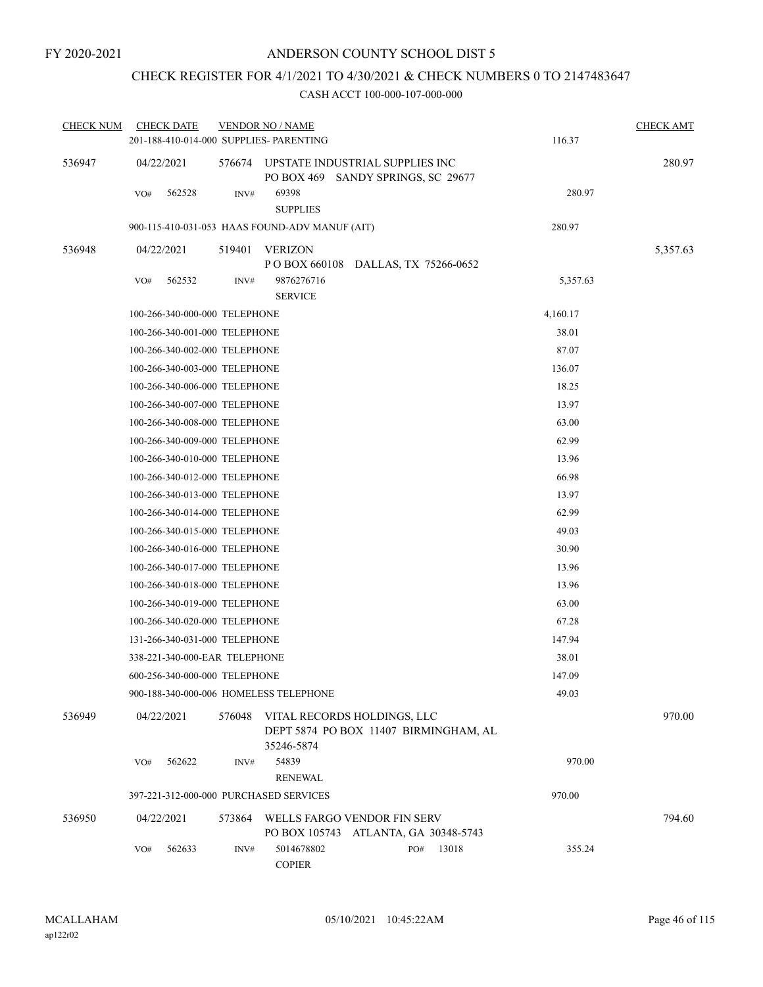## CHECK REGISTER FOR 4/1/2021 TO 4/30/2021 & CHECK NUMBERS 0 TO 2147483647

| <b>CHECK NUM</b> | <b>CHECK DATE</b><br>201-188-410-014-000 SUPPLIES- PARENTING |        | <b>VENDOR NO / NAME</b>          |                                                                       |       | 116.37   | <b>CHECK AMT</b> |
|------------------|--------------------------------------------------------------|--------|----------------------------------|-----------------------------------------------------------------------|-------|----------|------------------|
| 536947           | 04/22/2021                                                   | 576674 |                                  | UPSTATE INDUSTRIAL SUPPLIES INC<br>PO BOX 469 SANDY SPRINGS, SC 29677 |       |          | 280.97           |
|                  | 562528<br>VO#                                                | INV#   | 69398<br><b>SUPPLIES</b>         |                                                                       |       | 280.97   |                  |
|                  | 900-115-410-031-053 HAAS FOUND-ADV MANUF (AIT)               |        |                                  |                                                                       |       | 280.97   |                  |
| 536948           | 04/22/2021                                                   | 519401 | <b>VERIZON</b><br>P O BOX 660108 | DALLAS, TX 75266-0652                                                 |       |          | 5,357.63         |
|                  | 562532<br>VO#                                                | INV#   | 9876276716<br><b>SERVICE</b>     |                                                                       |       | 5,357.63 |                  |
|                  | 100-266-340-000-000 TELEPHONE                                |        |                                  |                                                                       |       | 4,160.17 |                  |
|                  | 100-266-340-001-000 TELEPHONE                                |        |                                  |                                                                       |       | 38.01    |                  |
|                  | 100-266-340-002-000 TELEPHONE                                |        |                                  |                                                                       |       | 87.07    |                  |
|                  | 100-266-340-003-000 TELEPHONE                                |        |                                  |                                                                       |       | 136.07   |                  |
|                  | 100-266-340-006-000 TELEPHONE                                |        |                                  |                                                                       |       | 18.25    |                  |
|                  | 100-266-340-007-000 TELEPHONE                                |        |                                  |                                                                       |       | 13.97    |                  |
|                  | 100-266-340-008-000 TELEPHONE                                |        |                                  |                                                                       |       | 63.00    |                  |
|                  | 100-266-340-009-000 TELEPHONE                                |        |                                  |                                                                       |       | 62.99    |                  |
|                  | 100-266-340-010-000 TELEPHONE                                |        |                                  |                                                                       |       | 13.96    |                  |
|                  | 100-266-340-012-000 TELEPHONE                                |        |                                  |                                                                       |       | 66.98    |                  |
|                  | 100-266-340-013-000 TELEPHONE                                |        |                                  |                                                                       |       | 13.97    |                  |
|                  | 100-266-340-014-000 TELEPHONE                                |        |                                  |                                                                       |       | 62.99    |                  |
|                  | 100-266-340-015-000 TELEPHONE                                |        |                                  |                                                                       |       | 49.03    |                  |
|                  | 100-266-340-016-000 TELEPHONE                                |        |                                  |                                                                       |       | 30.90    |                  |
|                  | 100-266-340-017-000 TELEPHONE                                |        |                                  |                                                                       |       | 13.96    |                  |
|                  | 100-266-340-018-000 TELEPHONE                                |        |                                  |                                                                       |       | 13.96    |                  |
|                  | 100-266-340-019-000 TELEPHONE                                |        |                                  |                                                                       |       | 63.00    |                  |
|                  | 100-266-340-020-000 TELEPHONE                                |        |                                  |                                                                       |       | 67.28    |                  |
|                  | 131-266-340-031-000 TELEPHONE                                |        |                                  |                                                                       |       | 147.94   |                  |
|                  | 338-221-340-000-EAR TELEPHONE                                |        |                                  |                                                                       |       | 38.01    |                  |
|                  | 600-256-340-000-000 TELEPHONE                                |        |                                  |                                                                       |       | 147.09   |                  |
|                  | 900-188-340-000-006 HOMELESS TELEPHONE                       |        |                                  |                                                                       |       | 49.03    |                  |
| 536949           | 04/22/2021                                                   | 576048 | 35246-5874                       | VITAL RECORDS HOLDINGS, LLC<br>DEPT 5874 PO BOX 11407 BIRMINGHAM, AL  |       |          | 970.00           |
|                  | 562622<br>VO#                                                | INV#   | 54839<br><b>RENEWAL</b>          |                                                                       |       | 970.00   |                  |
|                  | 397-221-312-000-000 PURCHASED SERVICES                       |        |                                  |                                                                       |       | 970.00   |                  |
| 536950           | 04/22/2021                                                   | 573864 | PO BOX 105743                    | WELLS FARGO VENDOR FIN SERV<br>ATLANTA, GA 30348-5743                 |       |          | 794.60           |
|                  | 562633<br>VO#                                                | INV#   | 5014678802<br><b>COPIER</b>      | PO#                                                                   | 13018 | 355.24   |                  |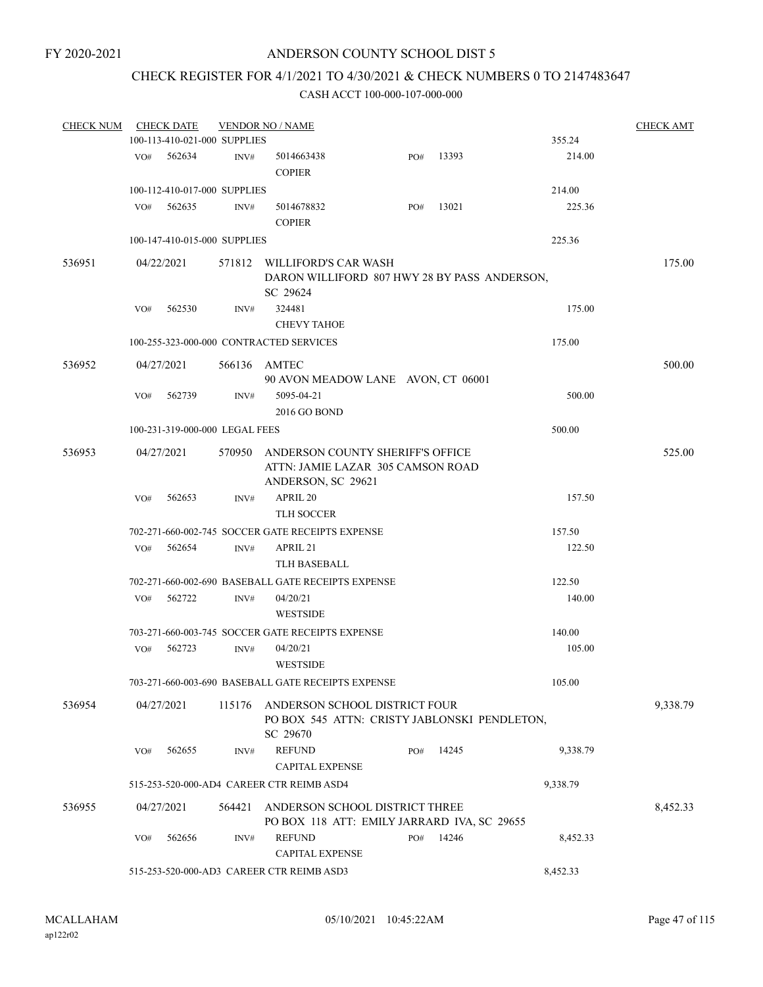## CHECK REGISTER FOR 4/1/2021 TO 4/30/2021 & CHECK NUMBERS 0 TO 2147483647

| <b>CHECK NUM</b> |                                                       | <b>CHECK DATE</b>              |        | <b>VENDOR NO / NAME</b>                                                                            |     |       |          | <b>CHECK AMT</b> |  |
|------------------|-------------------------------------------------------|--------------------------------|--------|----------------------------------------------------------------------------------------------------|-----|-------|----------|------------------|--|
|                  |                                                       | 100-113-410-021-000 SUPPLIES   |        |                                                                                                    |     |       | 355.24   |                  |  |
|                  | VO#                                                   | 562634                         | INV#   | 5014663438<br><b>COPIER</b>                                                                        | PO# | 13393 | 214.00   |                  |  |
|                  |                                                       | 100-112-410-017-000 SUPPLIES   |        |                                                                                                    |     |       | 214.00   |                  |  |
|                  | VO#                                                   | 562635                         | INV#   | 5014678832<br><b>COPIER</b>                                                                        | PO# | 13021 | 225.36   |                  |  |
|                  |                                                       | 100-147-410-015-000 SUPPLIES   |        |                                                                                                    |     |       | 225.36   |                  |  |
| 536951           |                                                       | 04/22/2021                     |        | 571812 WILLIFORD'S CAR WASH<br>DARON WILLIFORD 807 HWY 28 BY PASS ANDERSON,<br>SC 29624            |     |       |          | 175.00           |  |
|                  | VO#                                                   | 562530                         | INV#   | 324481<br><b>CHEVY TAHOE</b>                                                                       |     |       | 175.00   |                  |  |
|                  |                                                       |                                |        | 100-255-323-000-000 CONTRACTED SERVICES                                                            |     |       | 175.00   |                  |  |
| 536952           |                                                       | 04/27/2021                     |        | 566136 AMTEC<br>90 AVON MEADOW LANE AVON, CT 06001                                                 |     |       |          | 500.00           |  |
|                  | VO#                                                   | 562739                         | INV#   | 5095-04-21<br>2016 GO BOND                                                                         |     |       | 500.00   |                  |  |
|                  |                                                       | 100-231-319-000-000 LEGAL FEES |        |                                                                                                    |     |       | 500.00   |                  |  |
| 536953           |                                                       | 04/27/2021                     |        | 570950 ANDERSON COUNTY SHERIFF'S OFFICE<br>ATTN: JAMIE LAZAR 305 CAMSON ROAD<br>ANDERSON, SC 29621 |     |       |          | 525.00           |  |
|                  | VO#                                                   | 562653                         | INV#   | APRIL 20<br><b>TLH SOCCER</b>                                                                      |     |       | 157.50   |                  |  |
|                  |                                                       |                                |        | 702-271-660-002-745 SOCCER GATE RECEIPTS EXPENSE                                                   |     |       | 157.50   |                  |  |
|                  | VO#                                                   | 562654                         | INV#   | APRIL 21                                                                                           |     |       | 122.50   |                  |  |
|                  |                                                       |                                |        | TLH BASEBALL                                                                                       |     |       |          |                  |  |
|                  |                                                       |                                |        | 702-271-660-002-690 BASEBALL GATE RECEIPTS EXPENSE                                                 |     |       | 122.50   |                  |  |
|                  | VO#                                                   | 562722                         | INV#   | 04/20/21<br><b>WESTSIDE</b>                                                                        |     |       | 140.00   |                  |  |
|                  |                                                       |                                |        | 703-271-660-003-745 SOCCER GATE RECEIPTS EXPENSE                                                   |     |       | 140.00   |                  |  |
|                  | VO#                                                   | 562723                         | INV#   | 04/20/21<br><b>WESTSIDE</b>                                                                        |     |       | 105.00   |                  |  |
|                  |                                                       |                                |        | 703-271-660-003-690 BASEBALL GATE RECEIPTS EXPENSE                                                 |     |       | 105.00   |                  |  |
| 536954           |                                                       | 04/27/2021                     | 115176 | ANDERSON SCHOOL DISTRICT FOUR<br>PO BOX 545 ATTN: CRISTY JABLONSKI PENDLETON,<br>SC 29670          |     |       |          | 9,338.79         |  |
|                  | VO#                                                   | 562655                         | INV#   | <b>REFUND</b><br><b>CAPITAL EXPENSE</b>                                                            | PO# | 14245 | 9,338.79 |                  |  |
|                  |                                                       |                                |        | 515-253-520-000-AD4 CAREER CTR REIMB ASD4                                                          |     |       | 9,338.79 |                  |  |
| 536955           |                                                       | 04/27/2021                     | 564421 | ANDERSON SCHOOL DISTRICT THREE<br>PO BOX 118 ATT: EMILY JARRARD IVA, SC 29655                      |     |       |          | 8,452.33         |  |
|                  | VO#                                                   | 562656                         | INV#   | <b>REFUND</b><br><b>CAPITAL EXPENSE</b>                                                            | PO# | 14246 | 8,452.33 |                  |  |
|                  | 515-253-520-000-AD3 CAREER CTR REIMB ASD3<br>8,452.33 |                                |        |                                                                                                    |     |       |          |                  |  |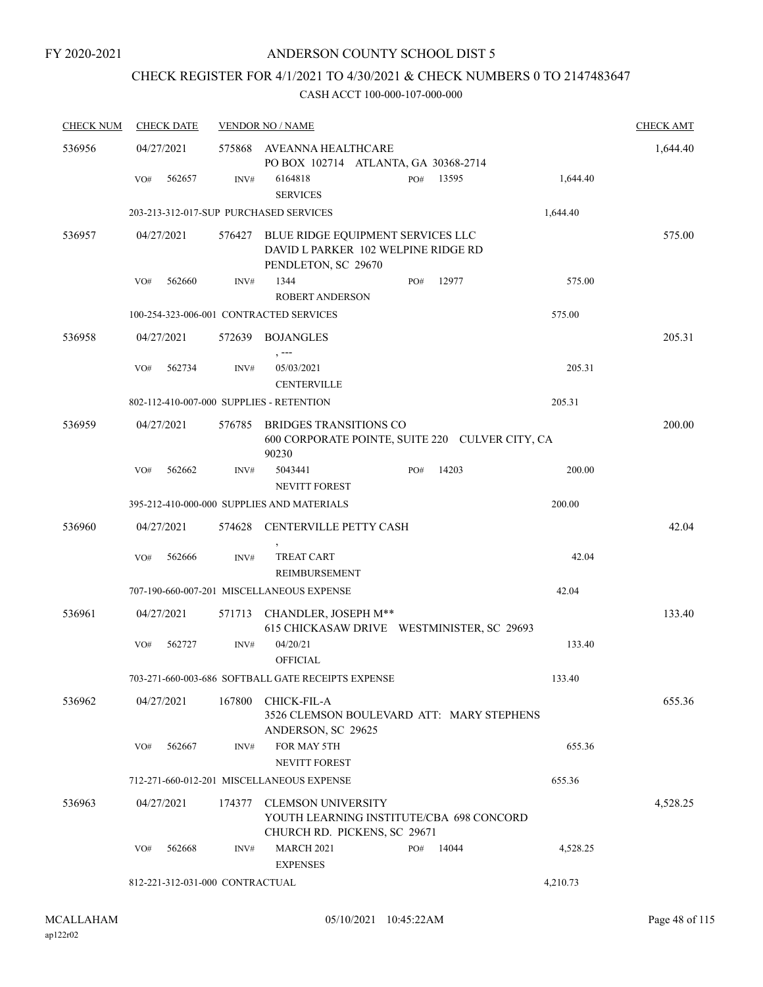## CHECK REGISTER FOR 4/1/2021 TO 4/30/2021 & CHECK NUMBERS 0 TO 2147483647

| <b>CHECK NUM</b> | <b>CHECK DATE</b> |                                 | <b>VENDOR NO / NAME</b>                                                                               |     |       |          | <b>CHECK AMT</b> |
|------------------|-------------------|---------------------------------|-------------------------------------------------------------------------------------------------------|-----|-------|----------|------------------|
| 536956           | 04/27/2021        | 575868                          | AVEANNA HEALTHCARE<br>PO BOX 102714 ATLANTA, GA 30368-2714                                            |     |       |          | 1,644.40         |
|                  | 562657<br>VO#     | INV#                            | 6164818<br><b>SERVICES</b>                                                                            | PO# | 13595 | 1,644.40 |                  |
|                  |                   |                                 | 203-213-312-017-SUP PURCHASED SERVICES                                                                |     |       | 1,644.40 |                  |
| 536957           | 04/27/2021        | 576427                          | BLUE RIDGE EQUIPMENT SERVICES LLC<br>DAVID L PARKER 102 WELPINE RIDGE RD<br>PENDLETON, SC 29670       |     |       |          | 575.00           |
|                  | 562660<br>VO#     | INV#                            | 1344<br><b>ROBERT ANDERSON</b>                                                                        | PO# | 12977 | 575.00   |                  |
|                  |                   |                                 | 100-254-323-006-001 CONTRACTED SERVICES                                                               |     |       | 575.00   |                  |
| 536958           | 04/27/2021        | 572639                          | BOJANGLES<br>$, --$                                                                                   |     |       |          | 205.31           |
|                  | 562734<br>VO#     | INV#                            | 05/03/2021<br><b>CENTERVILLE</b>                                                                      |     |       | 205.31   |                  |
|                  |                   |                                 | 802-112-410-007-000 SUPPLIES - RETENTION                                                              |     |       | 205.31   |                  |
| 536959           | 04/27/2021        | 576785                          | <b>BRIDGES TRANSITIONS CO</b><br>600 CORPORATE POINTE, SUITE 220 CULVER CITY, CA<br>90230             |     |       |          | 200.00           |
|                  | 562662<br>VO#     | INV#                            | 5043441<br><b>NEVITT FOREST</b>                                                                       | PO# | 14203 | 200.00   |                  |
|                  |                   |                                 | 395-212-410-000-000 SUPPLIES AND MATERIALS                                                            |     |       | 200.00   |                  |
| 536960           | 04/27/2021        | 574628                          | <b>CENTERVILLE PETTY CASH</b>                                                                         |     |       |          | 42.04            |
|                  | 562666<br>VO#     | INV#                            | <b>TREAT CART</b><br>REIMBURSEMENT                                                                    |     |       | 42.04    |                  |
|                  |                   |                                 | 707-190-660-007-201 MISCELLANEOUS EXPENSE                                                             |     |       | 42.04    |                  |
| 536961           | 04/27/2021        | 571713                          | CHANDLER, JOSEPH M**<br>615 CHICKASAW DRIVE WESTMINISTER, SC 29693                                    |     |       |          | 133.40           |
|                  | 562727<br>VO#     | INV#                            | 04/20/21<br><b>OFFICIAL</b>                                                                           |     |       | 133.40   |                  |
|                  |                   |                                 | 703-271-660-003-686 SOFTBALL GATE RECEIPTS EXPENSE                                                    |     |       | 133.40   |                  |
| 536962           | 04/27/2021        | 167800                          | CHICK-FIL-A<br>3526 CLEMSON BOULEVARD ATT: MARY STEPHENS<br>ANDERSON, SC 29625                        |     |       |          | 655.36           |
|                  | 562667<br>VO#     | INV#                            | FOR MAY 5TH<br><b>NEVITT FOREST</b>                                                                   |     |       | 655.36   |                  |
|                  |                   |                                 | 712-271-660-012-201 MISCELLANEOUS EXPENSE                                                             |     |       | 655.36   |                  |
| 536963           | 04/27/2021        | 174377                          | <b>CLEMSON UNIVERSITY</b><br>YOUTH LEARNING INSTITUTE/CBA 698 CONCORD<br>CHURCH RD. PICKENS, SC 29671 |     |       |          | 4,528.25         |
|                  | 562668<br>VO#     | INV#                            | <b>MARCH 2021</b><br><b>EXPENSES</b>                                                                  | PO# | 14044 | 4,528.25 |                  |
|                  |                   | 812-221-312-031-000 CONTRACTUAL |                                                                                                       |     |       | 4,210.73 |                  |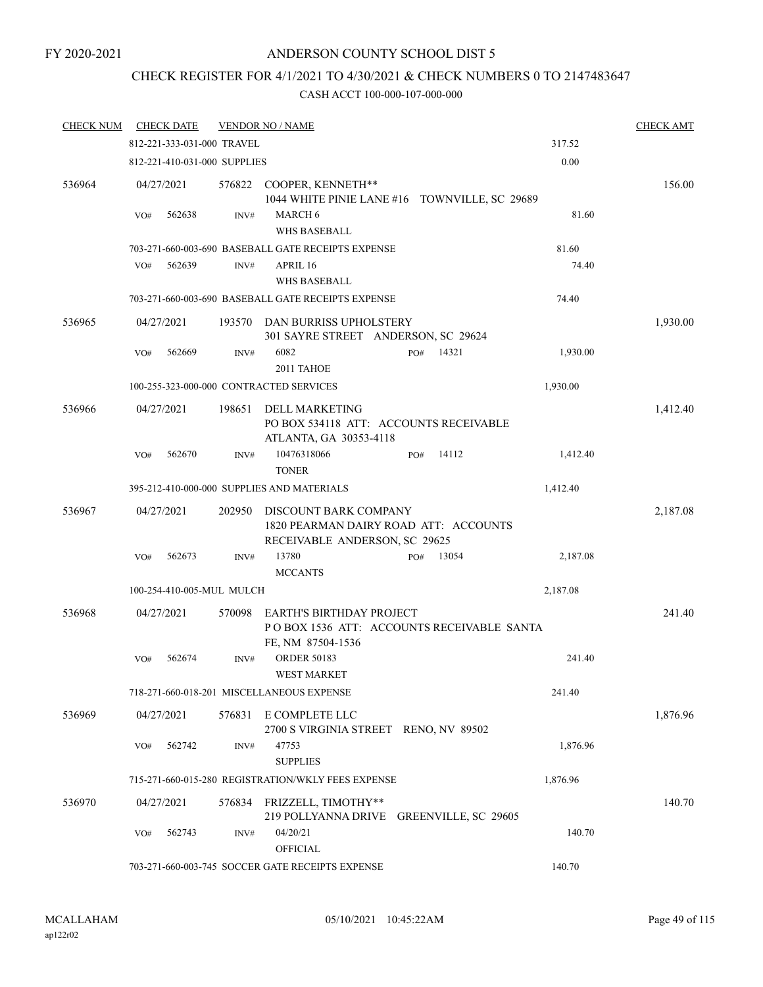#### FY 2020-2021

## ANDERSON COUNTY SCHOOL DIST 5

# CHECK REGISTER FOR 4/1/2021 TO 4/30/2021 & CHECK NUMBERS 0 TO 2147483647

| <b>CHECK NUM</b> | <b>CHECK DATE</b> |                              | <b>VENDOR NO / NAME</b>                                                                           |                      |          | <b>CHECK AMT</b> |
|------------------|-------------------|------------------------------|---------------------------------------------------------------------------------------------------|----------------------|----------|------------------|
|                  |                   | 812-221-333-031-000 TRAVEL   |                                                                                                   |                      | 317.52   |                  |
|                  |                   | 812-221-410-031-000 SUPPLIES |                                                                                                   |                      | 0.00     |                  |
| 536964           | 04/27/2021        | 576822                       | COOPER, KENNETH**<br>1044 WHITE PINIE LANE #16 TOWNVILLE, SC 29689                                |                      |          | 156.00           |
|                  | 562638<br>VO#     | INV#                         | MARCH 6<br><b>WHS BASEBALL</b>                                                                    | 81.60                |          |                  |
|                  |                   |                              | 703-271-660-003-690 BASEBALL GATE RECEIPTS EXPENSE                                                | 81.60                |          |                  |
|                  | VO#<br>562639     | INV#                         | APRIL 16<br><b>WHS BASEBALL</b>                                                                   |                      | 74.40    |                  |
|                  |                   |                              | 703-271-660-003-690 BASEBALL GATE RECEIPTS EXPENSE                                                |                      | 74.40    |                  |
| 536965           | 04/27/2021        | 193570                       | DAN BURRISS UPHOLSTERY                                                                            |                      |          | 1,930.00         |
|                  | 562669<br>VO#     | INV#                         | 301 SAYRE STREET ANDERSON, SC 29624<br>6082<br>2011 TAHOE                                         | 14321<br>PO#         | 1,930.00 |                  |
|                  |                   |                              |                                                                                                   |                      |          |                  |
|                  |                   |                              | 100-255-323-000-000 CONTRACTED SERVICES                                                           |                      | 1,930.00 |                  |
| 536966           | 04/27/2021        | 198651                       | <b>DELL MARKETING</b><br>PO BOX 534118 ATT: ACCOUNTS RECEIVABLE<br>ATLANTA, GA 30353-4118         |                      |          | 1,412.40         |
|                  | 562670<br>VO#     | INV#                         | 10476318066<br><b>TONER</b>                                                                       | 14112<br>PO#         | 1,412.40 |                  |
|                  |                   |                              | 395-212-410-000-000 SUPPLIES AND MATERIALS                                                        |                      | 1,412.40 |                  |
| 536967           | 04/27/2021        | 202950                       | DISCOUNT BARK COMPANY<br>1820 PEARMAN DAIRY ROAD ATT: ACCOUNTS<br>RECEIVABLE ANDERSON, SC 29625   |                      |          | 2,187.08         |
|                  | 562673<br>VO#     | INV#                         | 13780<br><b>MCCANTS</b>                                                                           | 13054<br>PO#         | 2,187.08 |                  |
|                  |                   | 100-254-410-005-MUL MULCH    |                                                                                                   |                      | 2,187.08 |                  |
|                  |                   |                              |                                                                                                   |                      |          |                  |
| 536968           | 04/27/2021        | 570098                       | <b>EARTH'S BIRTHDAY PROJECT</b><br>POBOX 1536 ATT: ACCOUNTS RECEIVABLE SANTA<br>FE, NM 87504-1536 |                      |          | 241.40           |
|                  | 562674<br>VO#     | INV#                         | <b>ORDER 50183</b><br><b>WEST MARKET</b>                                                          |                      | 241.40   |                  |
|                  |                   |                              | 718-271-660-018-201 MISCELLANEOUS EXPENSE                                                         |                      | 241.40   |                  |
| 536969           | 04/27/2021        | 576831                       | E COMPLETE LLC<br>2700 S VIRGINIA STREET RENO, NV 89502                                           |                      |          | 1,876.96         |
|                  | 562742<br>VO#     | INV#                         | 47753<br><b>SUPPLIES</b>                                                                          |                      | 1,876.96 |                  |
|                  |                   |                              | 715-271-660-015-280 REGISTRATION/WKLY FEES EXPENSE                                                |                      | 1,876.96 |                  |
| 536970           | 04/27/2021        |                              | 576834 FRIZZELL, TIMOTHY**<br>219 POLLYANNA DRIVE                                                 | GREENVILLE, SC 29605 |          | 140.70           |
|                  | 562743<br>VO#     | INV#                         | 04/20/21<br><b>OFFICIAL</b>                                                                       |                      | 140.70   |                  |
|                  |                   |                              | 703-271-660-003-745 SOCCER GATE RECEIPTS EXPENSE                                                  |                      | 140.70   |                  |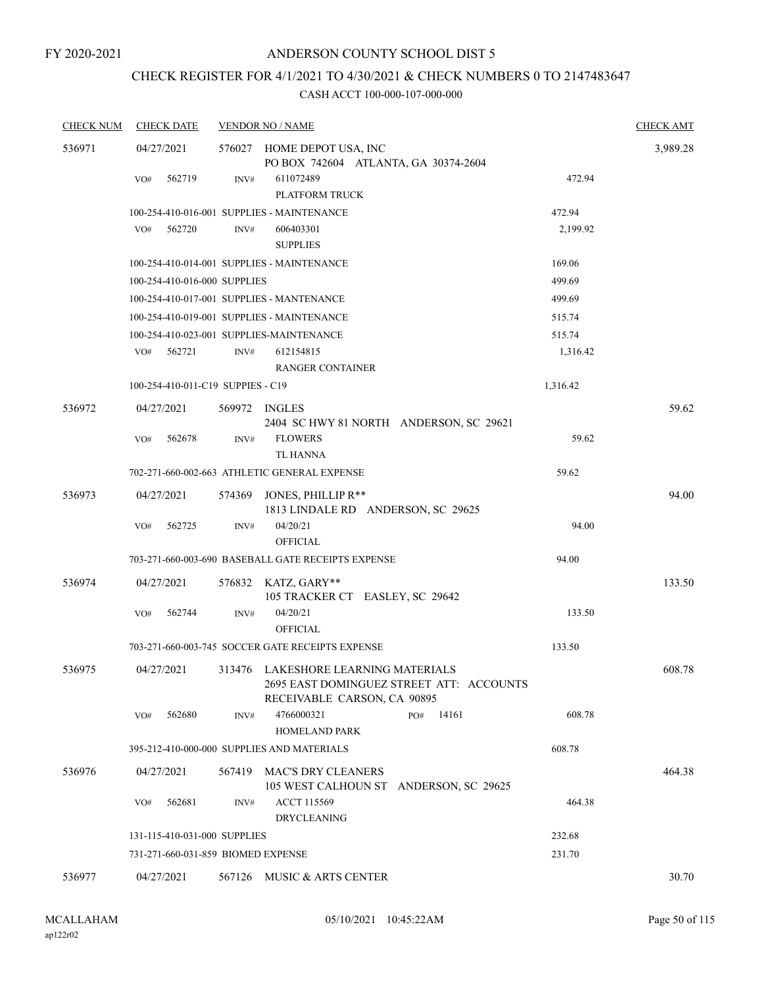## CHECK REGISTER FOR 4/1/2021 TO 4/30/2021 & CHECK NUMBERS 0 TO 2147483647

| <b>CHECK NUM</b> | <b>CHECK DATE</b>                  |        | <b>VENDOR NO / NAME</b>                                                                                        |              |          | <b>CHECK AMT</b> |
|------------------|------------------------------------|--------|----------------------------------------------------------------------------------------------------------------|--------------|----------|------------------|
| 536971           | 04/27/2021                         |        | 576027 HOME DEPOT USA, INC<br>PO BOX 742604 ATLANTA, GA 30374-2604                                             |              |          | 3,989.28         |
|                  | 562719<br>VO#                      | INV#   | 611072489<br>PLATFORM TRUCK                                                                                    |              | 472.94   |                  |
|                  |                                    |        | 100-254-410-016-001 SUPPLIES - MAINTENANCE                                                                     |              | 472.94   |                  |
|                  | 562720<br>VO#                      | INV#   | 606403301<br><b>SUPPLIES</b>                                                                                   |              | 2,199.92 |                  |
|                  |                                    |        | 100-254-410-014-001 SUPPLIES - MAINTENANCE                                                                     |              | 169.06   |                  |
|                  | 100-254-410-016-000 SUPPLIES       |        |                                                                                                                |              | 499.69   |                  |
|                  |                                    |        | 100-254-410-017-001 SUPPLIES - MANTENANCE                                                                      |              | 499.69   |                  |
|                  |                                    |        | 100-254-410-019-001 SUPPLIES - MAINTENANCE                                                                     |              | 515.74   |                  |
|                  |                                    |        | 100-254-410-023-001 SUPPLIES-MAINTENANCE                                                                       |              | 515.74   |                  |
|                  | VO#<br>562721                      | INV#   | 612154815<br><b>RANGER CONTAINER</b>                                                                           |              | 1,316.42 |                  |
|                  | 100-254-410-011-C19 SUPPIES - C19  |        |                                                                                                                |              | 1,316.42 |                  |
| 536972           | 04/27/2021                         |        | 569972 INGLES<br>2404 SC HWY 81 NORTH ANDERSON, SC 29621                                                       |              |          | 59.62            |
|                  | 562678<br>VO#                      | INV#   | <b>FLOWERS</b><br>TL HANNA                                                                                     |              | 59.62    |                  |
|                  |                                    |        | 702-271-660-002-663 ATHLETIC GENERAL EXPENSE                                                                   |              | 59.62    |                  |
| 536973           | 04/27/2021                         | 574369 | JONES, PHILLIP R**<br>1813 LINDALE RD ANDERSON, SC 29625                                                       |              |          | 94.00            |
|                  | 562725<br>VO#                      | INV#   | 04/20/21<br><b>OFFICIAL</b>                                                                                    |              | 94.00    |                  |
|                  |                                    |        | 703-271-660-003-690 BASEBALL GATE RECEIPTS EXPENSE                                                             |              | 94.00    |                  |
| 536974           | 04/27/2021                         |        | 576832 KATZ, GARY**<br>105 TRACKER CT EASLEY, SC 29642                                                         |              |          | 133.50           |
|                  | VO#<br>562744                      | INV#   | 04/20/21<br><b>OFFICIAL</b>                                                                                    |              | 133.50   |                  |
|                  |                                    |        | 703-271-660-003-745 SOCCER GATE RECEIPTS EXPENSE                                                               |              | 133.50   |                  |
| 536975           | 04/27/2021                         |        | 313476 LAKESHORE LEARNING MATERIALS<br>2695 EAST DOMINGUEZ STREET ATT: ACCOUNTS<br>RECEIVABLE CARSON, CA 90895 |              |          | 608.78           |
|                  | 562680<br>VO#                      | INV#   | 4766000321<br><b>HOMELAND PARK</b>                                                                             | PO#<br>14161 | 608.78   |                  |
|                  |                                    |        | 395-212-410-000-000 SUPPLIES AND MATERIALS                                                                     |              | 608.78   |                  |
| 536976           | 04/27/2021                         | 567419 | <b>MAC'S DRY CLEANERS</b><br>105 WEST CALHOUN ST ANDERSON, SC 29625                                            |              |          | 464.38           |
|                  | 562681<br>VO#                      | INV#   | <b>ACCT 115569</b><br><b>DRYCLEANING</b>                                                                       |              | 464.38   |                  |
|                  | 131-115-410-031-000 SUPPLIES       |        |                                                                                                                |              | 232.68   |                  |
|                  | 731-271-660-031-859 BIOMED EXPENSE |        |                                                                                                                |              | 231.70   |                  |
| 536977           | 04/27/2021                         | 567126 | MUSIC & ARTS CENTER                                                                                            |              |          | 30.70            |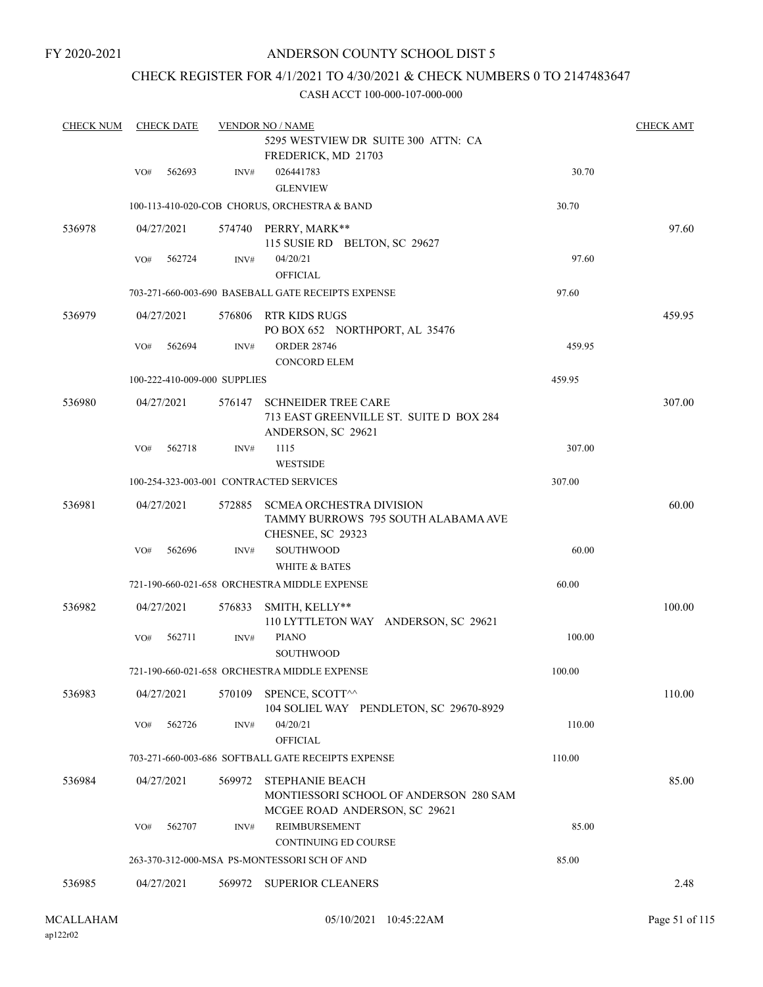FY 2020-2021

## ANDERSON COUNTY SCHOOL DIST 5

## CHECK REGISTER FOR 4/1/2021 TO 4/30/2021 & CHECK NUMBERS 0 TO 2147483647

| <b>CHECK NUM</b> | <b>CHECK DATE</b> |            |                              | <b>VENDOR NO / NAME</b><br>5295 WESTVIEW DR SUITE 300 ATTN: CA<br>FREDERICK, MD 21703             |        | <b>CHECK AMT</b> |
|------------------|-------------------|------------|------------------------------|---------------------------------------------------------------------------------------------------|--------|------------------|
|                  | VO#               | 562693     | INV#                         | 026441783                                                                                         | 30.70  |                  |
|                  |                   |            |                              | <b>GLENVIEW</b>                                                                                   |        |                  |
|                  |                   |            |                              | 100-113-410-020-COB CHORUS, ORCHESTRA & BAND                                                      | 30.70  |                  |
| 536978           |                   | 04/27/2021 |                              | 574740 PERRY, MARK**<br>115 SUSIE RD BELTON, SC 29627                                             |        | 97.60            |
|                  | VO#               | 562724     | INV#                         | 04/20/21<br><b>OFFICIAL</b>                                                                       | 97.60  |                  |
|                  |                   |            |                              | 703-271-660-003-690 BASEBALL GATE RECEIPTS EXPENSE                                                | 97.60  |                  |
| 536979           |                   | 04/27/2021 | 576806                       | RTR KIDS RUGS<br>PO BOX 652 NORTHPORT, AL 35476                                                   |        | 459.95           |
|                  | VO#               | 562694     | INV#                         | <b>ORDER 28746</b>                                                                                | 459.95 |                  |
|                  |                   |            |                              | <b>CONCORD ELEM</b>                                                                               |        |                  |
|                  |                   |            | 100-222-410-009-000 SUPPLIES |                                                                                                   | 459.95 |                  |
| 536980           |                   | 04/27/2021 | 576147                       | <b>SCHNEIDER TREE CARE</b><br>713 EAST GREENVILLE ST. SUITE D BOX 284<br>ANDERSON, SC 29621       |        | 307.00           |
|                  | VO#               | 562718     | INV#                         | 1115<br><b>WESTSIDE</b>                                                                           | 307.00 |                  |
|                  |                   |            |                              | 100-254-323-003-001 CONTRACTED SERVICES                                                           | 307.00 |                  |
| 536981           |                   | 04/27/2021 | 572885                       | <b>SCMEA ORCHESTRA DIVISION</b><br>TAMMY BURROWS 795 SOUTH ALABAMA AVE<br>CHESNEE, SC 29323       |        | 60.00            |
|                  | VO#               | 562696     | INV#                         | <b>SOUTHWOOD</b>                                                                                  | 60.00  |                  |
|                  |                   |            |                              | <b>WHITE &amp; BATES</b>                                                                          |        |                  |
|                  |                   |            |                              | 721-190-660-021-658 ORCHESTRA MIDDLE EXPENSE                                                      | 60.00  |                  |
| 536982           |                   | 04/27/2021 | 576833                       | SMITH, KELLY**<br>110 LYTTLETON WAY ANDERSON, SC 29621                                            |        | 100.00           |
|                  | VO#               | 562711     | INV#                         | <b>PIANO</b><br>SOUTHWOOD                                                                         | 100.00 |                  |
|                  |                   |            |                              | 721-190-660-021-658 ORCHESTRA MIDDLE EXPENSE                                                      | 100.00 |                  |
| 536983           |                   | 04/27/2021 | 570109                       | SPENCE, SCOTT^^<br>104 SOLIEL WAY PENDLETON, SC 29670-8929                                        |        | 110.00           |
|                  | VO#               | 562726     | INV#                         | 04/20/21<br><b>OFFICIAL</b>                                                                       | 110.00 |                  |
|                  |                   |            |                              | 703-271-660-003-686 SOFTBALL GATE RECEIPTS EXPENSE                                                | 110.00 |                  |
| 536984           |                   | 04/27/2021 | 569972                       | <b>STEPHANIE BEACH</b><br>MONTIESSORI SCHOOL OF ANDERSON 280 SAM<br>MCGEE ROAD ANDERSON, SC 29621 |        | 85.00            |
|                  | VO#               | 562707     | INV#                         | REIMBURSEMENT                                                                                     | 85.00  |                  |
|                  |                   |            |                              | <b>CONTINUING ED COURSE</b>                                                                       |        |                  |
|                  |                   |            |                              | 263-370-312-000-MSA PS-MONTESSORI SCH OF AND                                                      | 85.00  |                  |
| 536985           |                   | 04/27/2021 |                              | 569972 SUPERIOR CLEANERS                                                                          |        | 2.48             |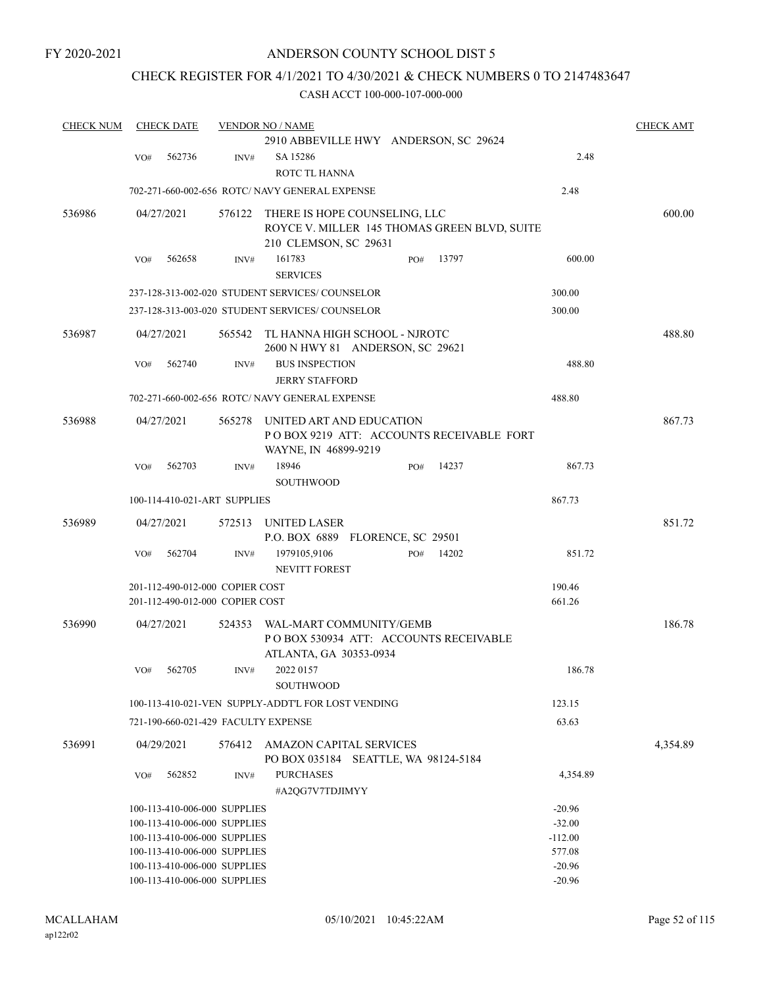## CHECK REGISTER FOR 4/1/2021 TO 4/30/2021 & CHECK NUMBERS 0 TO 2147483647

| <b>CHECK NUM</b> | <b>CHECK DATE</b>               |                                                              |                                 | <b>VENDOR NO / NAME</b>                                                |     |       |                      | <b>CHECK AMT</b> |
|------------------|---------------------------------|--------------------------------------------------------------|---------------------------------|------------------------------------------------------------------------|-----|-------|----------------------|------------------|
|                  |                                 |                                                              |                                 | 2910 ABBEVILLE HWY ANDERSON, SC 29624                                  |     |       |                      |                  |
|                  | VO#                             | 562736                                                       | INV#                            | SA 15286                                                               |     |       | 2.48                 |                  |
|                  |                                 |                                                              |                                 | ROTC TL HANNA                                                          |     |       |                      |                  |
|                  |                                 |                                                              |                                 | 702-271-660-002-656 ROTC/ NAVY GENERAL EXPENSE                         |     |       | 2.48                 |                  |
|                  |                                 |                                                              |                                 |                                                                        |     |       |                      |                  |
| 536986           | 04/27/2021                      |                                                              | 576122                          | THERE IS HOPE COUNSELING, LLC                                          |     |       |                      | 600.00           |
|                  |                                 |                                                              |                                 | ROYCE V. MILLER 145 THOMAS GREEN BLVD, SUITE                           |     |       |                      |                  |
|                  |                                 |                                                              |                                 | 210 CLEMSON, SC 29631                                                  |     |       |                      |                  |
|                  | VO#                             | 562658                                                       | INV#                            | 161783                                                                 | PO# | 13797 | 600.00               |                  |
|                  |                                 |                                                              |                                 | <b>SERVICES</b>                                                        |     |       |                      |                  |
|                  |                                 |                                                              |                                 | 237-128-313-002-020 STUDENT SERVICES/ COUNSELOR                        |     |       | 300.00               |                  |
|                  |                                 |                                                              |                                 | 237-128-313-003-020 STUDENT SERVICES/ COUNSELOR                        |     |       | 300.00               |                  |
| 536987           | 04/27/2021                      |                                                              | 565542                          | TL HANNA HIGH SCHOOL - NJROTC                                          |     |       |                      | 488.80           |
|                  |                                 |                                                              |                                 | 2600 N HWY 81 ANDERSON, SC 29621                                       |     |       |                      |                  |
|                  | VO#                             | 562740                                                       | INV#                            | <b>BUS INSPECTION</b>                                                  |     |       | 488.80               |                  |
|                  |                                 |                                                              |                                 | <b>JERRY STAFFORD</b>                                                  |     |       |                      |                  |
|                  |                                 |                                                              |                                 | 702-271-660-002-656 ROTC/ NAVY GENERAL EXPENSE                         |     |       | 488.80               |                  |
|                  |                                 |                                                              |                                 |                                                                        |     |       |                      |                  |
| 536988           | 04/27/2021                      |                                                              | 565278                          | UNITED ART AND EDUCATION                                               |     |       |                      | 867.73           |
|                  |                                 |                                                              |                                 | POBOX 9219 ATT: ACCOUNTS RECEIVABLE FORT                               |     |       |                      |                  |
|                  |                                 |                                                              |                                 | WAYNE, IN 46899-9219                                                   |     |       |                      |                  |
|                  | VO#                             | 562703                                                       | INV#                            | 18946                                                                  | PO# | 14237 | 867.73               |                  |
|                  |                                 |                                                              |                                 | <b>SOUTHWOOD</b>                                                       |     |       |                      |                  |
|                  |                                 | 100-114-410-021-ART SUPPLIES                                 |                                 |                                                                        |     |       | 867.73               |                  |
| 536989           | 04/27/2021                      |                                                              | 572513                          | UNITED LASER                                                           |     |       |                      | 851.72           |
|                  |                                 |                                                              |                                 | P.O. BOX 6889 FLORENCE, SC 29501                                       |     |       |                      |                  |
|                  | VO#                             | 562704                                                       | $\text{INV}\#$                  | 1979105,9106                                                           | PO# | 14202 | 851.72               |                  |
|                  |                                 |                                                              |                                 | <b>NEVITT FOREST</b>                                                   |     |       |                      |                  |
|                  | 201-112-490-012-000 COPIER COST |                                                              |                                 |                                                                        |     |       | 190.46               |                  |
|                  |                                 |                                                              | 201-112-490-012-000 COPIER COST |                                                                        |     |       | 661.26               |                  |
|                  |                                 |                                                              |                                 |                                                                        |     |       |                      | 186.78           |
| 536990           | 04/27/2021                      |                                                              | 524353                          | WAL-MART COMMUNITY/GEMB<br>POBOX 530934 ATT: ACCOUNTS RECEIVABLE       |     |       |                      |                  |
|                  |                                 |                                                              |                                 | ATLANTA, GA 30353-0934                                                 |     |       |                      |                  |
|                  | VO#                             | 562705                                                       | INV#                            | 2022 0157                                                              |     |       | 186.78               |                  |
|                  |                                 |                                                              |                                 | <b>SOUTHWOOD</b>                                                       |     |       |                      |                  |
|                  |                                 |                                                              |                                 | 100-113-410-021-VEN SUPPLY-ADDT'L FOR LOST VENDING                     |     |       | 123.15               |                  |
|                  |                                 |                                                              |                                 | 721-190-660-021-429 FACULTY EXPENSE                                    |     |       | 63.63                |                  |
|                  |                                 |                                                              |                                 |                                                                        |     |       |                      |                  |
| 536991           | 04/29/2021                      |                                                              | 576412                          | <b>AMAZON CAPITAL SERVICES</b><br>PO BOX 035184 SEATTLE, WA 98124-5184 |     |       |                      | 4,354.89         |
|                  | VO#                             | 562852                                                       | INV#                            | <b>PURCHASES</b>                                                       |     |       | 4,354.89             |                  |
|                  |                                 |                                                              |                                 | #A2QG7V7TDJIMYY                                                        |     |       |                      |                  |
|                  |                                 |                                                              |                                 |                                                                        |     |       |                      |                  |
|                  |                                 | 100-113-410-006-000 SUPPLIES<br>100-113-410-006-000 SUPPLIES |                                 |                                                                        |     |       | $-20.96$<br>$-32.00$ |                  |
|                  |                                 | 100-113-410-006-000 SUPPLIES                                 |                                 |                                                                        |     |       | $-112.00$            |                  |
|                  |                                 | 100-113-410-006-000 SUPPLIES                                 |                                 |                                                                        |     |       | 577.08               |                  |
|                  |                                 | 100-113-410-006-000 SUPPLIES                                 |                                 |                                                                        |     |       | $-20.96$             |                  |
|                  |                                 | 100-113-410-006-000 SUPPLIES                                 |                                 |                                                                        |     |       | $-20.96$             |                  |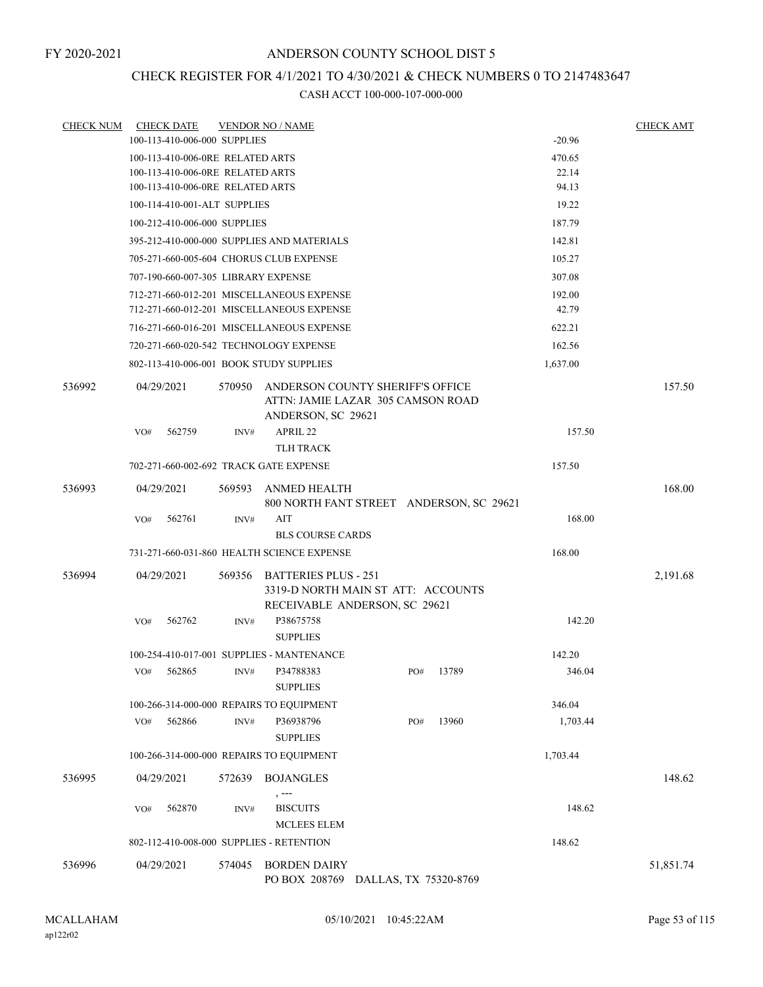## CHECK REGISTER FOR 4/1/2021 TO 4/30/2021 & CHECK NUMBERS 0 TO 2147483647

| <b>CHECK NUM</b> |     | <b>CHECK DATE</b>                   |                | <b>VENDOR NO / NAME</b>                                                                     |     |       |          |          | <b>CHECK AMT</b> |
|------------------|-----|-------------------------------------|----------------|---------------------------------------------------------------------------------------------|-----|-------|----------|----------|------------------|
|                  |     | 100-113-410-006-000 SUPPLIES        |                |                                                                                             |     |       |          | $-20.96$ |                  |
|                  |     | 100-113-410-006-0RE RELATED ARTS    |                |                                                                                             |     |       |          | 470.65   |                  |
|                  |     | 100-113-410-006-0RE RELATED ARTS    |                |                                                                                             |     |       |          | 22.14    |                  |
|                  |     | 100-113-410-006-0RE RELATED ARTS    |                |                                                                                             |     |       |          | 94.13    |                  |
|                  |     | 100-114-410-001-ALT SUPPLIES        |                |                                                                                             |     |       |          | 19.22    |                  |
|                  |     | 100-212-410-006-000 SUPPLIES        |                |                                                                                             |     |       |          | 187.79   |                  |
|                  |     |                                     |                | 395-212-410-000-000 SUPPLIES AND MATERIALS                                                  |     |       |          | 142.81   |                  |
|                  |     |                                     |                | 705-271-660-005-604 CHORUS CLUB EXPENSE                                                     |     |       |          | 105.27   |                  |
|                  |     | 707-190-660-007-305 LIBRARY EXPENSE |                |                                                                                             |     |       |          | 307.08   |                  |
|                  |     |                                     |                | 712-271-660-012-201 MISCELLANEOUS EXPENSE                                                   |     |       |          | 192.00   |                  |
|                  |     |                                     |                | 712-271-660-012-201 MISCELLANEOUS EXPENSE                                                   |     |       |          | 42.79    |                  |
|                  |     |                                     |                | 716-271-660-016-201 MISCELLANEOUS EXPENSE                                                   |     |       |          | 622.21   |                  |
|                  |     |                                     |                | 720-271-660-020-542 TECHNOLOGY EXPENSE                                                      |     |       |          | 162.56   |                  |
|                  |     |                                     |                | 802-113-410-006-001 BOOK STUDY SUPPLIES                                                     |     |       | 1,637.00 |          |                  |
| 536992           |     | 04/29/2021                          | 570950         | ANDERSON COUNTY SHERIFF'S OFFICE<br>ATTN: JAMIE LAZAR 305 CAMSON ROAD<br>ANDERSON, SC 29621 |     |       |          |          | 157.50           |
|                  | VO# | 562759                              | INV#           | APRIL 22                                                                                    |     |       |          | 157.50   |                  |
|                  |     |                                     |                | <b>TLH TRACK</b>                                                                            |     |       |          |          |                  |
|                  |     |                                     |                | 702-271-660-002-692 TRACK GATE EXPENSE                                                      |     |       |          | 157.50   |                  |
| 536993           |     | 04/29/2021                          | 569593         | ANMED HEALTH<br>800 NORTH FANT STREET ANDERSON, SC 29621                                    |     |       |          |          | 168.00           |
|                  | VO# | 562761                              | INV#           | AIT                                                                                         |     |       |          | 168.00   |                  |
|                  |     |                                     |                | <b>BLS COURSE CARDS</b>                                                                     |     |       |          |          |                  |
|                  |     |                                     |                | 731-271-660-031-860 HEALTH SCIENCE EXPENSE                                                  |     |       |          | 168.00   |                  |
| 536994           |     | 04/29/2021                          | 569356         | BATTERIES PLUS - 251<br>3319-D NORTH MAIN ST ATT: ACCOUNTS<br>RECEIVABLE ANDERSON, SC 29621 |     |       |          |          | 2,191.68         |
|                  | VO# | 562762                              | INV#           | P38675758<br><b>SUPPLIES</b>                                                                |     |       |          | 142.20   |                  |
|                  |     |                                     |                | 100-254-410-017-001 SUPPLIES - MANTENANCE                                                   |     |       |          | 142.20   |                  |
|                  | VO# | 562865                              | INV#           | P34788383<br><b>SUPPLIES</b>                                                                | PO# | 13789 |          | 346.04   |                  |
|                  |     |                                     |                | 100-266-314-000-000 REPAIRS TO EQUIPMENT                                                    |     |       |          | 346.04   |                  |
|                  | VO# | 562866                              | $\text{INV}\#$ | P36938796                                                                                   | PO# | 13960 |          | 1,703.44 |                  |
|                  |     |                                     |                | <b>SUPPLIES</b>                                                                             |     |       |          |          |                  |
|                  |     |                                     |                | 100-266-314-000-000 REPAIRS TO EQUIPMENT                                                    |     |       | 1,703.44 |          |                  |
| 536995           |     | 04/29/2021                          | 572639         | <b>BOJANGLES</b>                                                                            |     |       |          |          | 148.62           |
|                  | VO# | 562870                              | INV#           | $, --$<br><b>BISCUITS</b><br><b>MCLEES ELEM</b>                                             |     |       |          | 148.62   |                  |
|                  |     |                                     |                | 802-112-410-008-000 SUPPLIES - RETENTION                                                    |     |       |          | 148.62   |                  |
| 536996           |     | 04/29/2021                          | 574045         | <b>BORDEN DAIRY</b>                                                                         |     |       |          |          | 51,851.74        |
|                  |     |                                     |                | PO BOX 208769 DALLAS, TX 75320-8769                                                         |     |       |          |          |                  |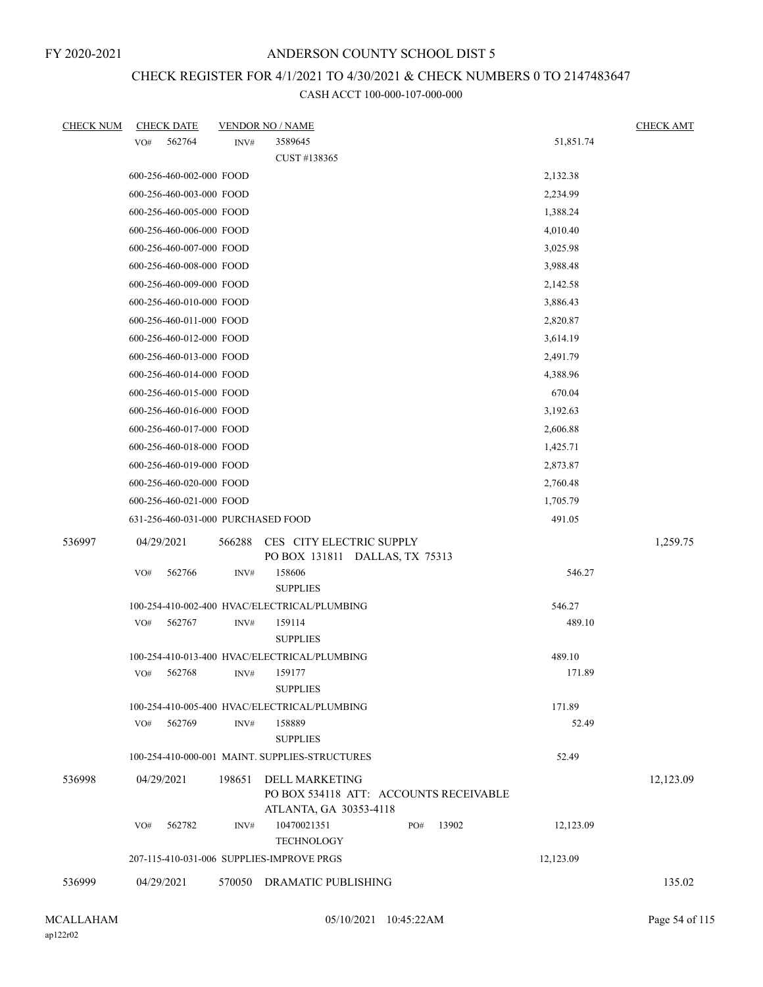## CHECK REGISTER FOR 4/1/2021 TO 4/30/2021 & CHECK NUMBERS 0 TO 2147483647

| <b>CHECK NUM</b> | <b>CHECK DATE</b>                         |        | <b>VENDOR NO / NAME</b>                                                                   |           | <b>CHECK AMT</b> |
|------------------|-------------------------------------------|--------|-------------------------------------------------------------------------------------------|-----------|------------------|
|                  | 562764<br>VO#                             | INV#   | 3589645                                                                                   | 51,851.74 |                  |
|                  |                                           |        | CUST #138365                                                                              |           |                  |
|                  | 600-256-460-002-000 FOOD                  |        |                                                                                           | 2,132.38  |                  |
|                  | 600-256-460-003-000 FOOD                  |        |                                                                                           | 2,234.99  |                  |
|                  | 600-256-460-005-000 FOOD                  |        |                                                                                           | 1,388.24  |                  |
|                  | 600-256-460-006-000 FOOD                  |        |                                                                                           | 4,010.40  |                  |
|                  | 600-256-460-007-000 FOOD                  |        |                                                                                           | 3,025.98  |                  |
|                  | 600-256-460-008-000 FOOD                  |        |                                                                                           | 3,988.48  |                  |
|                  | 600-256-460-009-000 FOOD                  |        |                                                                                           | 2,142.58  |                  |
|                  | 600-256-460-010-000 FOOD                  |        |                                                                                           | 3,886.43  |                  |
|                  | 600-256-460-011-000 FOOD                  |        |                                                                                           | 2,820.87  |                  |
|                  | 600-256-460-012-000 FOOD                  |        |                                                                                           | 3,614.19  |                  |
|                  | 600-256-460-013-000 FOOD                  |        |                                                                                           | 2,491.79  |                  |
|                  | 600-256-460-014-000 FOOD                  |        |                                                                                           | 4,388.96  |                  |
|                  | 600-256-460-015-000 FOOD                  |        |                                                                                           | 670.04    |                  |
|                  | 600-256-460-016-000 FOOD                  |        |                                                                                           | 3,192.63  |                  |
|                  | 600-256-460-017-000 FOOD                  |        |                                                                                           | 2,606.88  |                  |
|                  | 600-256-460-018-000 FOOD                  |        |                                                                                           | 1,425.71  |                  |
|                  | 600-256-460-019-000 FOOD                  |        |                                                                                           | 2,873.87  |                  |
|                  | 600-256-460-020-000 FOOD                  |        |                                                                                           | 2,760.48  |                  |
|                  | 600-256-460-021-000 FOOD                  |        |                                                                                           | 1,705.79  |                  |
|                  | 631-256-460-031-000 PURCHASED FOOD        |        |                                                                                           | 491.05    |                  |
| 536997           | 04/29/2021                                | 566288 | CES CITY ELECTRIC SUPPLY<br>PO BOX 131811 DALLAS, TX 75313                                |           | 1,259.75         |
|                  | 562766<br>VO#                             | INV#   | 158606<br><b>SUPPLIES</b>                                                                 | 546.27    |                  |
|                  |                                           |        | 100-254-410-002-400 HVAC/ELECTRICAL/PLUMBING                                              | 546.27    |                  |
|                  | VO#<br>562767                             | INV#   | 159114                                                                                    | 489.10    |                  |
|                  |                                           |        | <b>SUPPLIES</b>                                                                           |           |                  |
|                  |                                           |        | 100-254-410-013-400 HVAC/ELECTRICAL/PLUMBING                                              | 489.10    |                  |
|                  | 562768<br>VO#                             | INV#   | 159177                                                                                    | 171.89    |                  |
|                  |                                           |        | <b>SUPPLIES</b>                                                                           |           |                  |
|                  |                                           |        | 100-254-410-005-400 HVAC/ELECTRICAL/PLUMBING                                              | 171.89    |                  |
|                  | 562769<br>VO#                             | INV#   | 158889                                                                                    | 52.49     |                  |
|                  |                                           |        | <b>SUPPLIES</b>                                                                           |           |                  |
|                  |                                           |        | 100-254-410-000-001 MAINT. SUPPLIES-STRUCTURES                                            | 52.49     |                  |
| 536998           | 04/29/2021                                | 198651 | <b>DELL MARKETING</b><br>PO BOX 534118 ATT: ACCOUNTS RECEIVABLE<br>ATLANTA, GA 30353-4118 |           | 12,123.09        |
|                  | VO#<br>562782                             | INV#   | 10470021351<br>13902<br>PO#                                                               | 12,123.09 |                  |
|                  | 207-115-410-031-006 SUPPLIES-IMPROVE PRGS |        | <b>TECHNOLOGY</b>                                                                         | 12,123.09 |                  |
|                  |                                           |        |                                                                                           |           |                  |
| 536999           | 04/29/2021                                |        | 570050 DRAMATIC PUBLISHING                                                                |           | 135.02           |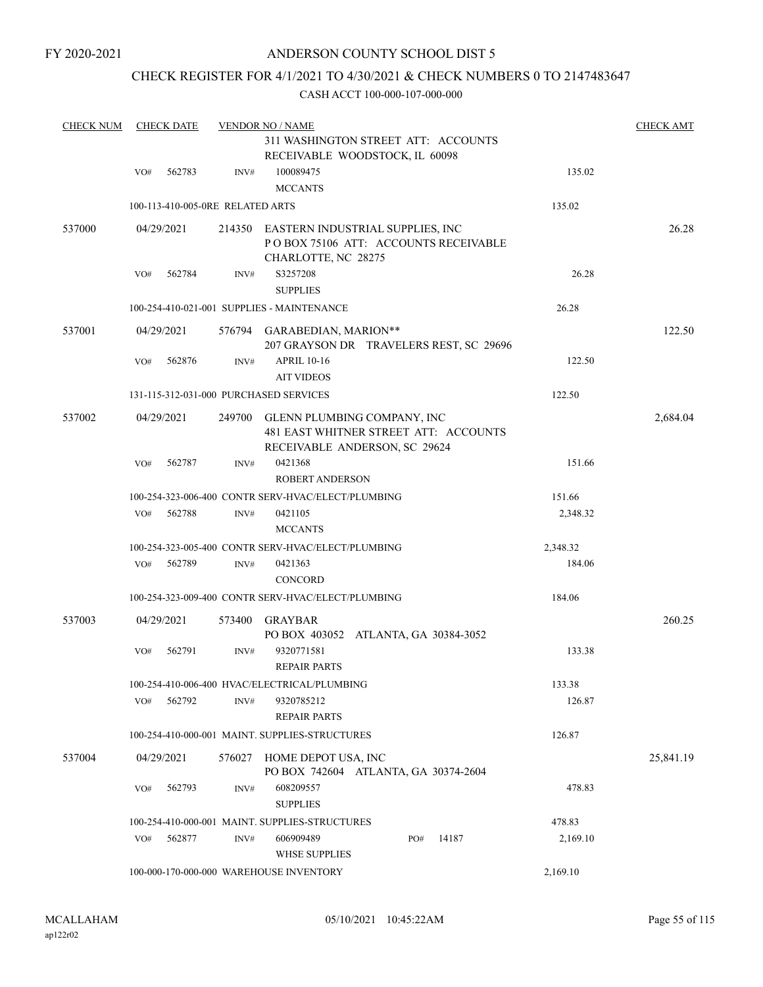FY 2020-2021

## ANDERSON COUNTY SCHOOL DIST 5

## CHECK REGISTER FOR 4/1/2021 TO 4/30/2021 & CHECK NUMBERS 0 TO 2147483647

| <b>CHECK NUM</b> |            | <b>CHECK DATE</b>                |        | <b>VENDOR NO / NAME</b>                                                                               |          | <b>CHECK AMT</b> |
|------------------|------------|----------------------------------|--------|-------------------------------------------------------------------------------------------------------|----------|------------------|
|                  |            |                                  |        | 311 WASHINGTON STREET ATT: ACCOUNTS<br>RECEIVABLE WOODSTOCK, IL 60098                                 |          |                  |
|                  | VO#        | 562783                           | INV#   | 100089475<br><b>MCCANTS</b>                                                                           | 135.02   |                  |
|                  |            | 100-113-410-005-0RE RELATED ARTS |        |                                                                                                       | 135.02   |                  |
| 537000           | 04/29/2021 |                                  | 214350 | EASTERN INDUSTRIAL SUPPLIES, INC<br>PO BOX 75106 ATT: ACCOUNTS RECEIVABLE<br>CHARLOTTE, NC 28275      |          | 26.28            |
|                  | VO#        | 562784                           | INV#   | S3257208<br><b>SUPPLIES</b>                                                                           | 26.28    |                  |
|                  |            |                                  |        | 100-254-410-021-001 SUPPLIES - MAINTENANCE                                                            | 26.28    |                  |
| 537001           | 04/29/2021 |                                  |        | 576794 GARABEDIAN, MARION**<br>207 GRAYSON DR TRAVELERS REST, SC 29696                                |          | 122.50           |
|                  | VO#        | 562876                           | INV#   | <b>APRIL 10-16</b><br><b>AIT VIDEOS</b>                                                               | 122.50   |                  |
|                  |            |                                  |        | 131-115-312-031-000 PURCHASED SERVICES                                                                | 122.50   |                  |
| 537002           | 04/29/2021 |                                  | 249700 | GLENN PLUMBING COMPANY, INC<br>481 EAST WHITNER STREET ATT: ACCOUNTS<br>RECEIVABLE ANDERSON, SC 29624 |          | 2,684.04         |
|                  | VO#        | 562787                           | INV#   | 0421368<br><b>ROBERT ANDERSON</b>                                                                     | 151.66   |                  |
|                  |            |                                  |        | 100-254-323-006-400 CONTR SERV-HVAC/ELECT/PLUMBING                                                    | 151.66   |                  |
|                  | VO#        | 562788                           | INV#   | 0421105<br><b>MCCANTS</b>                                                                             | 2,348.32 |                  |
|                  |            |                                  |        | 100-254-323-005-400 CONTR SERV-HVAC/ELECT/PLUMBING                                                    | 2,348.32 |                  |
|                  | VO#        | 562789                           | INV#   | 0421363<br><b>CONCORD</b>                                                                             | 184.06   |                  |
|                  |            |                                  |        | 100-254-323-009-400 CONTR SERV-HVAC/ELECT/PLUMBING                                                    | 184.06   |                  |
| 537003           |            | 04/29/2021                       | 573400 | <b>GRAYBAR</b><br>PO BOX 403052 ATLANTA, GA 30384-3052                                                |          | 260.25           |
|                  | VO#        | 562791                           | INV#   | 9320771581<br><b>REPAIR PARTS</b>                                                                     | 133.38   |                  |
|                  |            |                                  |        | 100-254-410-006-400 HVAC/ELECTRICAL/PLUMBING                                                          | 133.38   |                  |
|                  | VO#        | 562792                           | INV#   | 9320785212<br><b>REPAIR PARTS</b>                                                                     | 126.87   |                  |
|                  |            |                                  |        | 100-254-410-000-001 MAINT. SUPPLIES-STRUCTURES                                                        | 126.87   |                  |
| 537004           | 04/29/2021 |                                  | 576027 | HOME DEPOT USA, INC<br>PO BOX 742604 ATLANTA, GA 30374-2604                                           |          | 25,841.19        |
|                  | VO#        | 562793                           | INV#   | 608209557<br><b>SUPPLIES</b>                                                                          | 478.83   |                  |
|                  |            |                                  |        | 100-254-410-000-001 MAINT. SUPPLIES-STRUCTURES                                                        | 478.83   |                  |
|                  | VO#        | 562877                           | INV#   | 606909489<br>14187<br>PO#<br><b>WHSE SUPPLIES</b>                                                     | 2,169.10 |                  |
|                  |            |                                  |        | 100-000-170-000-000 WAREHOUSE INVENTORY                                                               | 2,169.10 |                  |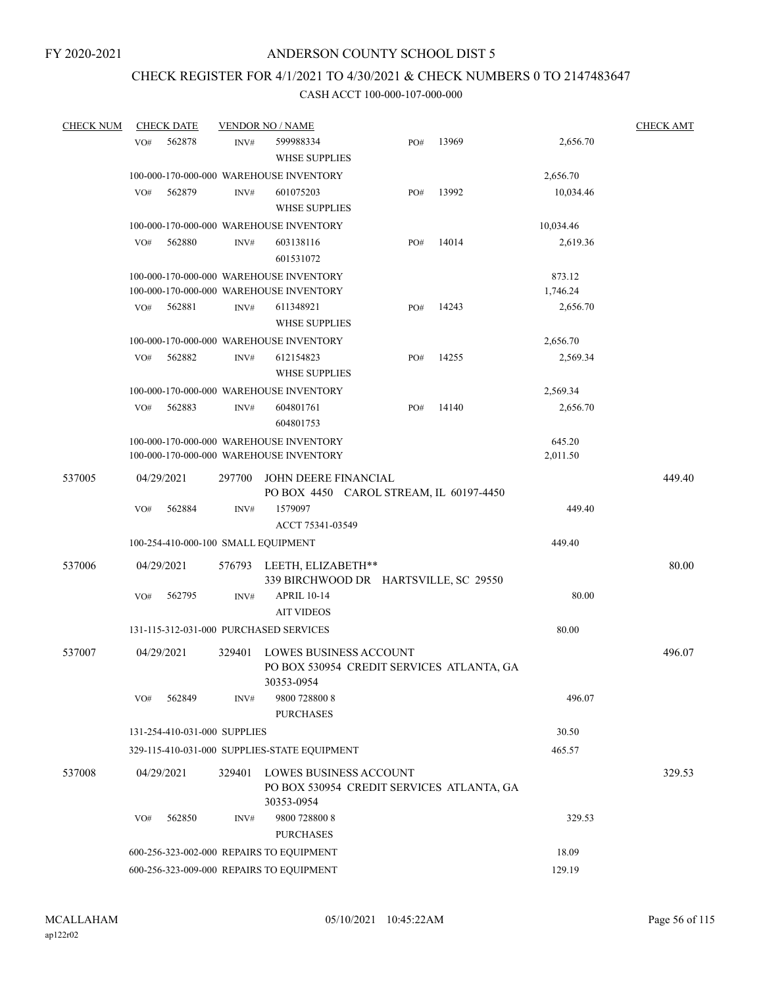## CHECK REGISTER FOR 4/1/2021 TO 4/30/2021 & CHECK NUMBERS 0 TO 2147483647

| <b>CHECK NUM</b> | <b>CHECK DATE</b> |                                          | <b>VENDOR NO / NAME</b> |                                                                                          |     |       |                    | <b>CHECK AMT</b> |
|------------------|-------------------|------------------------------------------|-------------------------|------------------------------------------------------------------------------------------|-----|-------|--------------------|------------------|
|                  | VO#               | 562878                                   | INV#                    | 599988334                                                                                | PO# | 13969 | 2,656.70           |                  |
|                  |                   |                                          |                         | <b>WHSE SUPPLIES</b>                                                                     |     |       |                    |                  |
|                  |                   |                                          |                         | 100-000-170-000-000 WAREHOUSE INVENTORY                                                  |     |       | 2,656.70           |                  |
|                  | VO#               | 562879                                   | INV#                    | 601075203                                                                                | PO# | 13992 | 10,034.46          |                  |
|                  |                   |                                          |                         | <b>WHSE SUPPLIES</b>                                                                     |     |       |                    |                  |
|                  |                   |                                          |                         | 100-000-170-000-000 WAREHOUSE INVENTORY                                                  |     |       | 10,034.46          |                  |
|                  | VO#               | 562880                                   | INV#                    | 603138116                                                                                | PO# | 14014 | 2,619.36           |                  |
|                  |                   |                                          |                         | 601531072                                                                                |     |       |                    |                  |
|                  |                   |                                          |                         | 100-000-170-000-000 WAREHOUSE INVENTORY<br>100-000-170-000-000 WAREHOUSE INVENTORY       |     |       | 873.12<br>1,746.24 |                  |
|                  | VO#               | 562881                                   | INV#                    | 611348921                                                                                | PO# | 14243 | 2,656.70           |                  |
|                  |                   |                                          |                         | <b>WHSE SUPPLIES</b>                                                                     |     |       |                    |                  |
|                  |                   |                                          |                         | 100-000-170-000-000 WAREHOUSE INVENTORY                                                  |     |       | 2,656.70           |                  |
|                  | VO#               | 562882                                   | INV#                    | 612154823                                                                                | PO# | 14255 | 2,569.34           |                  |
|                  |                   |                                          |                         | <b>WHSE SUPPLIES</b>                                                                     |     |       |                    |                  |
|                  |                   |                                          |                         | 100-000-170-000-000 WAREHOUSE INVENTORY                                                  |     |       | 2,569.34           |                  |
|                  | VO#               | 562883                                   | INV#                    | 604801761<br>604801753                                                                   | PO# | 14140 | 2,656.70           |                  |
|                  |                   |                                          |                         | 100-000-170-000-000 WAREHOUSE INVENTORY                                                  |     |       | 645.20             |                  |
|                  |                   |                                          |                         | 100-000-170-000-000 WAREHOUSE INVENTORY                                                  |     |       | 2,011.50           |                  |
| 537005           |                   | 04/29/2021                               | 297700                  | JOHN DEERE FINANCIAL<br>PO BOX 4450 CAROL STREAM, IL 60197-4450                          |     |       |                    | 449.40           |
|                  | VO#               | 562884                                   | INV#                    | 1579097                                                                                  |     |       | 449.40             |                  |
|                  |                   |                                          |                         | ACCT 75341-03549                                                                         |     |       |                    |                  |
|                  |                   |                                          |                         | 100-254-410-000-100 SMALL EQUIPMENT                                                      |     |       | 449.40             |                  |
| 537006           |                   | 04/29/2021                               |                         | 576793 LEETH, ELIZABETH**<br>339 BIRCHWOOD DR HARTSVILLE, SC 29550                       |     |       |                    | 80.00            |
|                  | VO#               | 562795                                   | INV#                    | <b>APRIL 10-14</b><br><b>AIT VIDEOS</b>                                                  |     |       | 80.00              |                  |
|                  |                   |                                          |                         | 131-115-312-031-000 PURCHASED SERVICES                                                   |     |       | 80.00              |                  |
| 537007           |                   | 04/29/2021                               | 329401                  | LOWES BUSINESS ACCOUNT<br>PO BOX 530954 CREDIT SERVICES ATLANTA, GA<br>30353-0954        |     |       |                    | 496.07           |
|                  | VO#               | 562849                                   | INV#                    | 9800 728800 8<br><b>PURCHASES</b>                                                        |     |       | 496.07             |                  |
|                  |                   | 131-254-410-031-000 SUPPLIES             |                         |                                                                                          |     |       | 30.50              |                  |
|                  |                   |                                          |                         | 329-115-410-031-000 SUPPLIES-STATE EQUIPMENT                                             |     |       | 465.57             |                  |
|                  |                   |                                          |                         |                                                                                          |     |       |                    |                  |
| 537008           |                   | 04/29/2021                               | 329401                  | <b>LOWES BUSINESS ACCOUNT</b><br>PO BOX 530954 CREDIT SERVICES ATLANTA, GA<br>30353-0954 |     |       |                    | 329.53           |
|                  | VO#               | 562850                                   | INV#                    | 9800 728800 8                                                                            |     |       | 329.53             |                  |
|                  |                   |                                          |                         | <b>PURCHASES</b>                                                                         |     |       |                    |                  |
|                  |                   |                                          |                         | 600-256-323-002-000 REPAIRS TO EQUIPMENT                                                 |     |       | 18.09              |                  |
|                  |                   | 600-256-323-009-000 REPAIRS TO EQUIPMENT |                         | 129.19                                                                                   |     |       |                    |                  |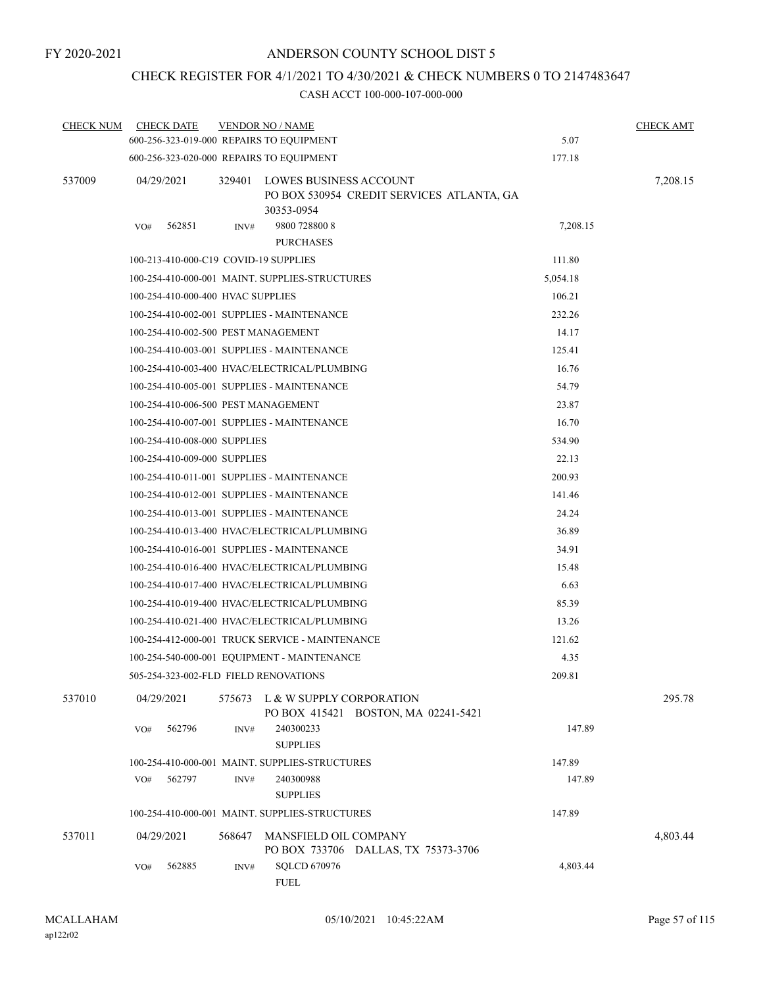## CHECK REGISTER FOR 4/1/2021 TO 4/30/2021 & CHECK NUMBERS 0 TO 2147483647

| <b>CHECK NUM</b> | <b>CHECK DATE</b>                        |        | <b>VENDOR NO / NAME</b>                                                           |          | <b>CHECK AMT</b> |
|------------------|------------------------------------------|--------|-----------------------------------------------------------------------------------|----------|------------------|
|                  | 600-256-323-019-000 REPAIRS TO EQUIPMENT |        |                                                                                   | 5.07     |                  |
|                  | 600-256-323-020-000 REPAIRS TO EQUIPMENT |        |                                                                                   | 177.18   |                  |
| 537009           | 04/29/2021                               | 329401 | LOWES BUSINESS ACCOUNT<br>PO BOX 530954 CREDIT SERVICES ATLANTA, GA<br>30353-0954 |          | 7,208.15         |
|                  | 562851<br>VO#                            | INV#   | 9800 728800 8<br><b>PURCHASES</b>                                                 | 7,208.15 |                  |
|                  | 100-213-410-000-C19 COVID-19 SUPPLIES    |        |                                                                                   | 111.80   |                  |
|                  |                                          |        | 100-254-410-000-001 MAINT. SUPPLIES-STRUCTURES                                    | 5,054.18 |                  |
|                  | 100-254-410-000-400 HVAC SUPPLIES        |        |                                                                                   | 106.21   |                  |
|                  |                                          |        | 100-254-410-002-001 SUPPLIES - MAINTENANCE                                        | 232.26   |                  |
|                  | 100-254-410-002-500 PEST MANAGEMENT      |        |                                                                                   | 14.17    |                  |
|                  |                                          |        | 100-254-410-003-001 SUPPLIES - MAINTENANCE                                        | 125.41   |                  |
|                  |                                          |        | 100-254-410-003-400 HVAC/ELECTRICAL/PLUMBING                                      | 16.76    |                  |
|                  |                                          |        | 100-254-410-005-001 SUPPLIES - MAINTENANCE                                        | 54.79    |                  |
|                  | 100-254-410-006-500 PEST MANAGEMENT      |        |                                                                                   | 23.87    |                  |
|                  |                                          |        | 100-254-410-007-001 SUPPLIES - MAINTENANCE                                        | 16.70    |                  |
|                  | 100-254-410-008-000 SUPPLIES             |        |                                                                                   | 534.90   |                  |
|                  | 100-254-410-009-000 SUPPLIES             |        |                                                                                   | 22.13    |                  |
|                  |                                          |        | 100-254-410-011-001 SUPPLIES - MAINTENANCE                                        | 200.93   |                  |
|                  |                                          |        | 100-254-410-012-001 SUPPLIES - MAINTENANCE                                        | 141.46   |                  |
|                  |                                          |        | 100-254-410-013-001 SUPPLIES - MAINTENANCE                                        | 24.24    |                  |
|                  |                                          |        | 100-254-410-013-400 HVAC/ELECTRICAL/PLUMBING                                      | 36.89    |                  |
|                  |                                          |        | 100-254-410-016-001 SUPPLIES - MAINTENANCE                                        | 34.91    |                  |
|                  |                                          |        | 100-254-410-016-400 HVAC/ELECTRICAL/PLUMBING                                      | 15.48    |                  |
|                  |                                          |        | 100-254-410-017-400 HVAC/ELECTRICAL/PLUMBING                                      | 6.63     |                  |
|                  |                                          |        | 100-254-410-019-400 HVAC/ELECTRICAL/PLUMBING                                      | 85.39    |                  |
|                  |                                          |        | 100-254-410-021-400 HVAC/ELECTRICAL/PLUMBING                                      | 13.26    |                  |
|                  |                                          |        | 100-254-412-000-001 TRUCK SERVICE - MAINTENANCE                                   | 121.62   |                  |
|                  |                                          |        | 100-254-540-000-001 EQUIPMENT - MAINTENANCE                                       | 4.35     |                  |
|                  | 505-254-323-002-FLD FIELD RENOVATIONS    |        |                                                                                   | 209.81   |                  |
| 537010           | 04/29/2021                               | 575673 | L & W SUPPLY CORPORATION<br>PO BOX 415421 BOSTON, MA 02241-5421                   |          | 295.78           |
|                  | 562796<br>VO#                            | INV#   | 240300233<br><b>SUPPLIES</b>                                                      | 147.89   |                  |
|                  |                                          |        | 100-254-410-000-001 MAINT. SUPPLIES-STRUCTURES                                    | 147.89   |                  |
|                  | 562797<br>VO#                            | INV#   | 240300988<br><b>SUPPLIES</b>                                                      | 147.89   |                  |
|                  |                                          |        | 100-254-410-000-001 MAINT. SUPPLIES-STRUCTURES                                    | 147.89   |                  |
| 537011           | 04/29/2021                               | 568647 | MANSFIELD OIL COMPANY<br>PO BOX 733706 DALLAS, TX 75373-3706                      |          | 4,803.44         |
|                  | 562885<br>VO#                            | INV#   | <b>SQLCD 670976</b><br>FUEL                                                       | 4,803.44 |                  |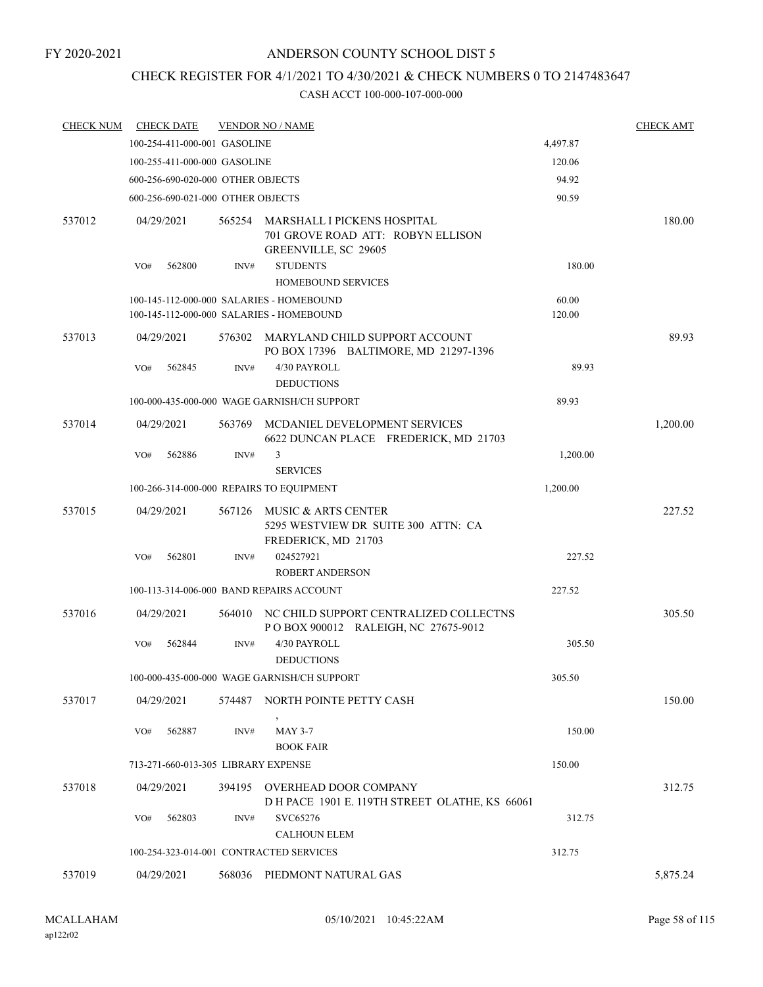## CHECK REGISTER FOR 4/1/2021 TO 4/30/2021 & CHECK NUMBERS 0 TO 2147483647

| <b>CHECK DATE</b> |        |                                                                                   |                                                                                                                                                                                                                                                                                                                                                                                                                                                                                                                                                                                                                                                                                                                                                                                   | <b>CHECK AMT</b> |
|-------------------|--------|-----------------------------------------------------------------------------------|-----------------------------------------------------------------------------------------------------------------------------------------------------------------------------------------------------------------------------------------------------------------------------------------------------------------------------------------------------------------------------------------------------------------------------------------------------------------------------------------------------------------------------------------------------------------------------------------------------------------------------------------------------------------------------------------------------------------------------------------------------------------------------------|------------------|
|                   |        |                                                                                   | 4,497.87                                                                                                                                                                                                                                                                                                                                                                                                                                                                                                                                                                                                                                                                                                                                                                          |                  |
|                   |        |                                                                                   | 120.06                                                                                                                                                                                                                                                                                                                                                                                                                                                                                                                                                                                                                                                                                                                                                                            |                  |
|                   |        |                                                                                   | 94.92                                                                                                                                                                                                                                                                                                                                                                                                                                                                                                                                                                                                                                                                                                                                                                             |                  |
|                   |        |                                                                                   | 90.59                                                                                                                                                                                                                                                                                                                                                                                                                                                                                                                                                                                                                                                                                                                                                                             |                  |
| 04/29/2021        | 565254 | MARSHALL I PICKENS HOSPITAL<br>701 GROVE ROAD ATT: ROBYN ELLISON                  |                                                                                                                                                                                                                                                                                                                                                                                                                                                                                                                                                                                                                                                                                                                                                                                   | 180.00           |
| VO#<br>562800     | INV#   | <b>STUDENTS</b><br><b>HOMEBOUND SERVICES</b>                                      | 180.00                                                                                                                                                                                                                                                                                                                                                                                                                                                                                                                                                                                                                                                                                                                                                                            |                  |
|                   |        |                                                                                   | 60.00<br>120.00                                                                                                                                                                                                                                                                                                                                                                                                                                                                                                                                                                                                                                                                                                                                                                   |                  |
| 04/29/2021        | 576302 | PO BOX 17396 BALTIMORE, MD 21297-1396                                             |                                                                                                                                                                                                                                                                                                                                                                                                                                                                                                                                                                                                                                                                                                                                                                                   | 89.93            |
| 562845<br>VO#     | INV#   | 4/30 PAYROLL<br><b>DEDUCTIONS</b>                                                 | 89.93                                                                                                                                                                                                                                                                                                                                                                                                                                                                                                                                                                                                                                                                                                                                                                             |                  |
|                   |        |                                                                                   | 89.93                                                                                                                                                                                                                                                                                                                                                                                                                                                                                                                                                                                                                                                                                                                                                                             |                  |
| 04/29/2021        | 563769 | MCDANIEL DEVELOPMENT SERVICES<br>6622 DUNCAN PLACE FREDERICK, MD 21703            |                                                                                                                                                                                                                                                                                                                                                                                                                                                                                                                                                                                                                                                                                                                                                                                   | 1,200.00         |
| 562886<br>VO#     | INV#   | 3<br><b>SERVICES</b>                                                              | 1,200.00                                                                                                                                                                                                                                                                                                                                                                                                                                                                                                                                                                                                                                                                                                                                                                          |                  |
|                   |        |                                                                                   | 1,200.00                                                                                                                                                                                                                                                                                                                                                                                                                                                                                                                                                                                                                                                                                                                                                                          |                  |
| 04/29/2021        | 567126 | MUSIC & ARTS CENTER<br>5295 WESTVIEW DR SUITE 300 ATTN: CA<br>FREDERICK, MD 21703 |                                                                                                                                                                                                                                                                                                                                                                                                                                                                                                                                                                                                                                                                                                                                                                                   | 227.52           |
| 562801<br>VO#     | INV#   | 024527921<br><b>ROBERT ANDERSON</b>                                               | 227.52                                                                                                                                                                                                                                                                                                                                                                                                                                                                                                                                                                                                                                                                                                                                                                            |                  |
|                   |        |                                                                                   | 227.52                                                                                                                                                                                                                                                                                                                                                                                                                                                                                                                                                                                                                                                                                                                                                                            |                  |
| 04/29/2021        | 564010 | POBOX 900012 RALEIGH, NC 27675-9012                                               |                                                                                                                                                                                                                                                                                                                                                                                                                                                                                                                                                                                                                                                                                                                                                                                   | 305.50           |
| 562844<br>VO#     | INV#   | 4/30 PAYROLL<br><b>DEDUCTIONS</b>                                                 | 305.50                                                                                                                                                                                                                                                                                                                                                                                                                                                                                                                                                                                                                                                                                                                                                                            |                  |
|                   |        |                                                                                   | 305.50                                                                                                                                                                                                                                                                                                                                                                                                                                                                                                                                                                                                                                                                                                                                                                            |                  |
| 04/29/2021        |        |                                                                                   |                                                                                                                                                                                                                                                                                                                                                                                                                                                                                                                                                                                                                                                                                                                                                                                   | 150.00           |
| 562887<br>VO#     | INV#   | <b>MAY 3-7</b><br><b>BOOK FAIR</b>                                                | 150.00                                                                                                                                                                                                                                                                                                                                                                                                                                                                                                                                                                                                                                                                                                                                                                            |                  |
|                   |        |                                                                                   | 150.00                                                                                                                                                                                                                                                                                                                                                                                                                                                                                                                                                                                                                                                                                                                                                                            |                  |
| 04/29/2021        |        |                                                                                   |                                                                                                                                                                                                                                                                                                                                                                                                                                                                                                                                                                                                                                                                                                                                                                                   | 312.75           |
| 562803<br>VO#     | INV#   | SVC65276<br><b>CALHOUN ELEM</b>                                                   | 312.75                                                                                                                                                                                                                                                                                                                                                                                                                                                                                                                                                                                                                                                                                                                                                                            |                  |
|                   |        |                                                                                   | 312.75                                                                                                                                                                                                                                                                                                                                                                                                                                                                                                                                                                                                                                                                                                                                                                            |                  |
| 04/29/2021        | 568036 |                                                                                   |                                                                                                                                                                                                                                                                                                                                                                                                                                                                                                                                                                                                                                                                                                                                                                                   | 5,875.24         |
|                   |        |                                                                                   | <b>VENDOR NO / NAME</b><br>100-254-411-000-001 GASOLINE<br>100-255-411-000-000 GASOLINE<br>600-256-690-020-000 OTHER OBJECTS<br>600-256-690-021-000 OTHER OBJECTS<br>GREENVILLE, SC 29605<br>100-145-112-000-000 SALARIES - HOMEBOUND<br>100-145-112-000-000 SALARIES - HOMEBOUND<br>MARYLAND CHILD SUPPORT ACCOUNT<br>100-000-435-000-000 WAGE GARNISH/CH SUPPORT<br>100-266-314-000-000 REPAIRS TO EQUIPMENT<br>100-113-314-006-000 BAND REPAIRS ACCOUNT<br>NC CHILD SUPPORT CENTRALIZED COLLECTNS<br>100-000-435-000-000 WAGE GARNISH/CH SUPPORT<br>574487 NORTH POINTE PETTY CASH<br>713-271-660-013-305 LIBRARY EXPENSE<br>394195 OVERHEAD DOOR COMPANY<br>D H PACE 1901 E. 119TH STREET OLATHE, KS 66061<br>100-254-323-014-001 CONTRACTED SERVICES<br>PIEDMONT NATURAL GAS |                  |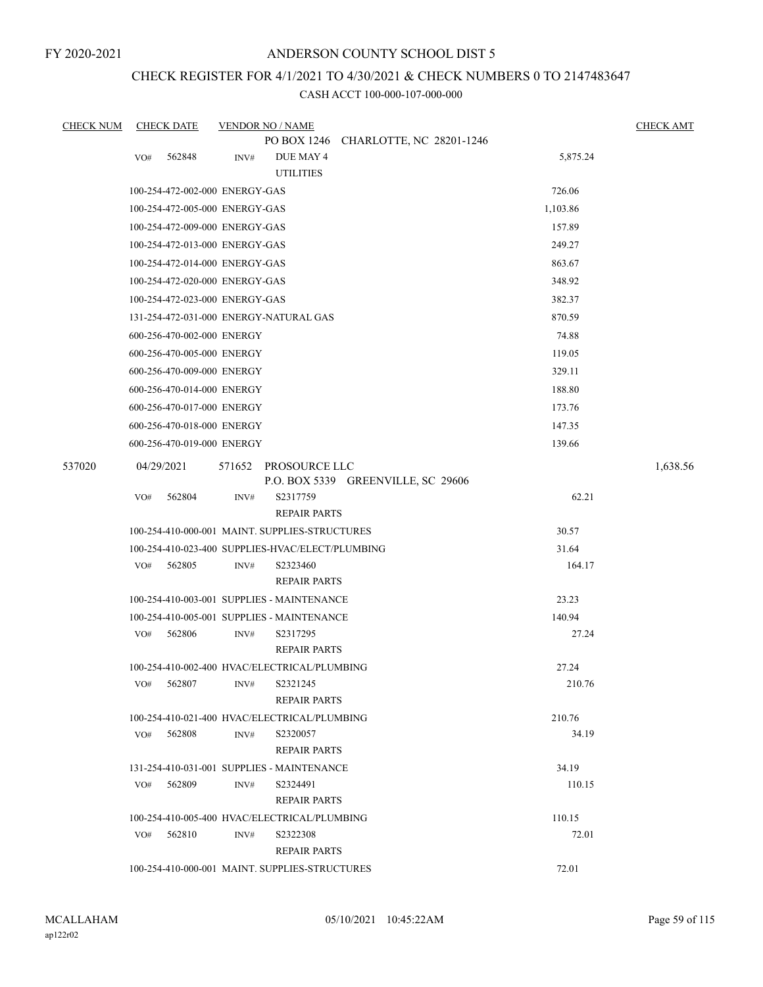FY 2020-2021

#### ANDERSON COUNTY SCHOOL DIST 5

## CHECK REGISTER FOR 4/1/2021 TO 4/30/2021 & CHECK NUMBERS 0 TO 2147483647

| <b>CHECK NUM</b> |            | <b>CHECK DATE</b>              |        | <b>VENDOR NO / NAME</b>                                  |                                    |                 | <b>CHECK AMT</b> |
|------------------|------------|--------------------------------|--------|----------------------------------------------------------|------------------------------------|-----------------|------------------|
|                  |            |                                |        | PO BOX 1246                                              | CHARLOTTE, NC 28201-1246           |                 |                  |
|                  | VO#        | 562848                         | INV#   | DUE MAY 4                                                |                                    | 5,875.24        |                  |
|                  |            |                                |        | <b>UTILITIES</b>                                         |                                    |                 |                  |
|                  |            | 100-254-472-002-000 ENERGY-GAS |        |                                                          |                                    | 726.06          |                  |
|                  |            | 100-254-472-005-000 ENERGY-GAS |        |                                                          |                                    | 1,103.86        |                  |
|                  |            | 100-254-472-009-000 ENERGY-GAS |        |                                                          |                                    | 157.89          |                  |
|                  |            | 100-254-472-013-000 ENERGY-GAS |        |                                                          |                                    | 249.27          |                  |
|                  |            | 100-254-472-014-000 ENERGY-GAS |        |                                                          |                                    | 863.67          |                  |
|                  |            | 100-254-472-020-000 ENERGY-GAS |        |                                                          |                                    | 348.92          |                  |
|                  |            | 100-254-472-023-000 ENERGY-GAS |        |                                                          |                                    | 382.37          |                  |
|                  |            |                                |        | 131-254-472-031-000 ENERGY-NATURAL GAS                   |                                    | 870.59          |                  |
|                  |            | 600-256-470-002-000 ENERGY     |        |                                                          |                                    | 74.88           |                  |
|                  |            | 600-256-470-005-000 ENERGY     |        |                                                          |                                    | 119.05          |                  |
|                  |            | 600-256-470-009-000 ENERGY     |        |                                                          |                                    | 329.11          |                  |
|                  |            | 600-256-470-014-000 ENERGY     |        |                                                          |                                    | 188.80          |                  |
|                  |            | 600-256-470-017-000 ENERGY     |        |                                                          |                                    | 173.76          |                  |
|                  |            | 600-256-470-018-000 ENERGY     |        |                                                          |                                    | 147.35          |                  |
|                  |            | 600-256-470-019-000 ENERGY     |        |                                                          |                                    | 139.66          |                  |
| 537020           | 04/29/2021 |                                | 571652 | PROSOURCE LLC                                            |                                    |                 | 1,638.56         |
|                  |            |                                |        |                                                          | P.O. BOX 5339 GREENVILLE, SC 29606 |                 |                  |
|                  | VO#        | 562804                         | INV#   | S2317759                                                 |                                    | 62.21           |                  |
|                  |            |                                |        | <b>REPAIR PARTS</b>                                      |                                    |                 |                  |
|                  |            |                                |        | 100-254-410-000-001 MAINT. SUPPLIES-STRUCTURES           |                                    | 30.57           |                  |
|                  |            |                                |        | 100-254-410-023-400 SUPPLIES-HVAC/ELECT/PLUMBING         |                                    | 31.64           |                  |
|                  | VO#        | 562805                         | INV#   | S2323460                                                 |                                    | 164.17          |                  |
|                  |            |                                |        | <b>REPAIR PARTS</b>                                      |                                    |                 |                  |
|                  |            |                                |        | 100-254-410-003-001 SUPPLIES - MAINTENANCE               |                                    | 23.23           |                  |
|                  |            |                                |        | 100-254-410-005-001 SUPPLIES - MAINTENANCE               |                                    | 140.94          |                  |
|                  | VO#        | 562806                         | INV#   | S2317295                                                 |                                    | 27.24           |                  |
|                  |            |                                |        | <b>REPAIR PARTS</b>                                      |                                    |                 |                  |
|                  |            |                                |        | 100-254-410-002-400 HVAC/ELECTRICAL/PLUMBING             |                                    | 27.24           |                  |
|                  | VO#        | 562807                         | INV#   | S2321245                                                 |                                    | 210.76          |                  |
|                  |            |                                |        | <b>REPAIR PARTS</b>                                      |                                    |                 |                  |
|                  |            | $VO#$ 562808                   |        | 100-254-410-021-400 HVAC/ELECTRICAL/PLUMBING<br>S2320057 |                                    | 210.76<br>34.19 |                  |
|                  |            |                                | INV#   | <b>REPAIR PARTS</b>                                      |                                    |                 |                  |
|                  |            |                                |        | 131-254-410-031-001 SUPPLIES - MAINTENANCE               |                                    | 34.19           |                  |
|                  | VO#        | 562809                         | INV#   | S2324491                                                 |                                    | 110.15          |                  |
|                  |            |                                |        | <b>REPAIR PARTS</b>                                      |                                    |                 |                  |
|                  |            |                                |        | 100-254-410-005-400 HVAC/ELECTRICAL/PLUMBING             |                                    | 110.15          |                  |
|                  | VO#        | 562810                         | INV#   | S2322308                                                 |                                    | 72.01           |                  |
|                  |            |                                |        | <b>REPAIR PARTS</b>                                      |                                    |                 |                  |
|                  |            |                                |        | 100-254-410-000-001 MAINT. SUPPLIES-STRUCTURES           |                                    | 72.01           |                  |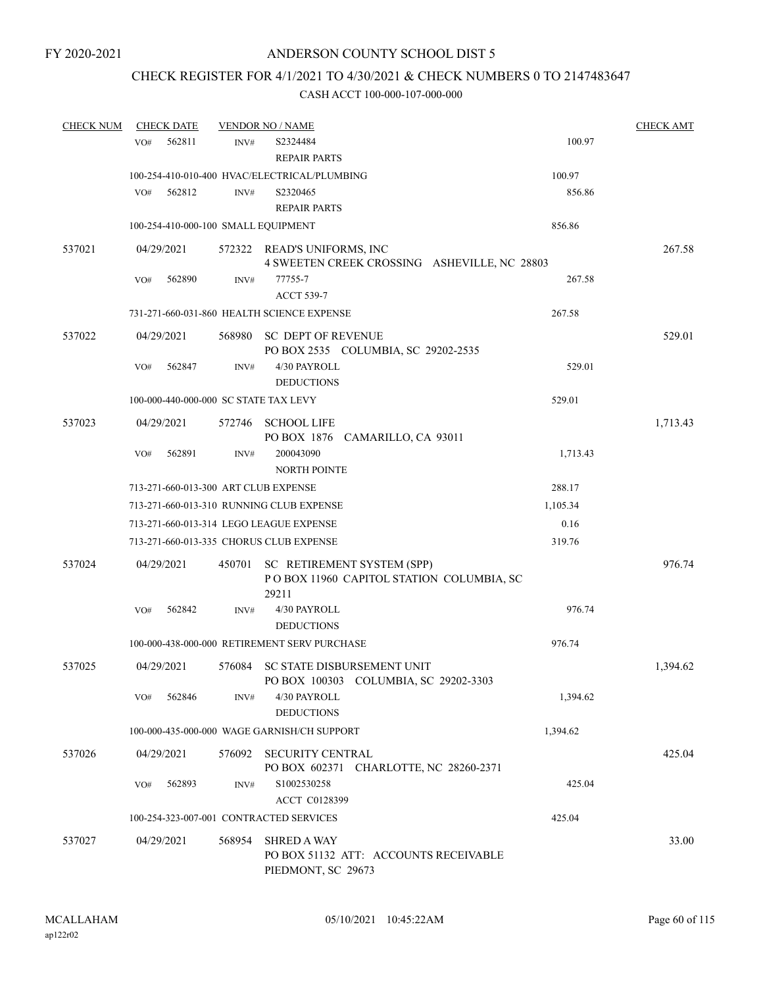## CHECK REGISTER FOR 4/1/2021 TO 4/30/2021 & CHECK NUMBERS 0 TO 2147483647

| <b>CHECK NUM</b> | <b>CHECK DATE</b>                     |        | <b>VENDOR NO / NAME</b>                                                           |          | <b>CHECK AMT</b> |
|------------------|---------------------------------------|--------|-----------------------------------------------------------------------------------|----------|------------------|
|                  | 562811<br>VO#                         | INV#   | S2324484<br><b>REPAIR PARTS</b>                                                   | 100.97   |                  |
|                  |                                       |        | 100-254-410-010-400 HVAC/ELECTRICAL/PLUMBING                                      | 100.97   |                  |
|                  | VO#<br>562812                         | INV#   | S2320465                                                                          | 856.86   |                  |
|                  |                                       |        | <b>REPAIR PARTS</b>                                                               |          |                  |
|                  | 100-254-410-000-100 SMALL EQUIPMENT   |        |                                                                                   | 856.86   |                  |
| 537021           | 04/29/2021                            |        | 572322 READ'S UNIFORMS, INC<br>4 SWEETEN CREEK CROSSING ASHEVILLE, NC 28803       |          | 267.58           |
|                  | 562890<br>VO#                         | INV#   | 77755-7<br><b>ACCT 539-7</b>                                                      | 267.58   |                  |
|                  |                                       |        | 731-271-660-031-860 HEALTH SCIENCE EXPENSE                                        | 267.58   |                  |
| 537022           | 04/29/2021                            |        | 568980 SC DEPT OF REVENUE<br>PO BOX 2535 COLUMBIA, SC 29202-2535                  |          | 529.01           |
|                  | 562847<br>VO#                         | INV#   | 4/30 PAYROLL<br><b>DEDUCTIONS</b>                                                 | 529.01   |                  |
|                  | 100-000-440-000-000 SC STATE TAX LEVY |        |                                                                                   | 529.01   |                  |
| 537023           | 04/29/2021                            |        | 572746 SCHOOL LIFE<br>PO BOX 1876 CAMARILLO, CA 93011                             |          | 1,713.43         |
|                  | VO#<br>562891                         | INV#   | 200043090<br><b>NORTH POINTE</b>                                                  | 1,713.43 |                  |
|                  | 713-271-660-013-300 ART CLUB EXPENSE  |        |                                                                                   | 288.17   |                  |
|                  |                                       |        | 713-271-660-013-310 RUNNING CLUB EXPENSE                                          | 1,105.34 |                  |
|                  |                                       |        | 713-271-660-013-314 LEGO LEAGUE EXPENSE                                           | 0.16     |                  |
|                  |                                       |        | 713-271-660-013-335 CHORUS CLUB EXPENSE                                           | 319.76   |                  |
| 537024           | 04/29/2021                            | 450701 | SC RETIREMENT SYSTEM (SPP)<br>POBOX 11960 CAPITOL STATION COLUMBIA, SC<br>29211   |          | 976.74           |
|                  | 562842<br>VO#                         | INV#   | 4/30 PAYROLL<br><b>DEDUCTIONS</b>                                                 | 976.74   |                  |
|                  |                                       |        | 100-000-438-000-000 RETIREMENT SERV PURCHASE                                      | 976.74   |                  |
| 537025           | 04/29/2021                            |        | 576084 SC STATE DISBURSEMENT UNIT<br>PO BOX 100303 COLUMBIA, SC 29202-3303        |          | 1,394.62         |
|                  | VO#<br>562846                         | INV#   | 4/30 PAYROLL<br><b>DEDUCTIONS</b>                                                 | 1,394.62 |                  |
|                  |                                       |        | 100-000-435-000-000 WAGE GARNISH/CH SUPPORT                                       | 1,394.62 |                  |
| 537026           | 04/29/2021                            | 576092 | SECURITY CENTRAL<br>PO BOX 602371 CHARLOTTE, NC 28260-2371                        |          | 425.04           |
|                  | 562893<br>VO#                         | INV#   | S1002530258<br>ACCT C0128399                                                      | 425.04   |                  |
|                  |                                       |        | 100-254-323-007-001 CONTRACTED SERVICES                                           | 425.04   |                  |
| 537027           | 04/29/2021                            | 568954 | <b>SHRED A WAY</b><br>PO BOX 51132 ATT: ACCOUNTS RECEIVABLE<br>PIEDMONT, SC 29673 |          | 33.00            |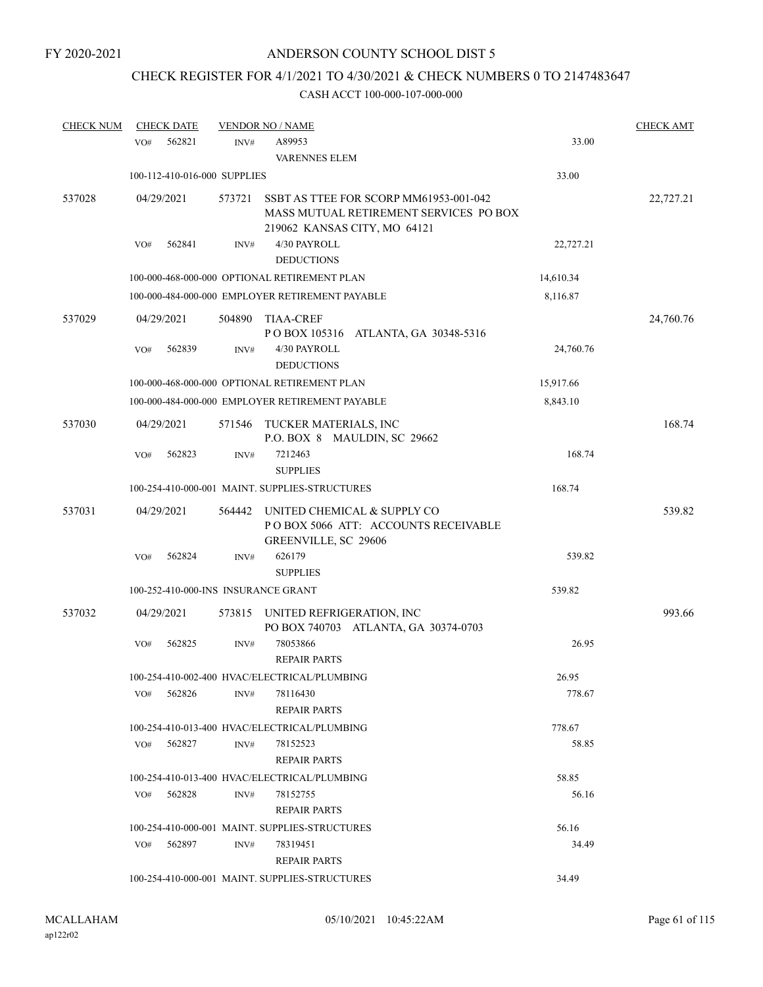# CHECK REGISTER FOR 4/1/2021 TO 4/30/2021 & CHECK NUMBERS 0 TO 2147483647

| <b>CHECK NUM</b> | <b>CHECK DATE</b>                   |        | <b>VENDOR NO / NAME</b>                                                                                          |           | <b>CHECK AMT</b> |
|------------------|-------------------------------------|--------|------------------------------------------------------------------------------------------------------------------|-----------|------------------|
|                  | 562821<br>VO#                       | INV#   | A89953                                                                                                           | 33.00     |                  |
|                  |                                     |        | <b>VARENNES ELEM</b>                                                                                             |           |                  |
|                  | 100-112-410-016-000 SUPPLIES        |        |                                                                                                                  | 33.00     |                  |
| 537028           | 04/29/2021                          | 573721 | SSBT AS TTEE FOR SCORP MM61953-001-042<br>MASS MUTUAL RETIREMENT SERVICES PO BOX<br>219062 KANSAS CITY, MO 64121 |           | 22,727.21        |
|                  | 562841<br>VO#                       | INV#   | 4/30 PAYROLL<br><b>DEDUCTIONS</b>                                                                                | 22,727.21 |                  |
|                  |                                     |        | 100-000-468-000-000 OPTIONAL RETIREMENT PLAN                                                                     | 14,610.34 |                  |
|                  |                                     |        | 100-000-484-000-000 EMPLOYER RETIREMENT PAYABLE                                                                  | 8,116.87  |                  |
| 537029           | 04/29/2021                          | 504890 | <b>TIAA-CREF</b><br>POBOX 105316 ATLANTA, GA 30348-5316                                                          |           | 24,760.76        |
|                  | 562839<br>VO#                       | INV#   | 4/30 PAYROLL<br><b>DEDUCTIONS</b>                                                                                | 24,760.76 |                  |
|                  |                                     |        | 100-000-468-000-000 OPTIONAL RETIREMENT PLAN                                                                     | 15,917.66 |                  |
|                  |                                     |        | 100-000-484-000-000 EMPLOYER RETIREMENT PAYABLE                                                                  | 8,843.10  |                  |
| 537030           | 04/29/2021                          | 571546 | TUCKER MATERIALS, INC<br>P.O. BOX 8 MAULDIN, SC 29662                                                            |           | 168.74           |
|                  | 562823<br>VO#                       | INV#   | 7212463<br><b>SUPPLIES</b>                                                                                       | 168.74    |                  |
|                  |                                     |        | 100-254-410-000-001 MAINT. SUPPLIES-STRUCTURES                                                                   | 168.74    |                  |
| 537031           | 04/29/2021                          | 564442 | UNITED CHEMICAL & SUPPLY CO<br>POBOX 5066 ATT: ACCOUNTS RECEIVABLE<br>GREENVILLE, SC 29606                       |           | 539.82           |
|                  | 562824<br>VO#                       | INV#   | 626179<br><b>SUPPLIES</b>                                                                                        | 539.82    |                  |
|                  | 100-252-410-000-INS INSURANCE GRANT |        |                                                                                                                  | 539.82    |                  |
| 537032           | 04/29/2021                          | 573815 | UNITED REFRIGERATION, INC<br>PO BOX 740703 ATLANTA, GA 30374-0703                                                |           | 993.66           |
|                  | 562825<br>VO#                       | INV#   | 78053866<br><b>REPAIR PARTS</b>                                                                                  | 26.95     |                  |
|                  |                                     |        | 100-254-410-002-400 HVAC/ELECTRICAL/PLUMBING                                                                     | 26.95     |                  |
|                  | 562826<br>VO#                       | INV#   | 78116430<br><b>REPAIR PARTS</b>                                                                                  | 778.67    |                  |
|                  |                                     |        | 100-254-410-013-400 HVAC/ELECTRICAL/PLUMBING                                                                     | 778.67    |                  |
|                  | 562827<br>VO#                       | INV#   | 78152523<br><b>REPAIR PARTS</b>                                                                                  | 58.85     |                  |
|                  |                                     |        | 100-254-410-013-400 HVAC/ELECTRICAL/PLUMBING                                                                     | 58.85     |                  |
|                  | 562828<br>VO#                       | INV#   | 78152755<br><b>REPAIR PARTS</b>                                                                                  | 56.16     |                  |
|                  |                                     |        | 100-254-410-000-001 MAINT. SUPPLIES-STRUCTURES                                                                   | 56.16     |                  |
|                  | 562897<br>VO#                       | INV#   | 78319451<br><b>REPAIR PARTS</b>                                                                                  | 34.49     |                  |
|                  |                                     |        | 100-254-410-000-001 MAINT. SUPPLIES-STRUCTURES                                                                   | 34.49     |                  |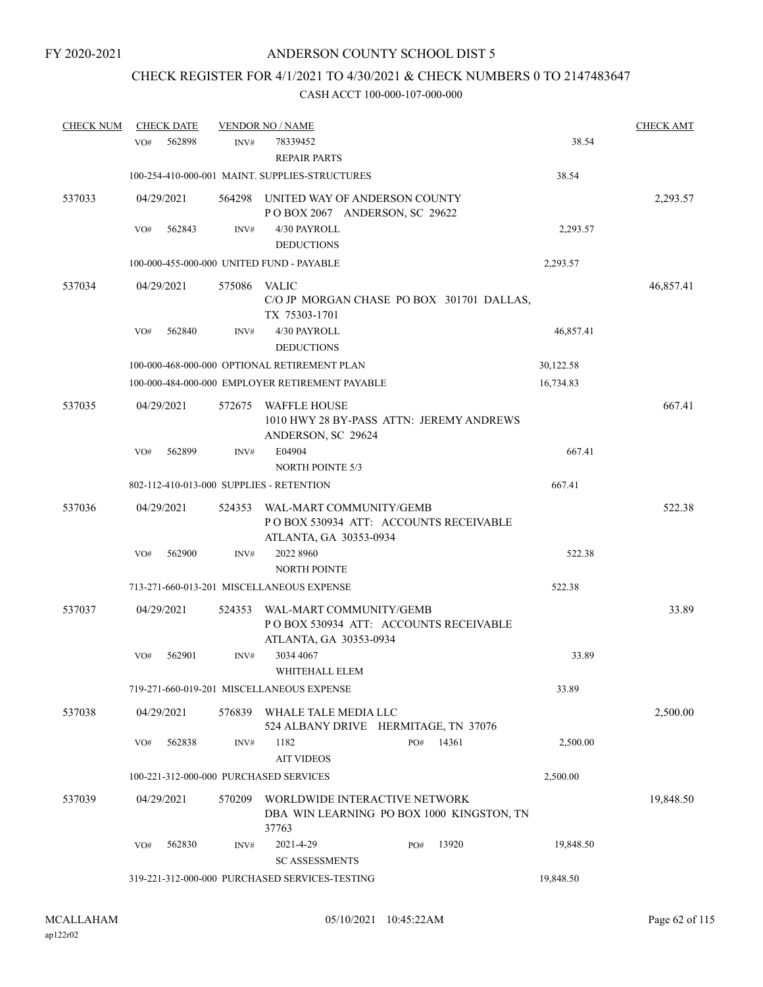## CHECK REGISTER FOR 4/1/2021 TO 4/30/2021 & CHECK NUMBERS 0 TO 2147483647

| <b>CHECK NUM</b> | <b>CHECK DATE</b> |        | <b>VENDOR NO / NAME</b>                                                                     |     |       |           | <b>CHECK AMT</b> |
|------------------|-------------------|--------|---------------------------------------------------------------------------------------------|-----|-------|-----------|------------------|
|                  | 562898<br>VO#     | INV#   | 78339452<br><b>REPAIR PARTS</b>                                                             |     |       | 38.54     |                  |
|                  |                   |        | 100-254-410-000-001 MAINT. SUPPLIES-STRUCTURES                                              |     |       | 38.54     |                  |
| 537033           | 04/29/2021        | 564298 | UNITED WAY OF ANDERSON COUNTY<br>POBOX 2067 ANDERSON, SC 29622                              |     |       |           | 2,293.57         |
|                  | 562843<br>VO#     | INV#   | 4/30 PAYROLL<br><b>DEDUCTIONS</b>                                                           |     |       | 2,293.57  |                  |
|                  |                   |        | 100-000-455-000-000 UNITED FUND - PAYABLE                                                   |     |       | 2,293.57  |                  |
| 537034           | 04/29/2021        | 575086 | <b>VALIC</b><br>C/O JP MORGAN CHASE PO BOX 301701 DALLAS,<br>TX 75303-1701                  |     |       |           | 46,857.41        |
|                  | 562840<br>VO#     | INV#   | 4/30 PAYROLL<br><b>DEDUCTIONS</b>                                                           |     |       | 46,857.41 |                  |
|                  |                   |        | 100-000-468-000-000 OPTIONAL RETIREMENT PLAN                                                |     |       | 30,122.58 |                  |
|                  |                   |        | 100-000-484-000-000 EMPLOYER RETIREMENT PAYABLE                                             |     |       | 16,734.83 |                  |
| 537035           | 04/29/2021        | 572675 | <b>WAFFLE HOUSE</b><br>1010 HWY 28 BY-PASS ATTN: JEREMY ANDREWS<br>ANDERSON, SC 29624       |     |       |           | 667.41           |
|                  | 562899<br>VO#     | INV#   | E04904                                                                                      |     |       | 667.41    |                  |
|                  |                   |        | <b>NORTH POINTE 5/3</b>                                                                     |     |       |           |                  |
|                  |                   |        | 802-112-410-013-000 SUPPLIES - RETENTION                                                    |     |       | 667.41    |                  |
| 537036           | 04/29/2021        | 524353 | WAL-MART COMMUNITY/GEMB<br>POBOX 530934 ATT: ACCOUNTS RECEIVABLE<br>ATLANTA, GA 30353-0934  |     |       |           | 522.38           |
|                  | 562900<br>VO#     | INV#   | 2022 8960<br><b>NORTH POINTE</b>                                                            |     |       | 522.38    |                  |
|                  |                   |        | 713-271-660-013-201 MISCELLANEOUS EXPENSE                                                   |     |       | 522.38    |                  |
| 537037           | 04/29/2021        | 524353 | WAL-MART COMMUNITY/GEMB<br>PO BOX 530934 ATT: ACCOUNTS RECEIVABLE<br>ATLANTA, GA 30353-0934 |     |       |           | 33.89            |
|                  | 562901<br>VO#     | INV#   | 3034 4067<br>WHITEHALL ELEM                                                                 |     |       | 33.89     |                  |
|                  |                   |        | 719-271-660-019-201 MISCELLANEOUS EXPENSE                                                   |     |       | 33.89     |                  |
| 537038           | 04/29/2021        | 576839 | WHALE TALE MEDIA LLC<br>524 ALBANY DRIVE HERMITAGE, TN 37076                                |     |       |           | 2,500.00         |
|                  | 562838<br>VO#     | INV#   | 1182<br><b>AIT VIDEOS</b>                                                                   | PO# | 14361 | 2,500.00  |                  |
|                  |                   |        | 100-221-312-000-000 PURCHASED SERVICES                                                      |     |       | 2,500.00  |                  |
| 537039           | 04/29/2021        | 570209 | WORLDWIDE INTERACTIVE NETWORK<br>DBA WIN LEARNING PO BOX 1000 KINGSTON, TN<br>37763         |     |       |           | 19,848.50        |
|                  | 562830<br>VO#     | INV#   | 2021-4-29<br><b>SC ASSESSMENTS</b>                                                          | PO# | 13920 | 19,848.50 |                  |
|                  |                   |        | 319-221-312-000-000 PURCHASED SERVICES-TESTING                                              |     |       | 19,848.50 |                  |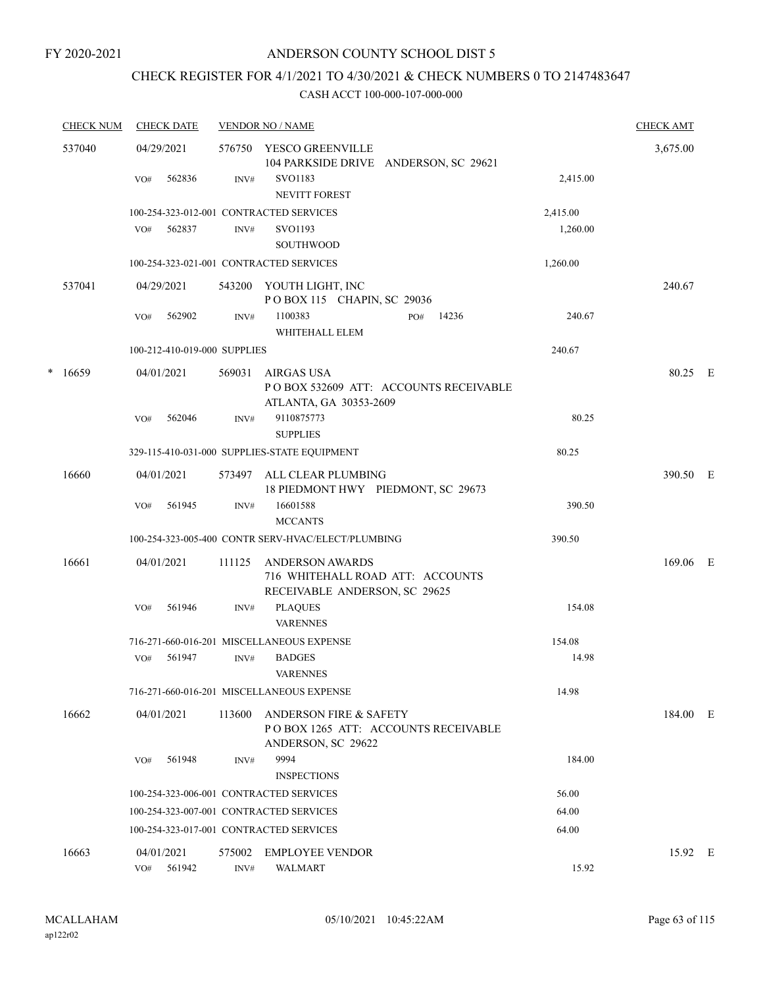## CHECK REGISTER FOR 4/1/2021 TO 4/30/2021 & CHECK NUMBERS 0 TO 2147483647

|   | <b>CHECK NUM</b> | <b>CHECK DATE</b>                       |                | <b>VENDOR NO / NAME</b>                                                                        |          | <b>CHECK AMT</b> |  |
|---|------------------|-----------------------------------------|----------------|------------------------------------------------------------------------------------------------|----------|------------------|--|
|   | 537040           | 04/29/2021<br>562836<br>VO#             | INV#           | 576750 YESCO GREENVILLE<br>104 PARKSIDE DRIVE ANDERSON, SC 29621<br>SVO1183                    | 2,415.00 | 3,675.00         |  |
|   |                  |                                         |                | <b>NEVITT FOREST</b>                                                                           |          |                  |  |
|   |                  | 100-254-323-012-001 CONTRACTED SERVICES |                |                                                                                                | 2,415.00 |                  |  |
|   |                  | 562837<br>VO#                           | INV#           | SVO1193<br><b>SOUTHWOOD</b>                                                                    | 1,260.00 |                  |  |
|   |                  | 100-254-323-021-001 CONTRACTED SERVICES |                |                                                                                                | 1,260.00 |                  |  |
|   | 537041           | 04/29/2021                              |                | 543200 YOUTH LIGHT, INC<br>POBOX 115 CHAPIN, SC 29036                                          |          | 240.67           |  |
|   |                  | 562902<br>VO#                           | INV#           | 1100383<br>PO#<br>14236<br>WHITEHALL ELEM                                                      | 240.67   |                  |  |
|   |                  | 100-212-410-019-000 SUPPLIES            |                |                                                                                                | 240.67   |                  |  |
| * | 16659            | 04/01/2021                              | 569031         | AIRGAS USA<br>POBOX 532609 ATT: ACCOUNTS RECEIVABLE<br>ATLANTA, GA 30353-2609                  |          | 80.25 E          |  |
|   |                  | 562046<br>VO#                           | INV#           | 9110875773<br><b>SUPPLIES</b>                                                                  | 80.25    |                  |  |
|   |                  |                                         |                | 329-115-410-031-000 SUPPLIES-STATE EQUIPMENT                                                   | 80.25    |                  |  |
|   | 16660            | 04/01/2021                              | 573497         | ALL CLEAR PLUMBING<br>18 PIEDMONT HWY PIEDMONT, SC 29673                                       |          | 390.50 E         |  |
|   |                  | 561945<br>VO#                           | INV#           | 16601588<br><b>MCCANTS</b>                                                                     | 390.50   |                  |  |
|   |                  |                                         |                | 100-254-323-005-400 CONTR SERV-HVAC/ELECT/PLUMBING                                             | 390.50   |                  |  |
|   | 16661            | 04/01/2021                              | 111125         | ANDERSON AWARDS<br>716 WHITEHALL ROAD ATT: ACCOUNTS<br>RECEIVABLE ANDERSON, SC 29625           |          | 169.06 E         |  |
|   |                  | 561946<br>VO#                           | INV#           | <b>PLAQUES</b><br><b>VARENNES</b>                                                              | 154.08   |                  |  |
|   |                  |                                         |                | 716-271-660-016-201 MISCELLANEOUS EXPENSE                                                      | 154.08   |                  |  |
|   |                  | 561947<br>VO#                           | INV#           | <b>BADGES</b><br><b>VARENNES</b>                                                               | 14.98    |                  |  |
|   |                  |                                         |                | 716-271-660-016-201 MISCELLANEOUS EXPENSE                                                      | 14.98    |                  |  |
|   | 16662            | 04/01/2021                              | 113600         | <b>ANDERSON FIRE &amp; SAFETY</b><br>POBOX 1265 ATT: ACCOUNTS RECEIVABLE<br>ANDERSON, SC 29622 |          | 184.00 E         |  |
|   |                  | 561948<br>VO#                           | INV#           | 9994<br><b>INSPECTIONS</b>                                                                     | 184.00   |                  |  |
|   |                  | 100-254-323-006-001 CONTRACTED SERVICES |                |                                                                                                | 56.00    |                  |  |
|   |                  | 100-254-323-007-001 CONTRACTED SERVICES |                |                                                                                                | 64.00    |                  |  |
|   |                  | 100-254-323-017-001 CONTRACTED SERVICES |                |                                                                                                | 64.00    |                  |  |
|   | 16663            | 04/01/2021<br>561942<br>VO#             | 575002<br>INV# | <b>EMPLOYEE VENDOR</b><br><b>WALMART</b>                                                       | 15.92    | 15.92 E          |  |
|   |                  |                                         |                |                                                                                                |          |                  |  |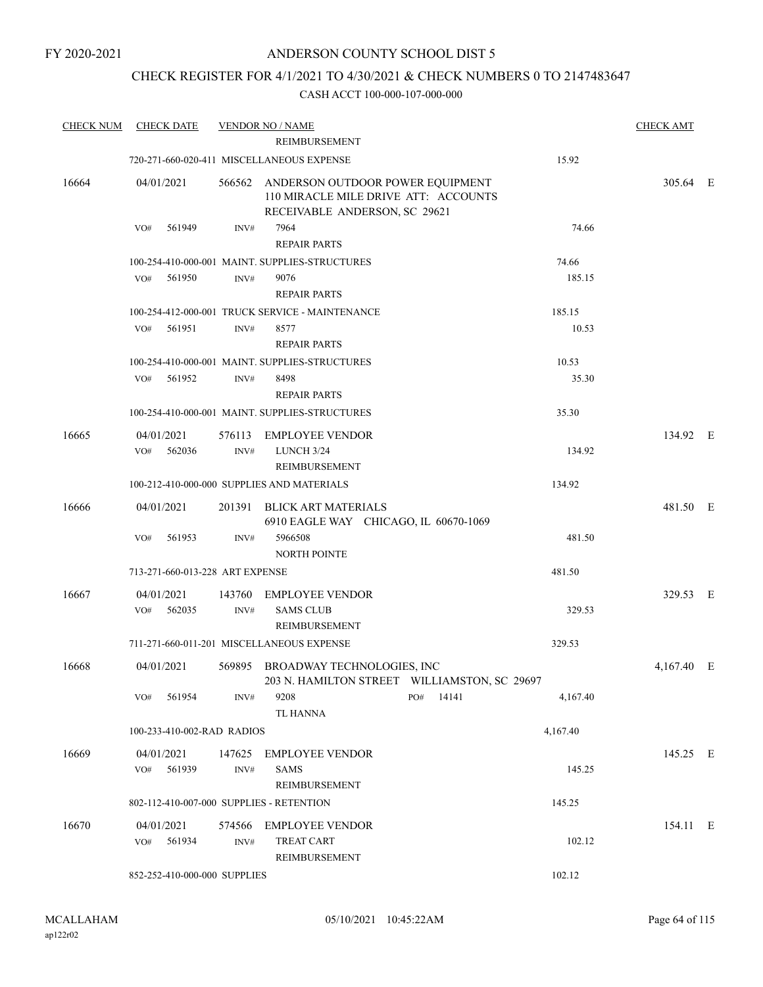## CHECK REGISTER FOR 4/1/2021 TO 4/30/2021 & CHECK NUMBERS 0 TO 2147483647

| <b>CHECK NUM</b> | <b>CHECK DATE</b>                        |                | <b>VENDOR NO / NAME</b>                                                                                   |     |       |          | <b>CHECK AMT</b> |  |
|------------------|------------------------------------------|----------------|-----------------------------------------------------------------------------------------------------------|-----|-------|----------|------------------|--|
|                  |                                          |                | <b>REIMBURSEMENT</b>                                                                                      |     |       |          |                  |  |
|                  |                                          |                | 720-271-660-020-411 MISCELLANEOUS EXPENSE                                                                 |     |       | 15.92    |                  |  |
| 16664            | 04/01/2021                               | 566562         | ANDERSON OUTDOOR POWER EQUIPMENT<br>110 MIRACLE MILE DRIVE ATT: ACCOUNTS<br>RECEIVABLE ANDERSON, SC 29621 |     |       |          | 305.64 E         |  |
|                  | 561949<br>VO#                            | INV#           | 7964<br><b>REPAIR PARTS</b>                                                                               |     |       | 74.66    |                  |  |
|                  |                                          |                | 100-254-410-000-001 MAINT, SUPPLIES-STRUCTURES                                                            |     |       | 74.66    |                  |  |
|                  | 561950<br>VO#                            | INV#           | 9076<br><b>REPAIR PARTS</b>                                                                               |     |       | 185.15   |                  |  |
|                  |                                          |                | 100-254-412-000-001 TRUCK SERVICE - MAINTENANCE                                                           |     |       | 185.15   |                  |  |
|                  | 561951<br>VO#                            | INV#           | 8577<br><b>REPAIR PARTS</b>                                                                               |     |       | 10.53    |                  |  |
|                  |                                          |                | 100-254-410-000-001 MAINT. SUPPLIES-STRUCTURES                                                            |     |       | 10.53    |                  |  |
|                  | 561952<br>VO#                            | INV#           | 8498<br><b>REPAIR PARTS</b>                                                                               |     |       | 35.30    |                  |  |
|                  |                                          |                | 100-254-410-000-001 MAINT. SUPPLIES-STRUCTURES                                                            |     |       | 35.30    |                  |  |
| 16665            | 04/01/2021<br>562036<br>VO#              | 576113<br>INV# | <b>EMPLOYEE VENDOR</b><br>LUNCH 3/24                                                                      |     |       | 134.92   | 134.92 E         |  |
|                  |                                          |                | REIMBURSEMENT                                                                                             |     |       |          |                  |  |
|                  |                                          |                | 100-212-410-000-000 SUPPLIES AND MATERIALS                                                                |     |       | 134.92   |                  |  |
| 16666            | 04/01/2021                               | 201391         | <b>BLICK ART MATERIALS</b><br>6910 EAGLE WAY CHICAGO, IL 60670-1069                                       |     |       |          | 481.50 E         |  |
|                  | 561953<br>VO#                            | INV#           | 5966508<br><b>NORTH POINTE</b>                                                                            |     |       | 481.50   |                  |  |
|                  | 713-271-660-013-228 ART EXPENSE          |                |                                                                                                           |     |       | 481.50   |                  |  |
| 16667            | 04/01/2021<br>562035<br>VO#              | 143760<br>INV# | EMPLOYEE VENDOR<br><b>SAMS CLUB</b>                                                                       |     |       | 329.53   | 329.53 E         |  |
|                  |                                          |                | <b>REIMBURSEMENT</b>                                                                                      |     |       |          |                  |  |
|                  |                                          |                | 711-271-660-011-201 MISCELLANEOUS EXPENSE                                                                 |     |       | 329.53   |                  |  |
| 16668            | 04/01/2021                               |                | 569895 BROADWAY TECHNOLOGIES, INC<br>203 N. HAMILTON STREET WILLIAMSTON, SC 29697                         |     |       |          | 4,167.40 E       |  |
|                  | 561954<br>VO#                            | INV#           | 9208<br><b>TL HANNA</b>                                                                                   | PO# | 14141 | 4,167.40 |                  |  |
|                  | 100-233-410-002-RAD RADIOS               |                |                                                                                                           |     |       | 4,167.40 |                  |  |
| 16669            | 04/01/2021<br>561939<br>VO#              | INV#           | 147625 EMPLOYEE VENDOR<br>SAMS                                                                            |     |       | 145.25   | 145.25 E         |  |
|                  |                                          |                | REIMBURSEMENT                                                                                             |     |       |          |                  |  |
|                  | 802-112-410-007-000 SUPPLIES - RETENTION |                |                                                                                                           |     |       | 145.25   |                  |  |
| 16670            | 04/01/2021                               |                | 574566 EMPLOYEE VENDOR                                                                                    |     |       |          | 154.11 E         |  |
|                  | 561934<br>VO#                            | INV#           | <b>TREAT CART</b><br>REIMBURSEMENT                                                                        |     |       | 102.12   |                  |  |
|                  | 852-252-410-000-000 SUPPLIES             |                |                                                                                                           |     |       | 102.12   |                  |  |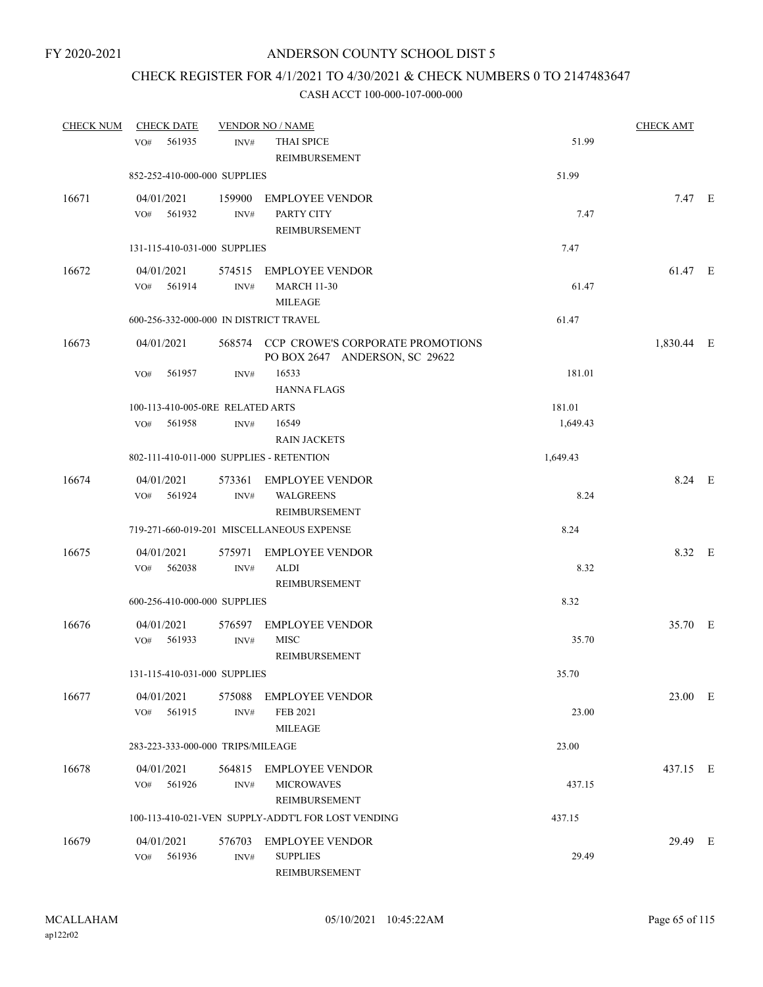## CHECK REGISTER FOR 4/1/2021 TO 4/30/2021 & CHECK NUMBERS 0 TO 2147483647

| <b>CHECK NUM</b> | <b>CHECK DATE</b>                        |                          | <b>VENDOR NO / NAME</b>                                                   |          | <b>CHECK AMT</b> |  |
|------------------|------------------------------------------|--------------------------|---------------------------------------------------------------------------|----------|------------------|--|
|                  | 561935<br>VO <sub>#</sub>                | INV#                     | THAI SPICE<br>REIMBURSEMENT                                               | 51.99    |                  |  |
|                  | 852-252-410-000-000 SUPPLIES             |                          |                                                                           | 51.99    |                  |  |
| 16671            | 04/01/2021<br>561932<br>VO#              | 159900<br>INV#           | <b>EMPLOYEE VENDOR</b><br>PARTY CITY<br>REIMBURSEMENT                     | 7.47     | 7.47 E           |  |
|                  | 131-115-410-031-000 SUPPLIES             |                          |                                                                           | 7.47     |                  |  |
| 16672            | 04/01/2021<br>561914<br>VO#              | 574515<br>INV#           | EMPLOYEE VENDOR<br><b>MARCH 11-30</b><br><b>MILEAGE</b>                   | 61.47    | 61.47 E          |  |
|                  | 600-256-332-000-000 IN DISTRICT TRAVEL   |                          |                                                                           | 61.47    |                  |  |
| 16673            | 04/01/2021                               |                          | 568574 CCP CROWE'S CORPORATE PROMOTIONS<br>PO BOX 2647 ANDERSON, SC 29622 |          | 1,830.44 E       |  |
|                  | 561957<br>VO#                            | INV#                     | 16533<br><b>HANNA FLAGS</b>                                               | 181.01   |                  |  |
|                  | 100-113-410-005-0RE RELATED ARTS         |                          |                                                                           | 181.01   |                  |  |
|                  | 561958<br>VO#                            | INV#                     | 16549<br><b>RAIN JACKETS</b>                                              | 1,649.43 |                  |  |
|                  | 802-111-410-011-000 SUPPLIES - RETENTION |                          |                                                                           | 1,649.43 |                  |  |
| 16674            | 04/01/2021<br>561924<br>VO#              | 573361<br>$\text{INV}\#$ | <b>EMPLOYEE VENDOR</b><br><b>WALGREENS</b><br>REIMBURSEMENT               | 8.24     | 8.24 E           |  |
|                  |                                          |                          | 719-271-660-019-201 MISCELLANEOUS EXPENSE                                 | 8.24     |                  |  |
| 16675            | 04/01/2021<br>562038<br>VO#              | 575971<br>INV#           | <b>EMPLOYEE VENDOR</b><br>ALDI<br>REIMBURSEMENT                           | 8.32     | 8.32 E           |  |
|                  | 600-256-410-000-000 SUPPLIES             |                          |                                                                           | 8.32     |                  |  |
| 16676            | 04/01/2021<br>561933<br>VO#              | 576597<br>INV#           | <b>EMPLOYEE VENDOR</b><br><b>MISC</b><br>REIMBURSEMENT                    | 35.70    | 35.70 E          |  |
|                  | 131-115-410-031-000 SUPPLIES             |                          |                                                                           | 35.70    |                  |  |
| 16677            | 04/01/2021<br>561915<br>VO#              | 575088<br>INV#           | <b>EMPLOYEE VENDOR</b><br>FEB 2021<br><b>MILEAGE</b>                      | 23.00    | 23.00 E          |  |
|                  | 283-223-333-000-000 TRIPS/MILEAGE        |                          |                                                                           | 23.00    |                  |  |
| 16678            | 04/01/2021<br>561926<br>VO#              | 564815<br>INV#           | <b>EMPLOYEE VENDOR</b><br><b>MICROWAVES</b><br>REIMBURSEMENT              | 437.15   | 437.15 E         |  |
|                  |                                          |                          | 100-113-410-021-VEN SUPPLY-ADDT'L FOR LOST VENDING                        | 437.15   |                  |  |
| 16679            | 04/01/2021<br>561936<br>VO#              | 576703<br>INV#           | <b>EMPLOYEE VENDOR</b><br><b>SUPPLIES</b><br>REIMBURSEMENT                | 29.49    | 29.49 E          |  |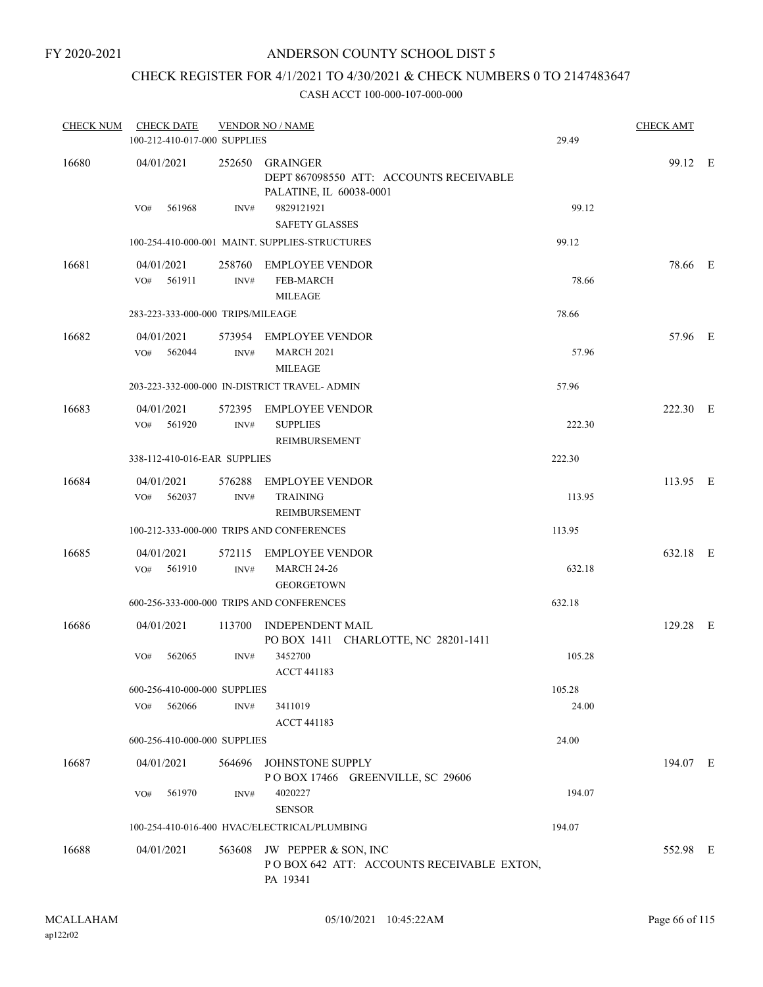## CHECK REGISTER FOR 4/1/2021 TO 4/30/2021 & CHECK NUMBERS 0 TO 2147483647

| <b>CHECK NUM</b> | <b>CHECK DATE</b><br>100-212-410-017-000 SUPPLIES |                | <b>VENDOR NO / NAME</b>                                                              | 29.49  | <b>CHECK AMT</b> |  |
|------------------|---------------------------------------------------|----------------|--------------------------------------------------------------------------------------|--------|------------------|--|
| 16680            | 04/01/2021                                        | 252650         | GRAINGER<br>DEPT 867098550 ATT: ACCOUNTS RECEIVABLE<br>PALATINE, IL 60038-0001       |        | 99.12 E          |  |
|                  | VO#<br>561968                                     | INV#           | 9829121921<br><b>SAFETY GLASSES</b>                                                  | 99.12  |                  |  |
|                  |                                                   |                | 100-254-410-000-001 MAINT, SUPPLIES-STRUCTURES                                       | 99.12  |                  |  |
| 16681            | 04/01/2021<br>561911<br>VO#                       | 258760<br>INV# | <b>EMPLOYEE VENDOR</b><br>FEB-MARCH<br><b>MILEAGE</b>                                | 78.66  | 78.66 E          |  |
|                  | 283-223-333-000-000 TRIPS/MILEAGE                 |                |                                                                                      | 78.66  |                  |  |
| 16682            | 04/01/2021<br>562044<br>VO#                       | INV#           | 573954 EMPLOYEE VENDOR<br><b>MARCH 2021</b><br><b>MILEAGE</b>                        | 57.96  | 57.96 E          |  |
|                  |                                                   |                | 203-223-332-000-000 IN-DISTRICT TRAVEL- ADMIN                                        | 57.96  |                  |  |
| 16683            | 04/01/2021<br>VO#<br>561920                       | INV#           | 572395 EMPLOYEE VENDOR<br><b>SUPPLIES</b><br>REIMBURSEMENT                           | 222.30 | 222.30 E         |  |
|                  | 338-112-410-016-EAR SUPPLIES                      |                |                                                                                      | 222.30 |                  |  |
| 16684            | 04/01/2021<br>562037<br>VO#                       | 576288<br>INV# | <b>EMPLOYEE VENDOR</b><br><b>TRAINING</b><br>REIMBURSEMENT                           | 113.95 | 113.95 E         |  |
|                  |                                                   |                | 100-212-333-000-000 TRIPS AND CONFERENCES                                            | 113.95 |                  |  |
| 16685            | 04/01/2021<br>561910<br>VO#                       | INV#           | 572115 EMPLOYEE VENDOR<br><b>MARCH 24-26</b><br><b>GEORGETOWN</b>                    | 632.18 | 632.18 E         |  |
|                  |                                                   |                | 600-256-333-000-000 TRIPS AND CONFERENCES                                            | 632.18 |                  |  |
| 16686            | 04/01/2021                                        | 113700         | <b>INDEPENDENT MAIL</b><br>PO BOX 1411 CHARLOTTE, NC 28201-1411                      |        | 129.28 E         |  |
|                  | VO#<br>562065                                     | INV#           | 3452700<br><b>ACCT 441183</b>                                                        | 105.28 |                  |  |
|                  | 600-256-410-000-000 SUPPLIES                      |                |                                                                                      | 105.28 |                  |  |
|                  | VO#<br>562066                                     | INV#           | 3411019<br><b>ACCT 441183</b>                                                        | 24.00  |                  |  |
|                  | 600-256-410-000-000 SUPPLIES                      |                |                                                                                      | 24.00  |                  |  |
| 16687            | 04/01/2021                                        |                | 564696 JOHNSTONE SUPPLY<br>POBOX 17466 GREENVILLE, SC 29606                          |        | 194.07 E         |  |
|                  | VO#<br>561970                                     | INV#           | 4020227<br><b>SENSOR</b>                                                             | 194.07 |                  |  |
|                  |                                                   |                | 100-254-410-016-400 HVAC/ELECTRICAL/PLUMBING                                         | 194.07 |                  |  |
| 16688            | 04/01/2021                                        |                | 563608 JW PEPPER & SON, INC<br>POBOX 642 ATT: ACCOUNTS RECEIVABLE EXTON,<br>PA 19341 |        | 552.98 E         |  |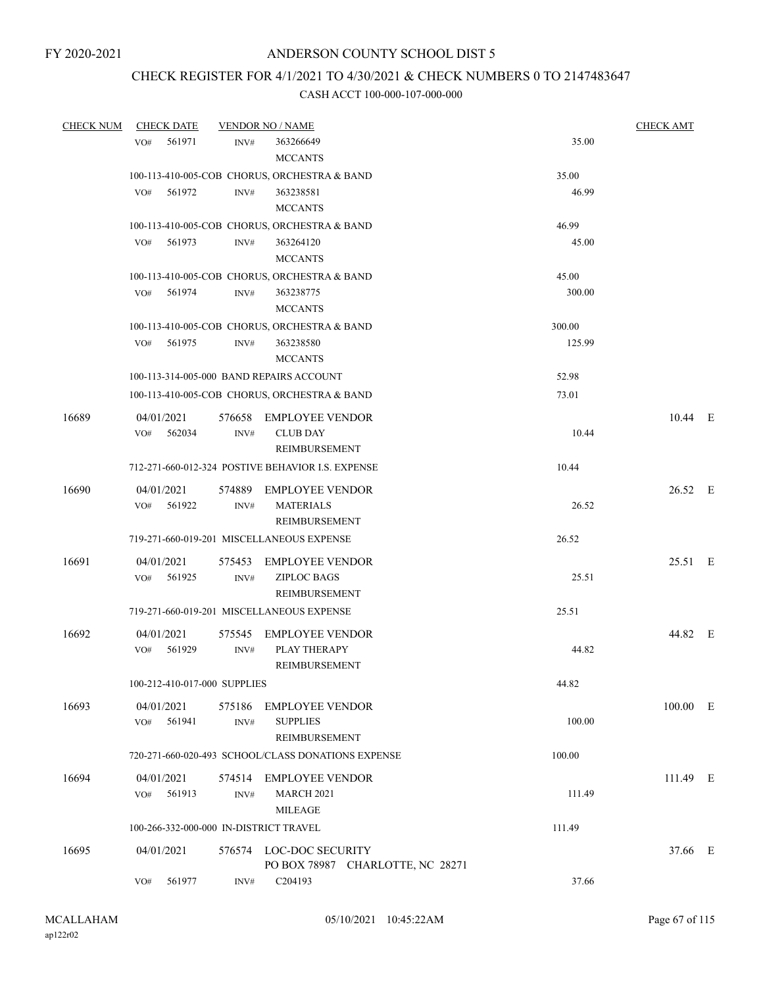## CHECK REGISTER FOR 4/1/2021 TO 4/30/2021 & CHECK NUMBERS 0 TO 2147483647

| <b>CHECK NUM</b> | <b>CHECK DATE</b>                      |        | <b>VENDOR NO / NAME</b>                            |        | <b>CHECK AMT</b> |  |
|------------------|----------------------------------------|--------|----------------------------------------------------|--------|------------------|--|
|                  | 561971<br>VO#                          | INV#   | 363266649                                          | 35.00  |                  |  |
|                  |                                        |        | <b>MCCANTS</b>                                     |        |                  |  |
|                  |                                        |        | 100-113-410-005-COB CHORUS, ORCHESTRA & BAND       | 35.00  |                  |  |
|                  | 561972<br>VO#                          | INV#   | 363238581                                          | 46.99  |                  |  |
|                  |                                        |        | <b>MCCANTS</b>                                     |        |                  |  |
|                  |                                        |        | 100-113-410-005-COB CHORUS, ORCHESTRA & BAND       | 46.99  |                  |  |
|                  | 561973<br>VO#                          | INV#   | 363264120                                          | 45.00  |                  |  |
|                  |                                        |        | <b>MCCANTS</b>                                     |        |                  |  |
|                  |                                        |        | 100-113-410-005-COB CHORUS, ORCHESTRA & BAND       | 45.00  |                  |  |
|                  | 561974<br>VO#                          | INV#   | 363238775                                          | 300.00 |                  |  |
|                  |                                        |        | <b>MCCANTS</b>                                     |        |                  |  |
|                  |                                        |        | 100-113-410-005-COB CHORUS, ORCHESTRA & BAND       | 300.00 |                  |  |
|                  | VO#<br>561975                          | INV#   | 363238580                                          | 125.99 |                  |  |
|                  |                                        |        | <b>MCCANTS</b>                                     |        |                  |  |
|                  |                                        |        | 100-113-314-005-000 BAND REPAIRS ACCOUNT           | 52.98  |                  |  |
|                  |                                        |        | 100-113-410-005-COB CHORUS, ORCHESTRA & BAND       | 73.01  |                  |  |
| 16689            | 04/01/2021                             | 576658 | <b>EMPLOYEE VENDOR</b>                             |        | $10.44$ E        |  |
|                  | 562034<br>VO#                          | INV#   | <b>CLUB DAY</b>                                    | 10.44  |                  |  |
|                  |                                        |        | REIMBURSEMENT                                      |        |                  |  |
|                  |                                        |        | 712-271-660-012-324 POSTIVE BEHAVIOR I.S. EXPENSE  | 10.44  |                  |  |
|                  |                                        |        |                                                    |        |                  |  |
| 16690            | 04/01/2021                             | 574889 | <b>EMPLOYEE VENDOR</b>                             |        | 26.52 E          |  |
|                  | 561922<br>VO#                          | INV#   | <b>MATERIALS</b>                                   | 26.52  |                  |  |
|                  |                                        |        | REIMBURSEMENT                                      |        |                  |  |
|                  |                                        |        | 719-271-660-019-201 MISCELLANEOUS EXPENSE          | 26.52  |                  |  |
| 16691            | 04/01/2021                             | 575453 | <b>EMPLOYEE VENDOR</b>                             |        | 25.51 E          |  |
|                  | VO#<br>561925                          | INV#   | <b>ZIPLOC BAGS</b>                                 | 25.51  |                  |  |
|                  |                                        |        | REIMBURSEMENT                                      |        |                  |  |
|                  |                                        |        | 719-271-660-019-201 MISCELLANEOUS EXPENSE          | 25.51  |                  |  |
| 16692            | 04/01/2021                             | 575545 | EMPLOYEE VENDOR                                    |        | 44.82 E          |  |
|                  | 561929<br>VO#                          | INV#   | PLAY THERAPY                                       | 44.82  |                  |  |
|                  |                                        |        | REIMBURSEMENT                                      |        |                  |  |
|                  | 100-212-410-017-000 SUPPLIES           |        |                                                    | 44.82  |                  |  |
| 16693            | 04/01/2021                             | 575186 | <b>EMPLOYEE VENDOR</b>                             |        | 100.00 E         |  |
|                  | 561941<br>VO#                          | INV#   | <b>SUPPLIES</b>                                    | 100.00 |                  |  |
|                  |                                        |        | REIMBURSEMENT                                      |        |                  |  |
|                  |                                        |        | 720-271-660-020-493 SCHOOL/CLASS DONATIONS EXPENSE | 100.00 |                  |  |
| 16694            | 04/01/2021                             |        | 574514 EMPLOYEE VENDOR                             |        |                  |  |
|                  | 561913<br>VO#                          | INV#   | <b>MARCH 2021</b>                                  | 111.49 | 111.49 E         |  |
|                  |                                        |        | <b>MILEAGE</b>                                     |        |                  |  |
|                  | 100-266-332-000-000 IN-DISTRICT TRAVEL |        |                                                    | 111.49 |                  |  |
|                  |                                        |        |                                                    |        |                  |  |
| 16695            | 04/01/2021                             |        | 576574 LOC-DOC SECURITY                            |        | 37.66 E          |  |
|                  |                                        |        | PO BOX 78987 CHARLOTTE, NC 28271<br>C204193        | 37.66  |                  |  |
|                  | 561977<br>VO#                          | INV#   |                                                    |        |                  |  |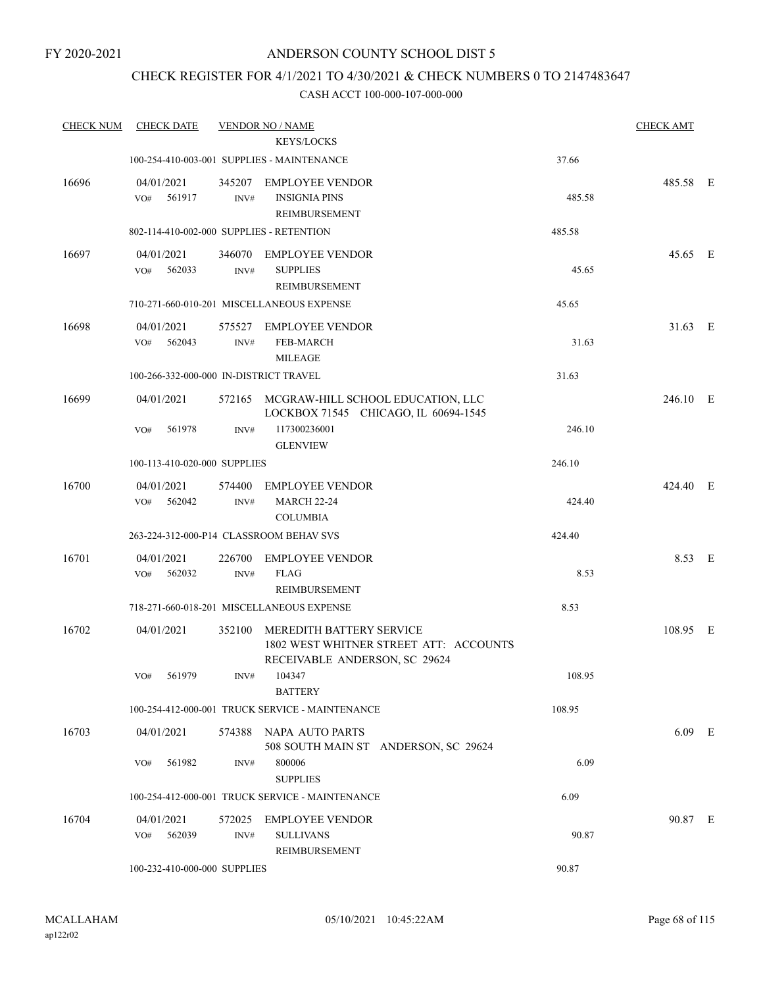## CHECK REGISTER FOR 4/1/2021 TO 4/30/2021 & CHECK NUMBERS 0 TO 2147483647

| <b>CHECK NUM</b> | <b>CHECK DATE</b>                        |                | <b>VENDOR NO / NAME</b>                                                                             |        | <b>CHECK AMT</b> |  |
|------------------|------------------------------------------|----------------|-----------------------------------------------------------------------------------------------------|--------|------------------|--|
|                  |                                          |                | <b>KEYS/LOCKS</b>                                                                                   |        |                  |  |
|                  |                                          |                | 100-254-410-003-001 SUPPLIES - MAINTENANCE                                                          | 37.66  |                  |  |
| 16696            | 04/01/2021<br>561917<br>VO#              | 345207<br>INV# | <b>EMPLOYEE VENDOR</b><br><b>INSIGNIA PINS</b><br>REIMBURSEMENT                                     | 485.58 | 485.58 E         |  |
|                  | 802-114-410-002-000 SUPPLIES - RETENTION |                |                                                                                                     | 485.58 |                  |  |
| 16697            | 04/01/2021<br>562033<br>VO#              | 346070<br>INV# | <b>EMPLOYEE VENDOR</b><br><b>SUPPLIES</b><br>REIMBURSEMENT                                          | 45.65  | 45.65 E          |  |
|                  |                                          |                | 710-271-660-010-201 MISCELLANEOUS EXPENSE                                                           | 45.65  |                  |  |
| 16698            | 04/01/2021<br>562043<br>VO#              | 575527<br>INV# | <b>EMPLOYEE VENDOR</b><br><b>FEB-MARCH</b><br><b>MILEAGE</b>                                        | 31.63  | 31.63 E          |  |
|                  | 100-266-332-000-000 IN-DISTRICT TRAVEL   |                |                                                                                                     | 31.63  |                  |  |
| 16699            | 04/01/2021                               | 572165         | MCGRAW-HILL SCHOOL EDUCATION, LLC<br>LOCKBOX 71545 CHICAGO, IL 60694-1545                           |        | 246.10 E         |  |
|                  | 561978<br>VO#                            | INV#           | 117300236001<br><b>GLENVIEW</b>                                                                     | 246.10 |                  |  |
|                  | 100-113-410-020-000 SUPPLIES             |                |                                                                                                     | 246.10 |                  |  |
| 16700            | 04/01/2021                               | 574400         | <b>EMPLOYEE VENDOR</b>                                                                              |        | 424.40 E         |  |
|                  | VO#<br>562042                            | INV#           | <b>MARCH 22-24</b><br><b>COLUMBIA</b>                                                               | 424.40 |                  |  |
|                  |                                          |                | 263-224-312-000-P14 CLASSROOM BEHAV SVS                                                             | 424.40 |                  |  |
| 16701            | 04/01/2021<br>562032<br>VO#              | 226700<br>INV# | <b>EMPLOYEE VENDOR</b><br><b>FLAG</b><br>REIMBURSEMENT                                              | 8.53   | 8.53 E           |  |
|                  |                                          |                | 718-271-660-018-201 MISCELLANEOUS EXPENSE                                                           | 8.53   |                  |  |
| 16702            | 04/01/2021                               | 352100         | MEREDITH BATTERY SERVICE<br>1802 WEST WHITNER STREET ATT: ACCOUNTS<br>RECEIVABLE ANDERSON, SC 29624 |        | 108.95 E         |  |
|                  | 561979<br>VO#                            |                | INV# 104347<br><b>BATTERY</b>                                                                       | 108.95 |                  |  |
|                  |                                          |                | 100-254-412-000-001 TRUCK SERVICE - MAINTENANCE                                                     | 108.95 |                  |  |
| 16703            | 04/01/2021                               |                | 574388 NAPA AUTO PARTS<br>508 SOUTH MAIN ST ANDERSON, SC 29624                                      |        | $6.09$ E         |  |
|                  | VO#<br>561982                            | INV#           | 800006<br><b>SUPPLIES</b>                                                                           | 6.09   |                  |  |
|                  |                                          |                | 100-254-412-000-001 TRUCK SERVICE - MAINTENANCE                                                     | 6.09   |                  |  |
| 16704            | 04/01/2021                               |                | 572025 EMPLOYEE VENDOR                                                                              |        | 90.87 E          |  |
|                  | 562039<br>VO#                            | INV#           | <b>SULLIVANS</b><br>REIMBURSEMENT                                                                   | 90.87  |                  |  |
|                  | 100-232-410-000-000 SUPPLIES             |                |                                                                                                     | 90.87  |                  |  |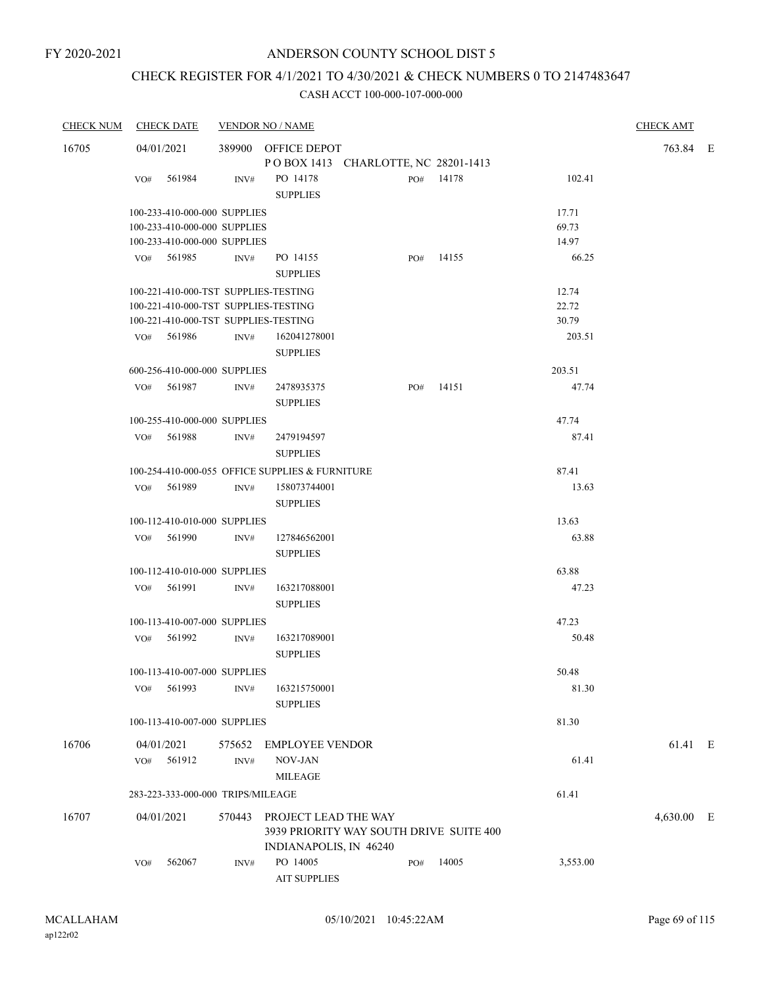## CHECK REGISTER FOR 4/1/2021 TO 4/30/2021 & CHECK NUMBERS 0 TO 2147483647

| <b>CHECK NUM</b> |                                               | <b>CHECK DATE</b>                    |                | <b>VENDOR NO / NAME</b>                                                                   |  |     |           |          | <b>CHECK AMT</b> |  |
|------------------|-----------------------------------------------|--------------------------------------|----------------|-------------------------------------------------------------------------------------------|--|-----|-----------|----------|------------------|--|
| 16705            |                                               | 04/01/2021                           |                | 389900 OFFICE DEPOT                                                                       |  |     |           |          | 763.84 E         |  |
|                  |                                               |                                      |                | POBOX 1413 CHARLOTTE, NC 28201-1413                                                       |  |     |           |          |                  |  |
|                  | VO#                                           | 561984                               | INV#           | PO 14178<br><b>SUPPLIES</b>                                                               |  |     | PO# 14178 | 102.41   |                  |  |
|                  |                                               | 100-233-410-000-000 SUPPLIES         |                |                                                                                           |  |     |           | 17.71    |                  |  |
|                  |                                               | 100-233-410-000-000 SUPPLIES         |                |                                                                                           |  |     |           | 69.73    |                  |  |
|                  |                                               | 100-233-410-000-000 SUPPLIES         |                |                                                                                           |  |     |           | 14.97    |                  |  |
|                  |                                               | VO# 561985                           | INV#           | PO 14155<br><b>SUPPLIES</b>                                                               |  | PO# | 14155     | 66.25    |                  |  |
|                  | 100-221-410-000-TST SUPPLIES-TESTING<br>12.74 |                                      |                |                                                                                           |  |     |           |          |                  |  |
|                  | 22.72<br>100-221-410-000-TST SUPPLIES-TESTING |                                      |                |                                                                                           |  |     |           |          |                  |  |
|                  |                                               | 100-221-410-000-TST SUPPLIES-TESTING |                |                                                                                           |  |     |           | 30.79    |                  |  |
|                  |                                               | VO# 561986                           | INV#           | 162041278001<br><b>SUPPLIES</b>                                                           |  |     |           | 203.51   |                  |  |
|                  |                                               | 600-256-410-000-000 SUPPLIES         |                |                                                                                           |  |     |           | 203.51   |                  |  |
|                  |                                               | VO# 561987                           | INV#           | 2478935375                                                                                |  | PO# | 14151     | 47.74    |                  |  |
|                  |                                               |                                      |                | <b>SUPPLIES</b>                                                                           |  |     |           |          |                  |  |
|                  |                                               | 100-255-410-000-000 SUPPLIES         |                |                                                                                           |  |     |           | 47.74    |                  |  |
|                  |                                               | VO# 561988                           | INV#           | 2479194597<br><b>SUPPLIES</b>                                                             |  |     |           | 87.41    |                  |  |
|                  |                                               |                                      |                | 100-254-410-000-055 OFFICE SUPPLIES & FURNITURE                                           |  |     |           | 87.41    |                  |  |
|                  |                                               | VO# 561989                           | INV#           | 158073744001<br><b>SUPPLIES</b>                                                           |  |     |           | 13.63    |                  |  |
|                  |                                               | 100-112-410-010-000 SUPPLIES         |                |                                                                                           |  |     |           | 13.63    |                  |  |
|                  |                                               | VO# 561990                           | INV#           | 127846562001                                                                              |  |     |           | 63.88    |                  |  |
|                  |                                               |                                      |                | <b>SUPPLIES</b>                                                                           |  |     |           |          |                  |  |
|                  |                                               | 100-112-410-010-000 SUPPLIES         |                |                                                                                           |  |     |           | 63.88    |                  |  |
|                  |                                               | VO# 561991                           | INV#           | 163217088001<br><b>SUPPLIES</b>                                                           |  |     |           | 47.23    |                  |  |
|                  |                                               | 100-113-410-007-000 SUPPLIES         |                |                                                                                           |  |     |           | 47.23    |                  |  |
|                  |                                               | VO# 561992                           | INV#           | 163217089001<br><b>SUPPLIES</b>                                                           |  |     |           | 50.48    |                  |  |
|                  |                                               |                                      |                |                                                                                           |  |     |           | 50.48    |                  |  |
|                  |                                               | 100-113-410-007-000 SUPPLIES         |                |                                                                                           |  |     |           |          |                  |  |
|                  | VO#                                           | 561993                               | INV#           | 163215750001<br><b>SUPPLIES</b>                                                           |  |     |           | 81.30    |                  |  |
|                  |                                               | 100-113-410-007-000 SUPPLIES         |                |                                                                                           |  |     |           | 81.30    |                  |  |
| 16706            |                                               | 04/01/2021                           | 575652         | <b>EMPLOYEE VENDOR</b>                                                                    |  |     |           |          | 61.41 E          |  |
|                  | VO#                                           | 561912                               | $\text{INV}\#$ | NOV-JAN                                                                                   |  |     |           | 61.41    |                  |  |
|                  |                                               |                                      |                | <b>MILEAGE</b>                                                                            |  |     |           |          |                  |  |
|                  |                                               | 283-223-333-000-000 TRIPS/MILEAGE    |                |                                                                                           |  |     |           | 61.41    |                  |  |
|                  |                                               |                                      |                |                                                                                           |  |     |           |          |                  |  |
| 16707            |                                               | 04/01/2021                           | 570443         | PROJECT LEAD THE WAY<br>3939 PRIORITY WAY SOUTH DRIVE SUITE 400<br>INDIANAPOLIS, IN 46240 |  |     |           |          | 4,630.00 E       |  |
|                  | VO#                                           | 562067                               | INV#           | PO 14005<br><b>AIT SUPPLIES</b>                                                           |  | PO# | 14005     | 3,553.00 |                  |  |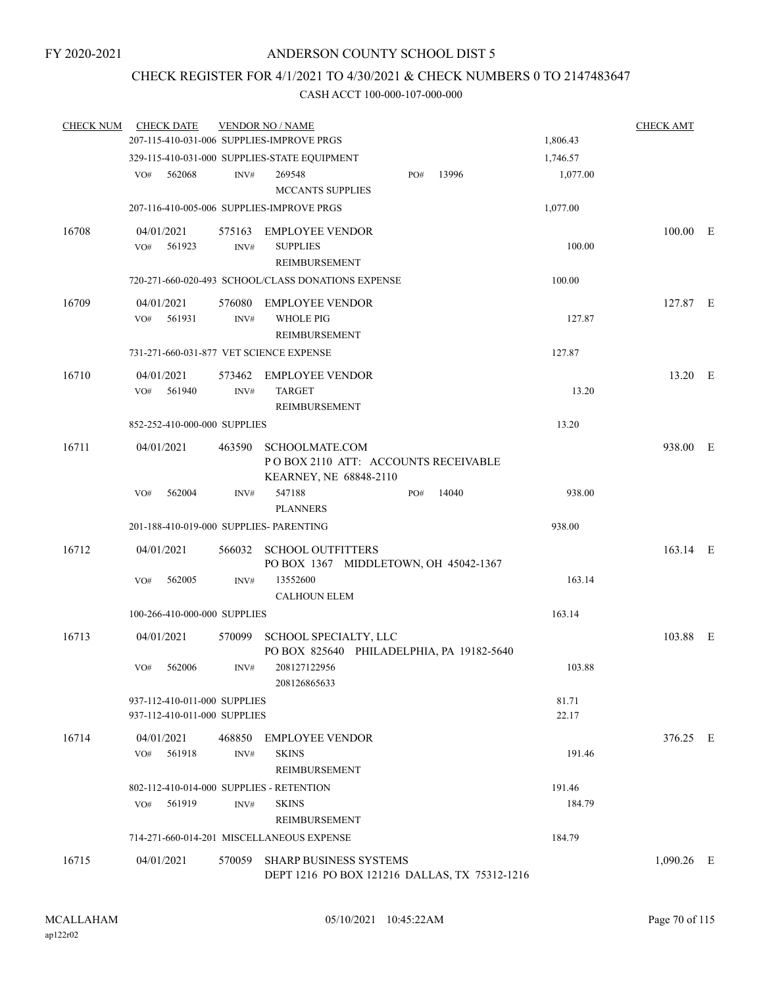## CHECK REGISTER FOR 4/1/2021 TO 4/30/2021 & CHECK NUMBERS 0 TO 2147483647

| <b>CHECK NUM</b><br><b>CHECK DATE</b> |                |                                   |                                                                                                                                                                                                                                                                                                                                                                                                                                                                                                                                                                                                                                   |                                                                                     |                                                                                                                            | <b>CHECK AMT</b>                              |                                                                                                   |
|---------------------------------------|----------------|-----------------------------------|-----------------------------------------------------------------------------------------------------------------------------------------------------------------------------------------------------------------------------------------------------------------------------------------------------------------------------------------------------------------------------------------------------------------------------------------------------------------------------------------------------------------------------------------------------------------------------------------------------------------------------------|-------------------------------------------------------------------------------------|----------------------------------------------------------------------------------------------------------------------------|-----------------------------------------------|---------------------------------------------------------------------------------------------------|
|                                       |                |                                   |                                                                                                                                                                                                                                                                                                                                                                                                                                                                                                                                                                                                                                   |                                                                                     | 1,806.43                                                                                                                   |                                               |                                                                                                   |
|                                       |                |                                   |                                                                                                                                                                                                                                                                                                                                                                                                                                                                                                                                                                                                                                   |                                                                                     | 1,746.57                                                                                                                   |                                               |                                                                                                   |
| 562068<br>VO#                         | INV#           | 269548<br><b>MCCANTS SUPPLIES</b> | PO#                                                                                                                                                                                                                                                                                                                                                                                                                                                                                                                                                                                                                               | 13996                                                                               | 1,077.00                                                                                                                   |                                               |                                                                                                   |
|                                       |                |                                   |                                                                                                                                                                                                                                                                                                                                                                                                                                                                                                                                                                                                                                   |                                                                                     | 1,077.00                                                                                                                   |                                               |                                                                                                   |
| 04/01/2021<br>VO#<br>561923           | INV#           | <b>SUPPLIES</b><br>REIMBURSEMENT  |                                                                                                                                                                                                                                                                                                                                                                                                                                                                                                                                                                                                                                   |                                                                                     | 100.00                                                                                                                     |                                               |                                                                                                   |
|                                       |                |                                   |                                                                                                                                                                                                                                                                                                                                                                                                                                                                                                                                                                                                                                   |                                                                                     | 100.00                                                                                                                     |                                               |                                                                                                   |
| 04/01/2021<br>561931<br>VO#           | INV#           | <b>WHOLE PIG</b><br>REIMBURSEMENT |                                                                                                                                                                                                                                                                                                                                                                                                                                                                                                                                                                                                                                   |                                                                                     | 127.87                                                                                                                     |                                               |                                                                                                   |
|                                       |                |                                   |                                                                                                                                                                                                                                                                                                                                                                                                                                                                                                                                                                                                                                   |                                                                                     | 127.87                                                                                                                     |                                               |                                                                                                   |
| 04/01/2021<br>VO#<br>561940           | 573462<br>INV# | <b>TARGET</b><br>REIMBURSEMENT    |                                                                                                                                                                                                                                                                                                                                                                                                                                                                                                                                                                                                                                   |                                                                                     | 13.20                                                                                                                      |                                               |                                                                                                   |
|                                       |                |                                   |                                                                                                                                                                                                                                                                                                                                                                                                                                                                                                                                                                                                                                   |                                                                                     | 13.20                                                                                                                      |                                               |                                                                                                   |
| 04/01/2021                            |                | KEARNEY, NE 68848-2110            |                                                                                                                                                                                                                                                                                                                                                                                                                                                                                                                                                                                                                                   |                                                                                     |                                                                                                                            |                                               |                                                                                                   |
| 562004<br>VO#                         | INV#           | 547188<br><b>PLANNERS</b>         | PO#                                                                                                                                                                                                                                                                                                                                                                                                                                                                                                                                                                                                                               | 14040                                                                               | 938.00                                                                                                                     |                                               |                                                                                                   |
|                                       |                |                                   |                                                                                                                                                                                                                                                                                                                                                                                                                                                                                                                                                                                                                                   |                                                                                     | 938.00                                                                                                                     |                                               |                                                                                                   |
| 04/01/2021                            | 566032         | <b>SCHOOL OUTFITTERS</b>          |                                                                                                                                                                                                                                                                                                                                                                                                                                                                                                                                                                                                                                   |                                                                                     |                                                                                                                            |                                               |                                                                                                   |
| 562005<br>VO#                         | INV#           | 13552600                          |                                                                                                                                                                                                                                                                                                                                                                                                                                                                                                                                                                                                                                   |                                                                                     | 163.14                                                                                                                     |                                               |                                                                                                   |
|                                       |                |                                   |                                                                                                                                                                                                                                                                                                                                                                                                                                                                                                                                                                                                                                   |                                                                                     | 163.14                                                                                                                     |                                               |                                                                                                   |
| 04/01/2021                            | 570099         | SCHOOL SPECIALTY, LLC             |                                                                                                                                                                                                                                                                                                                                                                                                                                                                                                                                                                                                                                   |                                                                                     |                                                                                                                            |                                               |                                                                                                   |
| 562006<br>VO#                         | INV#           | 208127122956<br>208126865633      |                                                                                                                                                                                                                                                                                                                                                                                                                                                                                                                                                                                                                                   |                                                                                     | 103.88                                                                                                                     |                                               |                                                                                                   |
|                                       |                |                                   |                                                                                                                                                                                                                                                                                                                                                                                                                                                                                                                                                                                                                                   |                                                                                     | 81.71<br>22.17                                                                                                             |                                               |                                                                                                   |
| 04/01/2021<br>561918<br>VO#           | 468850<br>INV# | <b>SKINS</b><br>REIMBURSEMENT     |                                                                                                                                                                                                                                                                                                                                                                                                                                                                                                                                                                                                                                   |                                                                                     | 191.46                                                                                                                     |                                               |                                                                                                   |
|                                       |                |                                   |                                                                                                                                                                                                                                                                                                                                                                                                                                                                                                                                                                                                                                   |                                                                                     | 191.46                                                                                                                     |                                               |                                                                                                   |
| 561919<br>VO#                         | INV#           | <b>SKINS</b><br>REIMBURSEMENT     |                                                                                                                                                                                                                                                                                                                                                                                                                                                                                                                                                                                                                                   |                                                                                     | 184.79                                                                                                                     |                                               |                                                                                                   |
|                                       |                |                                   |                                                                                                                                                                                                                                                                                                                                                                                                                                                                                                                                                                                                                                   |                                                                                     | 184.79                                                                                                                     |                                               |                                                                                                   |
| 04/01/2021                            | 570059         |                                   |                                                                                                                                                                                                                                                                                                                                                                                                                                                                                                                                                                                                                                   |                                                                                     |                                                                                                                            |                                               |                                                                                                   |
|                                       |                |                                   | <b>VENDOR NO / NAME</b><br>207-115-410-031-006 SUPPLIES-IMPROVE PRGS<br>329-115-410-031-000 SUPPLIES-STATE EQUIPMENT<br>207-116-410-005-006 SUPPLIES-IMPROVE PRGS<br>575163 EMPLOYEE VENDOR<br>576080 EMPLOYEE VENDOR<br>731-271-660-031-877 VET SCIENCE EXPENSE<br><b>EMPLOYEE VENDOR</b><br>852-252-410-000-000 SUPPLIES<br>463590 SCHOOLMATE.COM<br>201-188-410-019-000 SUPPLIES- PARENTING<br><b>CALHOUN ELEM</b><br>100-266-410-000-000 SUPPLIES<br>937-112-410-011-000 SUPPLIES<br>937-112-410-011-000 SUPPLIES<br>EMPLOYEE VENDOR<br>802-112-410-014-000 SUPPLIES - RETENTION<br>714-271-660-014-201 MISCELLANEOUS EXPENSE | 720-271-660-020-493 SCHOOL/CLASS DONATIONS EXPENSE<br><b>SHARP BUSINESS SYSTEMS</b> | PO BOX 2110 ATT: ACCOUNTS RECEIVABLE<br>PO BOX 1367 MIDDLETOWN, OH 45042-1367<br>PO BOX 825640 PHILADELPHIA, PA 19182-5640 | DEPT 1216 PO BOX 121216 DALLAS, TX 75312-1216 | $100.00$ E<br>127.87 E<br>13.20 E<br>938.00 E<br>163.14 E<br>103.88 E<br>376.25 E<br>$1,090.26$ E |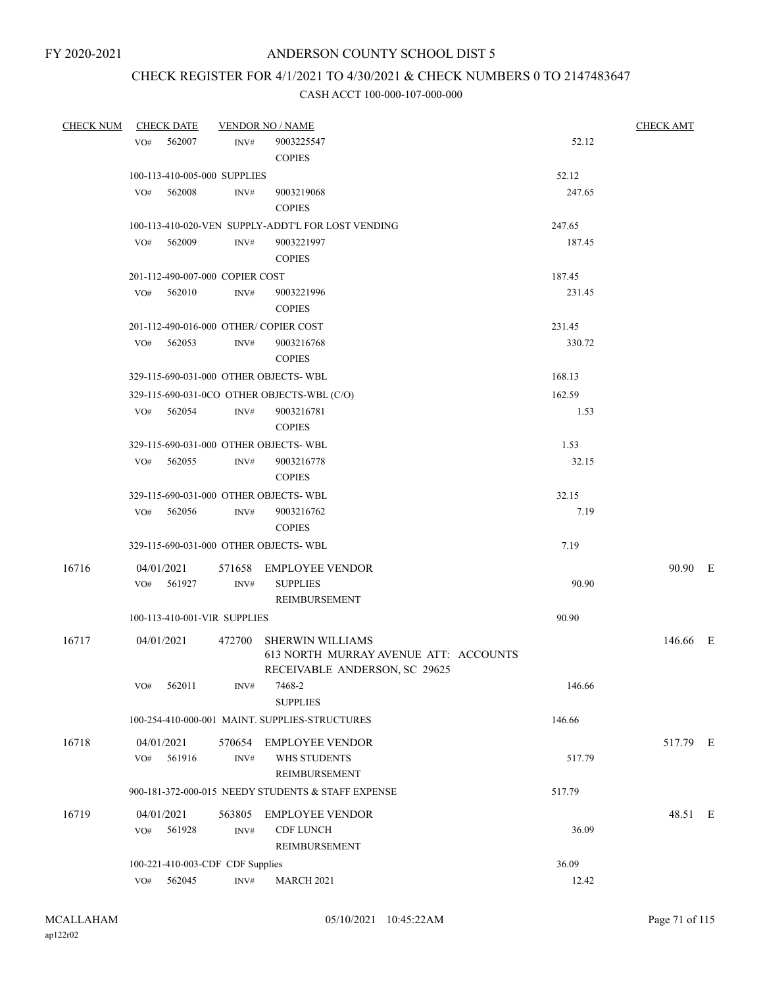## CHECK REGISTER FOR 4/1/2021 TO 4/30/2021 & CHECK NUMBERS 0 TO 2147483647

| <b>CHECK NUM</b> | <b>CHECK DATE</b>                     |        | <b>VENDOR NO / NAME</b>                            |        | <b>CHECK AMT</b> |  |
|------------------|---------------------------------------|--------|----------------------------------------------------|--------|------------------|--|
|                  | 562007<br>VO#                         | INV#   | 9003225547                                         | 52.12  |                  |  |
|                  |                                       |        | <b>COPIES</b>                                      |        |                  |  |
|                  | 100-113-410-005-000 SUPPLIES          |        |                                                    | 52.12  |                  |  |
|                  | VO#<br>562008                         | INV#   | 9003219068                                         | 247.65 |                  |  |
|                  |                                       |        | <b>COPIES</b>                                      |        |                  |  |
|                  |                                       |        | 100-113-410-020-VEN SUPPLY-ADDT'L FOR LOST VENDING | 247.65 |                  |  |
|                  | $VO#$ 562009                          | INV#   | 9003221997                                         | 187.45 |                  |  |
|                  |                                       |        | <b>COPIES</b>                                      |        |                  |  |
|                  | 201-112-490-007-000 COPIER COST       |        |                                                    | 187.45 |                  |  |
|                  | 562010<br>VO#                         | INV#   | 9003221996                                         | 231.45 |                  |  |
|                  |                                       |        | <b>COPIES</b>                                      |        |                  |  |
|                  | 201-112-490-016-000 OTHER/COPIER COST |        |                                                    | 231.45 |                  |  |
|                  | 562053<br>VO#                         | INV#   | 9003216768                                         | 330.72 |                  |  |
|                  |                                       |        | <b>COPIES</b>                                      |        |                  |  |
|                  | 329-115-690-031-000 OTHER OBJECTS-WBL |        |                                                    | 168.13 |                  |  |
|                  |                                       |        | 329-115-690-031-0CO OTHER OBJECTS-WBL (C/O)        | 162.59 |                  |  |
|                  |                                       |        | 9003216781                                         |        |                  |  |
|                  | 562054<br>VO#                         | INV#   | <b>COPIES</b>                                      | 1.53   |                  |  |
|                  |                                       |        |                                                    |        |                  |  |
|                  | 329-115-690-031-000 OTHER OBJECTS-WBL |        |                                                    | 1.53   |                  |  |
|                  | VO#<br>562055                         | INV#   | 9003216778                                         | 32.15  |                  |  |
|                  |                                       |        | <b>COPIES</b>                                      |        |                  |  |
|                  | 329-115-690-031-000 OTHER OBJECTS-WBL |        |                                                    | 32.15  |                  |  |
|                  | VO# 562056                            | INV#   | 9003216762                                         | 7.19   |                  |  |
|                  |                                       |        | <b>COPIES</b>                                      |        |                  |  |
|                  | 329-115-690-031-000 OTHER OBJECTS-WBL |        |                                                    | 7.19   |                  |  |
| 16716            | 04/01/2021                            |        | 571658 EMPLOYEE VENDOR                             |        | 90.90 E          |  |
|                  | VO#<br>561927                         | INV#   | <b>SUPPLIES</b>                                    | 90.90  |                  |  |
|                  |                                       |        | <b>REIMBURSEMENT</b>                               |        |                  |  |
|                  | 100-113-410-001-VIR SUPPLIES          |        |                                                    | 90.90  |                  |  |
| 16717            | 04/01/2021                            | 472700 | <b>SHERWIN WILLIAMS</b>                            |        | 146.66 E         |  |
|                  |                                       |        | 613 NORTH MURRAY AVENUE ATT: ACCOUNTS              |        |                  |  |
|                  |                                       |        | RECEIVABLE ANDERSON, SC 29625                      |        |                  |  |
|                  | 562011<br>VO#                         | INV#   | 7468-2                                             | 146.66 |                  |  |
|                  |                                       |        | <b>SUPPLIES</b>                                    |        |                  |  |
|                  |                                       |        | 100-254-410-000-001 MAINT. SUPPLIES-STRUCTURES     | 146.66 |                  |  |
| 16718            | 04/01/2021                            | 570654 | <b>EMPLOYEE VENDOR</b>                             |        | 517.79 E         |  |
|                  | 561916<br>VO#                         | INV#   | WHS STUDENTS                                       | 517.79 |                  |  |
|                  |                                       |        | REIMBURSEMENT                                      |        |                  |  |
|                  |                                       |        | 900-181-372-000-015 NEEDY STUDENTS & STAFF EXPENSE | 517.79 |                  |  |
|                  |                                       |        |                                                    |        |                  |  |
| 16719            | 04/01/2021                            | 563805 | <b>EMPLOYEE VENDOR</b>                             |        | 48.51 E          |  |
|                  | 561928<br>VO#                         | INV#   | <b>CDF LUNCH</b>                                   | 36.09  |                  |  |
|                  |                                       |        | REIMBURSEMENT                                      |        |                  |  |
|                  | 100-221-410-003-CDF CDF Supplies      |        |                                                    | 36.09  |                  |  |
|                  | 562045<br>VO#                         | INV#   | <b>MARCH 2021</b>                                  | 12.42  |                  |  |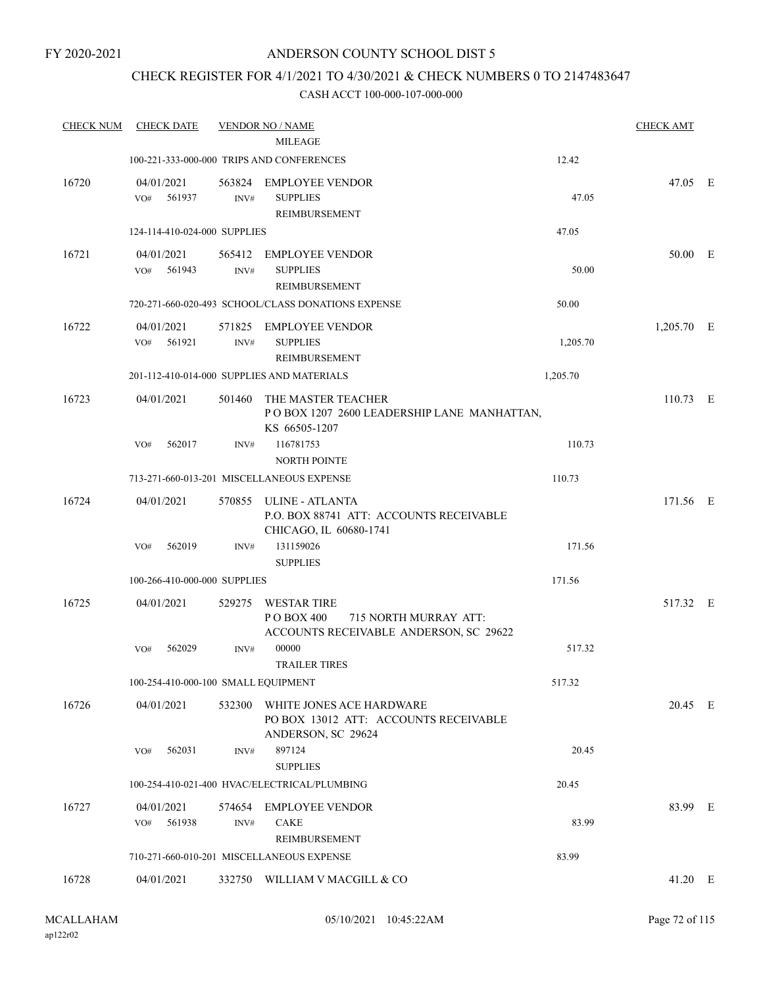## CHECK REGISTER FOR 4/1/2021 TO 4/30/2021 & CHECK NUMBERS 0 TO 2147483647

| <b>CHECK NUM</b> | <b>CHECK DATE</b>                   |                | <b>VENDOR NO / NAME</b>                                                                             |          | <b>CHECK AMT</b> |  |
|------------------|-------------------------------------|----------------|-----------------------------------------------------------------------------------------------------|----------|------------------|--|
|                  |                                     |                | <b>MILEAGE</b>                                                                                      |          |                  |  |
|                  |                                     |                | 100-221-333-000-000 TRIPS AND CONFERENCES                                                           | 12.42    |                  |  |
| 16720            | 04/01/2021<br>561937<br>VO#         | INV#           | 563824 EMPLOYEE VENDOR<br><b>SUPPLIES</b><br>REIMBURSEMENT                                          | 47.05    | 47.05 E          |  |
|                  | 124-114-410-024-000 SUPPLIES        |                |                                                                                                     | 47.05    |                  |  |
| 16721            | 04/01/2021<br>561943<br>VO#         | 565412<br>INV# | EMPLOYEE VENDOR<br><b>SUPPLIES</b><br>REIMBURSEMENT                                                 | 50.00    | 50.00 E          |  |
|                  |                                     |                | 720-271-660-020-493 SCHOOL/CLASS DONATIONS EXPENSE                                                  | 50.00    |                  |  |
| 16722            | 04/01/2021<br>561921<br>VO#         | 571825<br>INV# | EMPLOYEE VENDOR<br><b>SUPPLIES</b><br>REIMBURSEMENT                                                 | 1,205.70 | 1,205.70 E       |  |
|                  |                                     |                | 201-112-410-014-000 SUPPLIES AND MATERIALS                                                          | 1,205.70 |                  |  |
| 16723            | 04/01/2021                          | 501460         | THE MASTER TEACHER<br>POBOX 1207 2600 LEADERSHIP LANE MANHATTAN,<br>KS 66505-1207                   |          | $110.73$ E       |  |
|                  | 562017<br>VO#                       | INV#           | 116781753<br><b>NORTH POINTE</b>                                                                    | 110.73   |                  |  |
|                  |                                     |                | 713-271-660-013-201 MISCELLANEOUS EXPENSE                                                           | 110.73   |                  |  |
| 16724            | 04/01/2021                          |                | 570855 ULINE - ATLANTA<br>P.O. BOX 88741 ATT: ACCOUNTS RECEIVABLE<br>CHICAGO, IL 60680-1741         |          | 171.56 E         |  |
|                  | 562019<br>VO#                       | INV#           | 131159026<br><b>SUPPLIES</b>                                                                        | 171.56   |                  |  |
|                  | 100-266-410-000-000 SUPPLIES        |                |                                                                                                     | 171.56   |                  |  |
| 16725            | 04/01/2021                          | 529275         | <b>WESTAR TIRE</b><br>PO BOX 400<br>715 NORTH MURRAY ATT:<br>ACCOUNTS RECEIVABLE ANDERSON, SC 29622 |          | 517.32 E         |  |
|                  | 562029<br>VO#                       | INV#           | 00000<br><b>TRAILER TIRES</b>                                                                       | 517.32   |                  |  |
|                  | 100-254-410-000-100 SMALL EQUIPMENT |                |                                                                                                     | 517.32   |                  |  |
| 16726            | 04/01/2021                          |                | 532300 WHITE JONES ACE HARDWARE<br>PO BOX 13012 ATT: ACCOUNTS RECEIVABLE<br>ANDERSON, SC 29624      |          | 20.45 E          |  |
|                  | 562031<br>VO#                       | INV#           | 897124<br><b>SUPPLIES</b>                                                                           | 20.45    |                  |  |
|                  |                                     |                | 100-254-410-021-400 HVAC/ELECTRICAL/PLUMBING                                                        | 20.45    |                  |  |
| 16727            | 04/01/2021<br>VO#<br>561938         | INV#           | 574654 EMPLOYEE VENDOR<br><b>CAKE</b><br>REIMBURSEMENT                                              | 83.99    | 83.99 E          |  |
|                  |                                     |                | 710-271-660-010-201 MISCELLANEOUS EXPENSE                                                           | 83.99    |                  |  |
| 16728            | 04/01/2021                          |                | 332750 WILLIAM V MACGILL & CO                                                                       |          | 41.20 E          |  |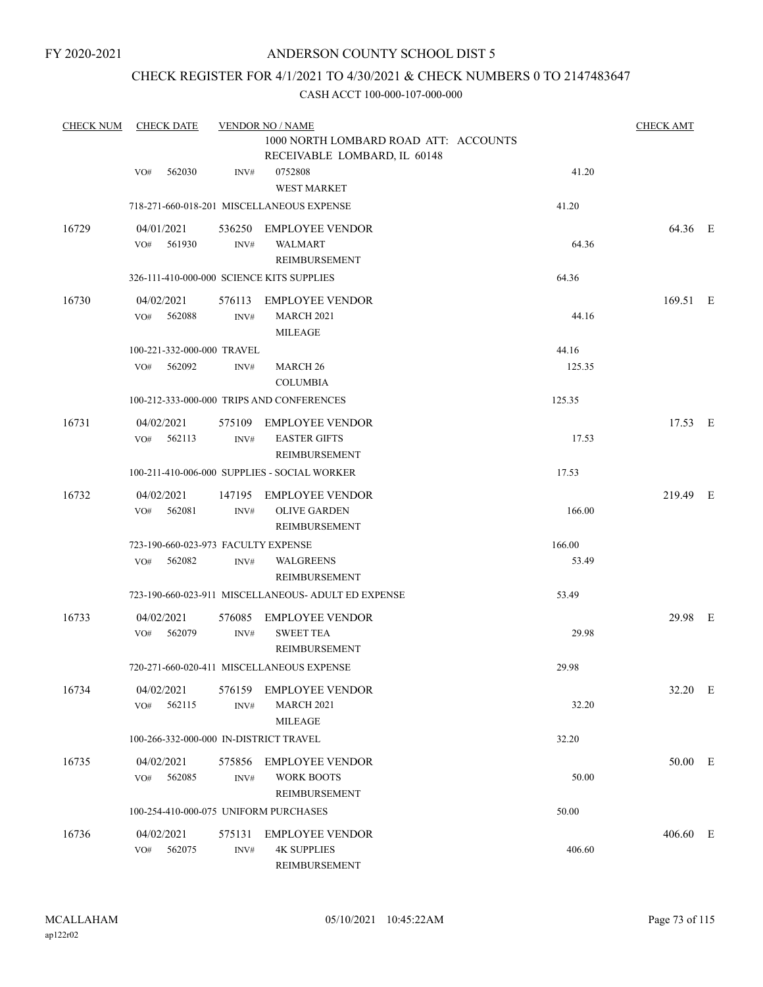## CHECK REGISTER FOR 4/1/2021 TO 4/30/2021 & CHECK NUMBERS 0 TO 2147483647

| <b>CHECK NUM</b> | <b>CHECK DATE</b>                         |                | <b>VENDOR NO / NAME</b>                                               |        | <b>CHECK AMT</b> |  |
|------------------|-------------------------------------------|----------------|-----------------------------------------------------------------------|--------|------------------|--|
|                  |                                           |                | 1000 NORTH LOMBARD ROAD ATT: ACCOUNTS<br>RECEIVABLE LOMBARD, IL 60148 |        |                  |  |
|                  | 562030<br>VO#                             | INV#           | 0752808<br><b>WEST MARKET</b>                                         | 41.20  |                  |  |
|                  |                                           |                | 718-271-660-018-201 MISCELLANEOUS EXPENSE                             | 41.20  |                  |  |
| 16729            | 04/01/2021<br>561930<br>VO#               | 536250<br>INV# | <b>EMPLOYEE VENDOR</b><br><b>WALMART</b><br>REIMBURSEMENT             | 64.36  | 64.36 E          |  |
|                  | 326-111-410-000-000 SCIENCE KITS SUPPLIES |                |                                                                       | 64.36  |                  |  |
| 16730            | 04/02/2021<br>562088<br>VO#               | 576113<br>INV# | <b>EMPLOYEE VENDOR</b><br><b>MARCH 2021</b><br><b>MILEAGE</b>         | 44.16  | 169.51 E         |  |
|                  | 100-221-332-000-000 TRAVEL                |                |                                                                       | 44.16  |                  |  |
|                  | 562092<br>VO#                             | INV#           | MARCH <sub>26</sub><br><b>COLUMBIA</b>                                | 125.35 |                  |  |
|                  |                                           |                | 100-212-333-000-000 TRIPS AND CONFERENCES                             | 125.35 |                  |  |
| 16731            | 04/02/2021<br>VO# 562113                  | INV#           | 575109 EMPLOYEE VENDOR<br><b>EASTER GIFTS</b><br><b>REIMBURSEMENT</b> | 17.53  | 17.53 E          |  |
|                  |                                           |                | 100-211-410-006-000 SUPPLIES - SOCIAL WORKER                          | 17.53  |                  |  |
| 16732            | 04/02/2021<br>562081<br>VO#               | INV#           | 147195 EMPLOYEE VENDOR<br><b>OLIVE GARDEN</b><br>REIMBURSEMENT        | 166.00 | 219.49 E         |  |
|                  | 723-190-660-023-973 FACULTY EXPENSE       |                |                                                                       | 166.00 |                  |  |
|                  | 562082<br>VO#                             | INV#           | <b>WALGREENS</b><br>REIMBURSEMENT                                     | 53.49  |                  |  |
|                  |                                           |                | 723-190-660-023-911 MISCELLANEOUS- ADULT ED EXPENSE                   | 53.49  |                  |  |
| 16733            | 04/02/2021<br>VO#<br>562079               | INV#           | 576085 EMPLOYEE VENDOR<br><b>SWEET TEA</b><br><b>REIMBURSEMENT</b>    | 29.98  | 29.98 E          |  |
|                  |                                           |                | 720-271-660-020-411 MISCELLANEOUS EXPENSE                             | 29.98  |                  |  |
| 16734            | 04/02/2021<br>562115<br>VO#               | INV#           | 576159 EMPLOYEE VENDOR<br><b>MARCH 2021</b><br><b>MILEAGE</b>         | 32.20  | 32.20 E          |  |
|                  | 100-266-332-000-000 IN-DISTRICT TRAVEL    |                |                                                                       | 32.20  |                  |  |
| 16735            | 04/02/2021<br>562085<br>VO#               | 575856<br>INV# | <b>EMPLOYEE VENDOR</b><br><b>WORK BOOTS</b><br>REIMBURSEMENT          | 50.00  | 50.00 E          |  |
|                  | 100-254-410-000-075 UNIFORM PURCHASES     |                |                                                                       | 50.00  |                  |  |
| 16736            | 04/02/2021<br>VO# 562075                  | 575131<br>INV# | <b>EMPLOYEE VENDOR</b><br><b>4K SUPPLIES</b><br>REIMBURSEMENT         | 406.60 | 406.60 E         |  |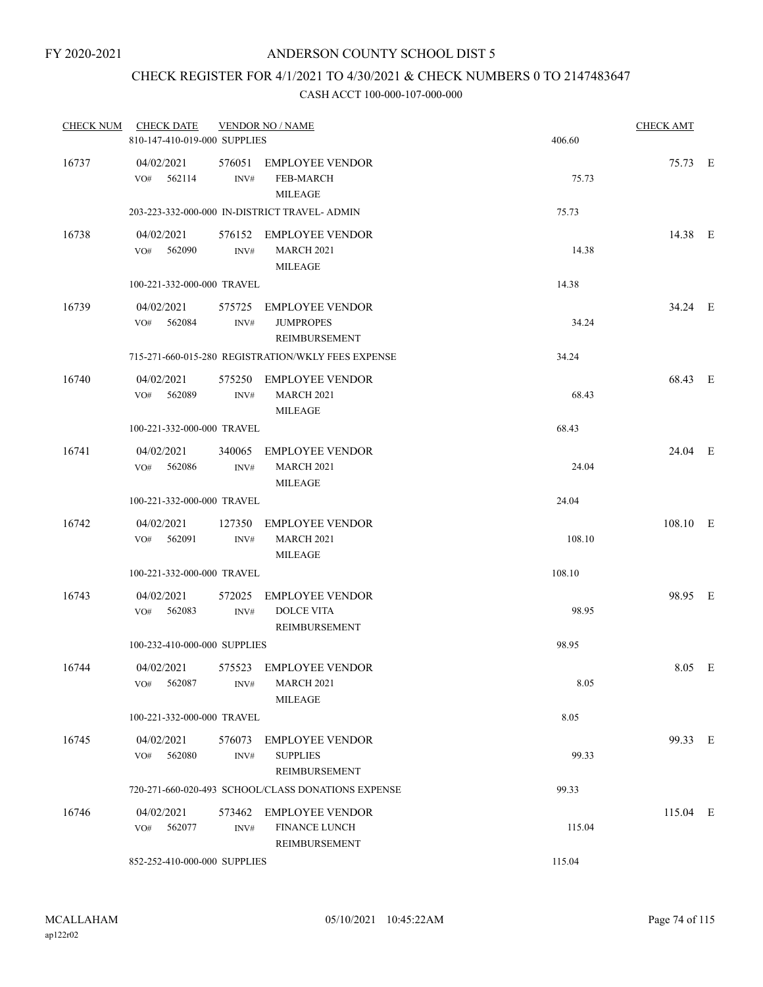# CHECK REGISTER FOR 4/1/2021 TO 4/30/2021 & CHECK NUMBERS 0 TO 2147483647

| <b>CHECK NUM</b> | <b>CHECK DATE</b><br>810-147-410-019-000 SUPPLIES |                | <b>VENDOR NO / NAME</b>                                            | 406.60 | <b>CHECK AMT</b> |  |
|------------------|---------------------------------------------------|----------------|--------------------------------------------------------------------|--------|------------------|--|
| 16737            | 04/02/2021<br>VO#<br>562114                       | 576051<br>INV# | <b>EMPLOYEE VENDOR</b><br><b>FEB-MARCH</b><br><b>MILEAGE</b>       | 75.73  | 75.73 E          |  |
|                  |                                                   |                | 203-223-332-000-000 IN-DISTRICT TRAVEL- ADMIN                      | 75.73  |                  |  |
| 16738            | 04/02/2021<br>562090<br>VO#                       | 576152<br>INV# | EMPLOYEE VENDOR<br><b>MARCH 2021</b><br><b>MILEAGE</b>             | 14.38  | 14.38 E          |  |
|                  | 100-221-332-000-000 TRAVEL                        |                |                                                                    | 14.38  |                  |  |
| 16739            | 04/02/2021<br>562084<br>VO#                       | 575725<br>INV# | <b>EMPLOYEE VENDOR</b><br><b>JUMPROPES</b><br><b>REIMBURSEMENT</b> | 34.24  | 34.24 E          |  |
|                  |                                                   |                | 715-271-660-015-280 REGISTRATION/WKLY FEES EXPENSE                 | 34.24  |                  |  |
| 16740            | 04/02/2021<br>562089<br>VO#                       | 575250<br>INV# | <b>EMPLOYEE VENDOR</b><br><b>MARCH 2021</b><br><b>MILEAGE</b>      | 68.43  | 68.43 E          |  |
|                  | 100-221-332-000-000 TRAVEL                        |                |                                                                    | 68.43  |                  |  |
| 16741            | 04/02/2021<br>562086<br>VO#                       | 340065<br>INV# | <b>EMPLOYEE VENDOR</b><br><b>MARCH 2021</b><br><b>MILEAGE</b>      | 24.04  | 24.04 E          |  |
|                  | 100-221-332-000-000 TRAVEL                        |                |                                                                    | 24.04  |                  |  |
| 16742            | 04/02/2021<br>VO#<br>562091                       | 127350<br>INV# | <b>EMPLOYEE VENDOR</b><br><b>MARCH 2021</b><br><b>MILEAGE</b>      | 108.10 | 108.10 E         |  |
|                  | 100-221-332-000-000 TRAVEL                        |                |                                                                    | 108.10 |                  |  |
| 16743            | 04/02/2021<br>562083<br>VO#                       | 572025<br>INV# | <b>EMPLOYEE VENDOR</b><br><b>DOLCE VITA</b><br>REIMBURSEMENT       | 98.95  | 98.95 E          |  |
|                  | 100-232-410-000-000 SUPPLIES                      |                |                                                                    | 98.95  |                  |  |
| 16744            | 04/02/2021<br>562087<br>VO#                       | 575523<br>INV# | <b>EMPLOYEE VENDOR</b><br>MARCH 2021<br>MILEAGE                    | 8.05   | 8.05 E           |  |
|                  | 100-221-332-000-000 TRAVEL                        |                |                                                                    | 8.05   |                  |  |
| 16745            | 04/02/2021<br>562080<br>VO#                       | 576073<br>INV# | <b>EMPLOYEE VENDOR</b><br><b>SUPPLIES</b><br>REIMBURSEMENT         | 99.33  | 99.33 E          |  |
|                  |                                                   |                | 720-271-660-020-493 SCHOOL/CLASS DONATIONS EXPENSE                 | 99.33  |                  |  |
| 16746            | 04/02/2021<br>562077<br>VO#                       | 573462<br>INV# | <b>EMPLOYEE VENDOR</b><br><b>FINANCE LUNCH</b><br>REIMBURSEMENT    | 115.04 | $115.04$ E       |  |
|                  | 852-252-410-000-000 SUPPLIES                      |                |                                                                    | 115.04 |                  |  |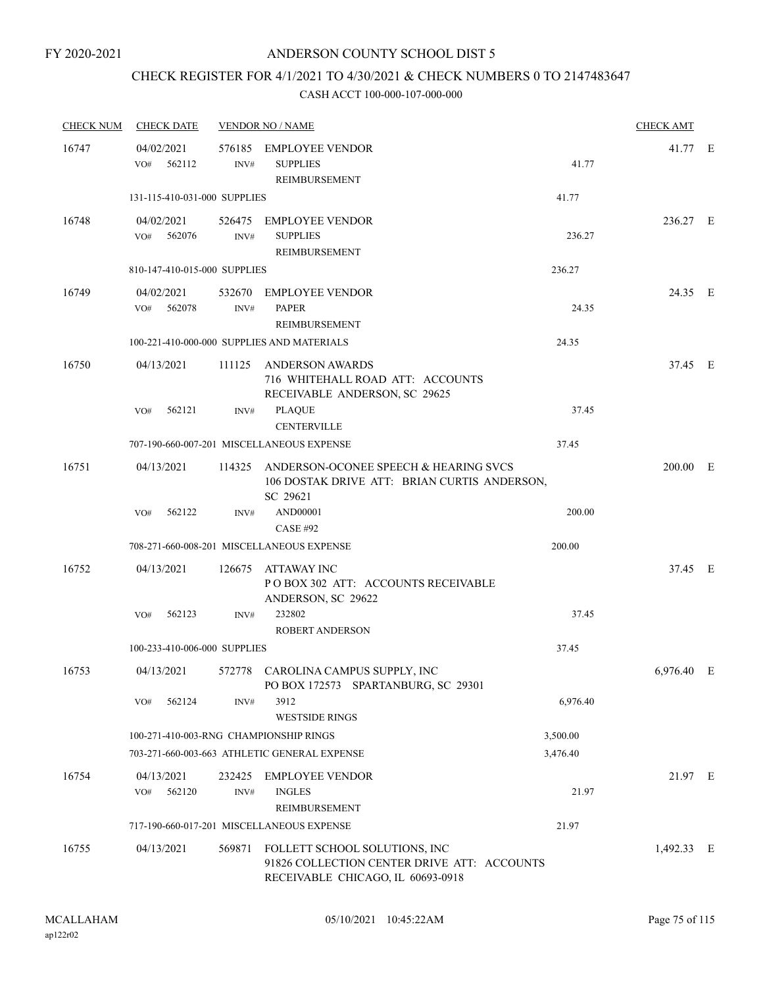# CHECK REGISTER FOR 4/1/2021 TO 4/30/2021 & CHECK NUMBERS 0 TO 2147483647

| <b>CHECK NUM</b> | <b>CHECK DATE</b>                      |                | <b>VENDOR NO / NAME</b>                                                                                           |          | <b>CHECK AMT</b> |   |
|------------------|----------------------------------------|----------------|-------------------------------------------------------------------------------------------------------------------|----------|------------------|---|
| 16747            | 04/02/2021<br>VO#<br>562112            | 576185<br>INV# | <b>EMPLOYEE VENDOR</b><br><b>SUPPLIES</b><br>REIMBURSEMENT                                                        | 41.77    | 41.77 E          |   |
|                  | 131-115-410-031-000 SUPPLIES           |                |                                                                                                                   | 41.77    |                  |   |
| 16748            | 04/02/2021<br>562076<br>VO#            | 526475<br>INV# | EMPLOYEE VENDOR<br><b>SUPPLIES</b><br>REIMBURSEMENT                                                               | 236.27   | 236.27 E         |   |
|                  | 810-147-410-015-000 SUPPLIES           |                |                                                                                                                   | 236.27   |                  |   |
| 16749            | 04/02/2021<br>562078<br>VO#            | 532670<br>INV# | EMPLOYEE VENDOR<br><b>PAPER</b><br>REIMBURSEMENT                                                                  | 24.35    | 24.35 E          |   |
|                  |                                        |                | 100-221-410-000-000 SUPPLIES AND MATERIALS                                                                        | 24.35    |                  |   |
| 16750            | 04/13/2021                             | 111125         | <b>ANDERSON AWARDS</b><br>716 WHITEHALL ROAD ATT: ACCOUNTS<br>RECEIVABLE ANDERSON, SC 29625                       |          | 37.45 E          |   |
|                  | 562121<br>VO#                          | INV#           | <b>PLAQUE</b><br><b>CENTERVILLE</b>                                                                               | 37.45    |                  |   |
|                  |                                        |                | 707-190-660-007-201 MISCELLANEOUS EXPENSE                                                                         | 37.45    |                  |   |
| 16751            | 04/13/2021                             | 114325         | ANDERSON-OCONEE SPEECH & HEARING SVCS<br>106 DOSTAK DRIVE ATT: BRIAN CURTIS ANDERSON,<br>SC 29621                 |          | $200.00$ E       |   |
|                  | 562122<br>VO#                          | INV#           | AND00001<br><b>CASE #92</b>                                                                                       | 200.00   |                  |   |
|                  |                                        |                | 708-271-660-008-201 MISCELLANEOUS EXPENSE                                                                         | 200.00   |                  |   |
| 16752            | 04/13/2021                             |                | 126675 ATTAWAY INC<br>POBOX 302 ATT: ACCOUNTS RECEIVABLE<br>ANDERSON, SC 29622                                    |          | 37.45 E          |   |
|                  | 562123<br>VO#                          | INV#           | 232802<br><b>ROBERT ANDERSON</b>                                                                                  | 37.45    |                  |   |
|                  | 100-233-410-006-000 SUPPLIES           |                |                                                                                                                   | 37.45    |                  |   |
| 16753            | 04/13/2021                             | 572778         | CAROLINA CAMPUS SUPPLY, INC<br>PO BOX 172573 SPARTANBURG, SC 29301                                                |          | 6,976.40         | E |
|                  | 562124<br>VO#                          | INV#           | 3912<br><b>WESTSIDE RINGS</b>                                                                                     | 6,976.40 |                  |   |
|                  | 100-271-410-003-RNG CHAMPIONSHIP RINGS |                |                                                                                                                   | 3,500.00 |                  |   |
|                  |                                        |                | 703-271-660-003-663 ATHLETIC GENERAL EXPENSE                                                                      | 3,476.40 |                  |   |
| 16754            | 04/13/2021<br>562120<br>VO#            | 232425<br>INV# | <b>EMPLOYEE VENDOR</b><br><b>INGLES</b><br><b>REIMBURSEMENT</b>                                                   | 21.97    | 21.97 E          |   |
|                  |                                        |                | 717-190-660-017-201 MISCELLANEOUS EXPENSE                                                                         | 21.97    |                  |   |
| 16755            | 04/13/2021                             | 569871         | FOLLETT SCHOOL SOLUTIONS, INC<br>91826 COLLECTION CENTER DRIVE ATT: ACCOUNTS<br>RECEIVABLE CHICAGO, IL 60693-0918 |          | 1,492.33 E       |   |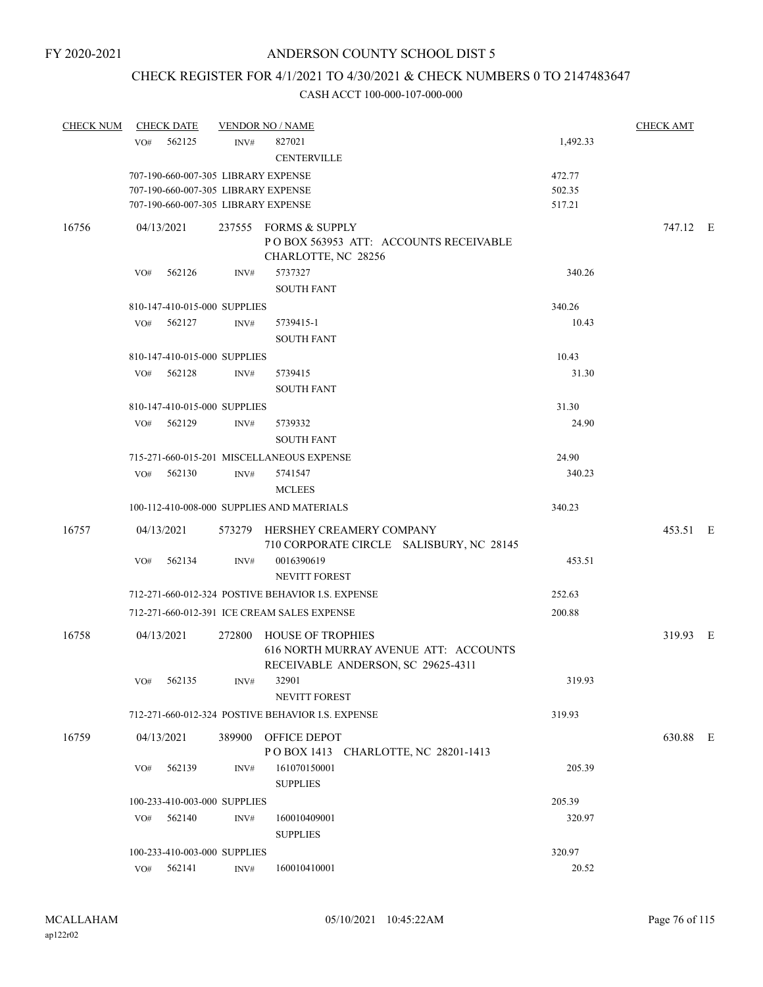# CHECK REGISTER FOR 4/1/2021 TO 4/30/2021 & CHECK NUMBERS 0 TO 2147483647

| <b>CHECK NUM</b> | <b>CHECK DATE</b>                   |                  | <b>VENDOR NO / NAME</b>                                                                                 |          | <b>CHECK AMT</b> |  |
|------------------|-------------------------------------|------------------|---------------------------------------------------------------------------------------------------------|----------|------------------|--|
|                  | 562125<br>VO#                       | INV#             | 827021<br><b>CENTERVILLE</b>                                                                            | 1,492.33 |                  |  |
|                  | 707-190-660-007-305 LIBRARY EXPENSE |                  | 472.77                                                                                                  |          |                  |  |
|                  | 707-190-660-007-305 LIBRARY EXPENSE |                  |                                                                                                         | 502.35   |                  |  |
|                  | 707-190-660-007-305 LIBRARY EXPENSE |                  |                                                                                                         | 517.21   |                  |  |
| 16756            | 04/13/2021                          |                  | 237555 FORMS & SUPPLY<br>POBOX 563953 ATT: ACCOUNTS RECEIVABLE<br>CHARLOTTE, NC 28256                   |          | 747.12 E         |  |
|                  | 562126<br>VO#                       | INV#             | 5737327<br><b>SOUTH FANT</b>                                                                            | 340.26   |                  |  |
|                  | 810-147-410-015-000 SUPPLIES        |                  |                                                                                                         | 340.26   |                  |  |
|                  | 562127<br>VO#                       | INV#             | 5739415-1                                                                                               | 10.43    |                  |  |
|                  |                                     |                  | <b>SOUTH FANT</b>                                                                                       |          |                  |  |
|                  | 810-147-410-015-000 SUPPLIES        |                  |                                                                                                         | 10.43    |                  |  |
|                  | 562128<br>VO#                       | INV#             | 5739415                                                                                                 | 31.30    |                  |  |
|                  |                                     |                  | <b>SOUTH FANT</b>                                                                                       |          |                  |  |
|                  | 810-147-410-015-000 SUPPLIES        |                  |                                                                                                         | 31.30    |                  |  |
|                  | 562129<br>VO#                       | INV#             | 5739332                                                                                                 | 24.90    |                  |  |
|                  |                                     |                  | <b>SOUTH FANT</b>                                                                                       |          |                  |  |
|                  |                                     |                  | 715-271-660-015-201 MISCELLANEOUS EXPENSE                                                               | 24.90    |                  |  |
|                  | 562130<br>VO#                       | $\mathrm{INV}\#$ | 5741547<br><b>MCLEES</b>                                                                                | 340.23   |                  |  |
|                  |                                     |                  | 100-112-410-008-000 SUPPLIES AND MATERIALS                                                              | 340.23   |                  |  |
| 16757            | 04/13/2021                          |                  | 573279 HERSHEY CREAMERY COMPANY<br>710 CORPORATE CIRCLE SALISBURY, NC 28145                             |          | 453.51 E         |  |
|                  | 562134<br>VO#                       | INV#             | 0016390619<br><b>NEVITT FOREST</b>                                                                      | 453.51   |                  |  |
|                  |                                     |                  | 712-271-660-012-324 POSTIVE BEHAVIOR I.S. EXPENSE                                                       | 252.63   |                  |  |
|                  |                                     |                  | 712-271-660-012-391 ICE CREAM SALES EXPENSE                                                             | 200.88   |                  |  |
| 16758            | 04/13/2021                          |                  | 272800 HOUSE OF TROPHIES<br>616 NORTH MURRAY AVENUE ATT: ACCOUNTS<br>RECEIVABLE ANDERSON, SC 29625-4311 |          | 319.93 E         |  |
|                  | 562135<br>VO#                       | INV#             | 32901<br><b>NEVITT FOREST</b>                                                                           | 319.93   |                  |  |
|                  |                                     |                  | 712-271-660-012-324 POSTIVE BEHAVIOR I.S. EXPENSE                                                       | 319.93   |                  |  |
| 16759            | 04/13/2021                          |                  | 389900 OFFICE DEPOT<br>POBOX 1413 CHARLOTTE, NC 28201-1413                                              |          | 630.88 E         |  |
|                  | VO#<br>562139                       | INV#             | 161070150001<br><b>SUPPLIES</b>                                                                         | 205.39   |                  |  |
|                  | 100-233-410-003-000 SUPPLIES        |                  |                                                                                                         | 205.39   |                  |  |
|                  | 562140<br>VO#                       | INV#             | 160010409001<br><b>SUPPLIES</b>                                                                         | 320.97   |                  |  |
|                  | 100-233-410-003-000 SUPPLIES        |                  |                                                                                                         | 320.97   |                  |  |
|                  | 562141<br>VO#                       | INV#             | 160010410001                                                                                            | 20.52    |                  |  |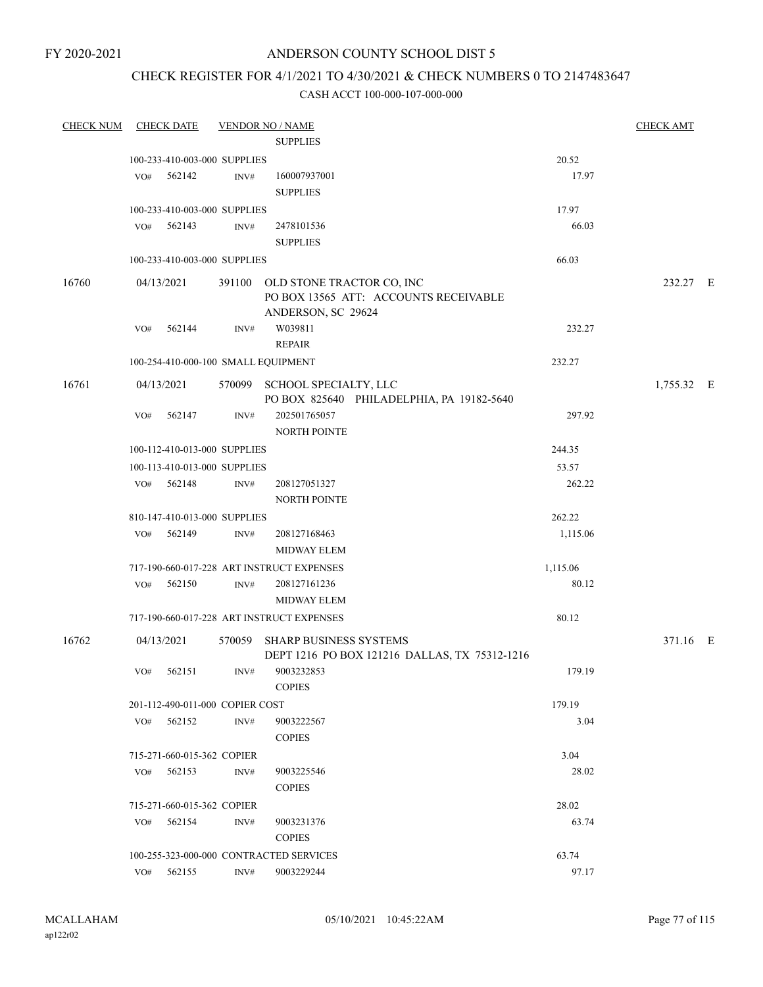FY 2020-2021

## ANDERSON COUNTY SCHOOL DIST 5

# CHECK REGISTER FOR 4/1/2021 TO 4/30/2021 & CHECK NUMBERS 0 TO 2147483647

| <b>CHECK NUM</b> | <b>CHECK DATE</b>          |        |                                 | <b>VENDOR NO / NAME</b>                                                                         |                   | <b>CHECK AMT</b> |  |
|------------------|----------------------------|--------|---------------------------------|-------------------------------------------------------------------------------------------------|-------------------|------------------|--|
|                  |                            |        |                                 | <b>SUPPLIES</b>                                                                                 |                   |                  |  |
|                  |                            |        | 100-233-410-003-000 SUPPLIES    |                                                                                                 | 20.52             |                  |  |
|                  | VO#                        | 562142 | INV#                            | 160007937001                                                                                    | 17.97             |                  |  |
|                  |                            |        |                                 | <b>SUPPLIES</b>                                                                                 |                   |                  |  |
|                  |                            |        | 100-233-410-003-000 SUPPLIES    |                                                                                                 | 17.97             |                  |  |
|                  | VO#                        | 562143 | INV#                            | 2478101536                                                                                      | 66.03             |                  |  |
|                  |                            |        |                                 | <b>SUPPLIES</b>                                                                                 |                   |                  |  |
|                  |                            |        | 100-233-410-003-000 SUPPLIES    |                                                                                                 | 66.03             |                  |  |
| 16760            | 04/13/2021                 |        |                                 | 391100 OLD STONE TRACTOR CO, INC<br>PO BOX 13565 ATT: ACCOUNTS RECEIVABLE<br>ANDERSON, SC 29624 |                   | 232.27 E         |  |
|                  | VO#                        | 562144 | INV#                            | W039811<br><b>REPAIR</b>                                                                        | 232.27            |                  |  |
|                  |                            |        |                                 |                                                                                                 |                   |                  |  |
|                  |                            |        |                                 | 100-254-410-000-100 SMALL EQUIPMENT                                                             | 232.27            |                  |  |
| 16761            | 04/13/2021                 |        |                                 | 570099 SCHOOL SPECIALTY, LLC<br>PO BOX 825640 PHILADELPHIA, PA 19182-5640                       |                   | 1,755.32 E       |  |
|                  | VO#                        | 562147 | INV#                            | 202501765057                                                                                    | 297.92            |                  |  |
|                  |                            |        |                                 | <b>NORTH POINTE</b>                                                                             |                   |                  |  |
|                  |                            |        | 100-112-410-013-000 SUPPLIES    |                                                                                                 | 244.35            |                  |  |
|                  |                            |        | 100-113-410-013-000 SUPPLIES    |                                                                                                 | 53.57             |                  |  |
|                  | VO#                        | 562148 | INV#                            | 208127051327                                                                                    | 262.22            |                  |  |
|                  |                            |        |                                 | NORTH POINTE                                                                                    |                   |                  |  |
|                  |                            |        | 810-147-410-013-000 SUPPLIES    |                                                                                                 | 262.22            |                  |  |
|                  | VO#                        | 562149 | INV#                            | 208127168463<br>MIDWAY ELEM                                                                     | 1,115.06          |                  |  |
|                  |                            |        |                                 |                                                                                                 |                   |                  |  |
|                  | VO#                        | 562150 | INV#                            | 717-190-660-017-228 ART INSTRUCT EXPENSES<br>208127161236                                       | 1,115.06<br>80.12 |                  |  |
|                  |                            |        |                                 | MIDWAY ELEM                                                                                     |                   |                  |  |
|                  |                            |        |                                 | 717-190-660-017-228 ART INSTRUCT EXPENSES                                                       | 80.12             |                  |  |
| 16762            | 04/13/2021                 |        | 570059                          | <b>SHARP BUSINESS SYSTEMS</b><br>DEPT 1216 PO BOX 121216 DALLAS, TX 75312-1216                  |                   | 371.16 E         |  |
|                  | VO#                        | 562151 | INV#                            | 9003232853<br><b>COPIES</b>                                                                     | 179.19            |                  |  |
|                  |                            |        | 201-112-490-011-000 COPIER COST |                                                                                                 | 179.19            |                  |  |
|                  | VO#                        | 562152 | INV#                            | 9003222567                                                                                      | 3.04              |                  |  |
|                  |                            |        |                                 | <b>COPIES</b>                                                                                   |                   |                  |  |
|                  |                            |        | 715-271-660-015-362 COPIER      |                                                                                                 | 3.04              |                  |  |
|                  | VO#                        | 562153 | INV#                            | 9003225546<br><b>COPIES</b>                                                                     | 28.02             |                  |  |
|                  | 715-271-660-015-362 COPIER |        |                                 |                                                                                                 | 28.02             |                  |  |
|                  | VO#                        | 562154 | INV#                            | 9003231376                                                                                      | 63.74             |                  |  |
|                  |                            |        |                                 | <b>COPIES</b>                                                                                   |                   |                  |  |
|                  |                            |        |                                 | 100-255-323-000-000 CONTRACTED SERVICES                                                         | 63.74             |                  |  |
|                  | $VO#$ 562155               |        | INV#                            | 9003229244                                                                                      | 97.17             |                  |  |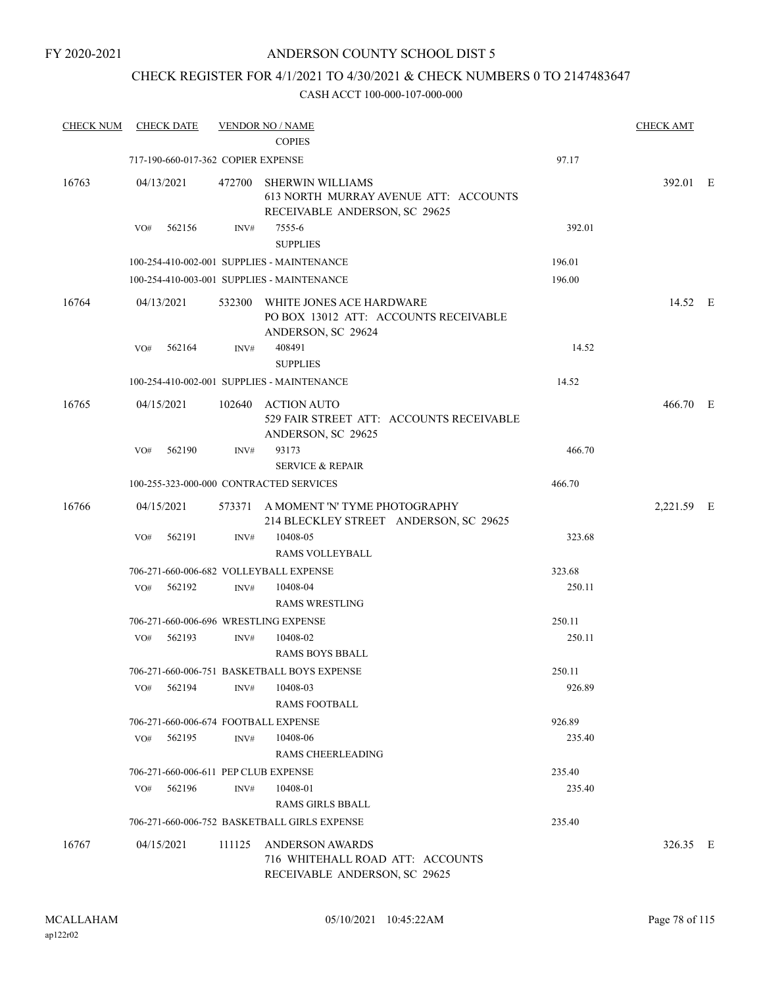FY 2020-2021

## ANDERSON COUNTY SCHOOL DIST 5

# CHECK REGISTER FOR 4/1/2021 TO 4/30/2021 & CHECK NUMBERS 0 TO 2147483647

| <b>CHECK NUM</b> | <b>CHECK DATE</b>                      |        | <b>VENDOR NO / NAME</b><br><b>COPIES</b>                                                          |        | <b>CHECK AMT</b> |  |
|------------------|----------------------------------------|--------|---------------------------------------------------------------------------------------------------|--------|------------------|--|
|                  | 717-190-660-017-362 COPIER EXPENSE     |        |                                                                                                   | 97.17  |                  |  |
|                  |                                        |        |                                                                                                   |        |                  |  |
| 16763            | 04/13/2021                             | 472700 | <b>SHERWIN WILLIAMS</b><br>613 NORTH MURRAY AVENUE ATT: ACCOUNTS<br>RECEIVABLE ANDERSON, SC 29625 |        | 392.01 E         |  |
|                  | 562156<br>VO#                          | INV#   | 7555-6<br><b>SUPPLIES</b>                                                                         | 392.01 |                  |  |
|                  |                                        |        | 100-254-410-002-001 SUPPLIES - MAINTENANCE                                                        | 196.01 |                  |  |
|                  |                                        |        | 100-254-410-003-001 SUPPLIES - MAINTENANCE                                                        | 196.00 |                  |  |
| 16764            | 04/13/2021                             |        | 532300 WHITE JONES ACE HARDWARE<br>PO BOX 13012 ATT: ACCOUNTS RECEIVABLE<br>ANDERSON, SC 29624    |        | 14.52 E          |  |
|                  | 562164<br>VO#                          | INV#   | 408491<br><b>SUPPLIES</b>                                                                         | 14.52  |                  |  |
|                  |                                        |        | 100-254-410-002-001 SUPPLIES - MAINTENANCE                                                        | 14.52  |                  |  |
| 16765            | 04/15/2021                             |        | 102640 ACTION AUTO<br>529 FAIR STREET ATT: ACCOUNTS RECEIVABLE<br>ANDERSON, SC 29625              |        | 466.70 E         |  |
|                  | 562190<br>VO#                          | INV#   | 93173<br><b>SERVICE &amp; REPAIR</b>                                                              | 466.70 |                  |  |
|                  |                                        |        | 100-255-323-000-000 CONTRACTED SERVICES                                                           | 466.70 |                  |  |
| 16766            | 04/15/2021                             | 573371 | A MOMENT 'N' TYME PHOTOGRAPHY<br>214 BLECKLEY STREET ANDERSON, SC 29625                           |        | 2,221.59 E       |  |
|                  | 562191<br>VO#                          | INV#   | 10408-05<br>RAMS VOLLEYBALL                                                                       | 323.68 |                  |  |
|                  | 706-271-660-006-682 VOLLEYBALL EXPENSE |        |                                                                                                   | 323.68 |                  |  |
|                  | 562192<br>VO#                          | INV#   | 10408-04                                                                                          | 250.11 |                  |  |
|                  |                                        |        | <b>RAMS WRESTLING</b>                                                                             |        |                  |  |
|                  | 706-271-660-006-696 WRESTLING EXPENSE  |        |                                                                                                   | 250.11 |                  |  |
|                  | 562193<br>VO#                          | INV#   | 10408-02                                                                                          | 250.11 |                  |  |
|                  |                                        |        | <b>RAMS BOYS BBALL</b>                                                                            |        |                  |  |
|                  |                                        |        | 706-271-660-006-751 BASKETBALL BOYS EXPENSE                                                       | 250.11 |                  |  |
|                  | 562194<br>VO#                          | INV#   | 10408-03                                                                                          | 926.89 |                  |  |
|                  |                                        |        | RAMS FOOTBALL                                                                                     |        |                  |  |
|                  | 706-271-660-006-674 FOOTBALL EXPENSE   |        |                                                                                                   | 926.89 |                  |  |
|                  | 562195<br>VO#                          | INV#   | 10408-06                                                                                          | 235.40 |                  |  |
|                  |                                        |        | <b>RAMS CHEERLEADING</b>                                                                          |        |                  |  |
|                  | 706-271-660-006-611 PEP CLUB EXPENSE   |        |                                                                                                   | 235.40 |                  |  |
|                  | 562196<br>VO#                          | INV#   | 10408-01                                                                                          | 235.40 |                  |  |
|                  |                                        |        | <b>RAMS GIRLS BBALL</b>                                                                           |        |                  |  |
|                  |                                        |        | 706-271-660-006-752 BASKETBALL GIRLS EXPENSE                                                      | 235.40 |                  |  |
| 16767            | 04/15/2021                             | 111125 | <b>ANDERSON AWARDS</b><br>716 WHITEHALL ROAD ATT: ACCOUNTS<br>RECEIVABLE ANDERSON, SC 29625       |        | 326.35 E         |  |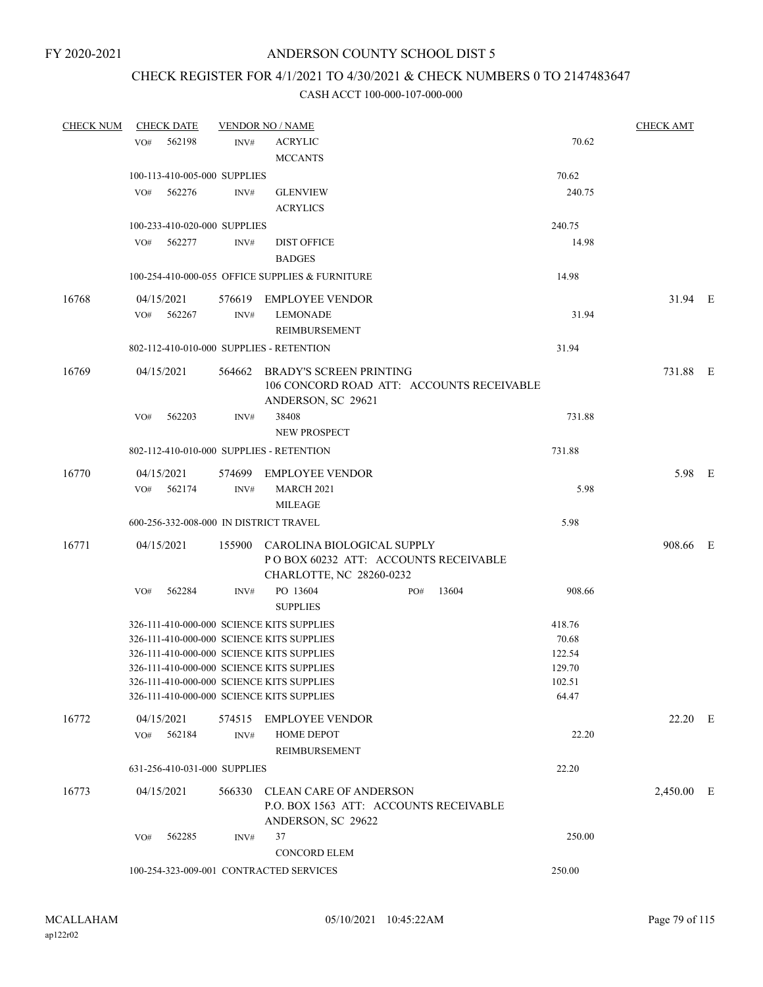# CHECK REGISTER FOR 4/1/2021 TO 4/30/2021 & CHECK NUMBERS 0 TO 2147483647

| <b>CHECK NUM</b> | <b>CHECK DATE</b>                                                                      |      | <b>VENDOR NO / NAME</b>                                           |                 | <b>CHECK AMT</b> |  |
|------------------|----------------------------------------------------------------------------------------|------|-------------------------------------------------------------------|-----------------|------------------|--|
|                  | 562198<br>VO#                                                                          | INV# | <b>ACRYLIC</b>                                                    | 70.62           |                  |  |
|                  |                                                                                        |      | <b>MCCANTS</b>                                                    |                 |                  |  |
|                  | 100-113-410-005-000 SUPPLIES                                                           |      |                                                                   | 70.62           |                  |  |
|                  | VO# 562276                                                                             | INV# | <b>GLENVIEW</b>                                                   | 240.75          |                  |  |
|                  |                                                                                        |      | <b>ACRYLICS</b>                                                   |                 |                  |  |
|                  | 100-233-410-020-000 SUPPLIES                                                           |      |                                                                   | 240.75          |                  |  |
|                  | VO# 562277                                                                             | INV# | <b>DIST OFFICE</b>                                                | 14.98           |                  |  |
|                  |                                                                                        |      | <b>BADGES</b>                                                     |                 |                  |  |
|                  |                                                                                        |      |                                                                   |                 |                  |  |
|                  |                                                                                        |      | 100-254-410-000-055 OFFICE SUPPLIES & FURNITURE                   | 14.98           |                  |  |
| 16768            | 04/15/2021                                                                             |      | 576619 EMPLOYEE VENDOR                                            |                 | 31.94 E          |  |
|                  | 562267<br>VO#                                                                          | INV# | <b>LEMONADE</b>                                                   | 31.94           |                  |  |
|                  |                                                                                        |      | REIMBURSEMENT                                                     |                 |                  |  |
|                  | 802-112-410-010-000 SUPPLIES - RETENTION                                               |      |                                                                   | 31.94           |                  |  |
| 16769            | 04/15/2021                                                                             |      | 564662 BRADY'S SCREEN PRINTING                                    |                 | 731.88 E         |  |
|                  |                                                                                        |      | 106 CONCORD ROAD ATT: ACCOUNTS RECEIVABLE                         |                 |                  |  |
|                  |                                                                                        |      | ANDERSON, SC 29621                                                |                 |                  |  |
|                  | 562203<br>VO#                                                                          | INV# | 38408                                                             | 731.88          |                  |  |
|                  |                                                                                        |      | <b>NEW PROSPECT</b>                                               |                 |                  |  |
|                  | 802-112-410-010-000 SUPPLIES - RETENTION                                               |      |                                                                   | 731.88          |                  |  |
| 16770            | 04/15/2021                                                                             |      | 574699 EMPLOYEE VENDOR                                            |                 | 5.98 E           |  |
|                  | $VO#$ 562174                                                                           | INV# | <b>MARCH 2021</b>                                                 | 5.98            |                  |  |
|                  |                                                                                        |      | <b>MILEAGE</b>                                                    |                 |                  |  |
|                  | 600-256-332-008-000 IN DISTRICT TRAVEL                                                 |      |                                                                   | 5.98            |                  |  |
|                  |                                                                                        |      |                                                                   |                 |                  |  |
| 16771            | 04/15/2021                                                                             |      | 155900 CAROLINA BIOLOGICAL SUPPLY                                 |                 | 908.66 E         |  |
|                  |                                                                                        |      | PO BOX 60232 ATT: ACCOUNTS RECEIVABLE<br>CHARLOTTE, NC 28260-0232 |                 |                  |  |
|                  |                                                                                        |      | PO 13604<br>13604                                                 | 908.66          |                  |  |
|                  | VO#<br>562284                                                                          | INV# | PO#<br><b>SUPPLIES</b>                                            |                 |                  |  |
|                  |                                                                                        |      |                                                                   |                 |                  |  |
|                  | 326-111-410-000-000 SCIENCE KITS SUPPLIES                                              |      |                                                                   | 418.76          |                  |  |
|                  | 326-111-410-000-000 SCIENCE KITS SUPPLIES<br>326-111-410-000-000 SCIENCE KITS SUPPLIES |      |                                                                   | 70.68<br>122.54 |                  |  |
|                  | 326-111-410-000-000 SCIENCE KITS SUPPLIES                                              |      |                                                                   | 129.70          |                  |  |
|                  | 326-111-410-000-000 SCIENCE KITS SUPPLIES                                              |      |                                                                   | 102.51          |                  |  |
|                  | 326-111-410-000-000 SCIENCE KITS SUPPLIES                                              |      |                                                                   | 64.47           |                  |  |
|                  |                                                                                        |      |                                                                   |                 |                  |  |
| 16772            | 04/15/2021                                                                             |      | 574515 EMPLOYEE VENDOR                                            |                 | $22.20$ E        |  |
|                  | VO# 562184                                                                             | INV# | HOME DEPOT                                                        | 22.20           |                  |  |
|                  |                                                                                        |      | <b>REIMBURSEMENT</b>                                              |                 |                  |  |
|                  | 631-256-410-031-000 SUPPLIES                                                           |      |                                                                   | 22.20           |                  |  |
| 16773            | 04/15/2021                                                                             |      | 566330 CLEAN CARE OF ANDERSON                                     |                 | 2,450.00 E       |  |
|                  |                                                                                        |      | P.O. BOX 1563 ATT: ACCOUNTS RECEIVABLE                            |                 |                  |  |
|                  |                                                                                        |      | ANDERSON, SC 29622                                                |                 |                  |  |
|                  | 562285<br>VO#                                                                          | INV# | 37                                                                | 250.00          |                  |  |
|                  |                                                                                        |      | <b>CONCORD ELEM</b>                                               |                 |                  |  |
|                  | 100-254-323-009-001 CONTRACTED SERVICES                                                |      |                                                                   | 250.00          |                  |  |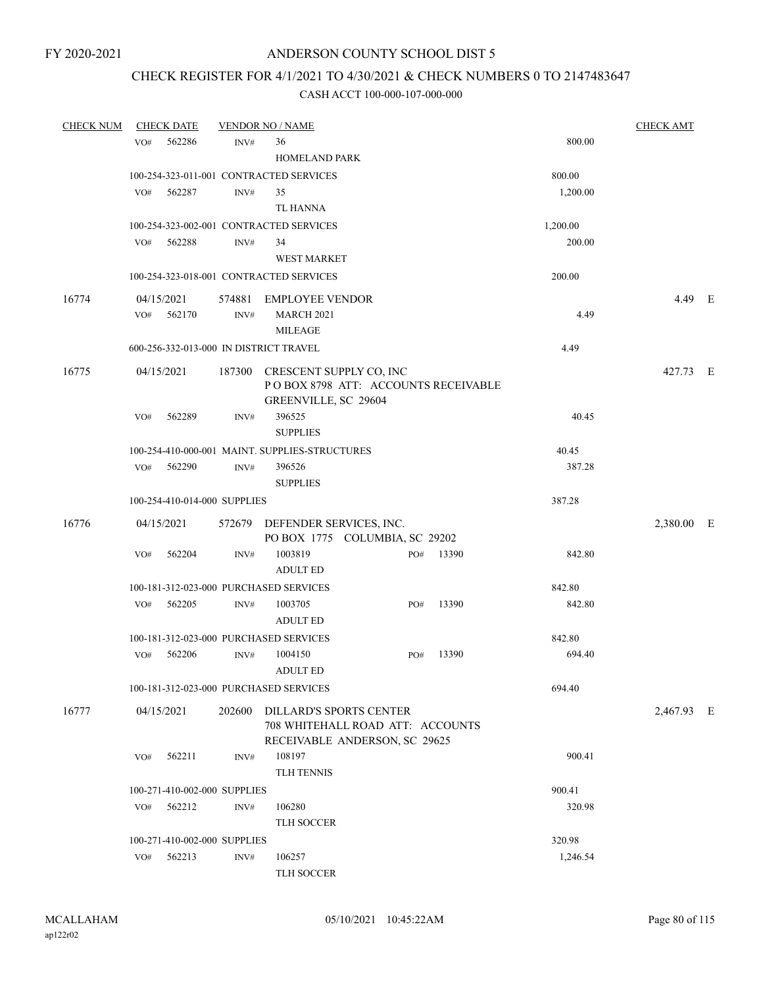# CHECK REGISTER FOR 4/1/2021 TO 4/30/2021 & CHECK NUMBERS 0 TO 2147483647

| <b>CHECK NUM</b> |     | <b>CHECK DATE</b>            |                | <b>VENDOR NO / NAME</b>                                                                             |     |       |          | <b>CHECK AMT</b> |  |
|------------------|-----|------------------------------|----------------|-----------------------------------------------------------------------------------------------------|-----|-------|----------|------------------|--|
|                  | VO# | 562286                       | INV#           | 36                                                                                                  |     |       | 800.00   |                  |  |
|                  |     |                              |                | HOMELAND PARK                                                                                       |     |       |          |                  |  |
|                  |     |                              |                | 100-254-323-011-001 CONTRACTED SERVICES                                                             |     |       | 800.00   |                  |  |
|                  | VO# | 562287                       | INV#           | 35                                                                                                  |     |       | 1,200.00 |                  |  |
|                  |     |                              |                | TL HANNA                                                                                            |     |       |          |                  |  |
|                  |     |                              |                | 100-254-323-002-001 CONTRACTED SERVICES                                                             |     |       | 1,200.00 |                  |  |
|                  | VO# | 562288                       | INV#           | 34                                                                                                  |     |       | 200.00   |                  |  |
|                  |     |                              |                | <b>WEST MARKET</b>                                                                                  |     |       |          |                  |  |
|                  |     |                              |                | 100-254-323-018-001 CONTRACTED SERVICES                                                             |     |       | 200.00   |                  |  |
| 16774            |     | 04/15/2021                   |                | 574881 EMPLOYEE VENDOR                                                                              |     |       |          | 4.49 E           |  |
|                  | VO# | 562170                       | $\text{INV}\#$ | <b>MARCH 2021</b><br><b>MILEAGE</b>                                                                 |     |       | 4.49     |                  |  |
|                  |     |                              |                | 600-256-332-013-000 IN DISTRICT TRAVEL                                                              |     |       | 4.49     |                  |  |
| 16775            |     | 04/15/2021                   |                | 187300 CRESCENT SUPPLY CO, INC<br>POBOX 8798 ATT: ACCOUNTS RECEIVABLE<br>GREENVILLE, SC 29604       |     |       |          | 427.73 E         |  |
|                  | VO# | 562289                       | INV#           | 396525<br><b>SUPPLIES</b>                                                                           |     |       | 40.45    |                  |  |
|                  |     |                              |                | 100-254-410-000-001 MAINT. SUPPLIES-STRUCTURES                                                      |     |       | 40.45    |                  |  |
|                  | VO# | 562290                       | INV#           | 396526<br><b>SUPPLIES</b>                                                                           |     |       | 387.28   |                  |  |
|                  |     | 100-254-410-014-000 SUPPLIES |                |                                                                                                     |     |       | 387.28   |                  |  |
|                  |     |                              |                |                                                                                                     |     |       |          |                  |  |
| 16776            |     | 04/15/2021                   |                | 572679 DEFENDER SERVICES, INC.<br>PO BOX 1775 COLUMBIA, SC 29202                                    |     |       |          | 2,380.00 E       |  |
|                  | VO# | 562204                       | INV#           | 1003819<br><b>ADULT ED</b>                                                                          | PO# | 13390 | 842.80   |                  |  |
|                  |     |                              |                | 100-181-312-023-000 PURCHASED SERVICES                                                              |     |       | 842.80   |                  |  |
|                  | VO# | 562205                       | INV#           | 1003705<br><b>ADULT ED</b>                                                                          | PO# | 13390 | 842.80   |                  |  |
|                  |     |                              |                | 100-181-312-023-000 PURCHASED SERVICES                                                              |     |       | 842.80   |                  |  |
|                  | VO# | 562206                       | INV#           | 1004150<br><b>ADULT ED</b>                                                                          | PO# | 13390 | 694.40   |                  |  |
|                  |     |                              |                | 100-181-312-023-000 PURCHASED SERVICES                                                              |     |       | 694.40   |                  |  |
| 16777            |     | 04/15/2021                   |                | 202600 DILLARD'S SPORTS CENTER<br>708 WHITEHALL ROAD ATT: ACCOUNTS<br>RECEIVABLE ANDERSON, SC 29625 |     |       |          | 2,467.93 E       |  |
|                  | VO# | 562211                       | INV#           | 108197<br>TLH TENNIS                                                                                |     |       | 900.41   |                  |  |
|                  |     | 100-271-410-002-000 SUPPLIES |                |                                                                                                     |     |       | 900.41   |                  |  |
|                  | VO# | 562212                       | INV#           | 106280<br>TLH SOCCER                                                                                |     |       | 320.98   |                  |  |
|                  |     | 100-271-410-002-000 SUPPLIES |                |                                                                                                     |     |       | 320.98   |                  |  |
|                  | VO# | 562213                       | INV#           | 106257                                                                                              |     |       | 1,246.54 |                  |  |
|                  |     |                              |                | TLH SOCCER                                                                                          |     |       |          |                  |  |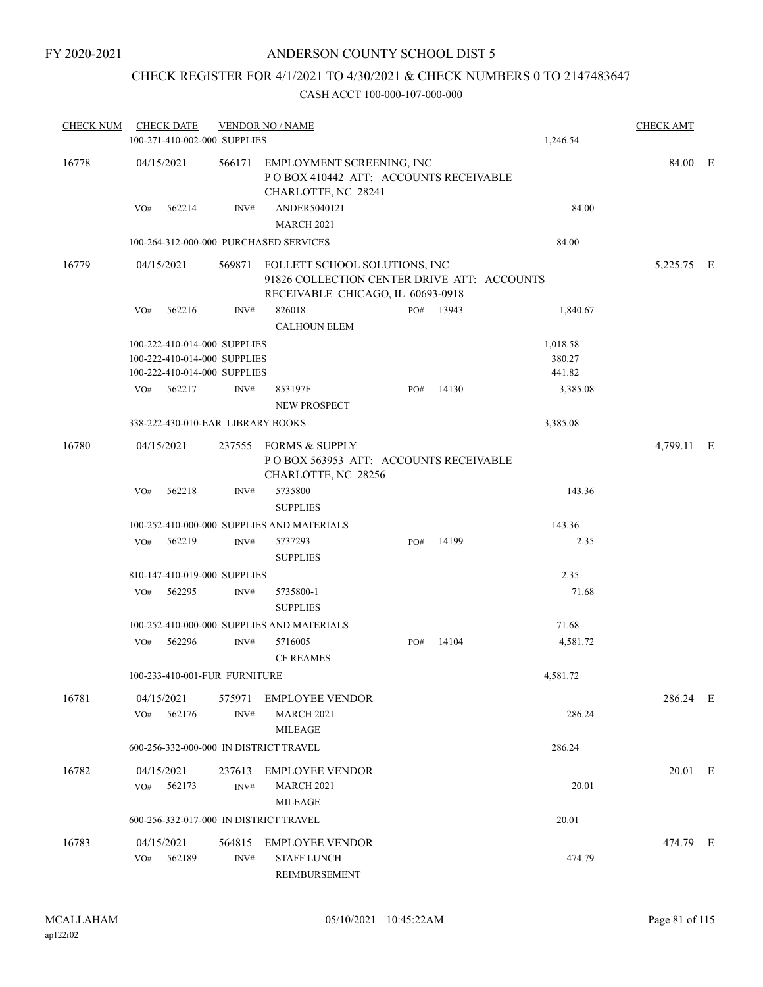# CHECK REGISTER FOR 4/1/2021 TO 4/30/2021 & CHECK NUMBERS 0 TO 2147483647

| <b>CHECK NUM</b> |     | <b>CHECK DATE</b>    |                                                                                              | <b>VENDOR NO / NAME</b>                                                                                                  |     |           |                              | <b>CHECK AMT</b> |  |
|------------------|-----|----------------------|----------------------------------------------------------------------------------------------|--------------------------------------------------------------------------------------------------------------------------|-----|-----------|------------------------------|------------------|--|
|                  |     |                      | 100-271-410-002-000 SUPPLIES                                                                 |                                                                                                                          |     |           | 1,246.54                     |                  |  |
| 16778            |     | 04/15/2021           |                                                                                              | 566171 EMPLOYMENT SCREENING, INC<br>PO BOX 410442 ATT: ACCOUNTS RECEIVABLE<br>CHARLOTTE, NC 28241                        |     |           |                              | 84.00 E          |  |
|                  | VO# | 562214               | INV#                                                                                         | ANDER5040121<br><b>MARCH 2021</b>                                                                                        |     |           | 84.00                        |                  |  |
|                  |     |                      |                                                                                              | 100-264-312-000-000 PURCHASED SERVICES                                                                                   |     |           | 84.00                        |                  |  |
| 16779            |     | 04/15/2021           |                                                                                              | 569871 FOLLETT SCHOOL SOLUTIONS, INC<br>91826 COLLECTION CENTER DRIVE ATT: ACCOUNTS<br>RECEIVABLE CHICAGO, IL 60693-0918 |     |           |                              | 5,225.75 E       |  |
|                  | VO# | 562216               | INV#                                                                                         | 826018<br><b>CALHOUN ELEM</b>                                                                                            |     | PO# 13943 | 1,840.67                     |                  |  |
|                  |     |                      | 100-222-410-014-000 SUPPLIES<br>100-222-410-014-000 SUPPLIES<br>100-222-410-014-000 SUPPLIES |                                                                                                                          |     |           | 1,018.58<br>380.27<br>441.82 |                  |  |
|                  | VO# | 562217               | INV#                                                                                         | 853197F<br>NEW PROSPECT                                                                                                  | PO# | 14130     | 3,385.08                     |                  |  |
|                  |     |                      | 338-222-430-010-EAR LIBRARY BOOKS                                                            |                                                                                                                          |     |           | 3,385.08                     |                  |  |
| 16780            |     | 04/15/2021           |                                                                                              | 237555 FORMS & SUPPLY<br>POBOX 563953 ATT: ACCOUNTS RECEIVABLE<br>CHARLOTTE, NC 28256                                    |     |           |                              | 4,799.11 E       |  |
|                  | VO# | 562218               | INV#                                                                                         | 5735800<br><b>SUPPLIES</b>                                                                                               |     |           | 143.36                       |                  |  |
|                  |     |                      |                                                                                              | 100-252-410-000-000 SUPPLIES AND MATERIALS                                                                               |     |           | 143.36                       |                  |  |
|                  |     | VO# 562219           | INV#                                                                                         | 5737293<br><b>SUPPLIES</b>                                                                                               | PO# | 14199     | 2.35                         |                  |  |
|                  |     |                      | 810-147-410-019-000 SUPPLIES                                                                 |                                                                                                                          |     |           | 2.35                         |                  |  |
|                  | VO# | 562295               | INV#                                                                                         | 5735800-1<br><b>SUPPLIES</b>                                                                                             |     |           | 71.68                        |                  |  |
|                  |     |                      |                                                                                              | 100-252-410-000-000 SUPPLIES AND MATERIALS                                                                               |     |           | 71.68                        |                  |  |
|                  | VO# | 562296               | INV#                                                                                         | 5716005<br><b>CF REAMES</b>                                                                                              | PO# | 14104     | 4,581.72                     |                  |  |
|                  |     |                      | 100-233-410-001-FUR FURNITURE                                                                |                                                                                                                          |     |           | 4,581.72                     |                  |  |
| 16781            | VO# | 04/15/2021<br>562176 | INV#                                                                                         | 575971 EMPLOYEE VENDOR<br><b>MARCH 2021</b><br><b>MILEAGE</b>                                                            |     |           | 286.24                       | 286.24 E         |  |
|                  |     |                      |                                                                                              | 600-256-332-000-000 IN DISTRICT TRAVEL                                                                                   |     |           | 286.24                       |                  |  |
| 16782            | VO# | 04/15/2021<br>562173 | 237613<br>INV#                                                                               | <b>EMPLOYEE VENDOR</b><br><b>MARCH 2021</b><br><b>MILEAGE</b>                                                            |     |           | 20.01                        | 20.01 E          |  |
|                  |     |                      |                                                                                              | 600-256-332-017-000 IN DISTRICT TRAVEL                                                                                   |     |           | 20.01                        |                  |  |
| 16783            | VO# | 04/15/2021<br>562189 | INV#                                                                                         | 564815 EMPLOYEE VENDOR<br><b>STAFF LUNCH</b><br>REIMBURSEMENT                                                            |     |           | 474.79                       | 474.79 E         |  |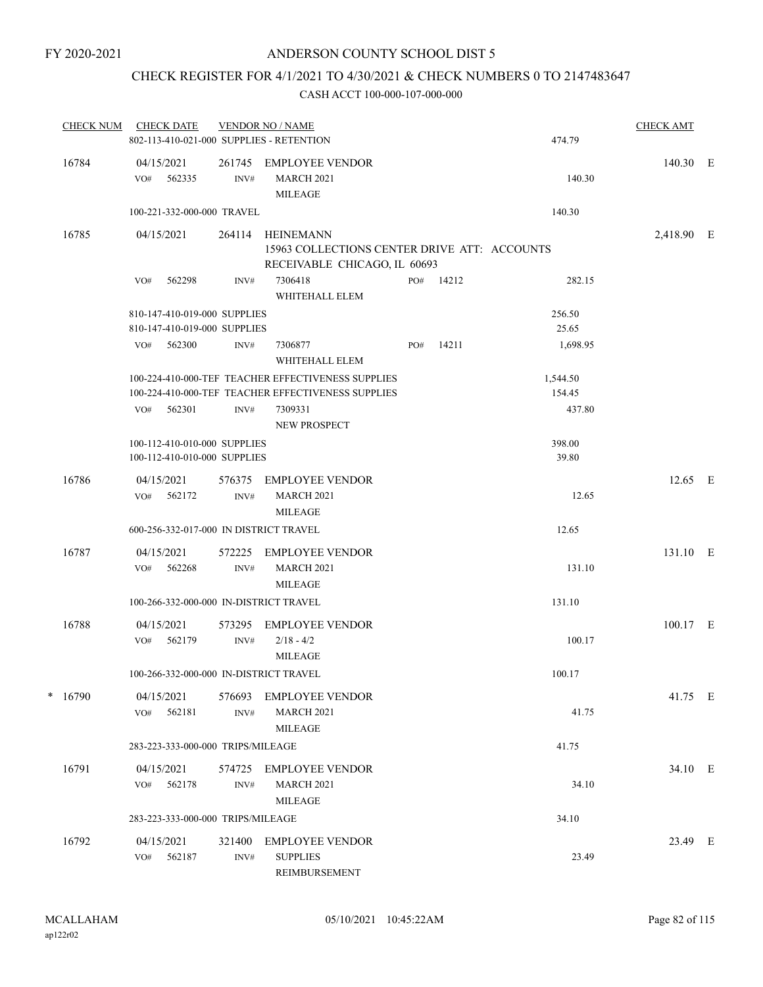# CHECK REGISTER FOR 4/1/2021 TO 4/30/2021 & CHECK NUMBERS 0 TO 2147483647

| <b>CHECK NUM</b> | <b>CHECK DATE</b><br>802-113-410-021-000 SUPPLIES - RETENTION |                | <b>VENDOR NO / NAME</b>                                       |     |           | 474.79   | <b>CHECK AMT</b> |  |
|------------------|---------------------------------------------------------------|----------------|---------------------------------------------------------------|-----|-----------|----------|------------------|--|
| 16784            | 04/15/2021<br>VO# 562335                                      | INV#           | 261745 EMPLOYEE VENDOR<br><b>MARCH 2021</b><br><b>MILEAGE</b> |     |           | 140.30   | 140.30 E         |  |
|                  | 100-221-332-000-000 TRAVEL                                    |                |                                                               |     |           | 140.30   |                  |  |
| 16785            | 04/15/2021                                                    | 264114         | HEINEMANN<br>15963 COLLECTIONS CENTER DRIVE ATT: ACCOUNTS     |     |           |          | 2,418.90 E       |  |
|                  | 562298<br>VO#                                                 | INV#           | RECEIVABLE CHICAGO, IL 60693<br>7306418<br>WHITEHALL ELEM     |     | PO# 14212 | 282.15   |                  |  |
|                  | 810-147-410-019-000 SUPPLIES                                  |                |                                                               |     |           | 256.50   |                  |  |
|                  | 810-147-410-019-000 SUPPLIES                                  |                |                                                               |     |           | 25.65    |                  |  |
|                  | 562300<br>VO#                                                 | INV#           | 7306877<br>WHITEHALL ELEM                                     | PO# | 14211     | 1,698.95 |                  |  |
|                  |                                                               |                | 100-224-410-000-TEF TEACHER EFFECTIVENESS SUPPLIES            |     |           | 1,544.50 |                  |  |
|                  |                                                               |                | 100-224-410-000-TEF TEACHER EFFECTIVENESS SUPPLIES            |     |           | 154.45   |                  |  |
|                  | $VO#$ 562301                                                  | INV#           | 7309331<br><b>NEW PROSPECT</b>                                |     |           | 437.80   |                  |  |
|                  | 100-112-410-010-000 SUPPLIES                                  |                |                                                               |     |           | 398.00   |                  |  |
|                  | 100-112-410-010-000 SUPPLIES                                  |                |                                                               |     |           | 39.80    |                  |  |
| 16786            | 04/15/2021<br>562172<br>VO#                                   | 576375<br>INV# | <b>EMPLOYEE VENDOR</b><br><b>MARCH 2021</b><br><b>MILEAGE</b> |     |           | 12.65    | $12.65$ E        |  |
|                  | 600-256-332-017-000 IN DISTRICT TRAVEL                        |                |                                                               |     |           | 12.65    |                  |  |
| 16787            | 04/15/2021<br>VO#<br>562268                                   | 572225<br>INV# | <b>EMPLOYEE VENDOR</b><br><b>MARCH 2021</b><br><b>MILEAGE</b> |     |           | 131.10   | 131.10 E         |  |
|                  | 100-266-332-000-000 IN-DISTRICT TRAVEL                        |                |                                                               |     |           | 131.10   |                  |  |
|                  |                                                               |                |                                                               |     |           |          |                  |  |
| 16788            | 04/15/2021<br>562179<br>VO#                                   | 573295<br>INV# | <b>EMPLOYEE VENDOR</b><br>$2/18 - 4/2$<br><b>MILEAGE</b>      |     |           | 100.17   | 100.17 E         |  |
|                  | 100-266-332-000-000 IN-DISTRICT TRAVEL                        |                |                                                               |     |           | 100.17   |                  |  |
| $* 16790$        | 04/15/2021<br>562181<br>VO#                                   | 576693<br>INV# | EMPLOYEE VENDOR<br>MARCH 2021<br>MILEAGE                      |     |           | 41.75    | 41.75 E          |  |
|                  | 283-223-333-000-000 TRIPS/MILEAGE                             |                |                                                               |     |           | 41.75    |                  |  |
|                  |                                                               |                |                                                               |     |           |          |                  |  |
| 16791            | 04/15/2021<br>VO# 562178                                      | INV#           | 574725 EMPLOYEE VENDOR<br><b>MARCH 2021</b><br><b>MILEAGE</b> |     |           | 34.10    | 34.10 E          |  |
|                  | 283-223-333-000-000 TRIPS/MILEAGE                             |                |                                                               |     |           | 34.10    |                  |  |
| 16792            | 04/15/2021<br>562187<br>VO#                                   | 321400<br>INV# | EMPLOYEE VENDOR<br><b>SUPPLIES</b><br>REIMBURSEMENT           |     |           | 23.49    | 23.49 E          |  |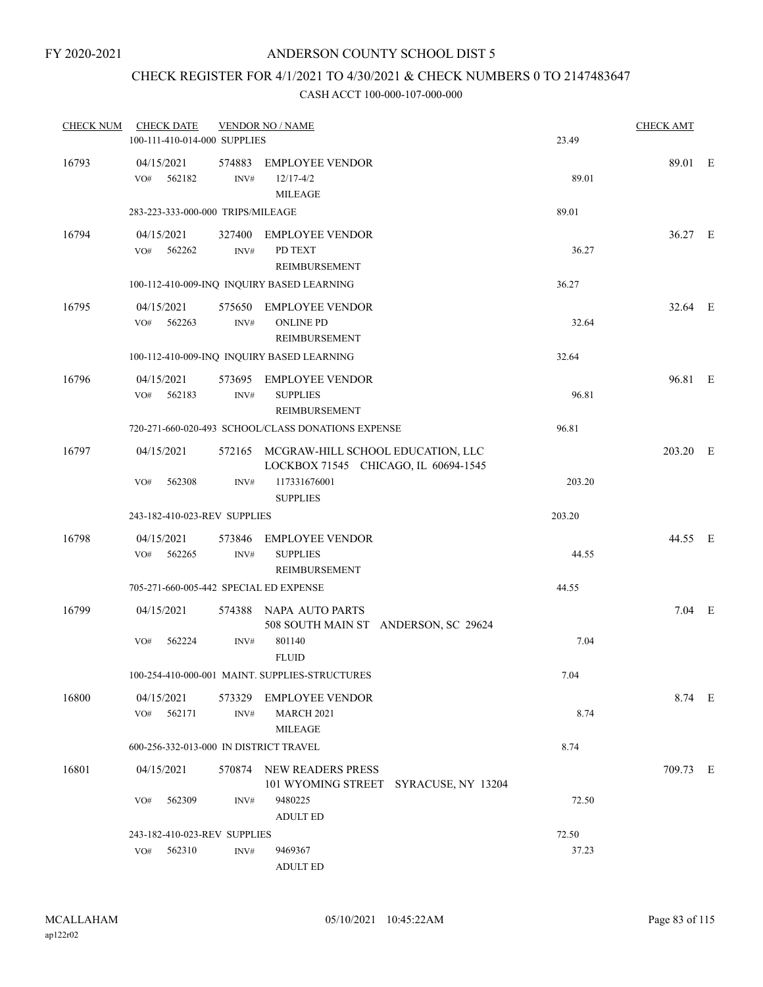# CHECK REGISTER FOR 4/1/2021 TO 4/30/2021 & CHECK NUMBERS 0 TO 2147483647

| <b>CHECK NUM</b> | <b>CHECK DATE</b><br>100-111-410-014-000 SUPPLIES |                | <b>VENDOR NO / NAME</b>                                                          | 23.49  | <b>CHECK AMT</b> |  |
|------------------|---------------------------------------------------|----------------|----------------------------------------------------------------------------------|--------|------------------|--|
| 16793            | 04/15/2021<br>VO#<br>562182                       | 574883<br>INV# | <b>EMPLOYEE VENDOR</b><br>$12/17 - 4/2$<br><b>MILEAGE</b>                        | 89.01  | 89.01 E          |  |
|                  | 283-223-333-000-000 TRIPS/MILEAGE                 |                |                                                                                  | 89.01  |                  |  |
| 16794            | 04/15/2021<br>VO# 562262                          | INV#           | 327400 EMPLOYEE VENDOR<br>PD TEXT<br><b>REIMBURSEMENT</b>                        | 36.27  | 36.27 E          |  |
|                  |                                                   |                | 100-112-410-009-INQ INQUIRY BASED LEARNING                                       | 36.27  |                  |  |
| 16795            | 04/15/2021<br>562263<br>VO#                       | 575650<br>INV# | <b>EMPLOYEE VENDOR</b><br><b>ONLINE PD</b><br>REIMBURSEMENT                      | 32.64  | 32.64 E          |  |
|                  |                                                   |                | 100-112-410-009-INQ INQUIRY BASED LEARNING                                       | 32.64  |                  |  |
| 16796            | 04/15/2021<br>562183<br>VO#                       | INV#           | 573695 EMPLOYEE VENDOR<br><b>SUPPLIES</b><br>REIMBURSEMENT                       | 96.81  | 96.81 E          |  |
|                  |                                                   |                | 720-271-660-020-493 SCHOOL/CLASS DONATIONS EXPENSE                               | 96.81  |                  |  |
| 16797            | 04/15/2021                                        |                | 572165 MCGRAW-HILL SCHOOL EDUCATION, LLC<br>LOCKBOX 71545 CHICAGO, IL 60694-1545 |        | 203.20 E         |  |
|                  | 562308<br>VO#                                     | INV#           | 117331676001<br><b>SUPPLIES</b>                                                  | 203.20 |                  |  |
|                  | 243-182-410-023-REV SUPPLIES                      |                |                                                                                  | 203.20 |                  |  |
| 16798            | 04/15/2021<br>562265<br>VO#                       | 573846<br>INV# | <b>EMPLOYEE VENDOR</b><br><b>SUPPLIES</b><br>REIMBURSEMENT                       | 44.55  | 44.55 E          |  |
|                  | 705-271-660-005-442 SPECIAL ED EXPENSE            |                |                                                                                  | 44.55  |                  |  |
| 16799            | 04/15/2021                                        |                | 574388 NAPA AUTO PARTS<br>508 SOUTH MAIN ST ANDERSON, SC 29624                   |        | $7.04$ E         |  |
|                  | 562224<br>VO#                                     | INV#           | 801140<br><b>FLUID</b>                                                           | 7.04   |                  |  |
|                  |                                                   |                | 100-254-410-000-001 MAINT. SUPPLIES-STRUCTURES                                   | 7.04   |                  |  |
| 16800            | 04/15/2021<br>562171<br>VO#                       | INV#           | 573329 EMPLOYEE VENDOR<br><b>MARCH 2021</b><br><b>MILEAGE</b>                    | 8.74   | 8.74 E           |  |
|                  | 600-256-332-013-000 IN DISTRICT TRAVEL            |                |                                                                                  | 8.74   |                  |  |
| 16801            | 04/15/2021                                        |                | 570874 NEW READERS PRESS<br>101 WYOMING STREET SYRACUSE, NY 13204                |        | 709.73 E         |  |
|                  | 562309<br>VO#                                     | INV#           | 9480225<br><b>ADULT ED</b>                                                       | 72.50  |                  |  |
|                  | 243-182-410-023-REV SUPPLIES                      |                |                                                                                  | 72.50  |                  |  |
|                  | 562310<br>VO#                                     | INV#           | 9469367<br><b>ADULT ED</b>                                                       | 37.23  |                  |  |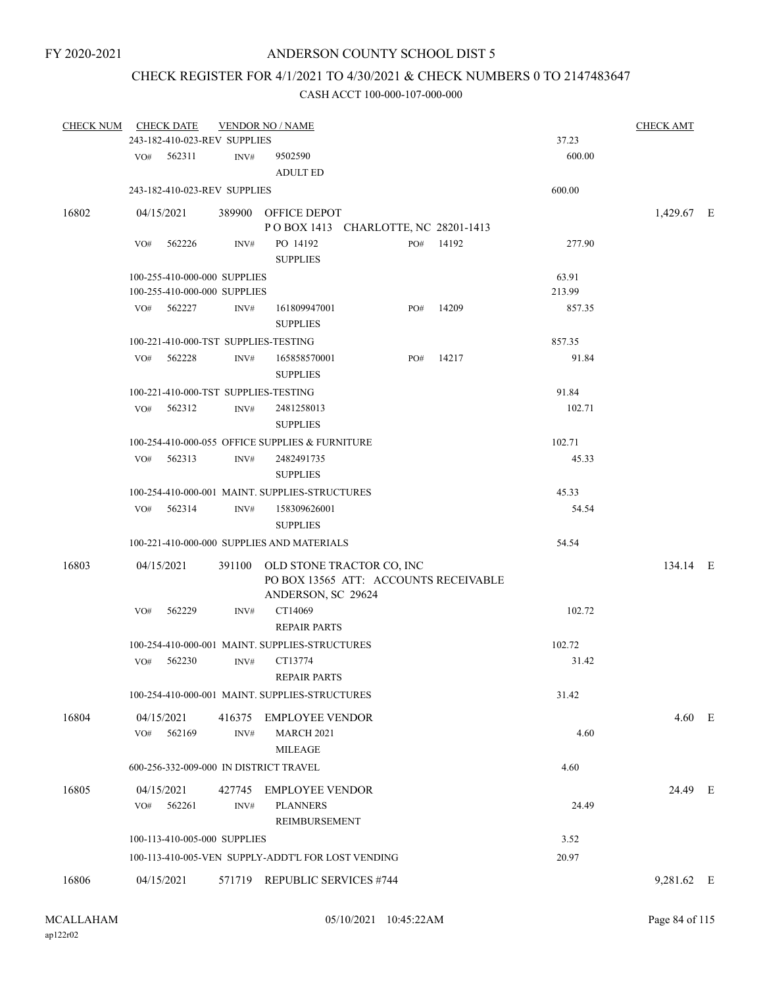# CHECK REGISTER FOR 4/1/2021 TO 4/30/2021 & CHECK NUMBERS 0 TO 2147483647

| <b>CHECK NUM</b> |            | <b>CHECK DATE</b>            |        | <b>VENDOR NO / NAME</b>                                                                         |     |           |        | <b>CHECK AMT</b> |  |
|------------------|------------|------------------------------|--------|-------------------------------------------------------------------------------------------------|-----|-----------|--------|------------------|--|
|                  |            | 243-182-410-023-REV SUPPLIES |        |                                                                                                 |     |           | 37.23  |                  |  |
|                  | VO#        | 562311                       | INV#   | 9502590<br><b>ADULT ED</b>                                                                      |     |           | 600.00 |                  |  |
|                  |            | 243-182-410-023-REV SUPPLIES |        |                                                                                                 |     |           | 600.00 |                  |  |
| 16802            | 04/15/2021 |                              |        | 389900 OFFICE DEPOT                                                                             |     |           |        | 1,429.67 E       |  |
|                  |            |                              |        | POBOX 1413 CHARLOTTE, NC 28201-1413                                                             |     |           |        |                  |  |
|                  | VO#        | 562226                       | INV#   | PO 14192<br><b>SUPPLIES</b>                                                                     |     | PO# 14192 | 277.90 |                  |  |
|                  |            | 100-255-410-000-000 SUPPLIES |        |                                                                                                 |     |           | 63.91  |                  |  |
|                  |            | 100-255-410-000-000 SUPPLIES |        |                                                                                                 |     |           | 213.99 |                  |  |
|                  |            | VO# 562227                   | INV#   | 161809947001<br><b>SUPPLIES</b>                                                                 | PO# | 14209     | 857.35 |                  |  |
|                  |            |                              |        | 100-221-410-000-TST SUPPLIES-TESTING                                                            |     |           | 857.35 |                  |  |
|                  | VO#        | 562228                       | INV#   | 165858570001<br><b>SUPPLIES</b>                                                                 | PO# | 14217     | 91.84  |                  |  |
|                  |            |                              |        | 100-221-410-000-TST SUPPLIES-TESTING                                                            |     |           | 91.84  |                  |  |
|                  | VO#        | 562312                       | INV#   | 2481258013                                                                                      |     |           | 102.71 |                  |  |
|                  |            |                              |        | <b>SUPPLIES</b>                                                                                 |     |           |        |                  |  |
|                  |            |                              |        | 100-254-410-000-055 OFFICE SUPPLIES & FURNITURE                                                 |     |           | 102.71 |                  |  |
|                  |            | $VO#$ 562313                 | INV#   | 2482491735                                                                                      |     |           | 45.33  |                  |  |
|                  |            |                              |        | <b>SUPPLIES</b>                                                                                 |     |           |        |                  |  |
|                  |            |                              |        | 100-254-410-000-001 MAINT. SUPPLIES-STRUCTURES                                                  |     |           | 45.33  |                  |  |
|                  |            | $VO#$ 562314                 | INV#   | 158309626001<br><b>SUPPLIES</b>                                                                 |     |           | 54.54  |                  |  |
|                  |            |                              |        | 100-221-410-000-000 SUPPLIES AND MATERIALS                                                      |     |           | 54.54  |                  |  |
| 16803            | 04/15/2021 |                              |        | 391100 OLD STONE TRACTOR CO, INC<br>PO BOX 13565 ATT: ACCOUNTS RECEIVABLE<br>ANDERSON, SC 29624 |     |           |        | 134.14 E         |  |
|                  | VO#        | 562229                       | INV#   | CT14069<br><b>REPAIR PARTS</b>                                                                  |     |           | 102.72 |                  |  |
|                  |            |                              |        | 100-254-410-000-001 MAINT. SUPPLIES-STRUCTURES                                                  |     |           | 102.72 |                  |  |
|                  |            | $VO#$ 562230                 | INV#   | CT13774                                                                                         |     |           | 31.42  |                  |  |
|                  |            |                              |        | <b>REPAIR PARTS</b>                                                                             |     |           |        |                  |  |
|                  |            |                              |        | 100-254-410-000-001 MAINT. SUPPLIES-STRUCTURES                                                  |     |           | 31.42  |                  |  |
| 16804            | 04/15/2021 |                              | 416375 | EMPLOYEE VENDOR                                                                                 |     |           |        | $4.60$ E         |  |
|                  | VO#        | 562169                       | INV#   | <b>MARCH 2021</b><br><b>MILEAGE</b>                                                             |     |           | 4.60   |                  |  |
|                  |            |                              |        | 600-256-332-009-000 IN DISTRICT TRAVEL                                                          |     |           | 4.60   |                  |  |
| 16805            | 04/15/2021 |                              | 427745 | <b>EMPLOYEE VENDOR</b>                                                                          |     |           |        | 24.49 E          |  |
|                  | VO#        | 562261                       | INV#   | <b>PLANNERS</b><br>REIMBURSEMENT                                                                |     |           | 24.49  |                  |  |
|                  |            | 100-113-410-005-000 SUPPLIES |        |                                                                                                 |     |           | 3.52   |                  |  |
|                  |            |                              |        | 100-113-410-005-VEN SUPPLY-ADDT'L FOR LOST VENDING                                              |     |           | 20.97  |                  |  |
|                  |            |                              |        |                                                                                                 |     |           |        |                  |  |
| 16806            | 04/15/2021 |                              | 571719 | <b>REPUBLIC SERVICES #744</b>                                                                   |     |           |        | 9,281.62 E       |  |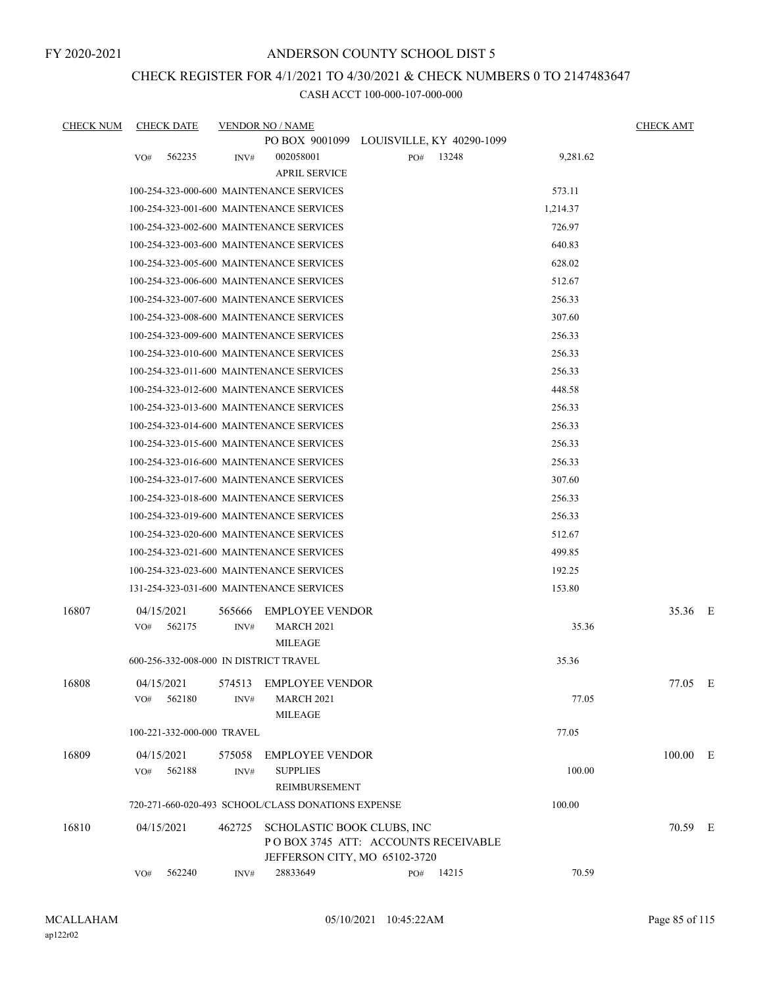## CHECK REGISTER FOR 4/1/2021 TO 4/30/2021 & CHECK NUMBERS 0 TO 2147483647

| <b>CHECK NUM</b> | <b>CHECK DATE</b>                      |        | <b>VENDOR NO / NAME</b>                            |     |       |          | <b>CHECK AMT</b> |  |
|------------------|----------------------------------------|--------|----------------------------------------------------|-----|-------|----------|------------------|--|
|                  |                                        |        | PO BOX 9001099 LOUISVILLE, KY 40290-1099           |     |       |          |                  |  |
|                  | 562235<br>VO#                          | INV#   | 002058001                                          | PO# | 13248 | 9,281.62 |                  |  |
|                  |                                        |        | <b>APRIL SERVICE</b>                               |     |       |          |                  |  |
|                  |                                        |        | 100-254-323-000-600 MAINTENANCE SERVICES           |     |       | 573.11   |                  |  |
|                  |                                        |        | 100-254-323-001-600 MAINTENANCE SERVICES           |     |       | 1,214.37 |                  |  |
|                  |                                        |        | 100-254-323-002-600 MAINTENANCE SERVICES           |     |       | 726.97   |                  |  |
|                  |                                        |        | 100-254-323-003-600 MAINTENANCE SERVICES           |     |       | 640.83   |                  |  |
|                  |                                        |        | 100-254-323-005-600 MAINTENANCE SERVICES           |     |       | 628.02   |                  |  |
|                  |                                        |        | 100-254-323-006-600 MAINTENANCE SERVICES           |     |       | 512.67   |                  |  |
|                  |                                        |        | 100-254-323-007-600 MAINTENANCE SERVICES           |     |       | 256.33   |                  |  |
|                  |                                        |        | 100-254-323-008-600 MAINTENANCE SERVICES           |     |       | 307.60   |                  |  |
|                  |                                        |        | 100-254-323-009-600 MAINTENANCE SERVICES           |     |       | 256.33   |                  |  |
|                  |                                        |        | 100-254-323-010-600 MAINTENANCE SERVICES           |     |       | 256.33   |                  |  |
|                  |                                        |        | 100-254-323-011-600 MAINTENANCE SERVICES           |     |       | 256.33   |                  |  |
|                  |                                        |        | 100-254-323-012-600 MAINTENANCE SERVICES           |     |       | 448.58   |                  |  |
|                  |                                        |        | 100-254-323-013-600 MAINTENANCE SERVICES           |     |       | 256.33   |                  |  |
|                  |                                        |        | 100-254-323-014-600 MAINTENANCE SERVICES           |     |       | 256.33   |                  |  |
|                  |                                        |        | 100-254-323-015-600 MAINTENANCE SERVICES           |     |       | 256.33   |                  |  |
|                  |                                        |        | 100-254-323-016-600 MAINTENANCE SERVICES           |     |       | 256.33   |                  |  |
|                  |                                        |        | 100-254-323-017-600 MAINTENANCE SERVICES           |     |       | 307.60   |                  |  |
|                  |                                        |        | 100-254-323-018-600 MAINTENANCE SERVICES           |     |       | 256.33   |                  |  |
|                  |                                        |        | 100-254-323-019-600 MAINTENANCE SERVICES           |     |       | 256.33   |                  |  |
|                  |                                        |        | 100-254-323-020-600 MAINTENANCE SERVICES           |     |       | 512.67   |                  |  |
|                  |                                        |        | 100-254-323-021-600 MAINTENANCE SERVICES           |     |       | 499.85   |                  |  |
|                  |                                        |        | 100-254-323-023-600 MAINTENANCE SERVICES           |     |       | 192.25   |                  |  |
|                  |                                        |        | 131-254-323-031-600 MAINTENANCE SERVICES           |     |       | 153.80   |                  |  |
| 16807            | 04/15/2021                             | 565666 | <b>EMPLOYEE VENDOR</b>                             |     |       |          | 35.36 E          |  |
|                  | 562175<br>VO#                          | INV#   | <b>MARCH 2021</b>                                  |     |       | 35.36    |                  |  |
|                  |                                        |        | <b>MILEAGE</b>                                     |     |       |          |                  |  |
|                  | 600-256-332-008-000 IN DISTRICT TRAVEL |        |                                                    |     |       | 35.36    |                  |  |
| 16808            | 04/15/2021                             | 574513 | <b>EMPLOYEE VENDOR</b>                             |     |       |          | 77.05 E          |  |
|                  | 562180<br>VO#                          | INV#   | <b>MARCH 2021</b>                                  |     |       | 77.05    |                  |  |
|                  |                                        |        | <b>MILEAGE</b>                                     |     |       |          |                  |  |
|                  | 100-221-332-000-000 TRAVEL             |        |                                                    |     |       | 77.05    |                  |  |
| 16809            | 04/15/2021                             | 575058 | <b>EMPLOYEE VENDOR</b>                             |     |       |          | 100.00 E         |  |
|                  | 562188<br>VO#                          | INV#   | <b>SUPPLIES</b>                                    |     |       | 100.00   |                  |  |
|                  |                                        |        | REIMBURSEMENT                                      |     |       |          |                  |  |
|                  |                                        |        | 720-271-660-020-493 SCHOOL/CLASS DONATIONS EXPENSE |     |       | 100.00   |                  |  |
| 16810            | 04/15/2021                             | 462725 | SCHOLASTIC BOOK CLUBS, INC                         |     |       |          | 70.59 E          |  |
|                  |                                        |        | POBOX 3745 ATT: ACCOUNTS RECEIVABLE                |     |       |          |                  |  |
|                  | 562240<br>VO#                          | INV#   | JEFFERSON CITY, MO 65102-3720<br>28833649          | PO# | 14215 | 70.59    |                  |  |
|                  |                                        |        |                                                    |     |       |          |                  |  |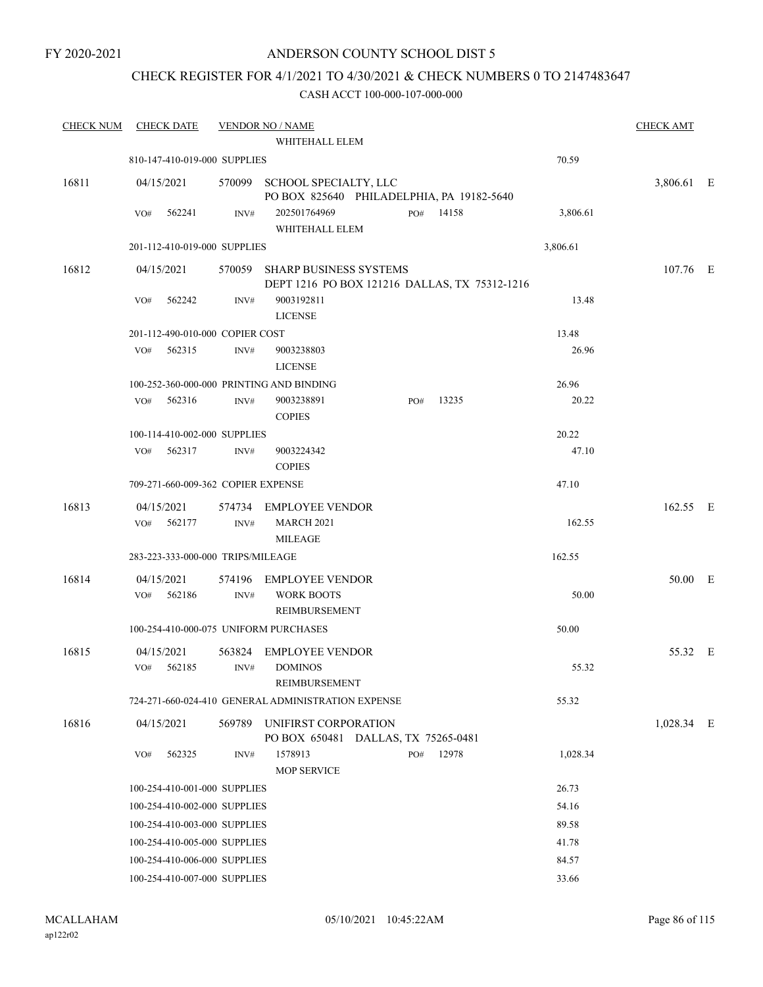FY 2020-2021

## ANDERSON COUNTY SCHOOL DIST 5

# CHECK REGISTER FOR 4/1/2021 TO 4/30/2021 & CHECK NUMBERS 0 TO 2147483647

| <b>CHECK NUM</b> | <b>CHECK DATE</b>                     |                | <b>VENDOR NO / NAME</b>                                                        |              |          | <b>CHECK AMT</b> |  |
|------------------|---------------------------------------|----------------|--------------------------------------------------------------------------------|--------------|----------|------------------|--|
|                  |                                       |                | WHITEHALL ELEM                                                                 |              |          |                  |  |
|                  | 810-147-410-019-000 SUPPLIES          |                |                                                                                |              | 70.59    |                  |  |
| 16811            | 04/15/2021                            |                | 570099 SCHOOL SPECIALTY, LLC<br>PO BOX 825640 PHILADELPHIA, PA 19182-5640      |              |          | 3,806.61 E       |  |
|                  | VO#<br>562241                         | INV#           | 202501764969<br>WHITEHALL ELEM                                                 | PO#<br>14158 | 3,806.61 |                  |  |
|                  | 201-112-410-019-000 SUPPLIES          |                |                                                                                |              | 3,806.61 |                  |  |
| 16812            | 04/15/2021                            | 570059         | <b>SHARP BUSINESS SYSTEMS</b><br>DEPT 1216 PO BOX 121216 DALLAS, TX 75312-1216 |              |          | 107.76 E         |  |
|                  | 562242<br>VO#                         | INV#           | 9003192811<br><b>LICENSE</b>                                                   |              | 13.48    |                  |  |
|                  | 201-112-490-010-000 COPIER COST       |                |                                                                                |              | 13.48    |                  |  |
|                  | 562315<br>VO#                         | INV#           | 9003238803<br><b>LICENSE</b>                                                   |              | 26.96    |                  |  |
|                  |                                       |                | 100-252-360-000-000 PRINTING AND BINDING                                       |              | 26.96    |                  |  |
|                  | 562316<br>VO#                         | INV#           | 9003238891<br><b>COPIES</b>                                                    | 13235<br>PO# | 20.22    |                  |  |
|                  | 100-114-410-002-000 SUPPLIES          |                |                                                                                |              | 20.22    |                  |  |
|                  | 562317<br>VO#                         | INV#           | 9003224342<br><b>COPIES</b>                                                    |              | 47.10    |                  |  |
|                  | 709-271-660-009-362 COPIER EXPENSE    |                |                                                                                |              | 47.10    |                  |  |
| 16813            | 04/15/2021                            |                | 574734 EMPLOYEE VENDOR                                                         |              |          | 162.55 E         |  |
|                  | 562177<br>VO#                         | INV#           | <b>MARCH 2021</b><br><b>MILEAGE</b>                                            |              | 162.55   |                  |  |
|                  | 283-223-333-000-000 TRIPS/MILEAGE     |                |                                                                                |              | 162.55   |                  |  |
| 16814            | 04/15/2021                            |                | 574196 EMPLOYEE VENDOR                                                         |              |          | 50.00 E          |  |
|                  | VO#<br>562186                         | INV#           | <b>WORK BOOTS</b><br>REIMBURSEMENT                                             |              | 50.00    |                  |  |
|                  | 100-254-410-000-075 UNIFORM PURCHASES |                |                                                                                |              | 50.00    |                  |  |
| 16815            | 04/15/2021<br>VO#<br>562185           | 563824<br>INV# | <b>EMPLOYEE VENDOR</b><br><b>DOMINOS</b><br>REIMBURSEMENT                      |              | 55.32    | 55.32 E          |  |
|                  |                                       |                | 724-271-660-024-410 GENERAL ADMINISTRATION EXPENSE                             |              | 55.32    |                  |  |
| 16816            | 04/15/2021                            | 569789         | UNIFIRST CORPORATION<br>PO BOX 650481 DALLAS, TX 75265-0481                    |              |          | 1,028.34 E       |  |
|                  | 562325<br>VO#                         | INV#           | 1578913<br><b>MOP SERVICE</b>                                                  | 12978<br>PO# | 1,028.34 |                  |  |
|                  | 100-254-410-001-000 SUPPLIES          |                |                                                                                |              | 26.73    |                  |  |
|                  | 100-254-410-002-000 SUPPLIES          |                |                                                                                |              | 54.16    |                  |  |
|                  | 100-254-410-003-000 SUPPLIES          |                |                                                                                |              | 89.58    |                  |  |
|                  | 100-254-410-005-000 SUPPLIES          |                |                                                                                |              | 41.78    |                  |  |
|                  | 100-254-410-006-000 SUPPLIES          |                |                                                                                |              | 84.57    |                  |  |
|                  | 100-254-410-007-000 SUPPLIES          |                |                                                                                |              | 33.66    |                  |  |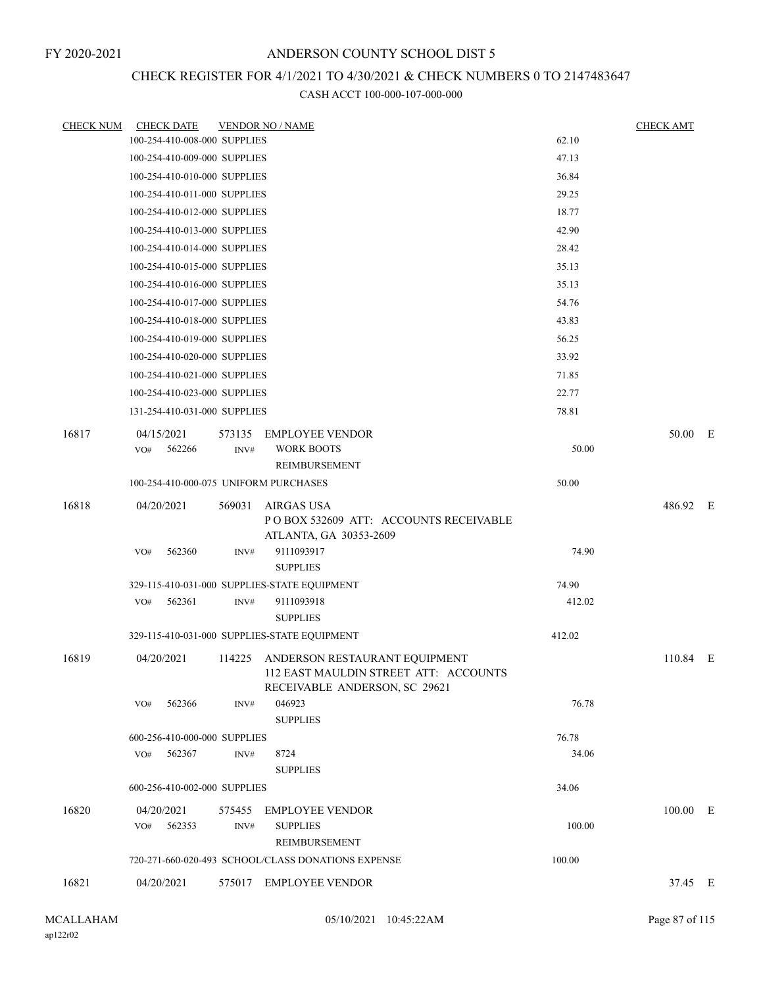# CHECK REGISTER FOR 4/1/2021 TO 4/30/2021 & CHECK NUMBERS 0 TO 2147483647

| 16821            | 04/20/2021                                                   |                | 720-271-660-020-493 SCHOOL/CLASS DONATIONS EXPENSE<br>575017 EMPLOYEE VENDOR                                             | 100.00         | 37.45 E          |  |
|------------------|--------------------------------------------------------------|----------------|--------------------------------------------------------------------------------------------------------------------------|----------------|------------------|--|
|                  |                                                              |                |                                                                                                                          |                |                  |  |
|                  |                                                              |                |                                                                                                                          |                |                  |  |
| 16820            | 04/20/2021<br>562353<br>VO#                                  | 575455<br>INV# | <b>EMPLOYEE VENDOR</b><br><b>SUPPLIES</b><br>REIMBURSEMENT                                                               | 100.00         | 100.00 E         |  |
|                  | 600-256-410-002-000 SUPPLIES                                 |                |                                                                                                                          | 34.06          |                  |  |
|                  | 562367<br>VO#                                                | INV#           | 8724<br><b>SUPPLIES</b>                                                                                                  | 34.06          |                  |  |
|                  | 600-256-410-000-000 SUPPLIES                                 |                |                                                                                                                          | 76.78          |                  |  |
|                  |                                                              |                | <b>SUPPLIES</b>                                                                                                          |                |                  |  |
| 16819            | 04/20/2021<br>VO#<br>562366                                  | INV#           | 114225 ANDERSON RESTAURANT EQUIPMENT<br>112 EAST MAULDIN STREET ATT: ACCOUNTS<br>RECEIVABLE ANDERSON, SC 29621<br>046923 | 76.78          | 110.84 E         |  |
|                  |                                                              |                | 329-115-410-031-000 SUPPLIES-STATE EQUIPMENT                                                                             | 412.02         |                  |  |
|                  |                                                              |                | <b>SUPPLIES</b>                                                                                                          |                |                  |  |
|                  | 562361<br>VO#                                                | INV#           | 9111093918                                                                                                               | 412.02         |                  |  |
|                  | 562360<br>VO#                                                | INV#           | 9111093917<br><b>SUPPLIES</b><br>329-115-410-031-000 SUPPLIES-STATE EQUIPMENT                                            | 74.90<br>74.90 |                  |  |
| 16818            | 04/20/2021                                                   | 569031         | AIRGAS USA<br>POBOX 532609 ATT: ACCOUNTS RECEIVABLE<br>ATLANTA, GA 30353-2609                                            |                | 486.92 E         |  |
|                  | 100-254-410-000-075 UNIFORM PURCHASES                        |                |                                                                                                                          | 50.00          |                  |  |
|                  | 562266<br>VO#                                                | INV#           | <b>WORK BOOTS</b><br><b>REIMBURSEMENT</b>                                                                                | 50.00          |                  |  |
| 16817            | 04/15/2021                                                   | 573135         | <b>EMPLOYEE VENDOR</b>                                                                                                   |                | 50.00 E          |  |
|                  | 131-254-410-031-000 SUPPLIES                                 |                |                                                                                                                          | 78.81          |                  |  |
|                  | 100-254-410-021-000 SUPPLIES<br>100-254-410-023-000 SUPPLIES |                |                                                                                                                          | 71.85<br>22.77 |                  |  |
|                  | 100-254-410-020-000 SUPPLIES                                 |                |                                                                                                                          | 33.92          |                  |  |
|                  | 100-254-410-019-000 SUPPLIES                                 |                |                                                                                                                          | 56.25          |                  |  |
|                  | 100-254-410-018-000 SUPPLIES                                 |                |                                                                                                                          | 43.83          |                  |  |
|                  | 100-254-410-017-000 SUPPLIES                                 |                |                                                                                                                          | 54.76          |                  |  |
|                  | 100-254-410-016-000 SUPPLIES                                 |                |                                                                                                                          | 35.13          |                  |  |
|                  | 100-254-410-015-000 SUPPLIES                                 |                |                                                                                                                          | 35.13          |                  |  |
|                  | 100-254-410-014-000 SUPPLIES                                 |                |                                                                                                                          | 28.42          |                  |  |
|                  | 100-254-410-013-000 SUPPLIES                                 |                |                                                                                                                          | 42.90          |                  |  |
|                  | 100-254-410-012-000 SUPPLIES                                 |                |                                                                                                                          | 18.77          |                  |  |
|                  | 100-254-410-011-000 SUPPLIES                                 |                |                                                                                                                          | 29.25          |                  |  |
|                  | 100-254-410-010-000 SUPPLIES                                 |                |                                                                                                                          | 36.84          |                  |  |
|                  | 100-254-410-009-000 SUPPLIES                                 |                |                                                                                                                          | 47.13          |                  |  |
| <b>CHECK NUM</b> | <b>CHECK DATE</b><br>100-254-410-008-000 SUPPLIES            |                | <b>VENDOR NO / NAME</b>                                                                                                  | 62.10          | <b>CHECK AMT</b> |  |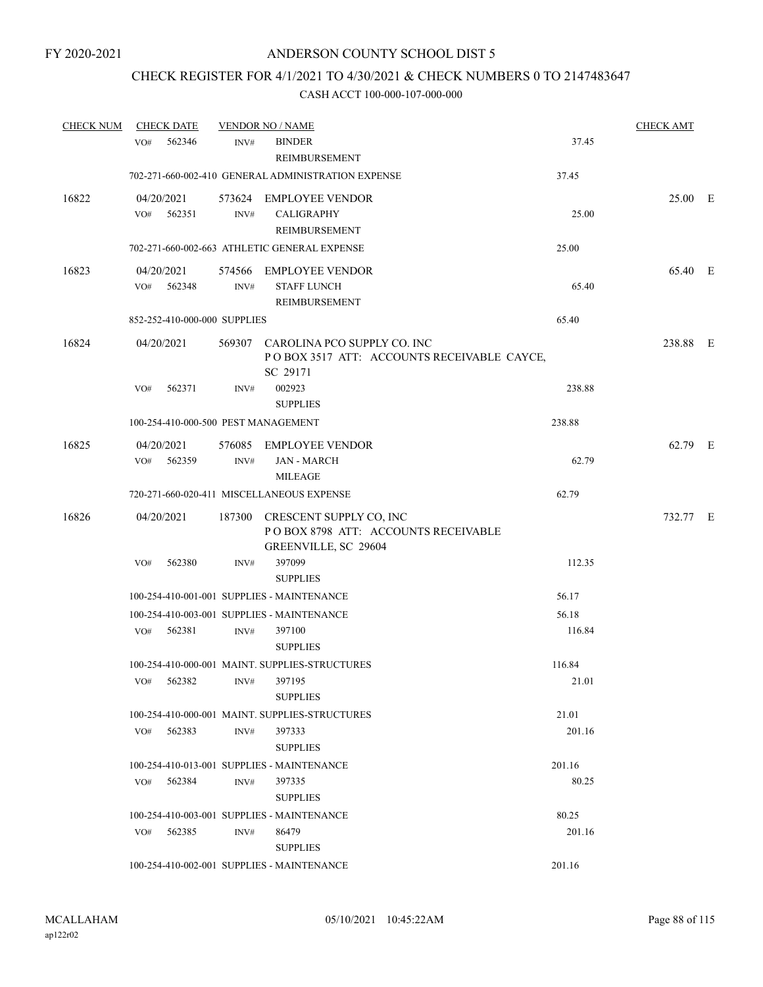# CHECK REGISTER FOR 4/1/2021 TO 4/30/2021 & CHECK NUMBERS 0 TO 2147483647

| <b>CHECK NUM</b> | <b>CHECK DATE</b>                   |      | <b>VENDOR NO / NAME</b>                                                                       |                 | <b>CHECK AMT</b> |  |
|------------------|-------------------------------------|------|-----------------------------------------------------------------------------------------------|-----------------|------------------|--|
|                  | 562346<br>VO <sub>#</sub>           | INV# | <b>BINDER</b><br>REIMBURSEMENT                                                                | 37.45           |                  |  |
|                  |                                     |      | 702-271-660-002-410 GENERAL ADMINISTRATION EXPENSE                                            | 37.45           |                  |  |
| 16822            | 04/20/2021<br>562351<br>VO#         | INV# | 573624 EMPLOYEE VENDOR<br><b>CALIGRAPHY</b><br>REIMBURSEMENT                                  | 25.00           | 25.00 E          |  |
|                  |                                     |      | 702-271-660-002-663 ATHLETIC GENERAL EXPENSE                                                  | 25.00           |                  |  |
| 16823            | 04/20/2021<br>VO# 562348            | INV# | 574566 EMPLOYEE VENDOR<br><b>STAFF LUNCH</b><br>REIMBURSEMENT                                 | 65.40           | 65.40 E          |  |
|                  | 852-252-410-000-000 SUPPLIES        |      |                                                                                               | 65.40           |                  |  |
| 16824            | 04/20/2021                          |      | 569307 CAROLINA PCO SUPPLY CO. INC<br>POBOX 3517 ATT: ACCOUNTS RECEIVABLE CAYCE,<br>SC 29171  |                 | 238.88 E         |  |
|                  | 562371<br>VO#                       | INV# | 002923<br><b>SUPPLIES</b>                                                                     | 238.88          |                  |  |
|                  | 100-254-410-000-500 PEST MANAGEMENT |      |                                                                                               | 238.88          |                  |  |
| 16825            | 04/20/2021<br>VO#<br>562359         | INV# | 576085 EMPLOYEE VENDOR<br><b>JAN - MARCH</b><br>MILEAGE                                       | 62.79           | 62.79 E          |  |
|                  |                                     |      | 720-271-660-020-411 MISCELLANEOUS EXPENSE                                                     | 62.79           |                  |  |
| 16826            | 04/20/2021                          |      | 187300 CRESCENT SUPPLY CO, INC<br>POBOX 8798 ATT: ACCOUNTS RECEIVABLE<br>GREENVILLE, SC 29604 |                 | 732.77 E         |  |
|                  | 562380<br>VO#                       | INV# | 397099<br><b>SUPPLIES</b>                                                                     | 112.35          |                  |  |
|                  |                                     |      | 100-254-410-001-001 SUPPLIES - MAINTENANCE                                                    | 56.17           |                  |  |
|                  |                                     |      | 100-254-410-003-001 SUPPLIES - MAINTENANCE                                                    | 56.18           |                  |  |
|                  | VO# 562381                          | INV# | 397100<br><b>SUPPLIES</b>                                                                     | 116.84          |                  |  |
|                  | 562382<br>VO#                       | INV# | 100-254-410-000-001 MAINT, SUPPLIES-STRUCTURES<br>397195<br><b>SUPPLIES</b>                   | 116.84<br>21.01 |                  |  |
|                  |                                     |      | 100-254-410-000-001 MAINT, SUPPLIES-STRUCTURES                                                | 21.01           |                  |  |
|                  | VO# 562383                          | INV# | 397333<br><b>SUPPLIES</b>                                                                     | 201.16          |                  |  |
|                  |                                     |      | 100-254-410-013-001 SUPPLIES - MAINTENANCE                                                    | 201.16          |                  |  |
|                  | 562384<br>VO#                       | INV# | 397335<br><b>SUPPLIES</b>                                                                     | 80.25           |                  |  |
|                  |                                     |      | 100-254-410-003-001 SUPPLIES - MAINTENANCE                                                    | 80.25           |                  |  |
|                  | 562385<br>VO#                       | INV# | 86479<br><b>SUPPLIES</b>                                                                      | 201.16          |                  |  |
|                  |                                     |      | 100-254-410-002-001 SUPPLIES - MAINTENANCE                                                    | 201.16          |                  |  |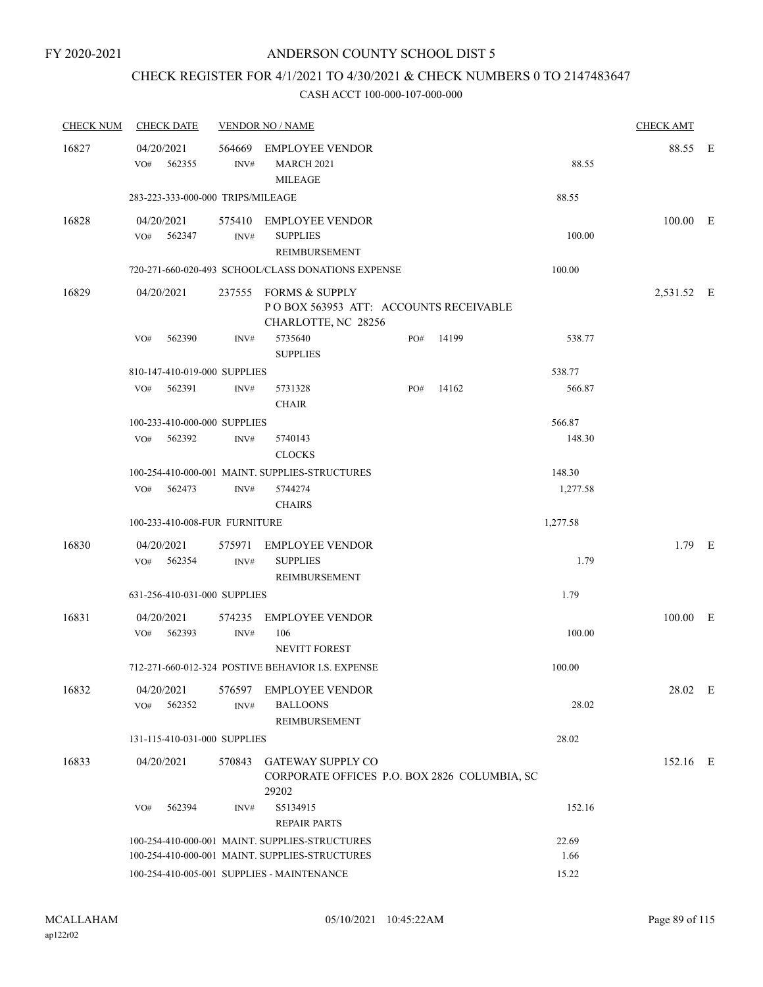# CHECK REGISTER FOR 4/1/2021 TO 4/30/2021 & CHECK NUMBERS 0 TO 2147483647

| <b>CHECK NUM</b> | <b>CHECK DATE</b>                 |                | <b>VENDOR NO / NAME</b>                                                               |     |       |          | <b>CHECK AMT</b> |  |
|------------------|-----------------------------------|----------------|---------------------------------------------------------------------------------------|-----|-------|----------|------------------|--|
| 16827            | 04/20/2021<br>VO# 562355          | INV#           | 564669 EMPLOYEE VENDOR<br><b>MARCH 2021</b><br><b>MILEAGE</b>                         |     |       | 88.55    | 88.55 E          |  |
|                  | 283-223-333-000-000 TRIPS/MILEAGE |                |                                                                                       |     |       | 88.55    |                  |  |
| 16828            | 04/20/2021<br>VO# 562347          | INV#           | 575410 EMPLOYEE VENDOR<br><b>SUPPLIES</b><br>REIMBURSEMENT                            |     |       | 100.00   | $100.00$ E       |  |
|                  |                                   |                | 720-271-660-020-493 SCHOOL/CLASS DONATIONS EXPENSE                                    |     |       | 100.00   |                  |  |
| 16829            | 04/20/2021                        |                | 237555 FORMS & SUPPLY<br>POBOX 563953 ATT: ACCOUNTS RECEIVABLE<br>CHARLOTTE, NC 28256 |     |       |          | 2,531.52 E       |  |
|                  | VO#<br>562390                     | INV#           | 5735640<br><b>SUPPLIES</b>                                                            | PO# | 14199 | 538.77   |                  |  |
|                  | 810-147-410-019-000 SUPPLIES      |                |                                                                                       |     |       | 538.77   |                  |  |
|                  | VO# 562391                        | INV#           | 5731328<br><b>CHAIR</b>                                                               | PO# | 14162 | 566.87   |                  |  |
|                  | 100-233-410-000-000 SUPPLIES      |                |                                                                                       |     |       | 566.87   |                  |  |
|                  | VO# 562392                        | INV#           | 5740143<br><b>CLOCKS</b>                                                              |     |       | 148.30   |                  |  |
|                  |                                   |                | 100-254-410-000-001 MAINT. SUPPLIES-STRUCTURES                                        |     |       | 148.30   |                  |  |
|                  | 562473<br>VO#                     | INV#           | 5744274<br><b>CHAIRS</b>                                                              |     |       | 1,277.58 |                  |  |
|                  | 100-233-410-008-FUR FURNITURE     |                |                                                                                       |     |       | 1,277.58 |                  |  |
| 16830            | 04/20/2021<br>VO# 562354          | 575971<br>INV# | <b>EMPLOYEE VENDOR</b><br><b>SUPPLIES</b><br>REIMBURSEMENT                            |     |       | 1.79     | $1.79$ E         |  |
|                  | 631-256-410-031-000 SUPPLIES      |                |                                                                                       |     |       | 1.79     |                  |  |
| 16831            | 04/20/2021<br>VO# 562393          | 574235<br>INV# | <b>EMPLOYEE VENDOR</b><br>106<br><b>NEVITT FOREST</b>                                 |     |       | 100.00   | 100.00 E         |  |
|                  |                                   |                | 712-271-660-012-324 POSTIVE BEHAVIOR I.S. EXPENSE                                     |     |       | 100.00   |                  |  |
| 16832            | 04/20/2021<br>562352<br>VO#       | 576597<br>INV# | <b>EMPLOYEE VENDOR</b><br><b>BALLOONS</b><br>REIMBURSEMENT                            |     |       | 28.02    | 28.02 E          |  |
|                  | 131-115-410-031-000 SUPPLIES      |                |                                                                                       |     |       | 28.02    |                  |  |
| 16833            | 04/20/2021                        | 570843         | <b>GATEWAY SUPPLY CO</b><br>CORPORATE OFFICES P.O. BOX 2826 COLUMBIA, SC<br>29202     |     |       |          | 152.16 E         |  |
|                  | 562394<br>VO#                     | INV#           | S5134915<br><b>REPAIR PARTS</b>                                                       |     |       | 152.16   |                  |  |
|                  |                                   |                | 100-254-410-000-001 MAINT. SUPPLIES-STRUCTURES                                        |     |       | 22.69    |                  |  |
|                  |                                   |                | 100-254-410-000-001 MAINT. SUPPLIES-STRUCTURES                                        |     |       | 1.66     |                  |  |
|                  |                                   |                | 100-254-410-005-001 SUPPLIES - MAINTENANCE                                            |     |       | 15.22    |                  |  |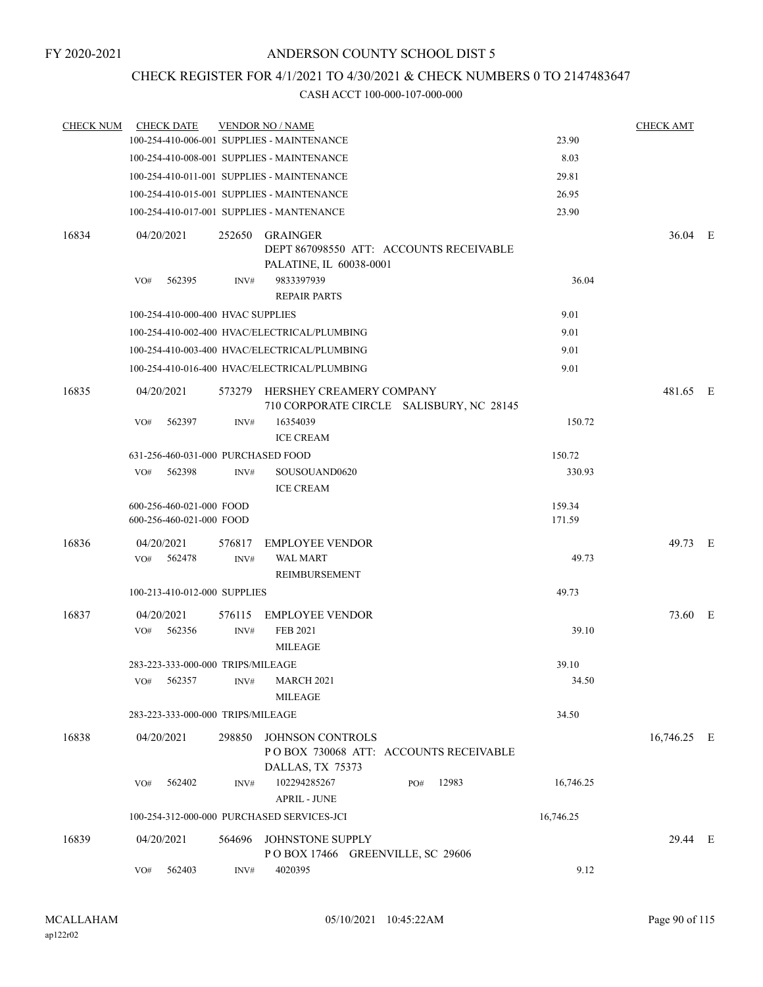# CHECK REGISTER FOR 4/1/2021 TO 4/30/2021 & CHECK NUMBERS 0 TO 2147483647

| <b>CHECK NUM</b> | <b>CHECK DATE</b>                  |                | <b>VENDOR NO / NAME</b>                                                               |              |           | <b>CHECK AMT</b> |  |
|------------------|------------------------------------|----------------|---------------------------------------------------------------------------------------|--------------|-----------|------------------|--|
|                  |                                    |                | 100-254-410-006-001 SUPPLIES - MAINTENANCE                                            |              | 23.90     |                  |  |
|                  |                                    |                | 100-254-410-008-001 SUPPLIES - MAINTENANCE                                            |              | 8.03      |                  |  |
|                  |                                    |                | 100-254-410-011-001 SUPPLIES - MAINTENANCE                                            |              | 29.81     |                  |  |
|                  |                                    |                | 100-254-410-015-001 SUPPLIES - MAINTENANCE                                            |              | 26.95     |                  |  |
|                  |                                    |                | 100-254-410-017-001 SUPPLIES - MANTENANCE                                             |              | 23.90     |                  |  |
| 16834            | 04/20/2021                         |                | 252650 GRAINGER<br>DEPT 867098550 ATT: ACCOUNTS RECEIVABLE<br>PALATINE, IL 60038-0001 |              |           | 36.04 E          |  |
|                  | 562395<br>VO#                      | INV#           | 9833397939<br><b>REPAIR PARTS</b>                                                     |              | 36.04     |                  |  |
|                  | 100-254-410-000-400 HVAC SUPPLIES  |                |                                                                                       |              | 9.01      |                  |  |
|                  |                                    |                | 100-254-410-002-400 HVAC/ELECTRICAL/PLUMBING                                          |              | 9.01      |                  |  |
|                  |                                    |                | 100-254-410-003-400 HVAC/ELECTRICAL/PLUMBING                                          |              | 9.01      |                  |  |
|                  |                                    |                | 100-254-410-016-400 HVAC/ELECTRICAL/PLUMBING                                          |              | 9.01      |                  |  |
| 16835            | 04/20/2021                         |                | 573279 HERSHEY CREAMERY COMPANY<br>710 CORPORATE CIRCLE SALISBURY, NC 28145           |              |           | 481.65 E         |  |
|                  | 562397<br>VO#                      | INV#           | 16354039<br><b>ICE CREAM</b>                                                          |              | 150.72    |                  |  |
|                  | 631-256-460-031-000 PURCHASED FOOD |                |                                                                                       |              | 150.72    |                  |  |
|                  | 562398<br>VO#                      | INV#           | SOUSOUAND0620<br><b>ICE CREAM</b>                                                     |              | 330.93    |                  |  |
|                  | 600-256-460-021-000 FOOD           |                |                                                                                       |              | 159.34    |                  |  |
|                  | 600-256-460-021-000 FOOD           |                |                                                                                       |              | 171.59    |                  |  |
| 16836            | 04/20/2021<br>562478<br>VO#        | 576817<br>INV# | <b>EMPLOYEE VENDOR</b><br>WAL MART<br>REIMBURSEMENT                                   |              | 49.73     | 49.73 E          |  |
|                  | 100-213-410-012-000 SUPPLIES       |                |                                                                                       |              | 49.73     |                  |  |
| 16837            | 04/20/2021                         | 576115         | <b>EMPLOYEE VENDOR</b>                                                                |              |           | 73.60 E          |  |
|                  | 562356<br>VO#                      | INV#           | FEB 2021<br><b>MILEAGE</b>                                                            |              | 39.10     |                  |  |
|                  | 283-223-333-000-000 TRIPS/MILEAGE  |                |                                                                                       |              | 39.10     |                  |  |
|                  | 562357<br>VO#                      | INV#           | <b>MARCH 2021</b><br><b>MILEAGE</b>                                                   |              | 34.50     |                  |  |
|                  | 283-223-333-000-000 TRIPS/MILEAGE  |                |                                                                                       |              | 34.50     |                  |  |
| 16838            | 04/20/2021                         | 298850         | JOHNSON CONTROLS<br>POBOX 730068 ATT: ACCOUNTS RECEIVABLE<br>DALLAS, TX 75373         |              |           | 16,746.25 E      |  |
|                  | 562402<br>VO#                      | INV#           | 102294285267<br><b>APRIL - JUNE</b>                                                   | 12983<br>PO# | 16,746.25 |                  |  |
|                  |                                    |                | 100-254-312-000-000 PURCHASED SERVICES-JCI                                            |              | 16,746.25 |                  |  |
| 16839            | 04/20/2021                         | 564696         | JOHNSTONE SUPPLY<br>POBOX 17466 GREENVILLE, SC 29606                                  |              |           | 29.44 E          |  |
|                  | 562403<br>VO#                      | INV#           | 4020395                                                                               |              | 9.12      |                  |  |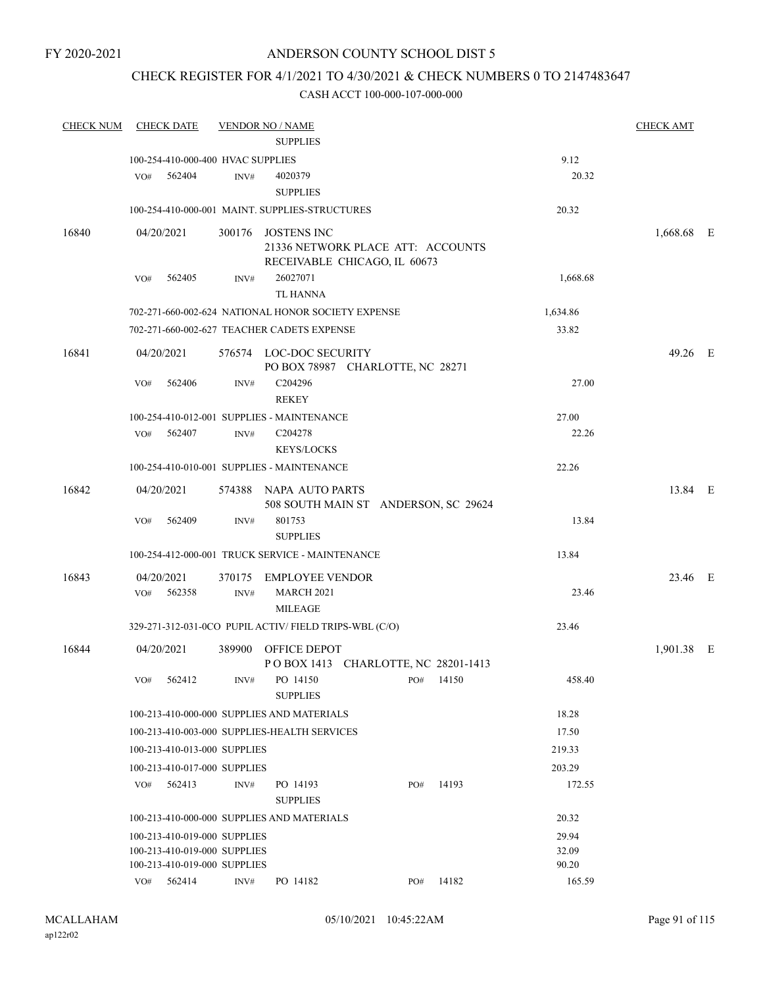# CHECK REGISTER FOR 4/1/2021 TO 4/30/2021 & CHECK NUMBERS 0 TO 2147483647

| <b>CHECK NUM</b> | <b>CHECK DATE</b>                                      |        | <b>VENDOR NO / NAME</b>                                        |     |           |          | <b>CHECK AMT</b> |  |
|------------------|--------------------------------------------------------|--------|----------------------------------------------------------------|-----|-----------|----------|------------------|--|
|                  |                                                        |        | <b>SUPPLIES</b>                                                |     |           |          |                  |  |
|                  | 100-254-410-000-400 HVAC SUPPLIES                      |        |                                                                |     |           | 9.12     |                  |  |
|                  | 562404<br>VO#                                          | INV#   | 4020379<br><b>SUPPLIES</b>                                     |     |           | 20.32    |                  |  |
|                  | 100-254-410-000-001 MAINT. SUPPLIES-STRUCTURES         |        |                                                                |     |           | 20.32    |                  |  |
| 16840            | 04/20/2021                                             |        | 300176 JOSTENS INC                                             |     |           |          | 1,668.68 E       |  |
|                  |                                                        |        | 21336 NETWORK PLACE ATT: ACCOUNTS                              |     |           |          |                  |  |
|                  |                                                        |        | RECEIVABLE CHICAGO, IL 60673                                   |     |           |          |                  |  |
|                  | VO#<br>562405                                          | INV#   | 26027071                                                       |     |           | 1,668.68 |                  |  |
|                  |                                                        |        | TL HANNA                                                       |     |           |          |                  |  |
|                  | 702-271-660-002-624 NATIONAL HONOR SOCIETY EXPENSE     |        |                                                                |     |           | 1,634.86 |                  |  |
|                  | 702-271-660-002-627 TEACHER CADETS EXPENSE             |        |                                                                |     |           | 33.82    |                  |  |
| 16841            | 04/20/2021                                             |        | 576574 LOC-DOC SECURITY                                        |     |           |          | 49.26 E          |  |
|                  |                                                        |        | PO BOX 78987 CHARLOTTE, NC 28271                               |     |           |          |                  |  |
|                  | 562406<br>VO#                                          | INV#   | C204296<br><b>REKEY</b>                                        |     |           | 27.00    |                  |  |
|                  | 100-254-410-012-001 SUPPLIES - MAINTENANCE             |        |                                                                |     |           | 27.00    |                  |  |
|                  | VO# 562407                                             | INV#   | C204278<br><b>KEYS/LOCKS</b>                                   |     |           | 22.26    |                  |  |
|                  | 100-254-410-010-001 SUPPLIES - MAINTENANCE             |        |                                                                |     |           | 22.26    |                  |  |
|                  |                                                        |        |                                                                |     |           |          |                  |  |
| 16842            | 04/20/2021                                             |        | 574388 NAPA AUTO PARTS<br>508 SOUTH MAIN ST ANDERSON, SC 29624 |     |           |          | 13.84 E          |  |
|                  | 562409<br>VO#                                          | INV#   | 801753                                                         |     |           | 13.84    |                  |  |
|                  |                                                        |        | <b>SUPPLIES</b>                                                |     |           |          |                  |  |
|                  | 100-254-412-000-001 TRUCK SERVICE - MAINTENANCE        |        |                                                                |     |           | 13.84    |                  |  |
| 16843            | 04/20/2021                                             |        | 370175 EMPLOYEE VENDOR                                         |     |           |          | 23.46 E          |  |
|                  | VO#<br>562358                                          | INV#   | <b>MARCH 2021</b>                                              |     |           | 23.46    |                  |  |
|                  |                                                        |        | <b>MILEAGE</b>                                                 |     |           |          |                  |  |
|                  | 329-271-312-031-0CO PUPIL ACTIV/ FIELD TRIPS-WBL (C/O) |        |                                                                |     |           | 23.46    |                  |  |
| 16844            | 04/20/2021                                             | 389900 | OFFICE DEPOT                                                   |     |           |          | 1,901.38 E       |  |
|                  |                                                        |        | POBOX 1413 CHARLOTTE, NC 28201-1413                            |     |           |          |                  |  |
|                  | 562412<br>VO#                                          | INV#   | PO 14150<br><b>SUPPLIES</b>                                    | PO# | 14150     | 458.40   |                  |  |
|                  | 100-213-410-000-000 SUPPLIES AND MATERIALS             |        |                                                                |     |           | 18.28    |                  |  |
|                  | 100-213-410-003-000 SUPPLIES-HEALTH SERVICES           |        |                                                                |     |           | 17.50    |                  |  |
|                  | 100-213-410-013-000 SUPPLIES                           |        |                                                                |     |           | 219.33   |                  |  |
|                  | 100-213-410-017-000 SUPPLIES                           |        |                                                                |     |           | 203.29   |                  |  |
|                  | 562413<br>VO#                                          | INV#   | PO 14193                                                       | PO# | 14193     | 172.55   |                  |  |
|                  |                                                        |        | <b>SUPPLIES</b>                                                |     |           |          |                  |  |
|                  | 100-213-410-000-000 SUPPLIES AND MATERIALS             |        |                                                                |     |           | 20.32    |                  |  |
|                  | 100-213-410-019-000 SUPPLIES                           |        |                                                                |     |           | 29.94    |                  |  |
|                  | 100-213-410-019-000 SUPPLIES                           |        |                                                                |     |           | 32.09    |                  |  |
|                  | 100-213-410-019-000 SUPPLIES                           |        |                                                                |     |           | 90.20    |                  |  |
|                  | VO# 562414                                             | INV#   | PO 14182                                                       |     | PO# 14182 | 165.59   |                  |  |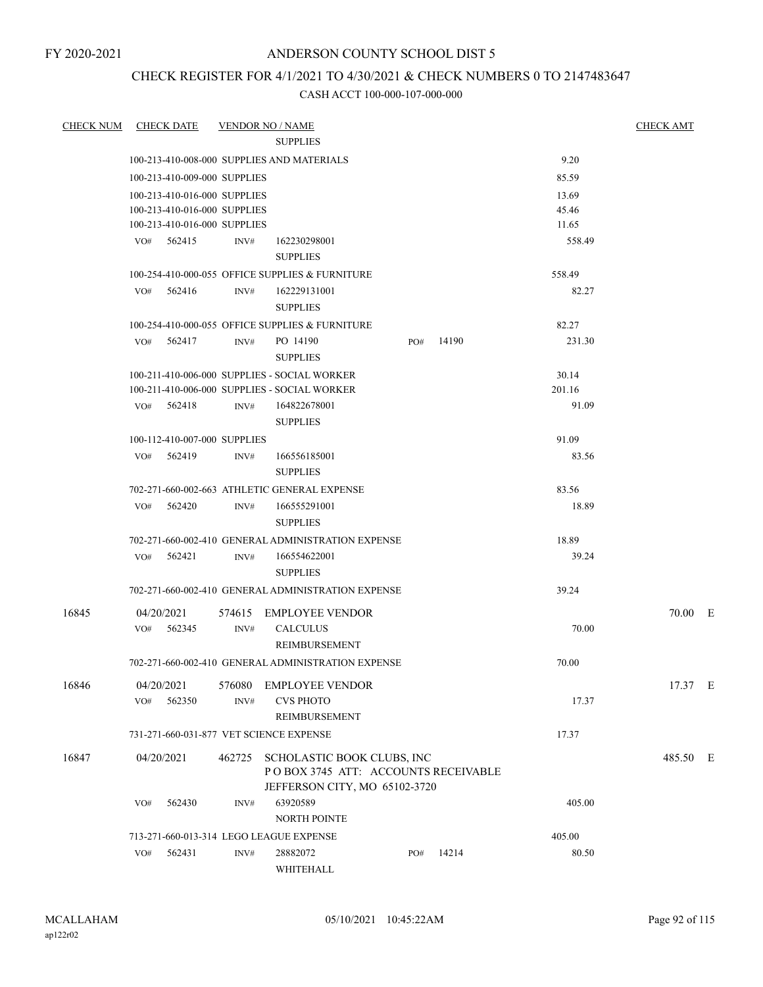# CHECK REGISTER FOR 4/1/2021 TO 4/30/2021 & CHECK NUMBERS 0 TO 2147483647

| <b>CHECK NUM</b> |                   | <b>CHECK DATE</b>            |                | <b>VENDOR NO / NAME</b>                                                                                   |     |       |        | <b>CHECK AMT</b> |
|------------------|-------------------|------------------------------|----------------|-----------------------------------------------------------------------------------------------------------|-----|-------|--------|------------------|
|                  |                   |                              |                | <b>SUPPLIES</b>                                                                                           |     |       |        |                  |
|                  |                   |                              |                | 100-213-410-008-000 SUPPLIES AND MATERIALS                                                                |     |       | 9.20   |                  |
|                  |                   | 100-213-410-009-000 SUPPLIES |                |                                                                                                           |     |       | 85.59  |                  |
|                  |                   | 100-213-410-016-000 SUPPLIES |                |                                                                                                           |     |       | 13.69  |                  |
|                  |                   | 100-213-410-016-000 SUPPLIES |                |                                                                                                           |     |       | 45.46  |                  |
|                  |                   | 100-213-410-016-000 SUPPLIES |                |                                                                                                           |     |       | 11.65  |                  |
|                  |                   | VO# 562415                   | INV#           | 162230298001<br><b>SUPPLIES</b>                                                                           |     |       | 558.49 |                  |
|                  |                   |                              |                | 100-254-410-000-055 OFFICE SUPPLIES & FURNITURE                                                           |     |       | 558.49 |                  |
|                  |                   | VO# 562416                   | INV#           | 162229131001<br><b>SUPPLIES</b>                                                                           |     |       | 82.27  |                  |
|                  |                   |                              |                | 100-254-410-000-055 OFFICE SUPPLIES & FURNITURE                                                           |     |       | 82.27  |                  |
|                  | VO#               | 562417                       | INV#           | PO 14190<br><b>SUPPLIES</b>                                                                               | PO# | 14190 | 231.30 |                  |
|                  |                   |                              |                | 100-211-410-006-000 SUPPLIES - SOCIAL WORKER                                                              |     |       | 30.14  |                  |
|                  |                   |                              |                | 100-211-410-006-000 SUPPLIES - SOCIAL WORKER                                                              |     |       | 201.16 |                  |
|                  |                   | VO# 562418                   | INV#           | 164822678001<br><b>SUPPLIES</b>                                                                           |     |       | 91.09  |                  |
|                  |                   | 100-112-410-007-000 SUPPLIES |                |                                                                                                           |     |       | 91.09  |                  |
|                  | VO#               | 562419                       | INV#           | 166556185001<br><b>SUPPLIES</b>                                                                           |     |       | 83.56  |                  |
|                  |                   |                              |                | 702-271-660-002-663 ATHLETIC GENERAL EXPENSE                                                              |     |       | 83.56  |                  |
|                  | VO#               | 562420                       | INV#           | 166555291001<br><b>SUPPLIES</b>                                                                           |     |       | 18.89  |                  |
|                  |                   |                              |                | 702-271-660-002-410 GENERAL ADMINISTRATION EXPENSE                                                        |     |       | 18.89  |                  |
|                  |                   | $VO#$ 562421                 | INV#           | 166554622001<br><b>SUPPLIES</b>                                                                           |     |       | 39.24  |                  |
|                  |                   |                              |                | 702-271-660-002-410 GENERAL ADMINISTRATION EXPENSE                                                        |     |       | 39.24  |                  |
| 16845            |                   | 04/20/2021                   |                | 574615 EMPLOYEE VENDOR                                                                                    |     |       |        | 70.00 E          |
|                  |                   | $VO#$ 562345                 | INV#           | <b>CALCULUS</b><br>REIMBURSEMENT                                                                          |     |       | 70.00  |                  |
|                  |                   |                              |                | 702-271-660-002-410 GENERAL ADMINISTRATION EXPENSE                                                        |     |       | 70.00  |                  |
|                  |                   |                              |                |                                                                                                           |     |       |        |                  |
| 16846            | 04/20/2021<br>VO# | 562350                       | 576080<br>INV# | <b>EMPLOYEE VENDOR</b><br><b>CVS PHOTO</b><br><b>REIMBURSEMENT</b>                                        |     |       | 17.37  | 17.37 E          |
|                  |                   |                              |                | 731-271-660-031-877 VET SCIENCE EXPENSE                                                                   |     |       | 17.37  |                  |
|                  |                   |                              |                |                                                                                                           |     |       |        | 485.50 E         |
| 16847            |                   | 04/20/2021                   |                | 462725 SCHOLASTIC BOOK CLUBS, INC<br>POBOX 3745 ATT: ACCOUNTS RECEIVABLE<br>JEFFERSON CITY, MO 65102-3720 |     |       |        |                  |
|                  | VO#               | 562430                       | INV#           | 63920589<br><b>NORTH POINTE</b>                                                                           |     |       | 405.00 |                  |
|                  |                   |                              |                | 713-271-660-013-314 LEGO LEAGUE EXPENSE                                                                   |     |       | 405.00 |                  |
|                  | VO#               | 562431                       | INV#           | 28882072<br>WHITEHALL                                                                                     | PO# | 14214 | 80.50  |                  |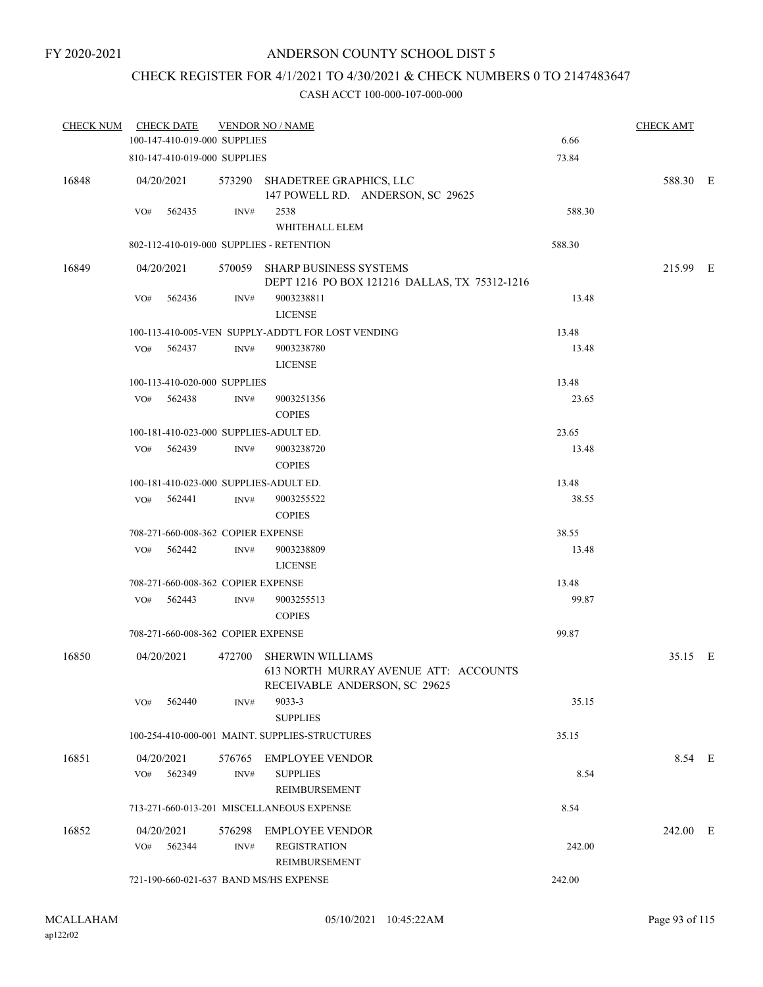# CHECK REGISTER FOR 4/1/2021 TO 4/30/2021 & CHECK NUMBERS 0 TO 2147483647

| <b>CHECK NUM</b> | <b>CHECK DATE</b>                        |                | <b>VENDOR NO / NAME</b>                                                                           |        | <b>CHECK AMT</b> |  |
|------------------|------------------------------------------|----------------|---------------------------------------------------------------------------------------------------|--------|------------------|--|
|                  | 100-147-410-019-000 SUPPLIES             |                |                                                                                                   | 6.66   |                  |  |
|                  | 810-147-410-019-000 SUPPLIES             |                |                                                                                                   | 73.84  |                  |  |
| 16848            | 04/20/2021                               |                | 573290 SHADETREE GRAPHICS, LLC<br>147 POWELL RD. ANDERSON, SC 29625                               |        | 588.30 E         |  |
|                  | 562435<br>VO#                            | INV#           | 2538<br>WHITEHALL ELEM                                                                            | 588.30 |                  |  |
|                  | 802-112-410-019-000 SUPPLIES - RETENTION |                |                                                                                                   | 588.30 |                  |  |
| 16849            | 04/20/2021                               |                | 570059 SHARP BUSINESS SYSTEMS<br>DEPT 1216 PO BOX 121216 DALLAS, TX 75312-1216                    |        | 215.99 E         |  |
|                  | VO#<br>562436                            | INV#           | 9003238811<br><b>LICENSE</b>                                                                      | 13.48  |                  |  |
|                  |                                          |                | 100-113-410-005-VEN SUPPLY-ADDT'L FOR LOST VENDING                                                | 13.48  |                  |  |
|                  | 562437<br>VO#                            | INV#           | 9003238780<br><b>LICENSE</b>                                                                      | 13.48  |                  |  |
|                  | 100-113-410-020-000 SUPPLIES             |                |                                                                                                   | 13.48  |                  |  |
|                  | 562438<br>VO#                            | INV#           | 9003251356<br><b>COPIES</b>                                                                       | 23.65  |                  |  |
|                  | 100-181-410-023-000 SUPPLIES-ADULT ED.   |                |                                                                                                   | 23.65  |                  |  |
|                  | 562439<br>VO#                            | INV#           | 9003238720<br><b>COPIES</b>                                                                       | 13.48  |                  |  |
|                  | 100-181-410-023-000 SUPPLIES-ADULT ED.   |                |                                                                                                   | 13.48  |                  |  |
|                  | VO#<br>562441                            | INV#           | 9003255522<br><b>COPIES</b>                                                                       | 38.55  |                  |  |
|                  | 708-271-660-008-362 COPIER EXPENSE       |                |                                                                                                   | 38.55  |                  |  |
|                  | VO#<br>562442                            | INV#           | 9003238809<br><b>LICENSE</b>                                                                      | 13.48  |                  |  |
|                  | 708-271-660-008-362 COPIER EXPENSE       |                |                                                                                                   | 13.48  |                  |  |
|                  | 562443<br>VO#                            | INV#           | 9003255513<br><b>COPIES</b>                                                                       | 99.87  |                  |  |
|                  | 708-271-660-008-362 COPIER EXPENSE       |                |                                                                                                   | 99.87  |                  |  |
| 16850            | 04/20/2021                               | 472700         | <b>SHERWIN WILLIAMS</b><br>613 NORTH MURRAY AVENUE ATT: ACCOUNTS<br>RECEIVABLE ANDERSON, SC 29625 |        | 35.15 E          |  |
|                  | 562440<br>VO#                            | INV#           | 9033-3<br><b>SUPPLIES</b>                                                                         | 35.15  |                  |  |
|                  |                                          |                | 100-254-410-000-001 MAINT. SUPPLIES-STRUCTURES                                                    | 35.15  |                  |  |
| 16851            | 04/20/2021<br>562349<br>VO#              | 576765<br>INV# | <b>EMPLOYEE VENDOR</b><br><b>SUPPLIES</b><br><b>REIMBURSEMENT</b>                                 | 8.54   | 8.54 E           |  |
|                  |                                          |                | 713-271-660-013-201 MISCELLANEOUS EXPENSE                                                         | 8.54   |                  |  |
|                  |                                          |                |                                                                                                   |        |                  |  |
| 16852            | 04/20/2021<br>VO#<br>562344              | 576298<br>INV# | <b>EMPLOYEE VENDOR</b><br><b>REGISTRATION</b><br>REIMBURSEMENT                                    | 242.00 | 242.00 E         |  |
|                  | 721-190-660-021-637 BAND MS/HS EXPENSE   |                |                                                                                                   | 242.00 |                  |  |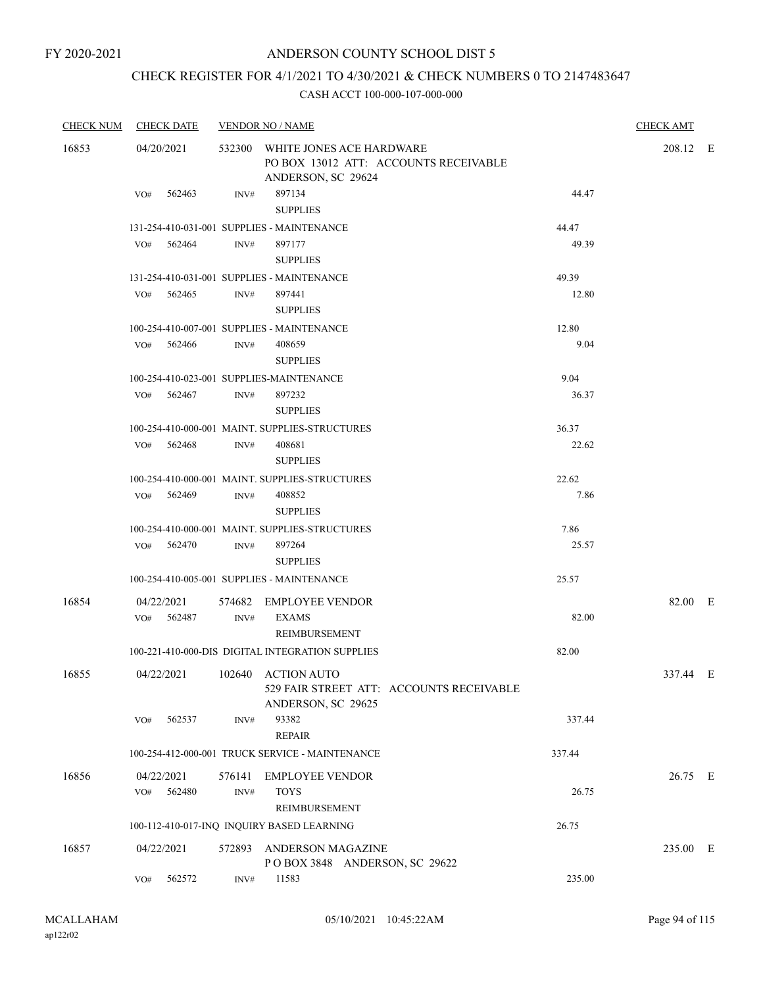# CHECK REGISTER FOR 4/1/2021 TO 4/30/2021 & CHECK NUMBERS 0 TO 2147483647

| <b>CHECK NUM</b> | <b>CHECK DATE</b>           |                | <b>VENDOR NO / NAME</b>                                                                        |        | <b>CHECK AMT</b> |  |
|------------------|-----------------------------|----------------|------------------------------------------------------------------------------------------------|--------|------------------|--|
| 16853            | 04/20/2021                  |                | 532300 WHITE JONES ACE HARDWARE<br>PO BOX 13012 ATT: ACCOUNTS RECEIVABLE<br>ANDERSON, SC 29624 |        | 208.12 E         |  |
|                  | 562463<br>VO#               | INV#           | 897134<br><b>SUPPLIES</b>                                                                      | 44.47  |                  |  |
|                  |                             |                | 131-254-410-031-001 SUPPLIES - MAINTENANCE                                                     | 44.47  |                  |  |
|                  | 562464<br>VO#               | INV#           | 897177<br><b>SUPPLIES</b>                                                                      | 49.39  |                  |  |
|                  |                             |                | 131-254-410-031-001 SUPPLIES - MAINTENANCE                                                     | 49.39  |                  |  |
|                  | VO#<br>562465               | INV#           | 897441<br><b>SUPPLIES</b>                                                                      | 12.80  |                  |  |
|                  |                             |                | 100-254-410-007-001 SUPPLIES - MAINTENANCE                                                     | 12.80  |                  |  |
|                  | VO# 562466                  | INV#           | 408659<br><b>SUPPLIES</b>                                                                      | 9.04   |                  |  |
|                  |                             |                | 100-254-410-023-001 SUPPLIES-MAINTENANCE                                                       | 9.04   |                  |  |
|                  | VO# 562467                  | INV#           | 897232<br><b>SUPPLIES</b>                                                                      | 36.37  |                  |  |
|                  |                             |                | 100-254-410-000-001 MAINT. SUPPLIES-STRUCTURES                                                 | 36.37  |                  |  |
|                  | 562468<br>VO#               | INV#           | 408681<br><b>SUPPLIES</b>                                                                      | 22.62  |                  |  |
|                  |                             |                | 100-254-410-000-001 MAINT. SUPPLIES-STRUCTURES                                                 | 22.62  |                  |  |
|                  | VO# 562469                  | INV#           | 408852<br><b>SUPPLIES</b>                                                                      | 7.86   |                  |  |
|                  |                             |                | 100-254-410-000-001 MAINT. SUPPLIES-STRUCTURES                                                 | 7.86   |                  |  |
|                  | $VO#$ 562470                | INV#           | 897264<br><b>SUPPLIES</b>                                                                      | 25.57  |                  |  |
|                  |                             |                | 100-254-410-005-001 SUPPLIES - MAINTENANCE                                                     | 25.57  |                  |  |
| 16854            | 04/22/2021<br>VO# 562487    | INV#           | 574682 EMPLOYEE VENDOR<br><b>EXAMS</b>                                                         | 82.00  | 82.00 E          |  |
|                  |                             |                | <b>REIMBURSEMENT</b><br>100-221-410-000-DIS DIGITAL INTEGRATION SUPPLIES                       | 82.00  |                  |  |
| 16855            | 04/22/2021                  |                | 102640 ACTION AUTO<br>529 FAIR STREET ATT: ACCOUNTS RECEIVABLE                                 |        | 337.44 E         |  |
|                  | 562537<br>VO#               | INV#           | ANDERSON, SC 29625<br>93382                                                                    | 337.44 |                  |  |
|                  |                             |                | <b>REPAIR</b>                                                                                  |        |                  |  |
|                  |                             |                | 100-254-412-000-001 TRUCK SERVICE - MAINTENANCE                                                | 337.44 |                  |  |
| 16856            | 04/22/2021<br>562480<br>VO# | 576141<br>INV# | EMPLOYEE VENDOR<br><b>TOYS</b><br>REIMBURSEMENT                                                | 26.75  | 26.75 E          |  |
|                  |                             |                | 100-112-410-017-INQ INQUIRY BASED LEARNING                                                     | 26.75  |                  |  |
| 16857            | 04/22/2021                  | 572893         | ANDERSON MAGAZINE<br>POBOX 3848 ANDERSON, SC 29622                                             |        | 235.00 E         |  |
|                  | 562572<br>VO#               | INV#           | 11583                                                                                          | 235.00 |                  |  |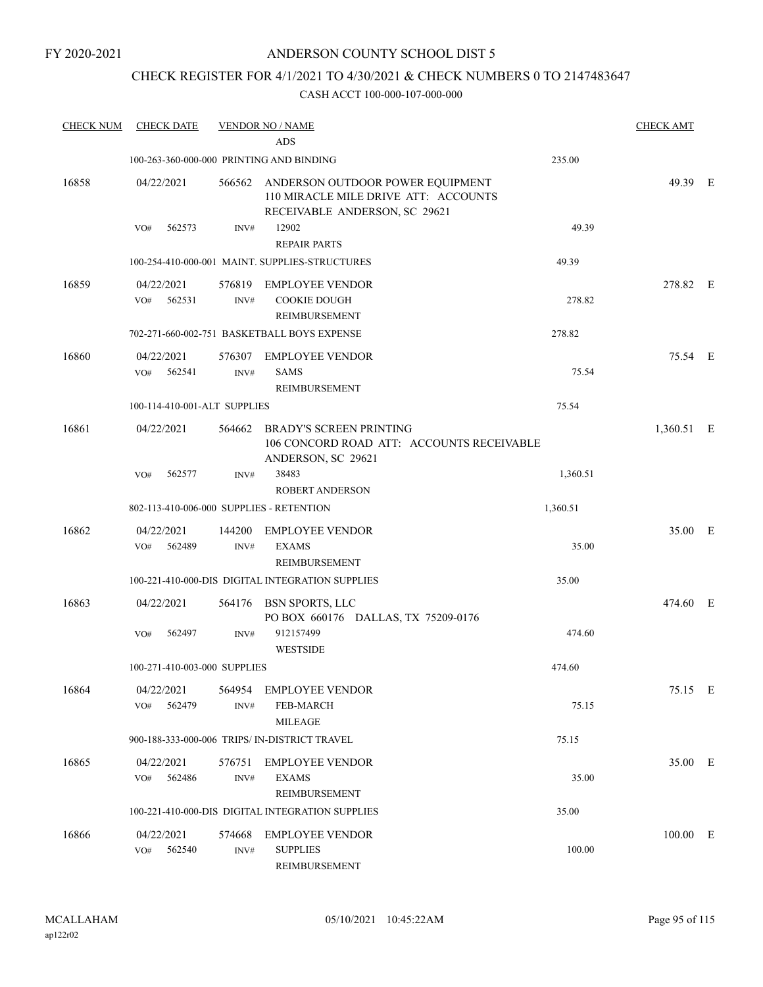# CHECK REGISTER FOR 4/1/2021 TO 4/30/2021 & CHECK NUMBERS 0 TO 2147483647

| <b>CHECK NUM</b> | <b>CHECK DATE</b>                        |                | <b>VENDOR NO / NAME</b><br>ADS                                                                                   |          | <b>CHECK AMT</b> |  |
|------------------|------------------------------------------|----------------|------------------------------------------------------------------------------------------------------------------|----------|------------------|--|
|                  | 100-263-360-000-000 PRINTING AND BINDING |                |                                                                                                                  | 235.00   |                  |  |
| 16858            | 04/22/2021                               |                | 566562 ANDERSON OUTDOOR POWER EQUIPMENT<br>110 MIRACLE MILE DRIVE ATT: ACCOUNTS<br>RECEIVABLE ANDERSON, SC 29621 |          | 49.39 E          |  |
|                  | 562573<br>VO#                            | INV#           | 12902<br><b>REPAIR PARTS</b>                                                                                     | 49.39    |                  |  |
|                  |                                          |                | 100-254-410-000-001 MAINT. SUPPLIES-STRUCTURES                                                                   | 49.39    |                  |  |
| 16859            | 04/22/2021<br>562531<br>VO#              | 576819<br>INV# | <b>EMPLOYEE VENDOR</b><br><b>COOKIE DOUGH</b><br>REIMBURSEMENT                                                   | 278.82   | 278.82 E         |  |
|                  |                                          |                | 702-271-660-002-751 BASKETBALL BOYS EXPENSE                                                                      | 278.82   |                  |  |
| 16860            | 04/22/2021<br>VO#<br>562541              | INV#           | 576307 EMPLOYEE VENDOR<br>SAMS<br>REIMBURSEMENT                                                                  | 75.54    | 75.54 E          |  |
|                  | 100-114-410-001-ALT SUPPLIES             |                |                                                                                                                  | 75.54    |                  |  |
| 16861            | 04/22/2021                               | 564662         | <b>BRADY'S SCREEN PRINTING</b><br>106 CONCORD ROAD ATT: ACCOUNTS RECEIVABLE<br>ANDERSON, SC 29621                |          | 1,360.51 E       |  |
|                  | 562577<br>VO#                            | INV#           | 38483<br><b>ROBERT ANDERSON</b>                                                                                  | 1,360.51 |                  |  |
|                  | 802-113-410-006-000 SUPPLIES - RETENTION |                |                                                                                                                  | 1,360.51 |                  |  |
| 16862            | 04/22/2021<br>562489<br>VO#              | 144200<br>INV# | <b>EMPLOYEE VENDOR</b><br><b>EXAMS</b><br>REIMBURSEMENT                                                          | 35.00    | 35.00 E          |  |
|                  |                                          |                | 100-221-410-000-DIS DIGITAL INTEGRATION SUPPLIES                                                                 | 35.00    |                  |  |
| 16863            | 04/22/2021                               |                | 564176 BSN SPORTS, LLC<br>PO BOX 660176 DALLAS, TX 75209-0176                                                    |          | 474.60 E         |  |
|                  | 562497<br>VO#                            | INV#           | 912157499<br><b>WESTSIDE</b>                                                                                     | 474.60   |                  |  |
|                  | 100-271-410-003-000 SUPPLIES             |                |                                                                                                                  | 474.60   |                  |  |
| 16864            | 04/22/2021<br>562479<br>VO#              | INV#           | 564954 EMPLOYEE VENDOR<br><b>FEB-MARCH</b><br><b>MILEAGE</b>                                                     | 75.15    | 75.15 E          |  |
|                  |                                          |                | 900-188-333-000-006 TRIPS/ IN-DISTRICT TRAVEL                                                                    | 75.15    |                  |  |
| 16865            | 04/22/2021<br>562486<br>VO#              | 576751<br>INV# | <b>EMPLOYEE VENDOR</b><br><b>EXAMS</b><br>REIMBURSEMENT                                                          | 35.00    | 35.00 E          |  |
|                  |                                          |                | 100-221-410-000-DIS DIGITAL INTEGRATION SUPPLIES                                                                 | 35.00    |                  |  |
| 16866            | 04/22/2021<br>562540<br>VO#              | 574668<br>INV# | <b>EMPLOYEE VENDOR</b><br><b>SUPPLIES</b><br><b>REIMBURSEMENT</b>                                                | 100.00   | 100.00 E         |  |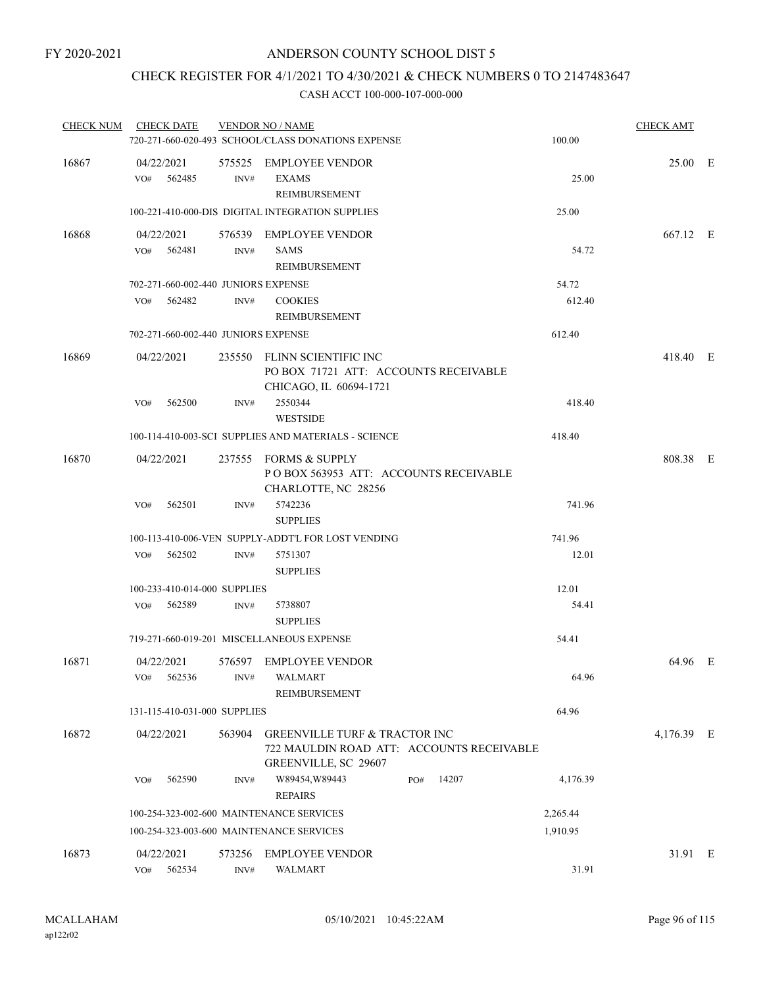# CHECK REGISTER FOR 4/1/2021 TO 4/30/2021 & CHECK NUMBERS 0 TO 2147483647

| <b>CHECK NUM</b> | <b>CHECK DATE</b>           |                                     | <b>VENDOR NO / NAME</b><br>720-271-660-020-493 SCHOOL/CLASS DONATIONS EXPENSE                                        |              | 100.00   | <b>CHECK AMT</b> |  |
|------------------|-----------------------------|-------------------------------------|----------------------------------------------------------------------------------------------------------------------|--------------|----------|------------------|--|
| 16867            | 04/22/2021<br>VO# 562485    | INV#                                | 575525 EMPLOYEE VENDOR<br><b>EXAMS</b><br>REIMBURSEMENT                                                              |              | 25.00    | 25.00 E          |  |
|                  |                             |                                     | 100-221-410-000-DIS DIGITAL INTEGRATION SUPPLIES                                                                     |              | 25.00    |                  |  |
| 16868            | 04/22/2021<br>VO# 562481    | INV#                                | 576539 EMPLOYEE VENDOR<br><b>SAMS</b><br>REIMBURSEMENT                                                               |              | 54.72    | 667.12 E         |  |
|                  |                             | 702-271-660-002-440 JUNIORS EXPENSE |                                                                                                                      |              | 54.72    |                  |  |
|                  | VO#<br>562482               | INV#                                | <b>COOKIES</b><br>REIMBURSEMENT                                                                                      |              | 612.40   |                  |  |
|                  |                             | 702-271-660-002-440 JUNIORS EXPENSE |                                                                                                                      |              | 612.40   |                  |  |
| 16869            | 04/22/2021                  |                                     | 235550 FLINN SCIENTIFIC INC<br>PO BOX 71721 ATT: ACCOUNTS RECEIVABLE<br>CHICAGO, IL 60694-1721                       |              |          | 418.40 E         |  |
|                  | 562500<br>VO#               | INV#                                | 2550344<br><b>WESTSIDE</b>                                                                                           |              | 418.40   |                  |  |
|                  |                             |                                     | 100-114-410-003-SCI SUPPLIES AND MATERIALS - SCIENCE                                                                 |              | 418.40   |                  |  |
| 16870            | 04/22/2021                  |                                     | 237555 FORMS & SUPPLY<br>POBOX 563953 ATT: ACCOUNTS RECEIVABLE<br>CHARLOTTE, NC 28256                                |              |          | 808.38 E         |  |
|                  | 562501<br>VO#               | INV#                                | 5742236<br><b>SUPPLIES</b>                                                                                           |              | 741.96   |                  |  |
|                  |                             |                                     | 100-113-410-006-VEN SUPPLY-ADDT'L FOR LOST VENDING                                                                   |              | 741.96   |                  |  |
|                  | 562502<br>VO#               | INV#                                | 5751307<br><b>SUPPLIES</b>                                                                                           |              | 12.01    |                  |  |
|                  |                             | 100-233-410-014-000 SUPPLIES        |                                                                                                                      |              | 12.01    |                  |  |
|                  | 562589<br>VO#               | INV#                                | 5738807<br><b>SUPPLIES</b>                                                                                           |              | 54.41    |                  |  |
|                  |                             |                                     | 719-271-660-019-201 MISCELLANEOUS EXPENSE                                                                            |              | 54.41    |                  |  |
| 16871            | 04/22/2021                  |                                     | 576597 EMPLOYEE VENDOR<br>VO# 562536 INV# WALMART<br><b>REIMBURSEMENT</b>                                            |              | 64.96    | 64.96 E          |  |
|                  |                             | 131-115-410-031-000 SUPPLIES        |                                                                                                                      |              | 64.96    |                  |  |
| 16872            | 04/22/2021                  | 563904                              | <b>GREENVILLE TURF &amp; TRACTOR INC</b><br>722 MAULDIN ROAD ATT: ACCOUNTS RECEIVABLE<br><b>GREENVILLE, SC 29607</b> |              |          | 4,176.39 E       |  |
|                  | 562590<br>VO#               | INV#                                | W89454, W89443<br><b>REPAIRS</b>                                                                                     | 14207<br>PO# | 4,176.39 |                  |  |
|                  |                             |                                     | 100-254-323-002-600 MAINTENANCE SERVICES                                                                             |              | 2,265.44 |                  |  |
|                  |                             |                                     | 100-254-323-003-600 MAINTENANCE SERVICES                                                                             |              | 1,910.95 |                  |  |
| 16873            | 04/22/2021<br>562534<br>VO# | 573256<br>INV#                      | EMPLOYEE VENDOR<br><b>WALMART</b>                                                                                    |              | 31.91    | 31.91 E          |  |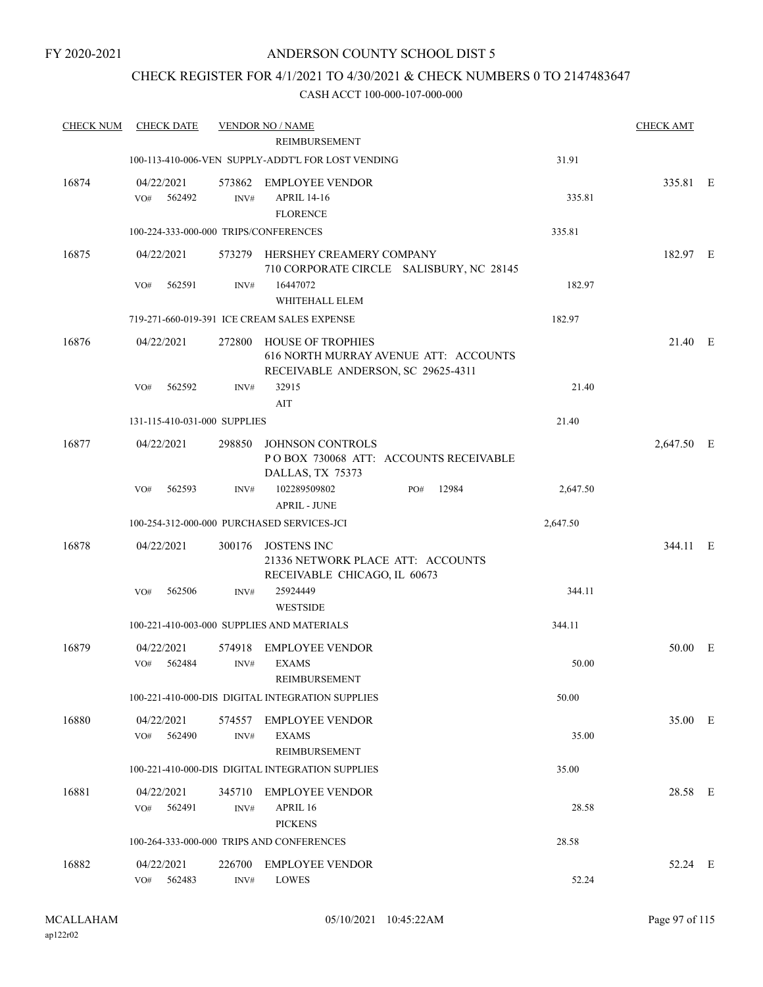## CHECK REGISTER FOR 4/1/2021 TO 4/30/2021 & CHECK NUMBERS 0 TO 2147483647

| <b>CHECK NUM</b> | CHECK DATE                            |                | <b>VENDOR NO / NAME</b>                                                                                 |          | <b>CHECK AMT</b> |  |
|------------------|---------------------------------------|----------------|---------------------------------------------------------------------------------------------------------|----------|------------------|--|
|                  |                                       |                | REIMBURSEMENT                                                                                           |          |                  |  |
|                  |                                       |                | 100-113-410-006-VEN SUPPLY-ADDT'L FOR LOST VENDING                                                      | 31.91    |                  |  |
| 16874            | 04/22/2021<br>562492<br>VO#           | 573862<br>INV# | <b>EMPLOYEE VENDOR</b><br><b>APRIL 14-16</b><br><b>FLORENCE</b>                                         | 335.81   | 335.81 E         |  |
|                  | 100-224-333-000-000 TRIPS/CONFERENCES |                |                                                                                                         | 335.81   |                  |  |
| 16875            | 04/22/2021                            |                | 573279 HERSHEY CREAMERY COMPANY<br>710 CORPORATE CIRCLE SALISBURY, NC 28145                             |          | 182.97 E         |  |
|                  | 562591<br>VO#                         | INV#           | 16447072<br>WHITEHALL ELEM                                                                              | 182.97   |                  |  |
|                  |                                       |                | 719-271-660-019-391 ICE CREAM SALES EXPENSE                                                             | 182.97   |                  |  |
| 16876            | 04/22/2021                            | 272800         | <b>HOUSE OF TROPHIES</b><br>616 NORTH MURRAY AVENUE ATT: ACCOUNTS<br>RECEIVABLE ANDERSON, SC 29625-4311 |          | 21.40 E          |  |
|                  | 562592<br>VO#                         | INV#           | 32915<br>AIT                                                                                            | 21.40    |                  |  |
|                  | 131-115-410-031-000 SUPPLIES          |                |                                                                                                         | 21.40    |                  |  |
| 16877            | 04/22/2021                            | 298850         | <b>JOHNSON CONTROLS</b><br>POBOX 730068 ATT: ACCOUNTS RECEIVABLE<br>DALLAS, TX 75373                    |          | 2,647.50 E       |  |
|                  | 562593<br>VO#                         | INV#           | 102289509802<br>12984<br>PO#<br><b>APRIL - JUNE</b>                                                     | 2,647.50 |                  |  |
|                  |                                       |                | 100-254-312-000-000 PURCHASED SERVICES-JCI                                                              | 2,647.50 |                  |  |
| 16878            | 04/22/2021                            | 300176         | <b>JOSTENS INC</b><br>21336 NETWORK PLACE ATT: ACCOUNTS<br>RECEIVABLE CHICAGO, IL 60673                 |          | 344.11 E         |  |
|                  | 562506<br>VO#                         | INV#           | 25924449<br><b>WESTSIDE</b>                                                                             | 344.11   |                  |  |
|                  |                                       |                | 100-221-410-003-000 SUPPLIES AND MATERIALS                                                              | 344.11   |                  |  |
| 16879            | 04/22/2021<br>VO#<br>562484           | 574918<br>INV# | <b>EMPLOYEE VENDOR</b><br><b>EXAMS</b><br>REIMBURSEMENT                                                 | 50.00    | 50.00 E          |  |
|                  |                                       |                | 100-221-410-000-DIS DIGITAL INTEGRATION SUPPLIES                                                        | 50.00    |                  |  |
| 16880            | 04/22/2021<br>562490<br>VO#           | 574557<br>INV# | <b>EMPLOYEE VENDOR</b><br><b>EXAMS</b>                                                                  | 35.00    | 35.00 E          |  |
|                  |                                       |                | REIMBURSEMENT<br>100-221-410-000-DIS DIGITAL INTEGRATION SUPPLIES                                       | 35.00    |                  |  |
| 16881            | 04/22/2021                            | 345710         | <b>EMPLOYEE VENDOR</b>                                                                                  |          | 28.58 E          |  |
|                  | 562491<br>VO#                         | INV#           | APRIL 16<br><b>PICKENS</b>                                                                              | 28.58    |                  |  |
|                  |                                       |                | 100-264-333-000-000 TRIPS AND CONFERENCES                                                               | 28.58    |                  |  |
| 16882            | 04/22/2021<br>562483<br>VO#           | 226700<br>INV# | <b>EMPLOYEE VENDOR</b><br><b>LOWES</b>                                                                  | 52.24    | 52.24 E          |  |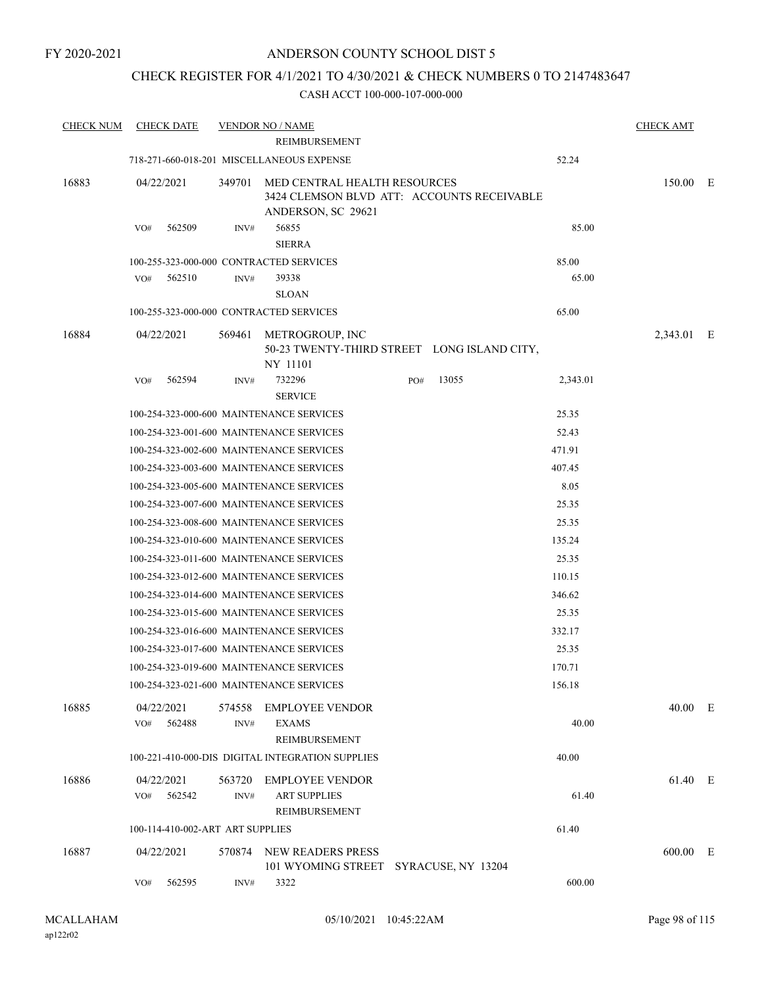### CHECK REGISTER FOR 4/1/2021 TO 4/30/2021 & CHECK NUMBERS 0 TO 2147483647

| <b>CHECK NUM</b> | <b>CHECK DATE</b>                        |                | <b>VENDOR NO / NAME</b>                                                                          |     |       |          | <b>CHECK AMT</b> |  |
|------------------|------------------------------------------|----------------|--------------------------------------------------------------------------------------------------|-----|-------|----------|------------------|--|
|                  |                                          |                | REIMBURSEMENT                                                                                    |     |       |          |                  |  |
|                  |                                          |                | 718-271-660-018-201 MISCELLANEOUS EXPENSE                                                        |     |       | 52.24    |                  |  |
| 16883            | 04/22/2021                               | 349701         | MED CENTRAL HEALTH RESOURCES<br>3424 CLEMSON BLVD ATT: ACCOUNTS RECEIVABLE<br>ANDERSON, SC 29621 |     |       |          | 150.00 E         |  |
|                  | 562509<br>VO#                            | INV#           | 56855<br><b>SIERRA</b>                                                                           |     |       | 85.00    |                  |  |
|                  | 100-255-323-000-000 CONTRACTED SERVICES  |                |                                                                                                  |     |       | 85.00    |                  |  |
|                  | 562510<br>VO#                            | INV#           | 39338                                                                                            |     |       | 65.00    |                  |  |
|                  |                                          |                | <b>SLOAN</b>                                                                                     |     |       |          |                  |  |
|                  | 100-255-323-000-000 CONTRACTED SERVICES  |                |                                                                                                  |     |       | 65.00    |                  |  |
| 16884            | 04/22/2021                               | 569461         | METROGROUP, INC<br>50-23 TWENTY-THIRD STREET LONG ISLAND CITY,<br>NY 11101                       |     |       |          | 2,343.01 E       |  |
|                  | 562594<br>VO#                            | INV#           | 732296<br><b>SERVICE</b>                                                                         | PO# | 13055 | 2,343.01 |                  |  |
|                  | 100-254-323-000-600 MAINTENANCE SERVICES |                |                                                                                                  |     |       | 25.35    |                  |  |
|                  | 100-254-323-001-600 MAINTENANCE SERVICES |                |                                                                                                  |     |       | 52.43    |                  |  |
|                  | 100-254-323-002-600 MAINTENANCE SERVICES |                |                                                                                                  |     |       | 471.91   |                  |  |
|                  | 100-254-323-003-600 MAINTENANCE SERVICES |                |                                                                                                  |     |       | 407.45   |                  |  |
|                  | 100-254-323-005-600 MAINTENANCE SERVICES |                |                                                                                                  |     |       | 8.05     |                  |  |
|                  | 100-254-323-007-600 MAINTENANCE SERVICES |                |                                                                                                  |     |       | 25.35    |                  |  |
|                  | 100-254-323-008-600 MAINTENANCE SERVICES |                |                                                                                                  |     |       | 25.35    |                  |  |
|                  | 100-254-323-010-600 MAINTENANCE SERVICES |                |                                                                                                  |     |       | 135.24   |                  |  |
|                  | 100-254-323-011-600 MAINTENANCE SERVICES |                |                                                                                                  |     |       | 25.35    |                  |  |
|                  | 100-254-323-012-600 MAINTENANCE SERVICES |                |                                                                                                  |     |       | 110.15   |                  |  |
|                  | 100-254-323-014-600 MAINTENANCE SERVICES |                |                                                                                                  |     |       | 346.62   |                  |  |
|                  | 100-254-323-015-600 MAINTENANCE SERVICES |                |                                                                                                  |     |       | 25.35    |                  |  |
|                  | 100-254-323-016-600 MAINTENANCE SERVICES |                |                                                                                                  |     |       | 332.17   |                  |  |
|                  | 100-254-323-017-600 MAINTENANCE SERVICES |                |                                                                                                  |     |       | 25.35    |                  |  |
|                  | 100-254-323-019-600 MAINTENANCE SERVICES |                |                                                                                                  |     |       | 170.71   |                  |  |
|                  | 100-254-323-021-600 MAINTENANCE SERVICES |                |                                                                                                  |     |       | 156.18   |                  |  |
| 16885            | 04/22/2021<br>562488<br>VO#              | 574558<br>INV# | <b>EMPLOYEE VENDOR</b><br>EXAMS<br>REIMBURSEMENT                                                 |     |       | 40.00    | 40.00 E          |  |
|                  |                                          |                | 100-221-410-000-DIS DIGITAL INTEGRATION SUPPLIES                                                 |     |       | 40.00    |                  |  |
| 16886            | 04/22/2021                               | 563720         | <b>EMPLOYEE VENDOR</b>                                                                           |     |       |          | 61.40 E          |  |
|                  | 562542<br>VO#                            | INV#           | <b>ART SUPPLIES</b><br>REIMBURSEMENT                                                             |     |       | 61.40    |                  |  |
|                  | 100-114-410-002-ART ART SUPPLIES         |                |                                                                                                  |     |       | 61.40    |                  |  |
| 16887            | 04/22/2021                               |                | 570874 NEW READERS PRESS<br>101 WYOMING STREET SYRACUSE, NY 13204                                |     |       |          | 600.00 E         |  |
|                  | 562595<br>VO#                            | INV#           | 3322                                                                                             |     |       | 600.00   |                  |  |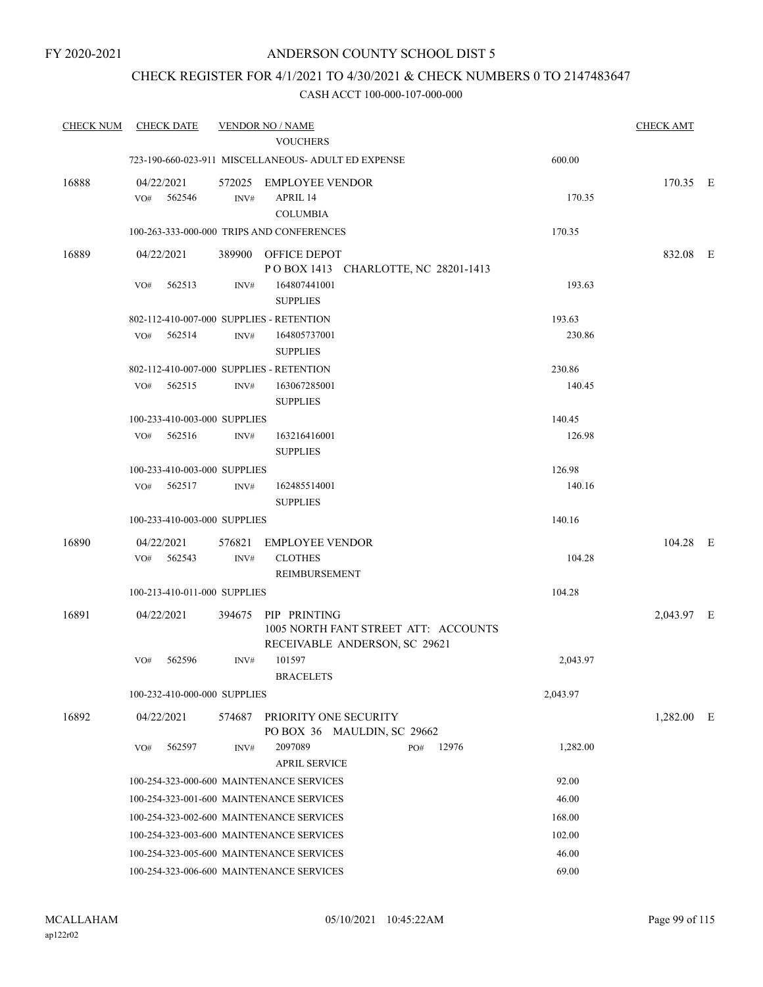## CHECK REGISTER FOR 4/1/2021 TO 4/30/2021 & CHECK NUMBERS 0 TO 2147483647

| <b>CHECK NUM</b> | <b>CHECK DATE</b>                        |        | <b>VENDOR NO / NAME</b>                                                |          | <b>CHECK AMT</b> |  |
|------------------|------------------------------------------|--------|------------------------------------------------------------------------|----------|------------------|--|
|                  |                                          |        | <b>VOUCHERS</b>                                                        |          |                  |  |
|                  |                                          |        | 723-190-660-023-911 MISCELLANEOUS- ADULT ED EXPENSE                    | 600.00   |                  |  |
| 16888            | 04/22/2021<br>562546                     |        | 572025 EMPLOYEE VENDOR                                                 |          | 170.35 E         |  |
|                  | VO#                                      | INV#   | APRIL 14<br><b>COLUMBIA</b>                                            | 170.35   |                  |  |
|                  |                                          |        | 100-263-333-000-000 TRIPS AND CONFERENCES                              | 170.35   |                  |  |
| 16889            | 04/22/2021                               |        | 389900 OFFICE DEPOT                                                    |          | 832.08 E         |  |
|                  | 562513<br>VO#                            | INV#   | POBOX 1413 CHARLOTTE, NC 28201-1413<br>164807441001<br><b>SUPPLIES</b> | 193.63   |                  |  |
|                  | 802-112-410-007-000 SUPPLIES - RETENTION |        |                                                                        | 193.63   |                  |  |
|                  | 562514<br>VO#                            | INV#   | 164805737001<br><b>SUPPLIES</b>                                        | 230.86   |                  |  |
|                  | 802-112-410-007-000 SUPPLIES - RETENTION |        |                                                                        | 230.86   |                  |  |
|                  | 562515<br>VO#                            | INV#   | 163067285001<br><b>SUPPLIES</b>                                        | 140.45   |                  |  |
|                  | 100-233-410-003-000 SUPPLIES             |        |                                                                        | 140.45   |                  |  |
|                  | 562516<br>VO#                            | INV#   | 163216416001<br><b>SUPPLIES</b>                                        | 126.98   |                  |  |
|                  | 100-233-410-003-000 SUPPLIES             |        |                                                                        | 126.98   |                  |  |
|                  | 562517<br>VO#                            | INV#   | 162485514001<br><b>SUPPLIES</b>                                        | 140.16   |                  |  |
|                  | 100-233-410-003-000 SUPPLIES             |        |                                                                        | 140.16   |                  |  |
| 16890            | 04/22/2021                               | 576821 | <b>EMPLOYEE VENDOR</b>                                                 |          | $104.28$ E       |  |
|                  | VO#<br>562543                            | INV#   | <b>CLOTHES</b><br>REIMBURSEMENT                                        | 104.28   |                  |  |
|                  | 100-213-410-011-000 SUPPLIES             |        |                                                                        | 104.28   |                  |  |
| 16891            | 04/22/2021                               |        | 394675 PIP PRINTING                                                    |          | 2,043.97 E       |  |
|                  |                                          |        | 1005 NORTH FANT STREET ATT: ACCOUNTS<br>RECEIVABLE ANDERSON, SC 29621  |          |                  |  |
|                  | VO#<br>562596                            | INV#   | 101597<br><b>BRACELETS</b>                                             | 2,043.97 |                  |  |
|                  | 100-232-410-000-000 SUPPLIES             |        |                                                                        | 2,043.97 |                  |  |
| 16892            | 04/22/2021                               |        | 574687 PRIORITY ONE SECURITY<br>PO BOX 36 MAULDIN, SC 29662            |          | $1,282.00$ E     |  |
|                  | 562597<br>VO#                            | INV#   | 2097089<br>12976<br>PO#<br><b>APRIL SERVICE</b>                        | 1,282.00 |                  |  |
|                  |                                          |        | 100-254-323-000-600 MAINTENANCE SERVICES                               | 92.00    |                  |  |
|                  |                                          |        | 100-254-323-001-600 MAINTENANCE SERVICES                               | 46.00    |                  |  |
|                  |                                          |        | 100-254-323-002-600 MAINTENANCE SERVICES                               | 168.00   |                  |  |
|                  |                                          |        | 100-254-323-003-600 MAINTENANCE SERVICES                               | 102.00   |                  |  |
|                  |                                          |        | 100-254-323-005-600 MAINTENANCE SERVICES                               | 46.00    |                  |  |
|                  |                                          |        | 100-254-323-006-600 MAINTENANCE SERVICES                               | 69.00    |                  |  |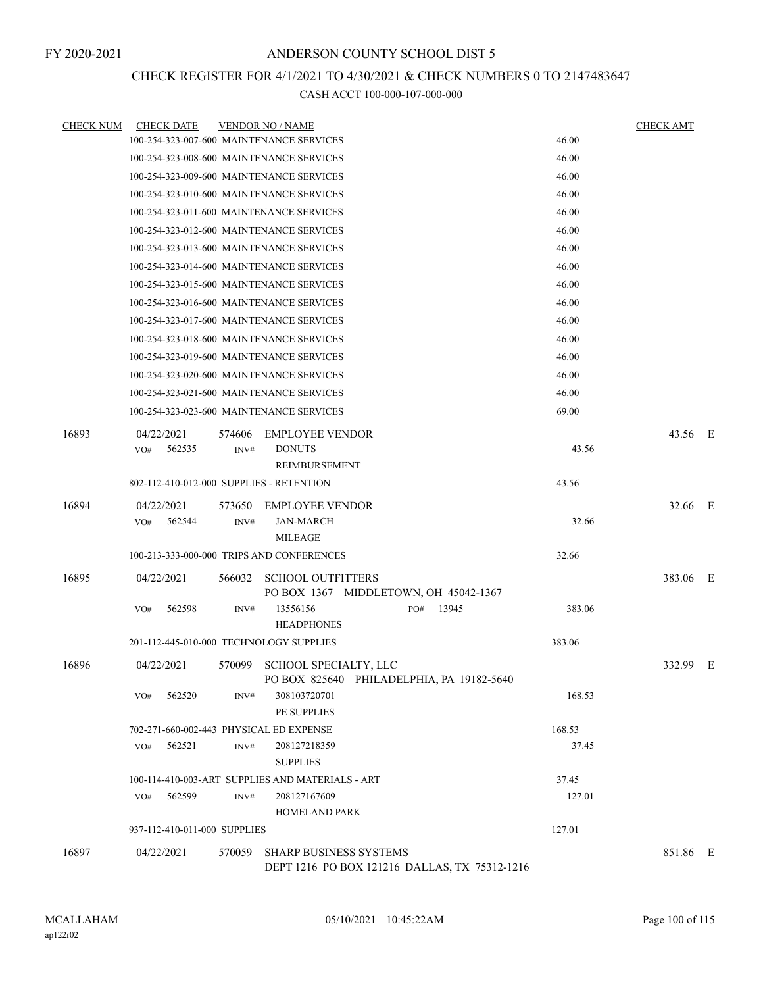# CHECK REGISTER FOR 4/1/2021 TO 4/30/2021 & CHECK NUMBERS 0 TO 2147483647

| <b>CHECK NUM</b> | <b>CHECK DATE</b>                         |                | <b>VENDOR NO / NAME</b>                                                        |        | <b>CHECK AMT</b> |  |
|------------------|-------------------------------------------|----------------|--------------------------------------------------------------------------------|--------|------------------|--|
|                  | 100-254-323-007-600 MAINTENANCE SERVICES  |                |                                                                                | 46.00  |                  |  |
|                  | 100-254-323-008-600 MAINTENANCE SERVICES  |                |                                                                                | 46.00  |                  |  |
|                  | 100-254-323-009-600 MAINTENANCE SERVICES  |                |                                                                                | 46.00  |                  |  |
|                  | 100-254-323-010-600 MAINTENANCE SERVICES  |                |                                                                                | 46.00  |                  |  |
|                  | 100-254-323-011-600 MAINTENANCE SERVICES  |                |                                                                                | 46.00  |                  |  |
|                  | 100-254-323-012-600 MAINTENANCE SERVICES  |                |                                                                                | 46.00  |                  |  |
|                  | 100-254-323-013-600 MAINTENANCE SERVICES  |                |                                                                                | 46.00  |                  |  |
|                  | 100-254-323-014-600 MAINTENANCE SERVICES  |                |                                                                                | 46.00  |                  |  |
|                  | 100-254-323-015-600 MAINTENANCE SERVICES  |                |                                                                                | 46.00  |                  |  |
|                  | 100-254-323-016-600 MAINTENANCE SERVICES  |                |                                                                                | 46.00  |                  |  |
|                  | 100-254-323-017-600 MAINTENANCE SERVICES  |                |                                                                                | 46.00  |                  |  |
|                  | 100-254-323-018-600 MAINTENANCE SERVICES  |                |                                                                                | 46.00  |                  |  |
|                  | 100-254-323-019-600 MAINTENANCE SERVICES  |                |                                                                                | 46.00  |                  |  |
|                  | 100-254-323-020-600 MAINTENANCE SERVICES  |                |                                                                                | 46.00  |                  |  |
|                  | 100-254-323-021-600 MAINTENANCE SERVICES  |                |                                                                                | 46.00  |                  |  |
|                  | 100-254-323-023-600 MAINTENANCE SERVICES  |                |                                                                                | 69.00  |                  |  |
| 16893            | 04/22/2021<br>562535<br>VO#               | 574606<br>INV# | <b>EMPLOYEE VENDOR</b><br><b>DONUTS</b><br>REIMBURSEMENT                       | 43.56  | 43.56 E          |  |
|                  | 802-112-410-012-000 SUPPLIES - RETENTION  |                |                                                                                | 43.56  |                  |  |
| 16894            | 04/22/2021<br>562544<br>VO#               | 573650<br>INV# | <b>EMPLOYEE VENDOR</b><br>JAN-MARCH<br><b>MILEAGE</b>                          | 32.66  | 32.66 E          |  |
|                  | 100-213-333-000-000 TRIPS AND CONFERENCES |                | 32.66                                                                          |        |                  |  |
| 16895            | 04/22/2021                                | 566032         | <b>SCHOOL OUTFITTERS</b><br>PO BOX 1367 MIDDLETOWN, OH 45042-1367              |        | 383.06 E         |  |
|                  | 562598<br>VO#                             | INV#           | 13556156<br>13945<br>PO#<br><b>HEADPHONES</b>                                  | 383.06 |                  |  |
|                  | 201-112-445-010-000 TECHNOLOGY SUPPLIES   |                |                                                                                | 383.06 |                  |  |
| 16896            | 04/22/2021                                | 570099         | <b>SCHOOL SPECIALTY, LLC</b><br>PO BOX 825640 PHILADELPHIA, PA 19182-5640      |        | 332.99 E         |  |
|                  | VO#<br>562520                             | INV#           | 308103720701<br>PE SUPPLIES                                                    | 168.53 |                  |  |
|                  | 702-271-660-002-443 PHYSICAL ED EXPENSE   |                |                                                                                | 168.53 |                  |  |
|                  | 562521<br>VO#                             | INV#           | 208127218359<br><b>SUPPLIES</b>                                                | 37.45  |                  |  |
|                  |                                           |                | 100-114-410-003-ART SUPPLIES AND MATERIALS - ART                               | 37.45  |                  |  |
|                  | VO#<br>562599                             | INV#           | 208127167609<br><b>HOMELAND PARK</b>                                           | 127.01 |                  |  |
|                  | 937-112-410-011-000 SUPPLIES              |                |                                                                                | 127.01 |                  |  |
| 16897            | 04/22/2021                                | 570059         | <b>SHARP BUSINESS SYSTEMS</b><br>DEPT 1216 PO BOX 121216 DALLAS, TX 75312-1216 |        | 851.86 E         |  |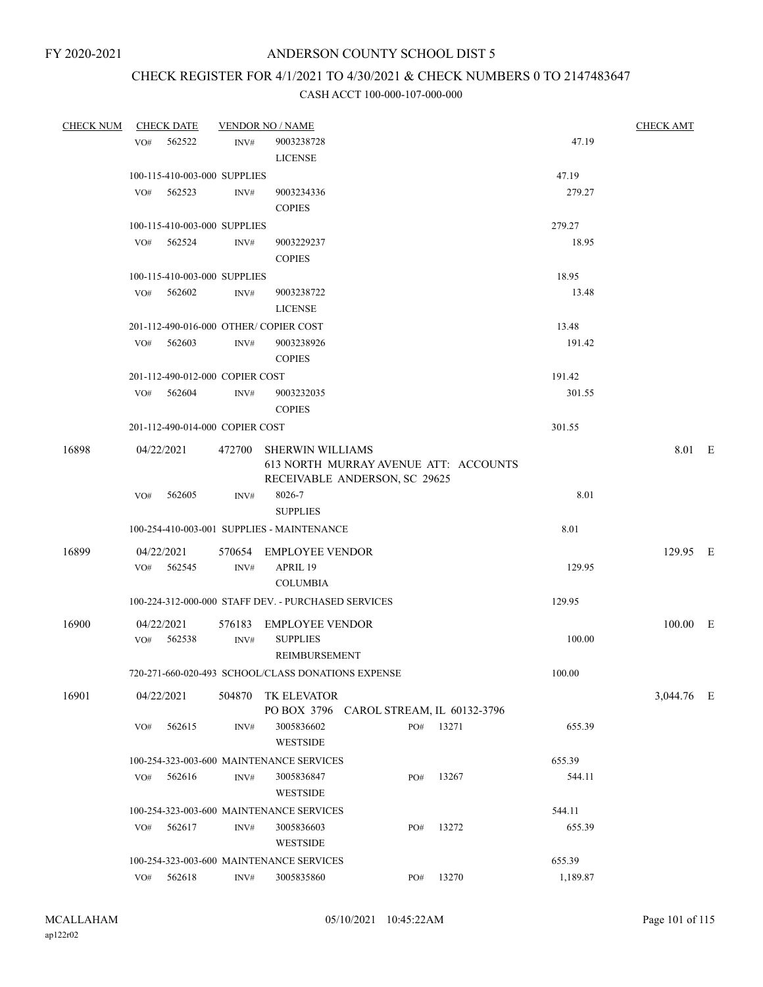# CHECK REGISTER FOR 4/1/2021 TO 4/30/2021 & CHECK NUMBERS 0 TO 2147483647

| <b>CHECK NUM</b> |     | <b>CHECK DATE</b>               |        | <b>VENDOR NO / NAME</b>                             |     |                                       |          | <b>CHECK AMT</b> |  |
|------------------|-----|---------------------------------|--------|-----------------------------------------------------|-----|---------------------------------------|----------|------------------|--|
|                  | VO# | 562522                          | INV#   | 9003238728                                          |     |                                       | 47.19    |                  |  |
|                  |     |                                 |        | <b>LICENSE</b>                                      |     |                                       |          |                  |  |
|                  |     | 100-115-410-003-000 SUPPLIES    |        |                                                     |     |                                       | 47.19    |                  |  |
|                  |     | VO# 562523                      | INV#   | 9003234336                                          |     |                                       | 279.27   |                  |  |
|                  |     |                                 |        | <b>COPIES</b>                                       |     |                                       |          |                  |  |
|                  |     | 100-115-410-003-000 SUPPLIES    |        |                                                     |     |                                       | 279.27   |                  |  |
|                  |     | $VO#$ 562524                    | INV#   | 9003229237                                          |     |                                       | 18.95    |                  |  |
|                  |     |                                 |        | <b>COPIES</b>                                       |     |                                       |          |                  |  |
|                  |     | 100-115-410-003-000 SUPPLIES    |        |                                                     |     |                                       | 18.95    |                  |  |
|                  | VO# | 562602                          | INV#   | 9003238722                                          |     |                                       | 13.48    |                  |  |
|                  |     |                                 |        | <b>LICENSE</b>                                      |     |                                       |          |                  |  |
|                  |     |                                 |        | 201-112-490-016-000 OTHER/COPIER COST               |     |                                       | 13.48    |                  |  |
|                  | VO# | 562603                          | INV#   | 9003238926                                          |     |                                       | 191.42   |                  |  |
|                  |     |                                 |        | <b>COPIES</b>                                       |     |                                       |          |                  |  |
|                  |     | 201-112-490-012-000 COPIER COST |        |                                                     |     |                                       | 191.42   |                  |  |
|                  |     | VO# 562604                      | INV#   | 9003232035                                          |     |                                       | 301.55   |                  |  |
|                  |     |                                 |        | <b>COPIES</b>                                       |     |                                       |          |                  |  |
|                  |     | 201-112-490-014-000 COPIER COST |        |                                                     |     |                                       | 301.55   |                  |  |
| 16898            |     | 04/22/2021                      |        | 472700 SHERWIN WILLIAMS                             |     |                                       |          | 8.01 E           |  |
|                  |     |                                 |        |                                                     |     | 613 NORTH MURRAY AVENUE ATT: ACCOUNTS |          |                  |  |
|                  |     |                                 |        | RECEIVABLE ANDERSON, SC 29625                       |     |                                       |          |                  |  |
|                  | VO# | 562605                          | INV#   | 8026-7                                              |     |                                       | 8.01     |                  |  |
|                  |     |                                 |        | <b>SUPPLIES</b>                                     |     |                                       |          |                  |  |
|                  |     |                                 |        | 100-254-410-003-001 SUPPLIES - MAINTENANCE          |     |                                       | 8.01     |                  |  |
| 16899            |     | 04/22/2021                      |        | 570654 EMPLOYEE VENDOR                              |     |                                       |          | 129.95 E         |  |
|                  | VO# | 562545                          | INV#   | APRIL 19                                            |     |                                       | 129.95   |                  |  |
|                  |     |                                 |        | <b>COLUMBIA</b>                                     |     |                                       |          |                  |  |
|                  |     |                                 |        | 100-224-312-000-000 STAFF DEV. - PURCHASED SERVICES |     |                                       | 129.95   |                  |  |
| 16900            |     | 04/22/2021                      | 576183 | <b>EMPLOYEE VENDOR</b>                              |     |                                       |          | $100.00$ E       |  |
|                  | VO# | 562538                          | INV#   | <b>SUPPLIES</b>                                     |     |                                       | 100.00   |                  |  |
|                  |     |                                 |        | REIMBURSEMENT                                       |     |                                       |          |                  |  |
|                  |     |                                 |        | 720-271-660-020-493 SCHOOL/CLASS DONATIONS EXPENSE  |     |                                       | 100.00   |                  |  |
| 16901            |     | 04/22/2021                      |        | 504870 TK ELEVATOR                                  |     |                                       |          | 3,044.76 E       |  |
|                  |     |                                 |        | PO BOX 3796 CAROL STREAM, IL 60132-3796             |     |                                       |          |                  |  |
|                  | VO# | 562615                          | INV#   | 3005836602                                          | PO# | 13271                                 | 655.39   |                  |  |
|                  |     |                                 |        | <b>WESTSIDE</b>                                     |     |                                       |          |                  |  |
|                  |     |                                 |        | 100-254-323-003-600 MAINTENANCE SERVICES            |     |                                       | 655.39   |                  |  |
|                  | VO# | 562616                          | INV#   | 3005836847                                          | PO# | 13267                                 | 544.11   |                  |  |
|                  |     |                                 |        | <b>WESTSIDE</b>                                     |     |                                       |          |                  |  |
|                  |     |                                 |        | 100-254-323-003-600 MAINTENANCE SERVICES            |     |                                       | 544.11   |                  |  |
|                  | VO# | 562617                          | INV#   | 3005836603                                          | PO# | 13272                                 | 655.39   |                  |  |
|                  |     |                                 |        | <b>WESTSIDE</b>                                     |     |                                       |          |                  |  |
|                  |     |                                 |        | 100-254-323-003-600 MAINTENANCE SERVICES            |     |                                       | 655.39   |                  |  |
|                  | VO# | 562618                          | INV#   | 3005835860                                          | PO# | 13270                                 | 1,189.87 |                  |  |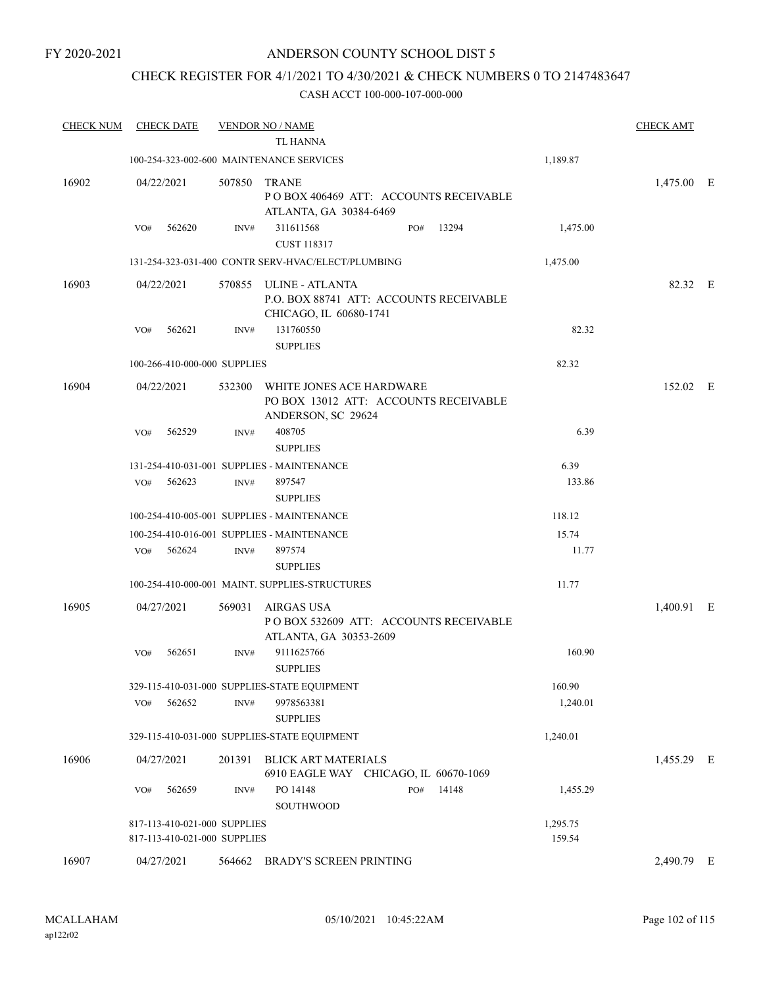### FY 2020-2021

## ANDERSON COUNTY SCHOOL DIST 5

# CHECK REGISTER FOR 4/1/2021 TO 4/30/2021 & CHECK NUMBERS 0 TO 2147483647

| <b>CHECK NUM</b> | <b>CHECK DATE</b>                                            |        | <b>VENDOR NO / NAME</b>                                                                     |                    | <b>CHECK AMT</b> |  |
|------------------|--------------------------------------------------------------|--------|---------------------------------------------------------------------------------------------|--------------------|------------------|--|
|                  |                                                              |        | <b>TL HANNA</b>                                                                             |                    |                  |  |
|                  |                                                              |        | 100-254-323-002-600 MAINTENANCE SERVICES                                                    | 1,189.87           |                  |  |
| 16902            | 04/22/2021                                                   | 507850 | <b>TRANE</b><br>POBOX 406469 ATT: ACCOUNTS RECEIVABLE<br>ATLANTA, GA 30384-6469             |                    | 1,475.00 E       |  |
|                  | VO#<br>562620                                                | INV#   | 311611568<br>13294<br>PO#<br><b>CUST 118317</b>                                             | 1,475.00           |                  |  |
|                  |                                                              |        | 131-254-323-031-400 CONTR SERV-HVAC/ELECT/PLUMBING                                          | 1,475.00           |                  |  |
| 16903            | 04/22/2021                                                   |        | 570855 ULINE - ATLANTA<br>P.O. BOX 88741 ATT: ACCOUNTS RECEIVABLE<br>CHICAGO, IL 60680-1741 |                    | 82.32 E          |  |
|                  | 562621<br>VO#                                                | INV#   | 131760550<br><b>SUPPLIES</b>                                                                | 82.32              |                  |  |
|                  | 100-266-410-000-000 SUPPLIES                                 |        |                                                                                             | 82.32              |                  |  |
| 16904            | 04/22/2021                                                   | 532300 | WHITE JONES ACE HARDWARE<br>PO BOX 13012 ATT: ACCOUNTS RECEIVABLE<br>ANDERSON, SC 29624     |                    | 152.02 E         |  |
|                  | 562529<br>VO#                                                | INV#   | 408705<br><b>SUPPLIES</b>                                                                   | 6.39               |                  |  |
|                  |                                                              |        | 131-254-410-031-001 SUPPLIES - MAINTENANCE                                                  | 6.39               |                  |  |
|                  | 562623<br>VO#                                                | INV#   | 897547<br><b>SUPPLIES</b>                                                                   | 133.86             |                  |  |
|                  |                                                              |        | 100-254-410-005-001 SUPPLIES - MAINTENANCE                                                  | 118.12             |                  |  |
|                  |                                                              |        | 100-254-410-016-001 SUPPLIES - MAINTENANCE                                                  | 15.74              |                  |  |
|                  | 562624<br>VO#                                                | INV#   | 897574<br><b>SUPPLIES</b>                                                                   | 11.77              |                  |  |
|                  |                                                              |        | 100-254-410-000-001 MAINT. SUPPLIES-STRUCTURES                                              | 11.77              |                  |  |
| 16905            | 04/27/2021                                                   | 569031 | AIRGAS USA<br>PO BOX 532609 ATT: ACCOUNTS RECEIVABLE<br>ATLANTA, GA 30353-2609              |                    | 1,400.91 E       |  |
|                  | 562651<br>VO#                                                | INV#   | 9111625766<br><b>SUPPLIES</b>                                                               | 160.90             |                  |  |
|                  |                                                              |        | 329-115-410-031-000 SUPPLIES-STATE EQUIPMENT                                                | 160.90             |                  |  |
|                  | 562652<br>VO#                                                | INV#   | 9978563381<br><b>SUPPLIES</b>                                                               | 1,240.01           |                  |  |
|                  |                                                              |        | 329-115-410-031-000 SUPPLIES-STATE EQUIPMENT                                                | 1,240.01           |                  |  |
| 16906            | 04/27/2021                                                   | 201391 | <b>BLICK ART MATERIALS</b><br>6910 EAGLE WAY CHICAGO, IL 60670-1069                         |                    | 1,455.29 E       |  |
|                  | 562659<br>VO#                                                | INV#   | PO 14148<br>14148<br>PO#<br>SOUTHWOOD                                                       | 1,455.29           |                  |  |
|                  | 817-113-410-021-000 SUPPLIES<br>817-113-410-021-000 SUPPLIES |        |                                                                                             | 1,295.75<br>159.54 |                  |  |
| 16907            | 04/27/2021                                                   | 564662 | <b>BRADY'S SCREEN PRINTING</b>                                                              |                    | 2,490.79 E       |  |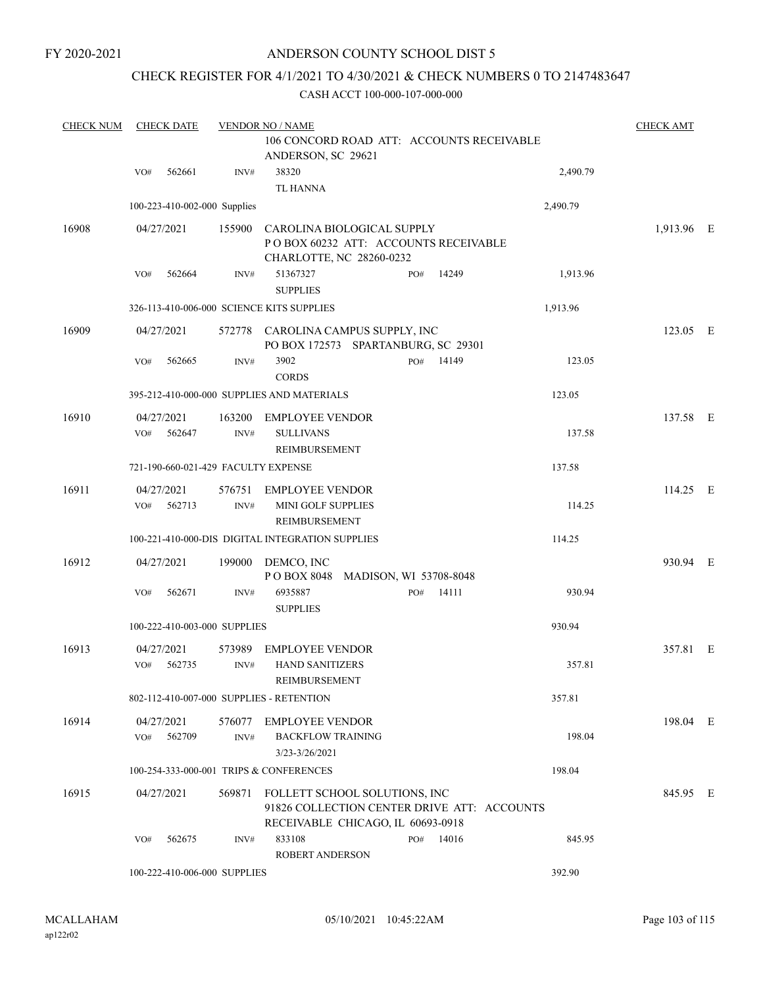FY 2020-2021

## ANDERSON COUNTY SCHOOL DIST 5

## CHECK REGISTER FOR 4/1/2021 TO 4/30/2021 & CHECK NUMBERS 0 TO 2147483647

| <b>CHECK NUM</b> | <b>CHECK DATE</b>           |                                     | <b>VENDOR NO / NAME</b>                                                                                           |                                           |          | <b>CHECK AMT</b> |  |
|------------------|-----------------------------|-------------------------------------|-------------------------------------------------------------------------------------------------------------------|-------------------------------------------|----------|------------------|--|
|                  |                             |                                     | ANDERSON, SC 29621                                                                                                | 106 CONCORD ROAD ATT: ACCOUNTS RECEIVABLE |          |                  |  |
|                  | 562661<br>VO#               | INV#                                | 38320<br><b>TL HANNA</b>                                                                                          |                                           | 2,490.79 |                  |  |
|                  |                             | 100-223-410-002-000 Supplies        |                                                                                                                   |                                           | 2,490.79 |                  |  |
| 16908            | 04/27/2021                  | 155900                              | CAROLINA BIOLOGICAL SUPPLY<br>POBOX 60232 ATT: ACCOUNTS RECEIVABLE<br>CHARLOTTE, NC 28260-0232                    |                                           |          | 1,913.96 E       |  |
|                  | 562664<br>VO#               | INV#                                | 51367327<br><b>SUPPLIES</b>                                                                                       | 14249<br>PO#                              | 1,913.96 |                  |  |
|                  |                             |                                     | 326-113-410-006-000 SCIENCE KITS SUPPLIES                                                                         |                                           | 1,913.96 |                  |  |
| 16909            | 04/27/2021                  |                                     | 572778 CAROLINA CAMPUS SUPPLY, INC<br>PO BOX 172573 SPARTANBURG, SC 29301                                         |                                           |          | 123.05 E         |  |
|                  | 562665<br>VO#               | INV#                                | 3902<br><b>CORDS</b>                                                                                              | PO#<br>14149                              | 123.05   |                  |  |
|                  |                             |                                     | 395-212-410-000-000 SUPPLIES AND MATERIALS                                                                        |                                           | 123.05   |                  |  |
| 16910            | 04/27/2021<br>562647<br>VO# | 163200<br>INV#                      | <b>EMPLOYEE VENDOR</b><br><b>SULLIVANS</b><br>REIMBURSEMENT                                                       |                                           | 137.58   | 137.58 E         |  |
|                  |                             | 721-190-660-021-429 FACULTY EXPENSE |                                                                                                                   |                                           | 137.58   |                  |  |
| 16911            | 04/27/2021<br>562713<br>VO# | 576751<br>INV#                      | <b>EMPLOYEE VENDOR</b><br>MINI GOLF SUPPLIES<br>REIMBURSEMENT                                                     |                                           | 114.25   | $114.25$ E       |  |
|                  |                             |                                     | 100-221-410-000-DIS DIGITAL INTEGRATION SUPPLIES                                                                  |                                           | 114.25   |                  |  |
| 16912            | 04/27/2021                  | 199000                              | DEMCO, INC<br>POBOX 8048 MADISON, WI 53708-8048                                                                   |                                           |          | 930.94 E         |  |
|                  | 562671<br>VO#               | INV#                                | 6935887<br><b>SUPPLIES</b>                                                                                        | 14111<br>PO#                              | 930.94   |                  |  |
|                  |                             | 100-222-410-003-000 SUPPLIES        |                                                                                                                   |                                           | 930.94   |                  |  |
| 16913            | 04/27/2021<br>562735<br>VO# | 573989<br>INV#                      | <b>EMPLOYEE VENDOR</b><br><b>HAND SANITIZERS</b><br>REIMBURSEMENT                                                 |                                           | 357.81   | 357.81 E         |  |
|                  |                             |                                     | 802-112-410-007-000 SUPPLIES - RETENTION                                                                          |                                           | 357.81   |                  |  |
| 16914            | 04/27/2021                  |                                     | 576077 EMPLOYEE VENDOR                                                                                            |                                           |          | 198.04 E         |  |
|                  | 562709<br>VO#               | INV#                                | <b>BACKFLOW TRAINING</b><br>3/23-3/26/2021                                                                        |                                           | 198.04   |                  |  |
|                  |                             |                                     | 100-254-333-000-001 TRIPS & CONFERENCES                                                                           |                                           | 198.04   |                  |  |
| 16915            | 04/27/2021                  | 569871                              | FOLLETT SCHOOL SOLUTIONS, INC<br>91826 COLLECTION CENTER DRIVE ATT: ACCOUNTS<br>RECEIVABLE CHICAGO, IL 60693-0918 |                                           |          | 845.95 E         |  |
|                  | 562675<br>VO#               | INV#                                | 833108<br><b>ROBERT ANDERSON</b>                                                                                  | PO# 14016                                 | 845.95   |                  |  |
|                  |                             | 100-222-410-006-000 SUPPLIES        |                                                                                                                   |                                           | 392.90   |                  |  |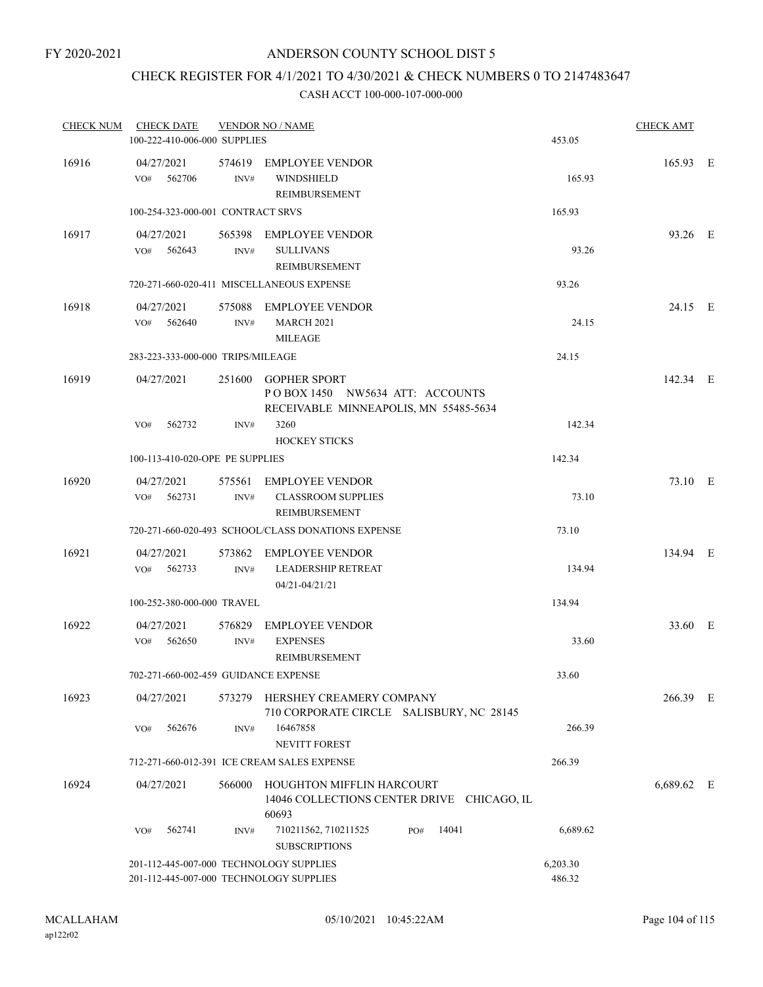# CHECK REGISTER FOR 4/1/2021 TO 4/30/2021 & CHECK NUMBERS 0 TO 2147483647

| <b>CHECK NUM</b> | <b>CHECK DATE</b>                                                                  |                | <b>VENDOR NO / NAME</b>                                                                         |                    | <b>CHECK AMT</b> |  |
|------------------|------------------------------------------------------------------------------------|----------------|-------------------------------------------------------------------------------------------------|--------------------|------------------|--|
|                  | 100-222-410-006-000 SUPPLIES                                                       |                |                                                                                                 | 453.05             |                  |  |
| 16916            | 04/27/2021<br>VO#<br>562706                                                        | INV#           | 574619 EMPLOYEE VENDOR<br>WINDSHIELD<br>REIMBURSEMENT                                           | 165.93             | 165.93 E         |  |
|                  | 100-254-323-000-001 CONTRACT SRVS                                                  |                |                                                                                                 | 165.93             |                  |  |
| 16917            | 04/27/2021<br>562643<br>VO#                                                        | INV#           | 565398 EMPLOYEE VENDOR<br><b>SULLIVANS</b><br>REIMBURSEMENT                                     | 93.26              | 93.26 E          |  |
|                  |                                                                                    |                | 720-271-660-020-411 MISCELLANEOUS EXPENSE                                                       | 93.26              |                  |  |
| 16918            | 04/27/2021<br>562640<br>VO#                                                        | 575088<br>INV# | EMPLOYEE VENDOR<br><b>MARCH 2021</b><br><b>MILEAGE</b>                                          | 24.15              | 24.15 E          |  |
|                  | 283-223-333-000-000 TRIPS/MILEAGE                                                  |                |                                                                                                 | 24.15              |                  |  |
| 16919            | 04/27/2021                                                                         | 251600         | <b>GOPHER SPORT</b><br>POBOX 1450 NW5634 ATT: ACCOUNTS<br>RECEIVABLE MINNEAPOLIS, MN 55485-5634 |                    | 142.34 E         |  |
|                  | VO#<br>562732                                                                      | INV#           | 3260<br><b>HOCKEY STICKS</b>                                                                    | 142.34             |                  |  |
|                  | 100-113-410-020-OPE PE SUPPLIES                                                    |                |                                                                                                 | 142.34             |                  |  |
| 16920            | 04/27/2021<br>562731<br>VO#                                                        | INV#           | 575561 EMPLOYEE VENDOR<br><b>CLASSROOM SUPPLIES</b><br>REIMBURSEMENT                            | 73.10              | 73.10 E          |  |
|                  |                                                                                    |                | 720-271-660-020-493 SCHOOL/CLASS DONATIONS EXPENSE                                              | 73.10              |                  |  |
| 16921            | 04/27/2021<br>VO#<br>562733                                                        | 573862<br>INV# | <b>EMPLOYEE VENDOR</b><br><b>LEADERSHIP RETREAT</b><br>04/21-04/21/21                           | 134.94             | 134.94 E         |  |
|                  | 100-252-380-000-000 TRAVEL                                                         |                |                                                                                                 | 134.94             |                  |  |
| 16922            | 04/27/2021<br>562650<br>VO#                                                        | 576829<br>INV# | <b>EMPLOYEE VENDOR</b><br><b>EXPENSES</b><br><b>REIMBURSEMENT</b>                               | 33.60              | 33.60 E          |  |
|                  | 702-271-660-002-459 GUIDANCE EXPENSE                                               |                |                                                                                                 | 33.60              |                  |  |
| 16923            | 04/27/2021                                                                         |                | 573279 HERSHEY CREAMERY COMPANY<br>710 CORPORATE CIRCLE SALISBURY, NC 28145                     |                    | 266.39 E         |  |
|                  | 562676<br>VO#                                                                      | INV#           | 16467858<br>NEVITT FOREST                                                                       | 266.39             |                  |  |
|                  |                                                                                    |                | 712-271-660-012-391 ICE CREAM SALES EXPENSE                                                     | 266.39             |                  |  |
| 16924            | 04/27/2021                                                                         | 566000         | HOUGHTON MIFFLIN HARCOURT<br>14046 COLLECTIONS CENTER DRIVE CHICAGO, IL<br>60693                |                    | 6,689.62 E       |  |
|                  | 562741<br>VO#                                                                      | INV#           | 14041<br>710211562, 710211525<br>PO#<br><b>SUBSCRIPTIONS</b>                                    | 6,689.62           |                  |  |
|                  | 201-112-445-007-000 TECHNOLOGY SUPPLIES<br>201-112-445-007-000 TECHNOLOGY SUPPLIES |                |                                                                                                 | 6,203.30<br>486.32 |                  |  |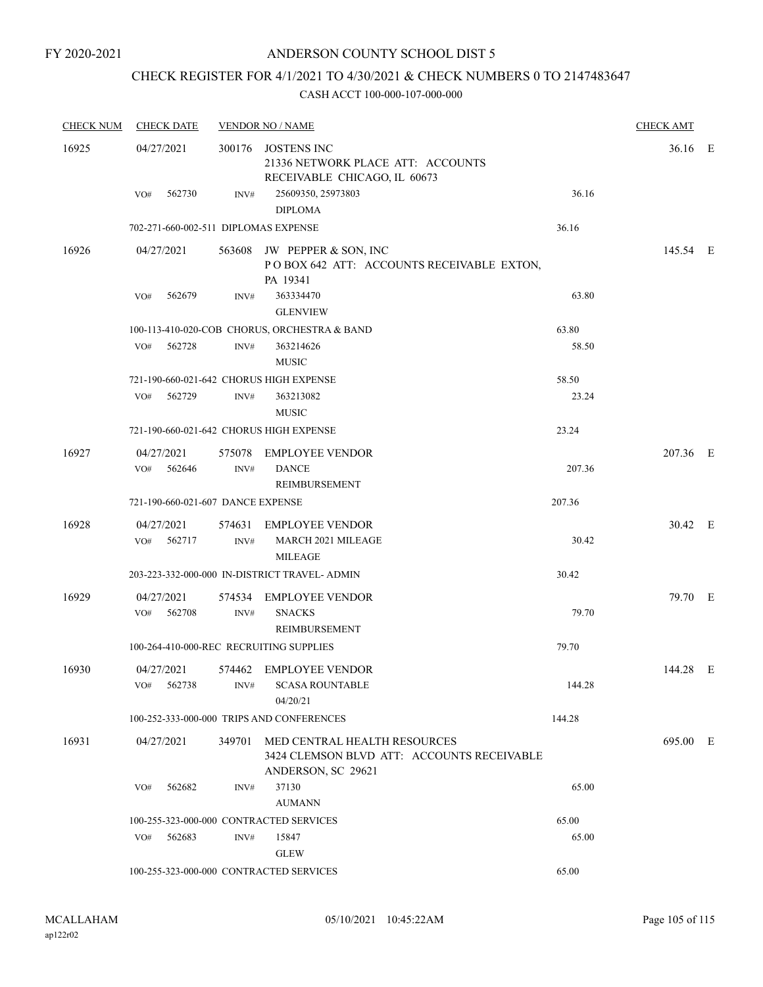# CHECK REGISTER FOR 4/1/2021 TO 4/30/2021 & CHECK NUMBERS 0 TO 2147483647

| <b>CHECK NUM</b> | <b>CHECK DATE</b>                       |        | <b>VENDOR NO / NAME</b>                                                                                 |        | <b>CHECK AMT</b> |  |
|------------------|-----------------------------------------|--------|---------------------------------------------------------------------------------------------------------|--------|------------------|--|
| 16925            | 04/27/2021                              |        | 300176 JOSTENS INC<br>21336 NETWORK PLACE ATT: ACCOUNTS<br>RECEIVABLE CHICAGO, IL 60673                 |        | 36.16 E          |  |
|                  | 562730<br>VO#                           | INV#   | 25609350, 25973803<br><b>DIPLOMA</b>                                                                    | 36.16  |                  |  |
|                  | 702-271-660-002-511 DIPLOMAS EXPENSE    |        |                                                                                                         | 36.16  |                  |  |
| 16926            | 04/27/2021                              |        | 563608 JW PEPPER & SON, INC<br>POBOX 642 ATT: ACCOUNTS RECEIVABLE EXTON,<br>PA 19341                    |        | 145.54 E         |  |
|                  | 562679<br>VO#                           | INV#   | 363334470<br><b>GLENVIEW</b>                                                                            | 63.80  |                  |  |
|                  |                                         |        | 100-113-410-020-COB CHORUS, ORCHESTRA & BAND                                                            | 63.80  |                  |  |
|                  | 562728<br>VO#                           | INV#   | 363214626<br><b>MUSIC</b>                                                                               | 58.50  |                  |  |
|                  | 721-190-660-021-642 CHORUS HIGH EXPENSE |        |                                                                                                         | 58.50  |                  |  |
|                  | 562729<br>VO#                           | INV#   | 363213082<br><b>MUSIC</b>                                                                               | 23.24  |                  |  |
|                  | 721-190-660-021-642 CHORUS HIGH EXPENSE |        |                                                                                                         | 23.24  |                  |  |
| 16927            | 04/27/2021                              |        | 575078 EMPLOYEE VENDOR                                                                                  |        | 207.36 E         |  |
|                  | VO# 562646                              | INV#   | <b>DANCE</b><br>REIMBURSEMENT                                                                           | 207.36 |                  |  |
|                  | 721-190-660-021-607 DANCE EXPENSE       |        |                                                                                                         | 207.36 |                  |  |
| 16928            | 04/27/2021                              |        | 574631 EMPLOYEE VENDOR                                                                                  |        | 30.42 E          |  |
|                  | VO#<br>562717                           | INV#   | <b>MARCH 2021 MILEAGE</b><br><b>MILEAGE</b>                                                             | 30.42  |                  |  |
|                  |                                         |        | 203-223-332-000-000 IN-DISTRICT TRAVEL- ADMIN                                                           | 30.42  |                  |  |
| 16929            | 04/27/2021                              | 574534 | <b>EMPLOYEE VENDOR</b>                                                                                  |        | 79.70 E          |  |
|                  | VO#<br>562708                           | INV#   | <b>SNACKS</b><br><b>REIMBURSEMENT</b>                                                                   | 79.70  |                  |  |
|                  | 100-264-410-000-REC RECRUITING SUPPLIES |        |                                                                                                         | 79.70  |                  |  |
| 16930            | 04/27/2021<br>562738<br>VO#             | INV#   | 574462 EMPLOYEE VENDOR<br><b>SCASA ROUNTABLE</b><br>04/20/21                                            | 144.28 | 144.28 E         |  |
|                  |                                         |        | 100-252-333-000-000 TRIPS AND CONFERENCES                                                               | 144.28 |                  |  |
| 16931            | 04/27/2021                              |        | 349701 MED CENTRAL HEALTH RESOURCES<br>3424 CLEMSON BLVD ATT: ACCOUNTS RECEIVABLE<br>ANDERSON, SC 29621 |        | 695.00 E         |  |
|                  | VO#<br>562682                           | INV#   | 37130<br><b>AUMANN</b>                                                                                  | 65.00  |                  |  |
|                  | 100-255-323-000-000 CONTRACTED SERVICES |        |                                                                                                         | 65.00  |                  |  |
|                  | 562683<br>VO#                           | INV#   | 15847<br><b>GLEW</b>                                                                                    | 65.00  |                  |  |
|                  | 100-255-323-000-000 CONTRACTED SERVICES |        |                                                                                                         | 65.00  |                  |  |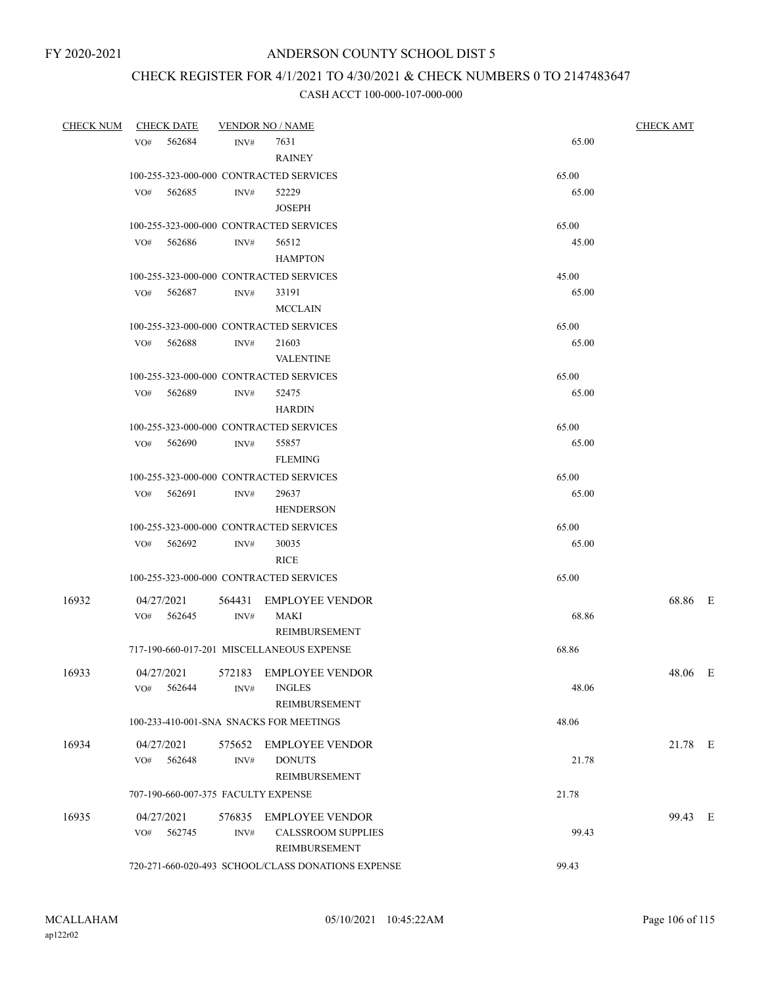# CHECK REGISTER FOR 4/1/2021 TO 4/30/2021 & CHECK NUMBERS 0 TO 2147483647

| <b>CHECK NUM</b> | <b>CHECK DATE</b>                       |      | <b>VENDOR NO / NAME</b>                                              |       | <b>CHECK AMT</b> |  |  |
|------------------|-----------------------------------------|------|----------------------------------------------------------------------|-------|------------------|--|--|
|                  | VO# 562684                              | INV# | 7631<br><b>RAINEY</b>                                                | 65.00 |                  |  |  |
|                  | 100-255-323-000-000 CONTRACTED SERVICES |      |                                                                      | 65.00 |                  |  |  |
|                  | VO# 562685                              | INV# | 52229<br><b>JOSEPH</b>                                               | 65.00 |                  |  |  |
|                  | 100-255-323-000-000 CONTRACTED SERVICES |      |                                                                      | 65.00 |                  |  |  |
|                  | 562686<br>VO#                           | INV# | 56512                                                                | 45.00 |                  |  |  |
|                  |                                         |      | <b>HAMPTON</b>                                                       |       |                  |  |  |
|                  | 100-255-323-000-000 CONTRACTED SERVICES |      |                                                                      | 45.00 |                  |  |  |
|                  | 562687<br>VO#                           | INV# | 33191<br><b>MCCLAIN</b>                                              | 65.00 |                  |  |  |
|                  | 100-255-323-000-000 CONTRACTED SERVICES |      |                                                                      | 65.00 |                  |  |  |
|                  | 562688<br>VO#                           | INV# | 21603<br><b>VALENTINE</b>                                            | 65.00 |                  |  |  |
|                  | 100-255-323-000-000 CONTRACTED SERVICES |      |                                                                      | 65.00 |                  |  |  |
|                  | VO# 562689                              | INV# | 52475<br><b>HARDIN</b>                                               | 65.00 |                  |  |  |
|                  | 100-255-323-000-000 CONTRACTED SERVICES |      |                                                                      | 65.00 |                  |  |  |
|                  | VO#<br>562690                           | INV# | 55857                                                                | 65.00 |                  |  |  |
|                  |                                         |      | <b>FLEMING</b>                                                       |       |                  |  |  |
|                  | 100-255-323-000-000 CONTRACTED SERVICES |      |                                                                      | 65.00 |                  |  |  |
|                  | 562691<br>VO#                           | INV# | 29637<br><b>HENDERSON</b>                                            | 65.00 |                  |  |  |
|                  | 100-255-323-000-000 CONTRACTED SERVICES |      |                                                                      | 65.00 |                  |  |  |
|                  | VO# 562692                              | INV# | 30035<br><b>RICE</b>                                                 | 65.00 |                  |  |  |
|                  | 100-255-323-000-000 CONTRACTED SERVICES |      |                                                                      | 65.00 |                  |  |  |
| 16932            | 04/27/2021<br>VO# 562645                | INV# | 564431 EMPLOYEE VENDOR<br>MAKI<br>REIMBURSEMENT                      | 68.86 | 68.86 E          |  |  |
|                  |                                         |      | 717-190-660-017-201 MISCELLANEOUS EXPENSE                            | 68.86 |                  |  |  |
| 16933            | 04/27/2021<br>562644<br>VO#             | INV# | 572183 EMPLOYEE VENDOR<br><b>INGLES</b><br><b>REIMBURSEMENT</b>      | 48.06 | 48.06 E          |  |  |
|                  | 100-233-410-001-SNA SNACKS FOR MEETINGS |      |                                                                      | 48.06 |                  |  |  |
| 16934            | 04/27/2021<br>562648<br>VO#             | INV# | 575652 EMPLOYEE VENDOR<br><b>DONUTS</b><br>REIMBURSEMENT             | 21.78 | 21.78 E          |  |  |
|                  | 707-190-660-007-375 FACULTY EXPENSE     |      |                                                                      | 21.78 |                  |  |  |
|                  |                                         |      |                                                                      |       |                  |  |  |
| 16935            | 04/27/2021<br>562745<br>VO#             | INV# | 576835 EMPLOYEE VENDOR<br>CALSSROOM SUPPLIES<br><b>REIMBURSEMENT</b> | 99.43 | 99.43 E          |  |  |
|                  |                                         |      | 720-271-660-020-493 SCHOOL/CLASS DONATIONS EXPENSE                   | 99.43 |                  |  |  |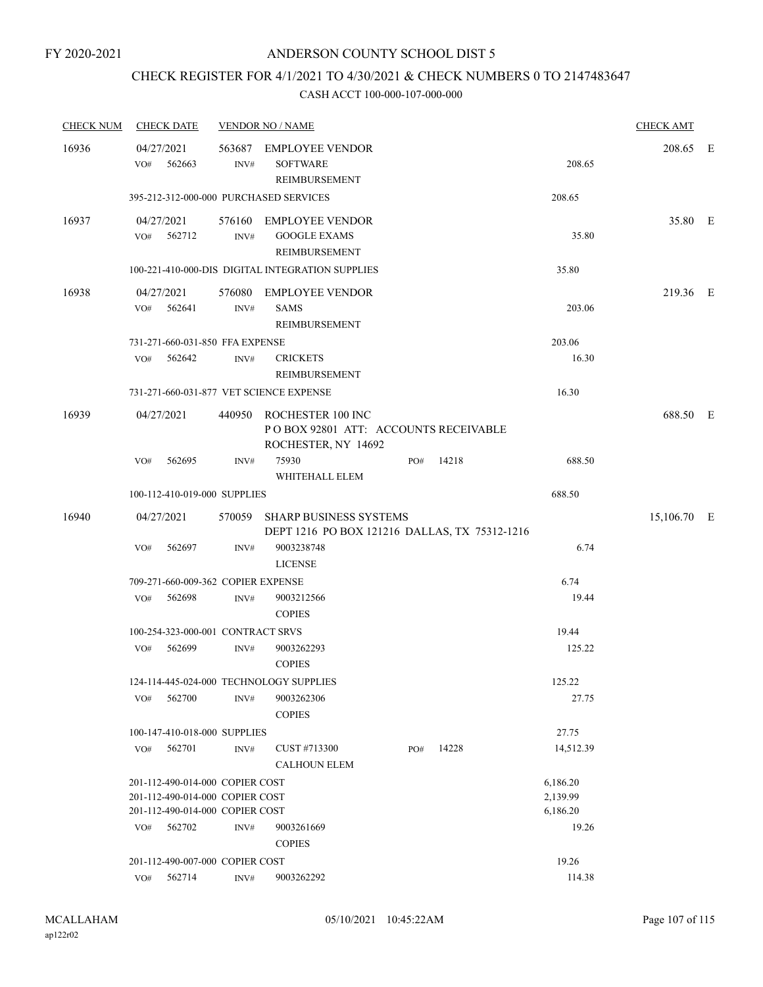# CHECK REGISTER FOR 4/1/2021 TO 4/30/2021 & CHECK NUMBERS 0 TO 2147483647

| <b>CHECK NUM</b> |     | <b>CHECK DATE</b>                  |                  | <b>VENDOR NO / NAME</b>                                                                 |     |       |           | <b>CHECK AMT</b> |  |
|------------------|-----|------------------------------------|------------------|-----------------------------------------------------------------------------------------|-----|-------|-----------|------------------|--|
| 16936            | VO# | 04/27/2021<br>562663               | INV#             | 563687 EMPLOYEE VENDOR<br><b>SOFTWARE</b><br>REIMBURSEMENT                              |     |       | 208.65    | 208.65 E         |  |
|                  |     |                                    |                  | 395-212-312-000-000 PURCHASED SERVICES                                                  |     |       | 208.65    |                  |  |
| 16937            |     | 04/27/2021<br>VO# 562712           | INV#             | 576160 EMPLOYEE VENDOR<br><b>GOOGLE EXAMS</b><br>REIMBURSEMENT                          |     |       | 35.80     | 35.80 E          |  |
|                  |     |                                    |                  | 100-221-410-000-DIS DIGITAL INTEGRATION SUPPLIES                                        |     |       | 35.80     |                  |  |
| 16938            | VO# | 04/27/2021<br>562641               | INV#             | 576080 EMPLOYEE VENDOR<br><b>SAMS</b><br><b>REIMBURSEMENT</b>                           |     |       | 203.06    | 219.36 E         |  |
|                  |     | 731-271-660-031-850 FFA EXPENSE    |                  |                                                                                         |     |       | 203.06    |                  |  |
|                  | VO# | 562642                             | INV#             | <b>CRICKETS</b><br>REIMBURSEMENT                                                        |     |       | 16.30     |                  |  |
|                  |     |                                    |                  | 731-271-660-031-877 VET SCIENCE EXPENSE                                                 |     |       | 16.30     |                  |  |
| 16939            |     | 04/27/2021                         |                  | 440950 ROCHESTER 100 INC<br>POBOX 92801 ATT: ACCOUNTS RECEIVABLE<br>ROCHESTER, NY 14692 |     |       |           | 688.50 E         |  |
|                  | VO# | 562695                             | INV#             | 75930<br>WHITEHALL ELEM                                                                 | PO# | 14218 | 688.50    |                  |  |
|                  |     | 100-112-410-019-000 SUPPLIES       |                  |                                                                                         |     |       | 688.50    |                  |  |
| 16940            |     | 04/27/2021                         | 570059           | <b>SHARP BUSINESS SYSTEMS</b><br>DEPT 1216 PO BOX 121216 DALLAS, TX 75312-1216          |     |       |           | 15,106.70 E      |  |
|                  | VO# | 562697                             | INV#             | 9003238748<br><b>LICENSE</b>                                                            |     |       | 6.74      |                  |  |
|                  |     | 709-271-660-009-362 COPIER EXPENSE |                  |                                                                                         |     |       | 6.74      |                  |  |
|                  | VO# | 562698                             | INV#             | 9003212566<br><b>COPIES</b>                                                             |     |       | 19.44     |                  |  |
|                  |     | 100-254-323-000-001 CONTRACT SRVS  |                  |                                                                                         |     |       | 19.44     |                  |  |
|                  | VO# | 562699                             | INV#             | 9003262293<br><b>COPIES</b>                                                             |     |       | 125.22    |                  |  |
|                  |     |                                    |                  | 124-114-445-024-000 TECHNOLOGY SUPPLIES                                                 |     |       | 125.22    |                  |  |
|                  | VO# | 562700                             | INV#             | 9003262306<br><b>COPIES</b>                                                             |     |       | 27.75     |                  |  |
|                  |     | 100-147-410-018-000 SUPPLIES       |                  |                                                                                         |     |       | 27.75     |                  |  |
|                  | VO# | 562701                             | INV#             | CUST #713300<br><b>CALHOUN ELEM</b>                                                     | PO# | 14228 | 14,512.39 |                  |  |
|                  |     | 201-112-490-014-000 COPIER COST    |                  |                                                                                         |     |       | 6,186.20  |                  |  |
|                  |     | 201-112-490-014-000 COPIER COST    |                  |                                                                                         |     |       | 2,139.99  |                  |  |
|                  |     | 201-112-490-014-000 COPIER COST    |                  |                                                                                         |     |       | 6,186.20  |                  |  |
|                  |     | VO# 562702                         | $\mathrm{INV}\#$ | 9003261669<br><b>COPIES</b>                                                             |     |       | 19.26     |                  |  |
|                  |     | 201-112-490-007-000 COPIER COST    |                  |                                                                                         |     |       | 19.26     |                  |  |
|                  |     | VO# 562714                         | INV#             | 9003262292                                                                              |     |       | 114.38    |                  |  |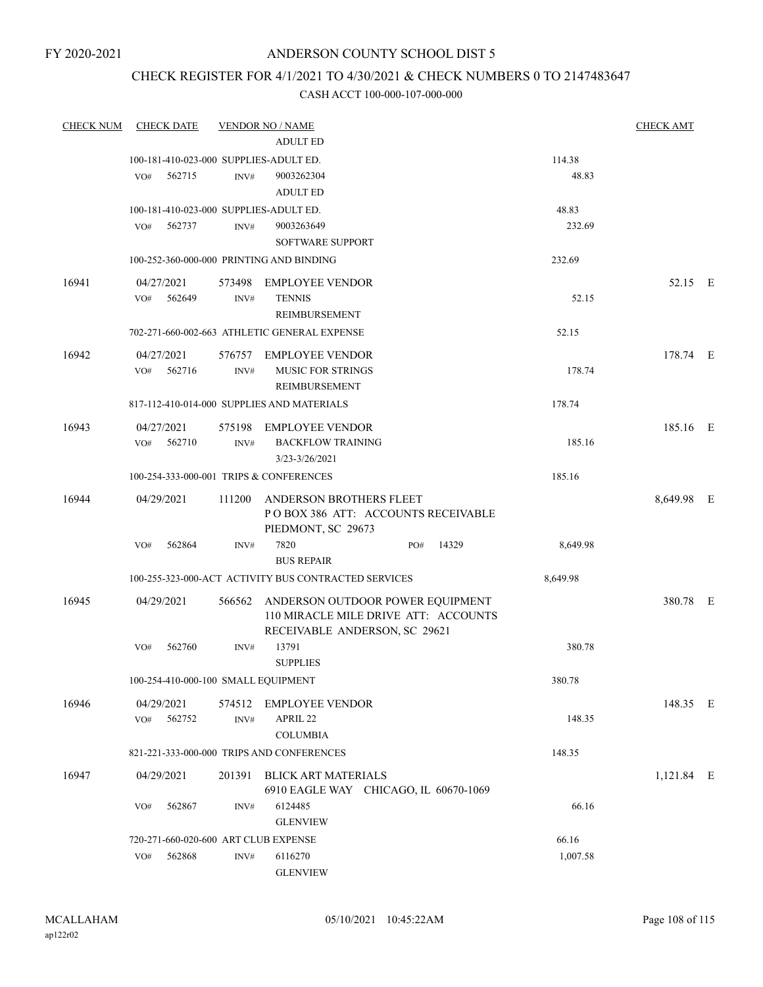# CHECK REGISTER FOR 4/1/2021 TO 4/30/2021 & CHECK NUMBERS 0 TO 2147483647

| <b>CHECK NUM</b> | <b>CHECK DATE</b>                        |        | <b>VENDOR NO / NAME</b>                              |          | <b>CHECK AMT</b> |  |
|------------------|------------------------------------------|--------|------------------------------------------------------|----------|------------------|--|
|                  |                                          |        | <b>ADULT ED</b>                                      |          |                  |  |
|                  | 100-181-410-023-000 SUPPLIES-ADULT ED.   |        |                                                      | 114.38   |                  |  |
|                  | VO#<br>562715                            | INV#   | 9003262304                                           | 48.83    |                  |  |
|                  |                                          |        | <b>ADULT ED</b>                                      |          |                  |  |
|                  | 100-181-410-023-000 SUPPLIES-ADULT ED.   |        |                                                      | 48.83    |                  |  |
|                  | 562737<br>VO#                            | INV#   | 9003263649                                           | 232.69   |                  |  |
|                  |                                          |        | <b>SOFTWARE SUPPORT</b>                              |          |                  |  |
|                  | 100-252-360-000-000 PRINTING AND BINDING |        |                                                      | 232.69   |                  |  |
| 16941            | 04/27/2021                               | 573498 | <b>EMPLOYEE VENDOR</b>                               |          | 52.15 E          |  |
|                  | 562649<br>VO#                            | INV#   | <b>TENNIS</b>                                        | 52.15    |                  |  |
|                  |                                          |        | REIMBURSEMENT                                        |          |                  |  |
|                  |                                          |        | 702-271-660-002-663 ATHLETIC GENERAL EXPENSE         | 52.15    |                  |  |
|                  |                                          |        |                                                      |          |                  |  |
| 16942            | 04/27/2021                               |        | 576757 EMPLOYEE VENDOR                               |          | 178.74 E         |  |
|                  | VO#<br>562716                            | INV#   | <b>MUSIC FOR STRINGS</b>                             | 178.74   |                  |  |
|                  |                                          |        | REIMBURSEMENT                                        |          |                  |  |
|                  |                                          |        | 817-112-410-014-000 SUPPLIES AND MATERIALS           | 178.74   |                  |  |
| 16943            | 04/27/2021                               |        | 575198 EMPLOYEE VENDOR                               |          | 185.16 E         |  |
|                  | VO#<br>562710                            | INV#   | <b>BACKFLOW TRAINING</b>                             | 185.16   |                  |  |
|                  |                                          |        | 3/23-3/26/2021                                       |          |                  |  |
|                  | 100-254-333-000-001 TRIPS & CONFERENCES  |        |                                                      | 185.16   |                  |  |
| 16944            | 04/29/2021                               | 111200 | ANDERSON BROTHERS FLEET                              |          | 8,649.98 E       |  |
|                  |                                          |        | POBOX 386 ATT: ACCOUNTS RECEIVABLE                   |          |                  |  |
|                  |                                          |        | PIEDMONT, SC 29673                                   |          |                  |  |
|                  | 562864<br>VO#                            | INV#   | 7820<br>14329<br>PO#                                 | 8,649.98 |                  |  |
|                  |                                          |        | <b>BUS REPAIR</b>                                    |          |                  |  |
|                  |                                          |        | 100-255-323-000-ACT ACTIVITY BUS CONTRACTED SERVICES | 8,649.98 |                  |  |
| 16945            | 04/29/2021                               | 566562 | ANDERSON OUTDOOR POWER EQUIPMENT                     |          | 380.78 E         |  |
|                  |                                          |        | 110 MIRACLE MILE DRIVE ATT: ACCOUNTS                 |          |                  |  |
|                  |                                          |        | RECEIVABLE ANDERSON, SC 29621                        |          |                  |  |
|                  | 562760<br>VO#                            | INV#   | 13791                                                | 380.78   |                  |  |
|                  |                                          |        | <b>SUPPLIES</b>                                      |          |                  |  |
|                  | 100-254-410-000-100 SMALL EQUIPMENT      |        |                                                      | 380.78   |                  |  |
| 16946            | 04/29/2021                               |        | 574512 EMPLOYEE VENDOR                               |          | 148.35 E         |  |
|                  | 562752<br>VO#                            | INV#   | APRIL 22                                             | 148.35   |                  |  |
|                  |                                          |        | <b>COLUMBIA</b>                                      |          |                  |  |
|                  |                                          |        | 821-221-333-000-000 TRIPS AND CONFERENCES            | 148.35   |                  |  |
| 16947            | 04/29/2021                               |        | 201391 BLICK ART MATERIALS                           |          | 1,121.84 E       |  |
|                  |                                          |        | 6910 EAGLE WAY CHICAGO, IL 60670-1069                |          |                  |  |
|                  | 562867<br>VO#                            | INV#   | 6124485                                              | 66.16    |                  |  |
|                  |                                          |        | <b>GLENVIEW</b>                                      |          |                  |  |
|                  | 720-271-660-020-600 ART CLUB EXPENSE     |        |                                                      | 66.16    |                  |  |
|                  | 562868<br>VO#                            | INV#   | 6116270                                              | 1,007.58 |                  |  |
|                  |                                          |        | <b>GLENVIEW</b>                                      |          |                  |  |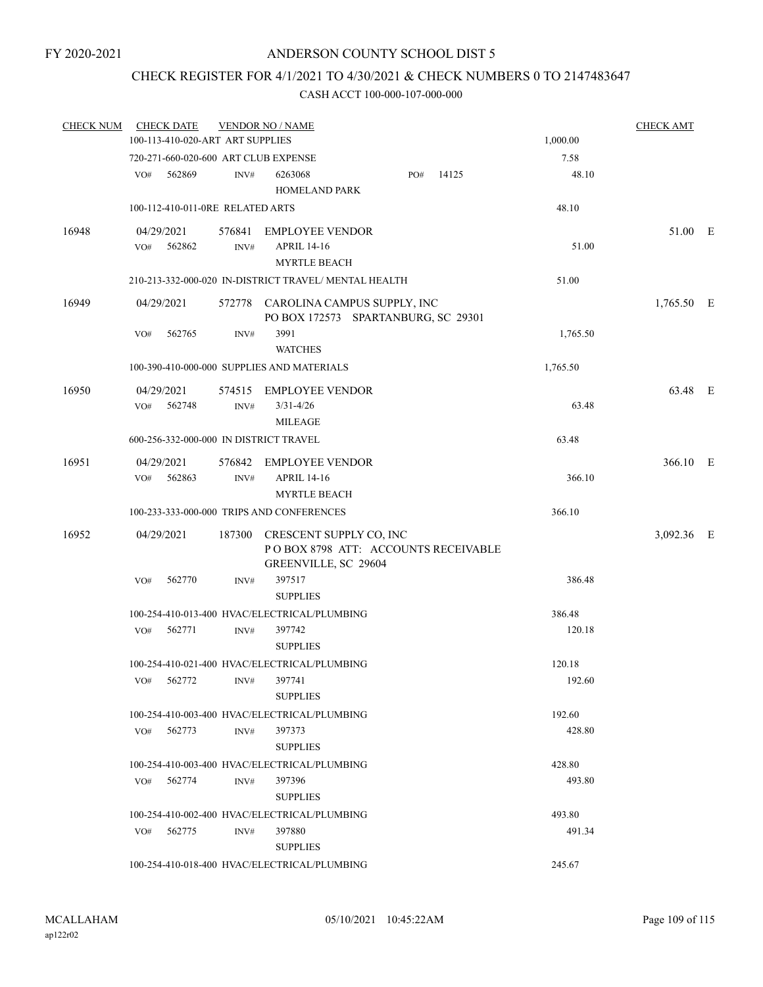## CHECK REGISTER FOR 4/1/2021 TO 4/30/2021 & CHECK NUMBERS 0 TO 2147483647

| <b>CHECK NUM</b> |                                              | <b>CHECK DATE</b>                |      | <b>VENDOR NO / NAME</b>                                                                       |     |       |  |          | <b>CHECK AMT</b> |  |
|------------------|----------------------------------------------|----------------------------------|------|-----------------------------------------------------------------------------------------------|-----|-------|--|----------|------------------|--|
|                  |                                              | 100-113-410-020-ART ART SUPPLIES |      | 1,000.00                                                                                      |     |       |  |          |                  |  |
|                  |                                              |                                  |      | 720-271-660-020-600 ART CLUB EXPENSE                                                          |     |       |  | 7.58     |                  |  |
|                  | VO#                                          | 562869                           | INV# | 6263068<br><b>HOMELAND PARK</b>                                                               | PO# | 14125 |  | 48.10    |                  |  |
|                  |                                              | 100-112-410-011-0RE RELATED ARTS |      |                                                                                               |     |       |  | 48.10    |                  |  |
| 16948            |                                              | 04/29/2021                       |      | 576841 EMPLOYEE VENDOR                                                                        |     |       |  |          | 51.00 E          |  |
|                  | VO#                                          | 562862                           | INV# | <b>APRIL 14-16</b><br><b>MYRTLE BEACH</b>                                                     |     |       |  | 51.00    |                  |  |
|                  |                                              |                                  |      | 210-213-332-000-020 IN-DISTRICT TRAVEL/ MENTAL HEALTH                                         |     |       |  | 51.00    |                  |  |
| 16949            |                                              | 04/29/2021                       |      | 572778 CAROLINA CAMPUS SUPPLY, INC<br>PO BOX 172573 SPARTANBURG, SC 29301                     |     |       |  |          | $1,765.50$ E     |  |
|                  | VO#                                          | 562765                           | INV# | 3991<br><b>WATCHES</b>                                                                        |     |       |  | 1,765.50 |                  |  |
|                  |                                              |                                  |      | 100-390-410-000-000 SUPPLIES AND MATERIALS                                                    |     |       |  | 1,765.50 |                  |  |
| 16950            |                                              | 04/29/2021                       |      | 574515 EMPLOYEE VENDOR                                                                        |     |       |  |          | 63.48 E          |  |
|                  |                                              | VO# 562748                       | INV# | $3/31 - 4/26$<br><b>MILEAGE</b>                                                               |     |       |  | 63.48    |                  |  |
|                  |                                              |                                  |      | 600-256-332-000-000 IN DISTRICT TRAVEL                                                        |     |       |  | 63.48    |                  |  |
| 16951            |                                              | 04/29/2021                       |      | 576842 EMPLOYEE VENDOR                                                                        |     |       |  |          | 366.10 E         |  |
|                  | VO#                                          | 562863                           | INV# | <b>APRIL 14-16</b><br><b>MYRTLE BEACH</b>                                                     |     |       |  | 366.10   |                  |  |
|                  |                                              |                                  |      | 100-233-333-000-000 TRIPS AND CONFERENCES                                                     |     |       |  | 366.10   |                  |  |
| 16952            |                                              | 04/29/2021                       |      | 187300 CRESCENT SUPPLY CO, INC<br>POBOX 8798 ATT: ACCOUNTS RECEIVABLE<br>GREENVILLE, SC 29604 |     |       |  |          | 3,092.36 E       |  |
|                  | VO#                                          | 562770                           | INV# | 397517<br><b>SUPPLIES</b>                                                                     |     |       |  | 386.48   |                  |  |
|                  |                                              |                                  |      | 100-254-410-013-400 HVAC/ELECTRICAL/PLUMBING                                                  |     |       |  | 386.48   |                  |  |
|                  | VO#                                          | 562771                           | INV# | 397742<br><b>SUPPLIES</b>                                                                     |     |       |  | 120.18   |                  |  |
|                  |                                              |                                  |      | 100-254-410-021-400 HVAC/ELECTRICAL/PLUMBING                                                  |     |       |  | 120.18   |                  |  |
|                  | VO#                                          | 562772                           | INV# | 397741<br><b>SUPPLIES</b>                                                                     |     |       |  | 192.60   |                  |  |
|                  |                                              |                                  |      | 100-254-410-003-400 HVAC/ELECTRICAL/PLUMBING                                                  |     |       |  | 192.60   |                  |  |
|                  | VO#                                          | 562773                           | INV# | 397373<br><b>SUPPLIES</b>                                                                     |     |       |  | 428.80   |                  |  |
|                  | 100-254-410-003-400 HVAC/ELECTRICAL/PLUMBING |                                  |      |                                                                                               |     |       |  | 428.80   |                  |  |
|                  | VO#                                          | 562774                           | INV# | 397396<br><b>SUPPLIES</b>                                                                     |     |       |  | 493.80   |                  |  |
|                  |                                              |                                  |      | 100-254-410-002-400 HVAC/ELECTRICAL/PLUMBING                                                  |     |       |  | 493.80   |                  |  |
|                  | VO#                                          | 562775                           | INV# | 397880<br><b>SUPPLIES</b>                                                                     |     |       |  | 491.34   |                  |  |
|                  |                                              |                                  |      | 100-254-410-018-400 HVAC/ELECTRICAL/PLUMBING                                                  |     |       |  | 245.67   |                  |  |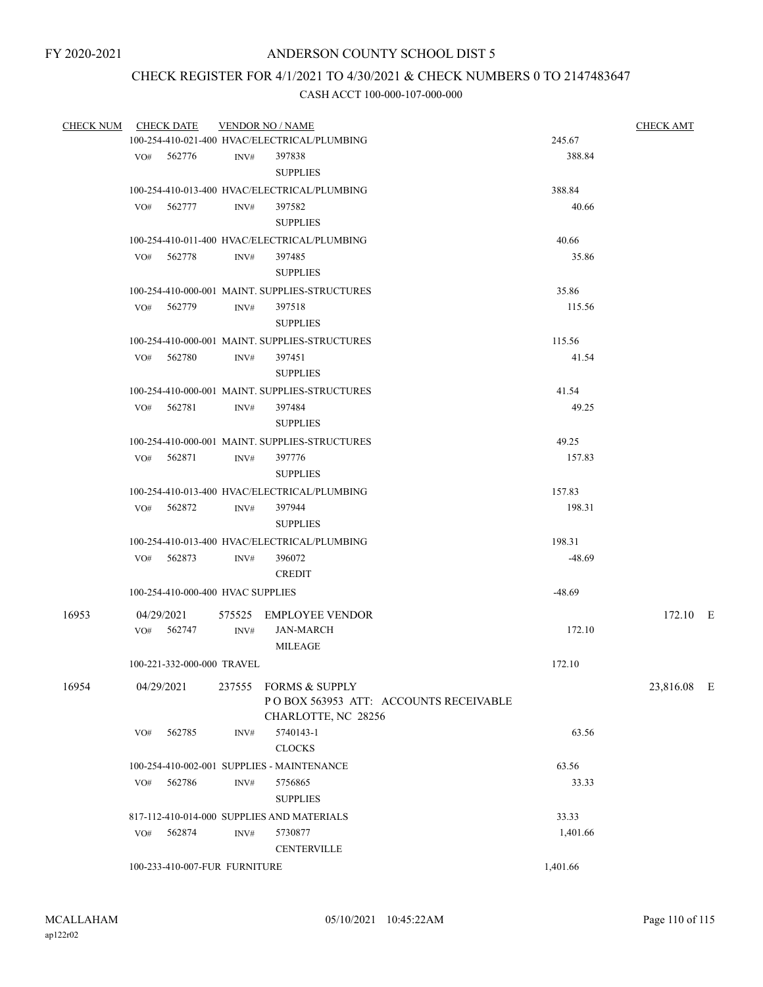# CHECK REGISTER FOR 4/1/2021 TO 4/30/2021 & CHECK NUMBERS 0 TO 2147483647

| CHECK NUM CHECK DATE |     |                                              | <b>VENDOR NO / NAME</b> |                                                                | <b>CHECK AMT</b> |             |  |
|----------------------|-----|----------------------------------------------|-------------------------|----------------------------------------------------------------|------------------|-------------|--|
|                      |     |                                              |                         | 100-254-410-021-400 HVAC/ELECTRICAL/PLUMBING                   | 245.67           |             |  |
|                      |     | VO# 562776                                   | INV#                    | 397838                                                         | 388.84           |             |  |
|                      |     |                                              |                         | <b>SUPPLIES</b>                                                |                  |             |  |
|                      |     |                                              |                         | 100-254-410-013-400 HVAC/ELECTRICAL/PLUMBING                   | 388.84           |             |  |
|                      |     | VO# 562777                                   | INV#                    | 397582                                                         | 40.66            |             |  |
|                      |     |                                              |                         | <b>SUPPLIES</b>                                                |                  |             |  |
|                      |     |                                              |                         | 100-254-410-011-400 HVAC/ELECTRICAL/PLUMBING                   | 40.66            |             |  |
|                      |     | VO# 562778                                   | INV#                    | 397485                                                         | 35.86            |             |  |
|                      |     |                                              |                         | <b>SUPPLIES</b>                                                |                  |             |  |
|                      |     |                                              |                         | 100-254-410-000-001 MAINT. SUPPLIES-STRUCTURES                 | 35.86            |             |  |
|                      |     | VO# 562779                                   | INV#                    | 397518                                                         | 115.56           |             |  |
|                      |     |                                              |                         | <b>SUPPLIES</b>                                                |                  |             |  |
|                      |     |                                              |                         | 100-254-410-000-001 MAINT. SUPPLIES-STRUCTURES                 | 115.56           |             |  |
|                      |     | VO# 562780                                   | INV#                    | 397451                                                         | 41.54            |             |  |
|                      |     |                                              |                         | <b>SUPPLIES</b>                                                |                  |             |  |
|                      |     |                                              |                         | 100-254-410-000-001 MAINT, SUPPLIES-STRUCTURES                 | 41.54            |             |  |
|                      |     | VO# 562781                                   | INV#                    | 397484                                                         | 49.25            |             |  |
|                      |     |                                              |                         | <b>SUPPLIES</b>                                                |                  |             |  |
|                      |     |                                              |                         | 100-254-410-000-001 MAINT. SUPPLIES-STRUCTURES                 | 49.25            |             |  |
|                      |     | VO# 562871                                   | INV#                    | 397776                                                         | 157.83           |             |  |
|                      |     |                                              |                         | <b>SUPPLIES</b>                                                |                  |             |  |
|                      |     |                                              |                         |                                                                |                  |             |  |
|                      |     |                                              |                         | 100-254-410-013-400 HVAC/ELECTRICAL/PLUMBING                   | 157.83           |             |  |
|                      |     | VO# 562872                                   | INV#                    | 397944                                                         | 198.31           |             |  |
|                      |     |                                              |                         | <b>SUPPLIES</b>                                                |                  |             |  |
|                      |     | 100-254-410-013-400 HVAC/ELECTRICAL/PLUMBING |                         | 198.31                                                         |                  |             |  |
|                      |     | VO# 562873                                   | INV#                    | 396072                                                         | $-48.69$         |             |  |
|                      |     |                                              |                         | <b>CREDIT</b>                                                  |                  |             |  |
|                      |     | 100-254-410-000-400 HVAC SUPPLIES            |                         |                                                                | $-48.69$         |             |  |
| 16953                |     | 04/29/2021                                   |                         | 575525 EMPLOYEE VENDOR                                         |                  | 172.10 E    |  |
|                      |     | VO# 562747                                   | INV#                    | <b>JAN-MARCH</b>                                               | 172.10           |             |  |
|                      |     |                                              |                         | MILEAGE                                                        |                  |             |  |
|                      |     | 100-221-332-000-000 TRAVEL                   |                         |                                                                | 172.10           |             |  |
|                      |     |                                              |                         |                                                                |                  |             |  |
| 16954                |     | 04/29/2021                                   |                         | 237555 FORMS & SUPPLY<br>POBOX 563953 ATT: ACCOUNTS RECEIVABLE |                  | 23,816.08 E |  |
|                      |     |                                              |                         | CHARLOTTE, NC 28256                                            |                  |             |  |
|                      | VO# | 562785                                       | INV#                    | 5740143-1                                                      | 63.56            |             |  |
|                      |     |                                              |                         | <b>CLOCKS</b>                                                  |                  |             |  |
|                      |     |                                              |                         |                                                                |                  |             |  |
|                      |     |                                              |                         | 100-254-410-002-001 SUPPLIES - MAINTENANCE                     | 63.56            |             |  |
|                      | VO# | 562786                                       | INV#                    | 5756865<br><b>SUPPLIES</b>                                     | 33.33            |             |  |
|                      |     |                                              |                         |                                                                |                  |             |  |
|                      |     |                                              |                         | 817-112-410-014-000 SUPPLIES AND MATERIALS                     | 33.33            |             |  |
|                      | VO# | 562874                                       | INV#                    | 5730877                                                        | 1,401.66         |             |  |
|                      |     |                                              |                         | <b>CENTERVILLE</b>                                             |                  |             |  |
|                      |     | 100-233-410-007-FUR FURNITURE                |                         |                                                                | 1,401.66         |             |  |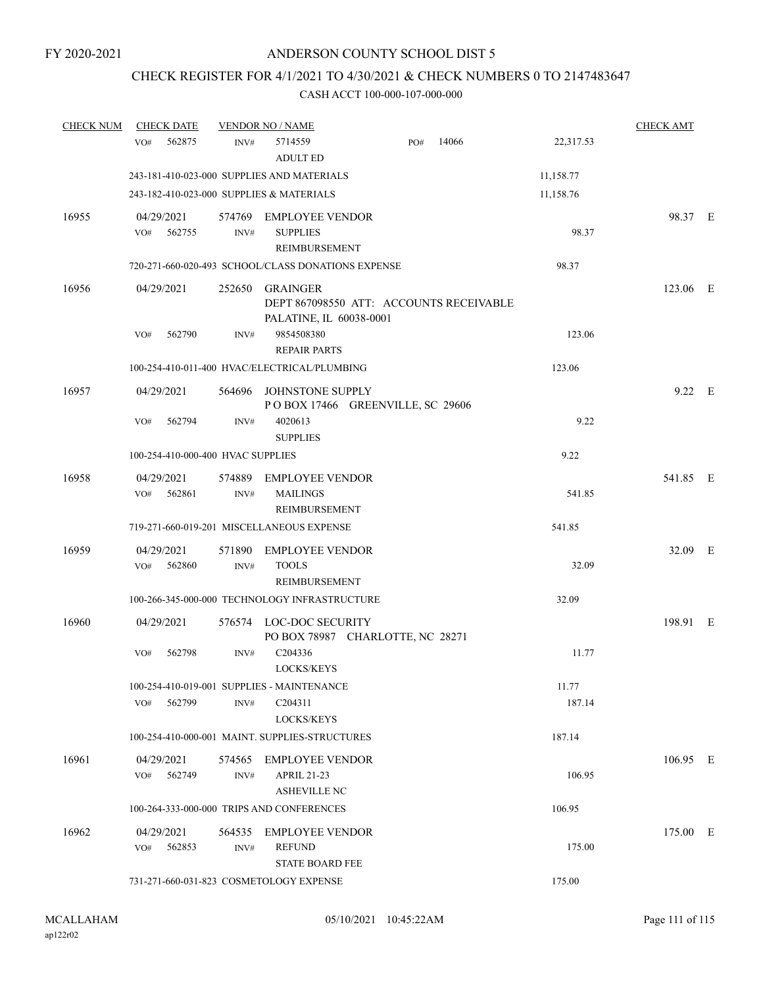# CHECK REGISTER FOR 4/1/2021 TO 4/30/2021 & CHECK NUMBERS 0 TO 2147483647

| <b>CHECK NUM</b> | <b>CHECK DATE</b>                                           |                | <b>VENDOR NO / NAME</b>                                                        |     |       |                 | <b>CHECK AMT</b> |  |
|------------------|-------------------------------------------------------------|----------------|--------------------------------------------------------------------------------|-----|-------|-----------------|------------------|--|
|                  | 562875<br>VO#                                               | INV#           | 5714559<br><b>ADULT ED</b>                                                     | PO# | 14066 | 22,317.53       |                  |  |
|                  | 243-181-410-023-000 SUPPLIES AND MATERIALS                  |                |                                                                                |     |       | 11,158.77       |                  |  |
|                  | 243-182-410-023-000 SUPPLIES & MATERIALS                    |                |                                                                                |     |       | 11,158.76       |                  |  |
| 16955            | 04/29/2021<br>VO#<br>562755                                 | INV#           | 574769 EMPLOYEE VENDOR<br><b>SUPPLIES</b><br>REIMBURSEMENT                     |     |       | 98.37           | 98.37 E          |  |
|                  | 720-271-660-020-493 SCHOOL/CLASS DONATIONS EXPENSE          |                |                                                                                |     |       | 98.37           |                  |  |
| 16956            | 04/29/2021                                                  | 252650         | GRAINGER<br>DEPT 867098550 ATT: ACCOUNTS RECEIVABLE<br>PALATINE, IL 60038-0001 |     |       |                 | 123.06 E         |  |
|                  | 562790<br>VO#                                               | INV#           | 9854508380<br><b>REPAIR PARTS</b>                                              |     |       | 123.06          |                  |  |
|                  | 100-254-410-011-400 HVAC/ELECTRICAL/PLUMBING                |                |                                                                                |     |       | 123.06          |                  |  |
| 16957            | 04/29/2021                                                  | 564696         | JOHNSTONE SUPPLY<br>POBOX 17466 GREENVILLE, SC 29606                           |     |       |                 | 9.22 E           |  |
|                  | VO#<br>562794                                               | INV#           | 4020613<br><b>SUPPLIES</b>                                                     |     |       | 9.22            |                  |  |
|                  | 100-254-410-000-400 HVAC SUPPLIES                           |                |                                                                                |     |       | 9.22            |                  |  |
| 16958            | 04/29/2021<br>562861<br>VO#                                 | 574889<br>INV# | <b>EMPLOYEE VENDOR</b><br><b>MAILINGS</b><br>REIMBURSEMENT                     |     |       | 541.85          | 541.85 E         |  |
|                  | 719-271-660-019-201 MISCELLANEOUS EXPENSE                   |                |                                                                                |     |       | 541.85          |                  |  |
| 16959            | 04/29/2021<br>VO#<br>562860                                 | 571890<br>INV# | <b>EMPLOYEE VENDOR</b><br><b>TOOLS</b><br>REIMBURSEMENT                        |     |       | 32.09           | 32.09 E          |  |
|                  | 100-266-345-000-000 TECHNOLOGY INFRASTRUCTURE               |                |                                                                                |     |       | 32.09           |                  |  |
| 16960            | 04/29/2021                                                  | 576574         | LOC-DOC SECURITY<br>PO BOX 78987 CHARLOTTE, NC 28271                           |     |       |                 | 198.91 E         |  |
|                  | 562798<br>VO#                                               | INV#           | C204336<br><b>LOCKS/KEYS</b>                                                   |     |       | 11.77           |                  |  |
|                  | 100-254-410-019-001 SUPPLIES - MAINTENANCE<br>VO#<br>562799 | INV#           | C <sub>204311</sub><br>LOCKS/KEYS                                              |     |       | 11.77<br>187.14 |                  |  |
|                  | 100-254-410-000-001 MAINT. SUPPLIES-STRUCTURES              |                |                                                                                |     |       | 187.14          |                  |  |
| 16961            | 04/29/2021<br>VO# 562749                                    | INV#           | 574565 EMPLOYEE VENDOR<br><b>APRIL 21-23</b><br><b>ASHEVILLE NC</b>            |     |       | 106.95          | 106.95 E         |  |
|                  | 100-264-333-000-000 TRIPS AND CONFERENCES                   |                |                                                                                |     |       | 106.95          |                  |  |
| 16962            | 04/29/2021<br>562853<br>VO#                                 | 564535<br>INV# | <b>EMPLOYEE VENDOR</b><br><b>REFUND</b><br><b>STATE BOARD FEE</b>              |     |       | 175.00          | 175.00 E         |  |
|                  | 731-271-660-031-823 COSMETOLOGY EXPENSE                     |                |                                                                                |     |       | 175.00          |                  |  |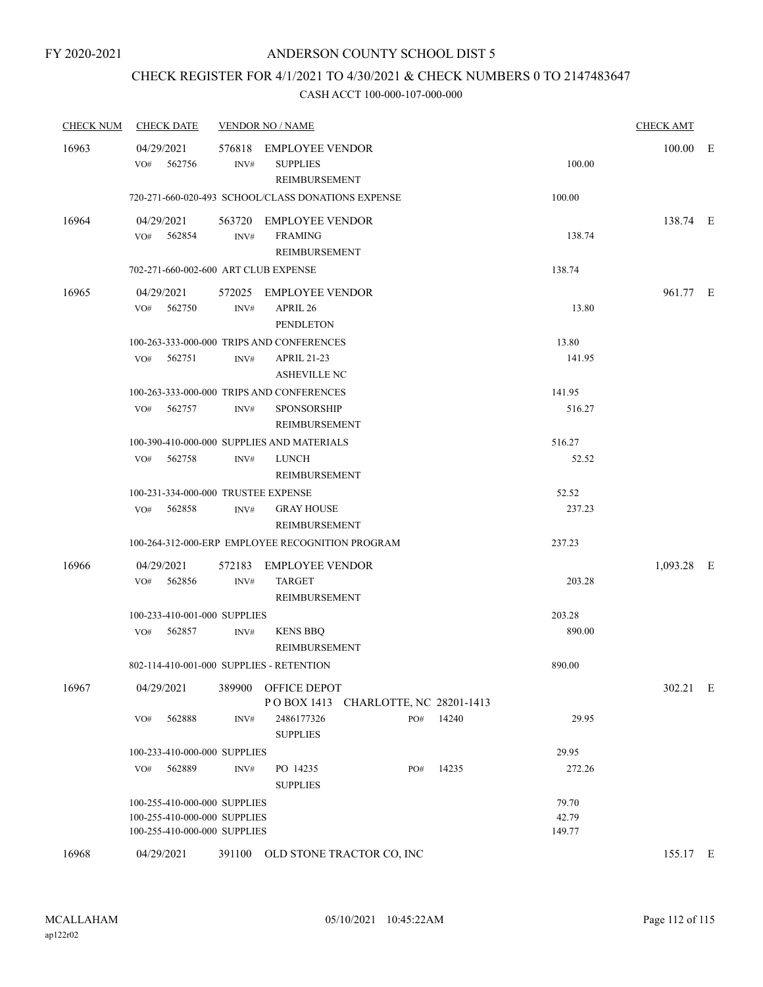# CHECK REGISTER FOR 4/1/2021 TO 4/30/2021 & CHECK NUMBERS 0 TO 2147483647

| <b>CHECK NUM</b> | <b>CHECK DATE</b>                        |                | <b>VENDOR NO / NAME</b>                                    |     |       |        | <b>CHECK AMT</b> |  |
|------------------|------------------------------------------|----------------|------------------------------------------------------------|-----|-------|--------|------------------|--|
| 16963            | 04/29/2021<br>562756<br>VO#              | INV#           | 576818 EMPLOYEE VENDOR<br><b>SUPPLIES</b><br>REIMBURSEMENT |     |       | 100.00 | $100.00$ E       |  |
|                  |                                          |                | 720-271-660-020-493 SCHOOL/CLASS DONATIONS EXPENSE         |     |       | 100.00 |                  |  |
| 16964            | 04/29/2021<br>VO# 562854                 | INV#           | 563720 EMPLOYEE VENDOR<br><b>FRAMING</b><br>REIMBURSEMENT  |     |       | 138.74 | 138.74 E         |  |
|                  | 702-271-660-002-600 ART CLUB EXPENSE     |                |                                                            |     |       | 138.74 |                  |  |
| 16965            | 04/29/2021<br>VO# 562750                 | INV#           | 572025 EMPLOYEE VENDOR<br>APRIL 26<br><b>PENDLETON</b>     |     |       | 13.80  | 961.77 E         |  |
|                  |                                          |                | 100-263-333-000-000 TRIPS AND CONFERENCES                  |     |       | 13.80  |                  |  |
|                  | $VO#$ 562751                             | INV#           | <b>APRIL 21-23</b><br><b>ASHEVILLE NC</b>                  |     |       | 141.95 |                  |  |
|                  |                                          |                | 100-263-333-000-000 TRIPS AND CONFERENCES                  |     |       | 141.95 |                  |  |
|                  | VO# 562757                               | INV#           | <b>SPONSORSHIP</b><br>REIMBURSEMENT                        |     |       | 516.27 |                  |  |
|                  |                                          |                | 100-390-410-000-000 SUPPLIES AND MATERIALS                 |     |       | 516.27 |                  |  |
|                  | 562758<br>VO#                            | INV#           | <b>LUNCH</b><br>REIMBURSEMENT                              |     |       | 52.52  |                  |  |
|                  | 100-231-334-000-000 TRUSTEE EXPENSE      |                |                                                            |     |       | 52.52  |                  |  |
|                  | VO# 562858                               | INV#           | <b>GRAY HOUSE</b><br>REIMBURSEMENT                         |     |       | 237.23 |                  |  |
|                  |                                          |                | 100-264-312-000-ERP EMPLOYEE RECOGNITION PROGRAM           |     |       | 237.23 |                  |  |
| 16966            | 04/29/2021<br>562856<br>VO#              | 572183<br>INV# | <b>EMPLOYEE VENDOR</b><br><b>TARGET</b>                    |     |       | 203.28 | 1,093.28 E       |  |
|                  |                                          |                | REIMBURSEMENT                                              |     |       |        |                  |  |
|                  | 100-233-410-001-000 SUPPLIES             |                |                                                            |     |       | 203.28 |                  |  |
|                  | VO# 562857                               | INV#           | <b>KENS BBQ</b><br>REIMBURSEMENT                           |     |       | 890.00 |                  |  |
|                  | 802-114-410-001-000 SUPPLIES - RETENTION |                |                                                            |     |       | 890.00 |                  |  |
| 16967            | 04/29/2021                               |                | 389900 OFFICE DEPOT<br>POBOX 1413 CHARLOTTE, NC 28201-1413 |     |       |        | 302.21 E         |  |
|                  | 562888<br>VO#                            | INV#           | 2486177326<br><b>SUPPLIES</b>                              | PO# | 14240 | 29.95  |                  |  |
|                  | 100-233-410-000-000 SUPPLIES             |                |                                                            |     |       | 29.95  |                  |  |
|                  | 562889<br>VO#                            | INV#           | PO 14235<br><b>SUPPLIES</b>                                | PO# | 14235 | 272.26 |                  |  |
|                  | 100-255-410-000-000 SUPPLIES             |                |                                                            |     |       | 79.70  |                  |  |
|                  | 100-255-410-000-000 SUPPLIES             |                |                                                            |     |       | 42.79  |                  |  |
|                  | 100-255-410-000-000 SUPPLIES             |                |                                                            |     |       | 149.77 |                  |  |
| 16968            | 04/29/2021                               |                | 391100 OLD STONE TRACTOR CO, INC                           |     |       |        | 155.17 E         |  |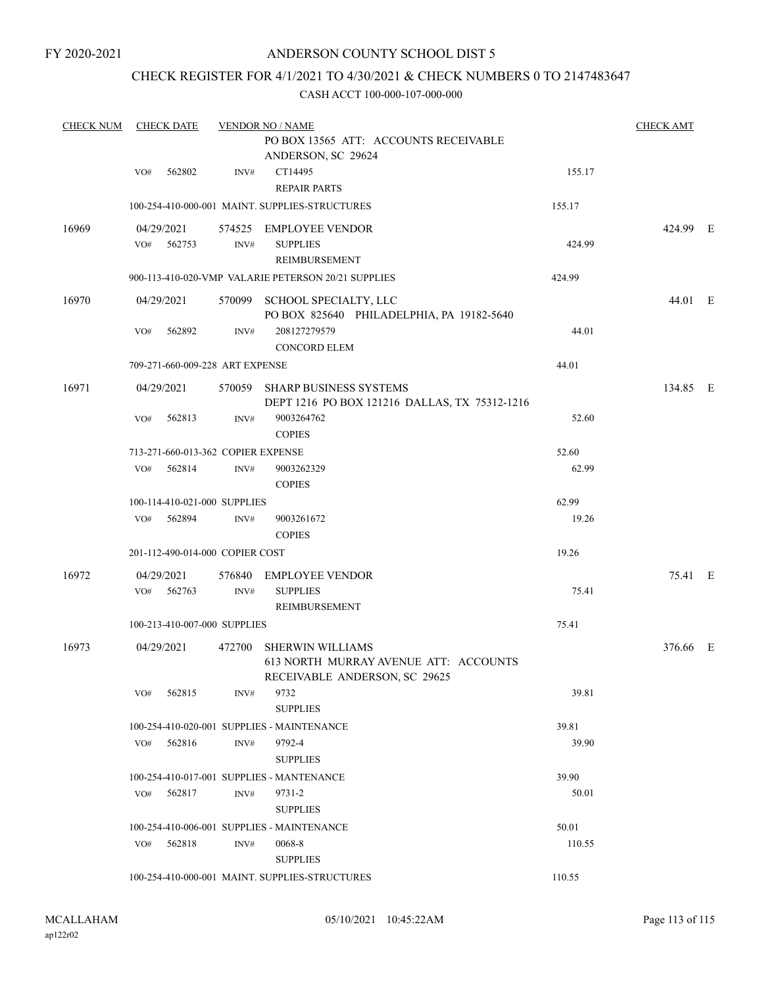### CHECK REGISTER FOR 4/1/2021 TO 4/30/2021 & CHECK NUMBERS 0 TO 2147483647

| <b>CHECK NUM</b> | <b>CHECK DATE</b>                  |                | <b>VENDOR NO / NAME</b>                                                                           | <b>CHECK AMT</b> |          |  |
|------------------|------------------------------------|----------------|---------------------------------------------------------------------------------------------------|------------------|----------|--|
|                  |                                    |                | PO BOX 13565 ATT: ACCOUNTS RECEIVABLE<br>ANDERSON, SC 29624                                       |                  |          |  |
|                  | 562802<br>VO#                      | INV#           | CT14495<br>REPAIR PARTS                                                                           | 155.17           |          |  |
|                  |                                    |                | 100-254-410-000-001 MAINT. SUPPLIES-STRUCTURES                                                    | 155.17           |          |  |
| 16969            | 04/29/2021<br>562753<br>VO#        | INV#           | 574525 EMPLOYEE VENDOR<br><b>SUPPLIES</b><br>REIMBURSEMENT                                        | 424.99           | 424.99 E |  |
|                  |                                    |                | 900-113-410-020-VMP VALARIE PETERSON 20/21 SUPPLIES                                               | 424.99           |          |  |
| 16970            | 04/29/2021                         |                | 570099 SCHOOL SPECIALTY, LLC<br>PO BOX 825640 PHILADELPHIA, PA 19182-5640                         |                  | 44.01 E  |  |
|                  | 562892<br>VO#                      | INV#           | 208127279579<br><b>CONCORD ELEM</b>                                                               | 44.01            |          |  |
|                  | 709-271-660-009-228 ART EXPENSE    |                |                                                                                                   | 44.01            |          |  |
| 16971            | 04/29/2021                         |                | 570059 SHARP BUSINESS SYSTEMS<br>DEPT 1216 PO BOX 121216 DALLAS, TX 75312-1216                    |                  | 134.85 E |  |
|                  | 562813<br>VO#                      | INV#           | 9003264762<br><b>COPIES</b>                                                                       | 52.60            |          |  |
|                  | 713-271-660-013-362 COPIER EXPENSE |                |                                                                                                   | 52.60            |          |  |
|                  | 562814<br>VO#                      | INV#           | 9003262329<br><b>COPIES</b>                                                                       | 62.99            |          |  |
|                  | 100-114-410-021-000 SUPPLIES       |                |                                                                                                   | 62.99            |          |  |
|                  | 562894<br>VO#                      | INV#           | 9003261672<br><b>COPIES</b>                                                                       | 19.26            |          |  |
|                  | 201-112-490-014-000 COPIER COST    |                |                                                                                                   | 19.26            |          |  |
| 16972            | 04/29/2021<br>562763<br>VO#        | 576840<br>INV# | EMPLOYEE VENDOR<br><b>SUPPLIES</b><br>REIMBURSEMENT                                               | 75.41            | 75.41 E  |  |
|                  | 100-213-410-007-000 SUPPLIES       |                |                                                                                                   | 75.41            |          |  |
| 16973            | 04/29/2021                         | 472700         | <b>SHERWIN WILLIAMS</b><br>613 NORTH MURRAY AVENUE ATT: ACCOUNTS<br>RECEIVABLE ANDERSON, SC 29625 |                  | 376.66 E |  |
|                  | 562815<br>VO#                      | INV#           | 9732<br><b>SUPPLIES</b>                                                                           | 39.81            |          |  |
|                  |                                    |                | 100-254-410-020-001 SUPPLIES - MAINTENANCE                                                        | 39.81            |          |  |
|                  | VO# 562816                         | INV#           | 9792-4<br><b>SUPPLIES</b>                                                                         | 39.90            |          |  |
|                  |                                    |                | 100-254-410-017-001 SUPPLIES - MANTENANCE                                                         | 39.90            |          |  |
|                  | 562817<br>VO#                      | INV#           | 9731-2<br><b>SUPPLIES</b>                                                                         | 50.01            |          |  |
|                  |                                    |                | 100-254-410-006-001 SUPPLIES - MAINTENANCE                                                        | 50.01            |          |  |
|                  | 562818<br>VO#                      | INV#           | 0068-8<br><b>SUPPLIES</b>                                                                         | 110.55           |          |  |
|                  |                                    |                | 100-254-410-000-001 MAINT. SUPPLIES-STRUCTURES                                                    | 110.55           |          |  |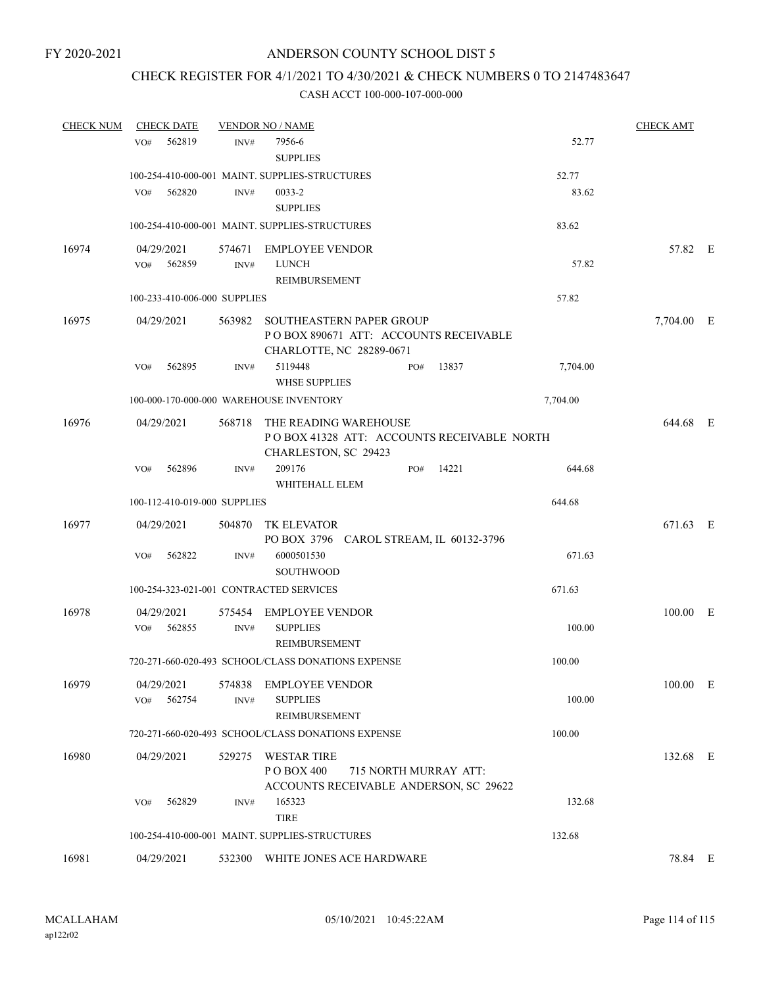## CHECK REGISTER FOR 4/1/2021 TO 4/30/2021 & CHECK NUMBERS 0 TO 2147483647

| <b>CHECK NUM</b> | <b>CHECK DATE</b>            |                | <b>VENDOR NO / NAME</b>                                                                       |     |                       |          | <b>CHECK AMT</b> |  |
|------------------|------------------------------|----------------|-----------------------------------------------------------------------------------------------|-----|-----------------------|----------|------------------|--|
|                  | 562819<br>VO <sub>#</sub>    | INV#           | 7956-6<br><b>SUPPLIES</b>                                                                     |     |                       | 52.77    |                  |  |
|                  |                              |                | 100-254-410-000-001 MAINT. SUPPLIES-STRUCTURES                                                |     |                       | 52.77    |                  |  |
|                  | VO#<br>562820                | INV#           | 0033-2<br><b>SUPPLIES</b>                                                                     |     |                       | 83.62    |                  |  |
|                  |                              |                | 100-254-410-000-001 MAINT. SUPPLIES-STRUCTURES                                                |     |                       | 83.62    |                  |  |
| 16974            | 04/29/2021                   |                | 574671 EMPLOYEE VENDOR                                                                        |     |                       |          | 57.82 E          |  |
|                  | VO# 562859                   | INV#           | <b>LUNCH</b><br>REIMBURSEMENT                                                                 |     |                       | 57.82    |                  |  |
|                  | 100-233-410-006-000 SUPPLIES |                |                                                                                               |     |                       | 57.82    |                  |  |
| 16975            | 04/29/2021                   | 563982         | SOUTHEASTERN PAPER GROUP<br>POBOX 890671 ATT: ACCOUNTS RECEIVABLE<br>CHARLOTTE, NC 28289-0671 |     |                       |          | 7,704.00 E       |  |
|                  | 562895<br>VO#                | INV#           | 5119448<br><b>WHSE SUPPLIES</b>                                                               | PO# | 13837                 | 7,704.00 |                  |  |
|                  |                              |                | 100-000-170-000-000 WAREHOUSE INVENTORY                                                       |     |                       | 7,704.00 |                  |  |
| 16976            | 04/29/2021                   | 568718         | THE READING WAREHOUSE<br>POBOX 41328 ATT: ACCOUNTS RECEIVABLE NORTH<br>CHARLESTON, SC 29423   |     |                       |          | 644.68 E         |  |
|                  | 562896<br>VO#                | INV#           | 209176<br>WHITEHALL ELEM                                                                      | PO# | 14221                 | 644.68   |                  |  |
|                  | 100-112-410-019-000 SUPPLIES |                |                                                                                               |     |                       | 644.68   |                  |  |
| 16977            | 04/29/2021                   | 504870         | TK ELEVATOR<br>PO BOX 3796 CAROL STREAM, IL 60132-3796                                        |     |                       |          | 671.63 E         |  |
|                  | 562822<br>VO#                | INV#           | 6000501530<br><b>SOUTHWOOD</b>                                                                |     |                       | 671.63   |                  |  |
|                  |                              |                | 100-254-323-021-001 CONTRACTED SERVICES                                                       |     |                       | 671.63   |                  |  |
| 16978            | 04/29/2021                   | 575454         | <b>EMPLOYEE VENDOR</b>                                                                        |     |                       |          | 100.00 E         |  |
|                  | 562855<br>VO#                | INV#           | <b>SUPPLIES</b><br><b>REIMBURSEMENT</b>                                                       |     |                       | 100.00   |                  |  |
|                  |                              |                | 720-271-660-020-493 SCHOOL/CLASS DONATIONS EXPENSE                                            |     |                       | 100.00   |                  |  |
| 16979            | 04/29/2021<br>VO#<br>562754  | 574838<br>INV# | <b>EMPLOYEE VENDOR</b><br><b>SUPPLIES</b><br>REIMBURSEMENT                                    |     |                       | 100.00   | 100.00 E         |  |
|                  |                              |                | 720-271-660-020-493 SCHOOL/CLASS DONATIONS EXPENSE                                            |     |                       | 100.00   |                  |  |
| 16980            | 04/29/2021                   | 529275         | <b>WESTAR TIRE</b><br>PO BOX 400<br>ACCOUNTS RECEIVABLE ANDERSON, SC 29622                    |     | 715 NORTH MURRAY ATT: |          | 132.68 E         |  |
|                  | 562829<br>VO#                | INV#           | 165323                                                                                        |     |                       | 132.68   |                  |  |
|                  |                              |                | <b>TIRE</b><br>100-254-410-000-001 MAINT. SUPPLIES-STRUCTURES                                 |     |                       | 132.68   |                  |  |
| 16981            | 04/29/2021                   |                | 532300 WHITE JONES ACE HARDWARE                                                               |     |                       |          | 78.84 E          |  |